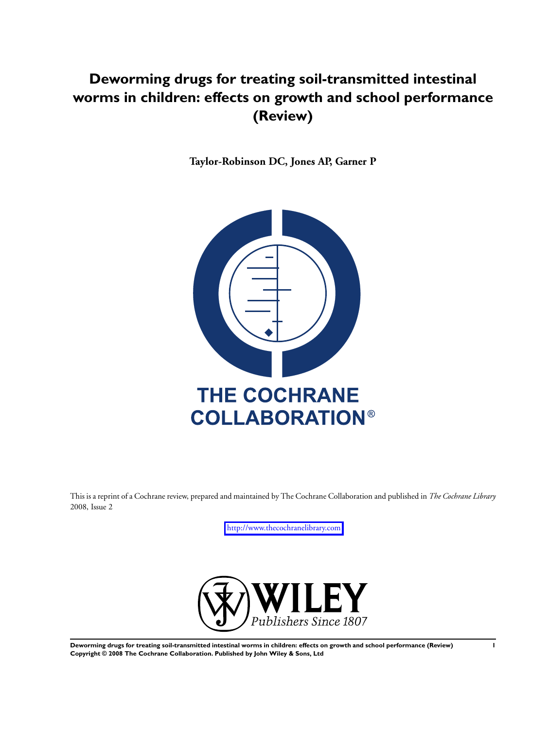# **Deworming drugs for treating soil-transmitted intestinal worms in children: effects on growth and school performance (Review)**

**Taylor-Robinson DC, Jones AP, Garner P**



This is a reprint of a Cochrane review, prepared and maintained by The Cochrane Collaboration and published in *The Cochrane Library* 2008, Issue 2

<http://www.thecochranelibrary.com>



**Deworming drugs for treating soil-transmitted intestinal worms in children: effects on growth and school performance (Review) 1 Copyright © 2008 The Cochrane Collaboration. Published by John Wiley & Sons, Ltd**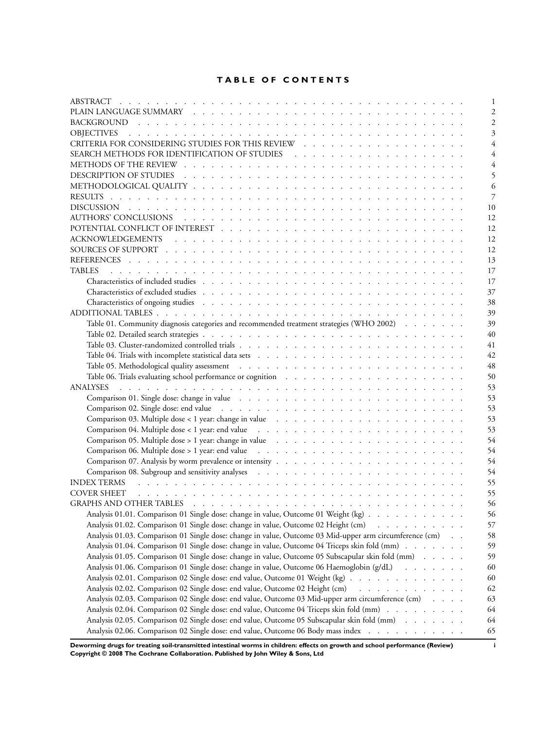# **TABLE OF CONTENTS**

|                                                                                                                                                                                                                                | $\mathbf{1}$   |
|--------------------------------------------------------------------------------------------------------------------------------------------------------------------------------------------------------------------------------|----------------|
|                                                                                                                                                                                                                                | $\mathfrak{D}$ |
|                                                                                                                                                                                                                                | $\mathfrak{D}$ |
| <b>OBJECTIVES</b><br><u>. In the second terms of the second terms of the second terms of the second terms of the second</u>                                                                                                    | 3              |
|                                                                                                                                                                                                                                | 4              |
|                                                                                                                                                                                                                                | 4              |
|                                                                                                                                                                                                                                | 4              |
|                                                                                                                                                                                                                                | 5              |
|                                                                                                                                                                                                                                | 6              |
|                                                                                                                                                                                                                                | 7              |
|                                                                                                                                                                                                                                | 10             |
|                                                                                                                                                                                                                                | 12             |
|                                                                                                                                                                                                                                | 12             |
|                                                                                                                                                                                                                                | 12             |
| SOURCES OF SUPPORT (Contract of the contract of the contract of the contract of the contract of the contract of the contract of the contract of the contract of the contract of the contract of the contract of the contract o | 12             |
|                                                                                                                                                                                                                                | 13             |
| <b>TABLES</b><br><u>. In the second terms of the second terms of the second terms of the second terms of the second</u>                                                                                                        | 17             |
| Characteristics of included studies (except of except of except of except of except of except of the content of $\mathcal{L}$                                                                                                  | 17             |
|                                                                                                                                                                                                                                | 37             |
| Characteristics of ongoing studies (a) and a set of the context of the context of the context of the context of the context of the context of the context of the context of the context of the context of the context of the c | 38             |
|                                                                                                                                                                                                                                | 39             |
| Table 01. Community diagnosis categories and recommended treatment strategies (WHO 2002)                                                                                                                                       | 39             |
|                                                                                                                                                                                                                                | 40             |
|                                                                                                                                                                                                                                | 41             |
|                                                                                                                                                                                                                                | 42             |
| Table 05. Methodological quality assessment resources in the control of the control of the control of the control of the control of the control of the control of the control of the control of the control of the control of  | 48             |
|                                                                                                                                                                                                                                | 50             |
|                                                                                                                                                                                                                                | 53             |
|                                                                                                                                                                                                                                | 53             |
|                                                                                                                                                                                                                                | 53             |
|                                                                                                                                                                                                                                | 53             |
|                                                                                                                                                                                                                                | 53             |
|                                                                                                                                                                                                                                | 54             |
|                                                                                                                                                                                                                                | 54             |
|                                                                                                                                                                                                                                | 54             |
|                                                                                                                                                                                                                                | 54             |
| <b>INDEX TERMS</b>                                                                                                                                                                                                             | 55             |
| <b>COVER SHEET</b>                                                                                                                                                                                                             | 55             |
| GRAPHS AND OTHER TABLES (experimentally and experimental contract and the GRAPHS AND OTHER TABLES (experimental contract and contract of the contract of the contract of the contract of the contract of the contract of the c | 56             |
| Analysis 01.01. Comparison 01 Single dose: change in value, Outcome 01 Weight (kg)                                                                                                                                             | 56             |
| Analysis 01.02. Comparison 01 Single dose: change in value, Outcome 02 Height (cm)<br>and a straight and a straight                                                                                                            | 57             |
| Analysis 01.03. Comparison 01 Single dose: change in value, Outcome 03 Mid-upper arm circumference (cm)                                                                                                                        | 58             |
| Analysis 01.04. Comparison 01 Single dose: change in value, Outcome 04 Triceps skin fold (mm)                                                                                                                                  | 59             |
| Analysis 01.05. Comparison 01 Single dose: change in value, Outcome 05 Subscapular skin fold (mm)                                                                                                                              | 59             |
| Analysis 01.06. Comparison 01 Single dose: change in value, Outcome 06 Haemoglobin (g/dL)                                                                                                                                      | 60             |
| Analysis 02.01. Comparison 02 Single dose: end value, Outcome 01 Weight (kg)                                                                                                                                                   | 60             |
| Analysis 02.02. Comparison 02 Single dose: end value, Outcome 02 Height (cm)                                                                                                                                                   | 62             |
| Analysis 02.03. Comparison 02 Single dose: end value, Outcome 03 Mid-upper arm circumference (cm)                                                                                                                              | 63             |
| Analysis 02.04. Comparison 02 Single dose: end value, Outcome 04 Triceps skin fold (mm)                                                                                                                                        | 64             |
|                                                                                                                                                                                                                                |                |
| Analysis 02.05. Comparison 02 Single dose: end value, Outcome 05 Subscapular skin fold (mm)                                                                                                                                    | 64             |
| Analysis 02.06. Comparison 02 Single dose: end value, Outcome 06 Body mass index                                                                                                                                               | 65             |

**Deworming drugs for treating soil-transmitted intestinal worms in children: effects on growth and school performance (Review) i Copyright © 2008 The Cochrane Collaboration. Published by John Wiley & Sons, Ltd**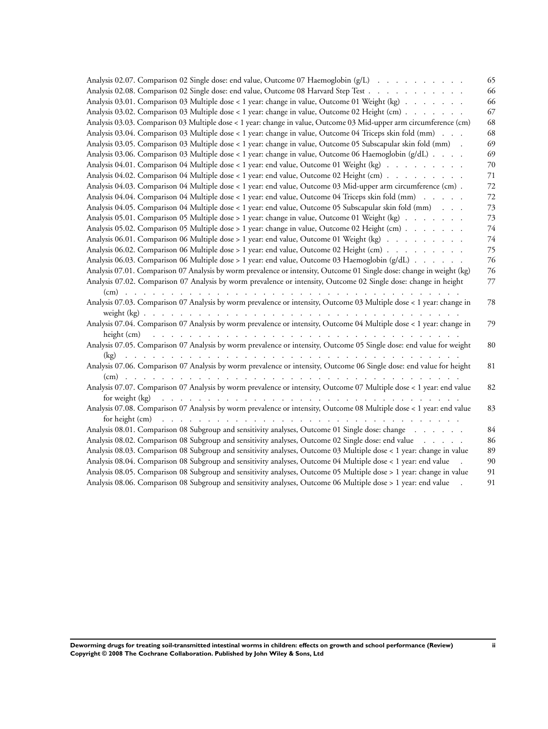| Analysis 02.07. Comparison 02 Single dose: end value, Outcome 07 Haemoglobin (g/L)                                                                                                                                            | 65 |
|-------------------------------------------------------------------------------------------------------------------------------------------------------------------------------------------------------------------------------|----|
| Analysis 02.08. Comparison 02 Single dose: end value, Outcome 08 Harvard Step Test                                                                                                                                            | 66 |
| Analysis 03.01. Comparison 03 Multiple dose < 1 year: change in value, Outcome 01 Weight (kg)                                                                                                                                 | 66 |
| Analysis 03.02. Comparison 03 Multiple dose < 1 year: change in value, Outcome 02 Height (cm)                                                                                                                                 | 67 |
| Analysis 03.03. Comparison 03 Multiple dose < 1 year: change in value, Outcome 03 Mid-upper arm circumference (cm)                                                                                                            | 68 |
| Analysis 03.04. Comparison 03 Multiple dose < 1 year: change in value, Outcome 04 Triceps skin fold (mm)                                                                                                                      | 68 |
| Analysis 03.05. Comparison 03 Multiple dose < 1 year: change in value, Outcome 05 Subscapular skin fold (mm) .                                                                                                                | 69 |
| Analysis 03.06. Comparison 03 Multiple dose < 1 year: change in value, Outcome 06 Haemoglobin (g/dL)                                                                                                                          | 69 |
| Analysis 04.01. Comparison 04 Multiple dose < 1 year: end value, Outcome 01 Weight (kg)                                                                                                                                       | 70 |
| Analysis 04.02. Comparison 04 Multiple dose < 1 year: end value, Outcome 02 Height (cm)                                                                                                                                       | 71 |
| Analysis 04.03. Comparison 04 Multiple dose < 1 year: end value, Outcome 03 Mid-upper arm circumference (cm).                                                                                                                 | 72 |
| Analysis 04.04. Comparison 04 Multiple dose < 1 year: end value, Outcome 04 Triceps skin fold (mm)                                                                                                                            | 72 |
| Analysis 04.05. Comparison 04 Multiple dose < 1 year: end value, Outcome 05 Subscapular skin fold (mm)                                                                                                                        | 73 |
| Analysis 05.01. Comparison 05 Multiple dose > 1 year: change in value, Outcome 01 Weight (kg)                                                                                                                                 | 73 |
| Analysis 05.02. Comparison 05 Multiple dose > 1 year: change in value, Outcome 02 Height (cm)                                                                                                                                 | 74 |
| Analysis 06.01. Comparison 06 Multiple dose > 1 year: end value, Outcome 01 Weight (kg)                                                                                                                                       | 74 |
| Analysis 06.02. Comparison 06 Multiple dose > 1 year: end value, Outcome 02 Height (cm)                                                                                                                                       | 75 |
| Analysis 06.03. Comparison 06 Multiple dose > 1 year: end value, Outcome 03 Haemoglobin (g/dL)                                                                                                                                | 76 |
| Analysis 07.01. Comparison 07 Analysis by worm prevalence or intensity, Outcome 01 Single dose: change in weight (kg)                                                                                                         | 76 |
| Analysis 07.02. Comparison 07 Analysis by worm prevalence or intensity, Outcome 02 Single dose: change in height                                                                                                              | 77 |
|                                                                                                                                                                                                                               |    |
| Analysis 07.03. Comparison 07 Analysis by worm prevalence or intensity, Outcome 03 Multiple dose < 1 year: change in                                                                                                          | 78 |
|                                                                                                                                                                                                                               |    |
| Analysis 07.04. Comparison 07 Analysis by worm prevalence or intensity, Outcome 04 Multiple dose < 1 year: change in                                                                                                          | 79 |
|                                                                                                                                                                                                                               |    |
| Analysis 07.05. Comparison 07 Analysis by worm prevalence or intensity, Outcome 05 Single dose: end value for weight                                                                                                          | 80 |
|                                                                                                                                                                                                                               |    |
| Analysis 07.06. Comparison 07 Analysis by worm prevalence or intensity, Outcome 06 Single dose: end value for height                                                                                                          | 81 |
|                                                                                                                                                                                                                               |    |
| Analysis 07.07. Comparison 07 Analysis by worm prevalence or intensity, Outcome 07 Multiple dose < 1 year: end value                                                                                                          | 82 |
| for weight $(kg)$ and a set of the set of the set of the set of the set of the set of the set of the set of the set of the set of the set of the set of the set of the set of the set of the set of the set of the set of the |    |
| Analysis 07.08. Comparison 07 Analysis by worm prevalence or intensity, Outcome 08 Multiple dose < 1 year: end value                                                                                                          | 83 |
| for height $(cm)$ $\ldots$ $\ldots$ $\ldots$ $\ldots$ $\ldots$ $\ldots$ $\ldots$ $\ldots$ $\ldots$ $\ldots$ $\ldots$ $\ldots$ $\ldots$ $\ldots$ $\ldots$                                                                      |    |
| Analysis 08.01. Comparison 08 Subgroup and sensitivity analyses, Outcome 01 Single dose: change                                                                                                                               | 84 |
| Analysis 08.02. Comparison 08 Subgroup and sensitivity analyses, Outcome 02 Single dose: end value                                                                                                                            | 86 |
| Analysis 08.03. Comparison 08 Subgroup and sensitivity analyses, Outcome 03 Multiple dose < 1 year: change in value                                                                                                           | 89 |
| Analysis 08.04. Comparison 08 Subgroup and sensitivity analyses, Outcome 04 Multiple dose < 1 year: end value                                                                                                                 | 90 |
| Analysis 08.05. Comparison 08 Subgroup and sensitivity analyses, Outcome 05 Multiple dose > 1 year: change in value                                                                                                           | 91 |
| Analysis 08.06. Comparison 08 Subgroup and sensitivity analyses, Outcome 06 Multiple dose > 1 year: end value                                                                                                                 | 91 |

**Deworming drugs for treating soil-transmitted intestinal worms in children: effects on growth and school performance (Review) ii Copyright © 2008 The Cochrane Collaboration. Published by John Wiley & Sons, Ltd**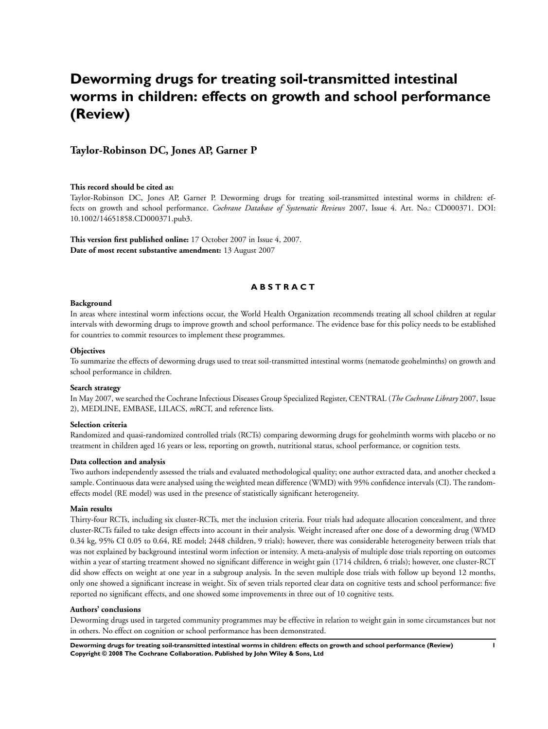# **Deworming drugs for treating soil-transmitted intestinal worms in children: effects on growth and school performance (Review)**

# **Taylor-Robinson DC, Jones AP, Garner P**

## **This record should be cited as:**

Taylor-Robinson DC, Jones AP, Garner P. Deworming drugs for treating soil-transmitted intestinal worms in children: effects on growth and school performance. *Cochrane Database of Systematic Reviews* 2007, Issue 4. Art. No.: CD000371. DOI: 10.1002/14651858.CD000371.pub3.

**This version first published online:** 17 October 2007 in Issue 4, 2007. **Date of most recent substantive amendment:** 13 August 2007

# **A B S T R A C T**

#### **Background**

In areas where intestinal worm infections occur, the World Health Organization recommends treating all school children at regular intervals with deworming drugs to improve growth and school performance. The evidence base for this policy needs to be established for countries to commit resources to implement these programmes.

# **Objectives**

To summarize the effects of deworming drugs used to treat soil-transmitted intestinal worms (nematode geohelminths) on growth and school performance in children.

#### **Search strategy**

In May 2007, we searched the Cochrane Infectious Diseases Group Specialized Register, CENTRAL (*The Cochrane Library* 2007, Issue 2), MEDLINE, EMBASE, LILACS, *m*RCT, and reference lists.

## **Selection criteria**

Randomized and quasi-randomized controlled trials (RCTs) comparing deworming drugs for geohelminth worms with placebo or no treatment in children aged 16 years or less, reporting on growth, nutritional status, school performance, or cognition tests.

#### **Data collection and analysis**

Two authors independently assessed the trials and evaluated methodological quality; one author extracted data, and another checked a sample. Continuous data were analysed using the weighted mean difference (WMD) with 95% confidence intervals (CI). The randomeffects model (RE model) was used in the presence of statistically significant heterogeneity.

#### **Main results**

Thirty-four RCTs, including six cluster-RCTs, met the inclusion criteria. Four trials had adequate allocation concealment, and three cluster-RCTs failed to take design effects into account in their analysis. Weight increased after one dose of a deworming drug (WMD 0.34 kg, 95% CI 0.05 to 0.64, RE model; 2448 children, 9 trials); however, there was considerable heterogeneity between trials that was not explained by background intestinal worm infection or intensity. A meta-analysis of multiple dose trials reporting on outcomes within a year of starting treatment showed no significant difference in weight gain (1714 children, 6 trials); however, one cluster-RCT did show effects on weight at one year in a subgroup analysis. In the seven multiple dose trials with follow up beyond 12 months, only one showed a significant increase in weight. Six of seven trials reported clear data on cognitive tests and school performance: five reported no significant effects, and one showed some improvements in three out of 10 cognitive tests.

#### **Authors' conclusions**

Deworming drugs used in targeted community programmes may be effective in relation to weight gain in some circumstances but not in others. No effect on cognition or school performance has been demonstrated.

**Deworming drugs for treating soil-transmitted intestinal worms in children: effects on growth and school performance (Review) 1 Copyright © 2008 The Cochrane Collaboration. Published by John Wiley & Sons, Ltd**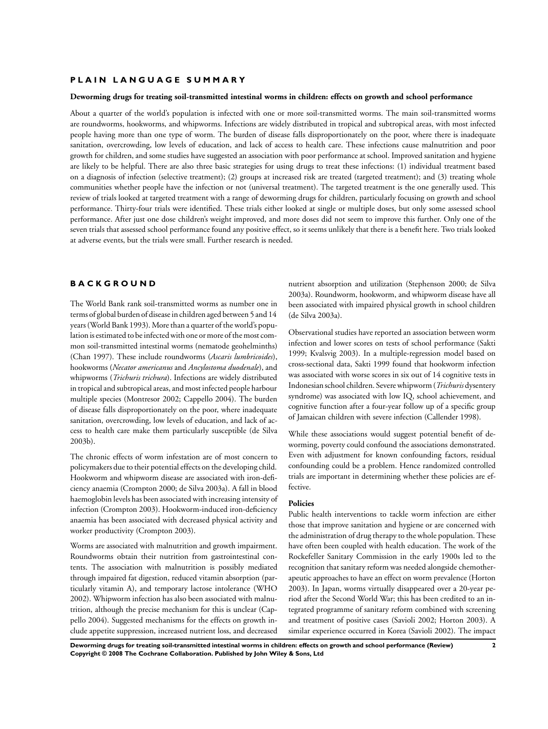## **P L A I N L A N G U A G E S U M M A R Y**

#### **Deworming drugs for treating soil-transmitted intestinal worms in children: effects on growth and school performance**

About a quarter of the world's population is infected with one or more soil-transmitted worms. The main soil-transmitted worms are roundworms, hookworms, and whipworms. Infections are widely distributed in tropical and subtropical areas, with most infected people having more than one type of worm. The burden of disease falls disproportionately on the poor, where there is inadequate sanitation, overcrowding, low levels of education, and lack of access to health care. These infections cause malnutrition and poor growth for children, and some studies have suggested an association with poor performance at school. Improved sanitation and hygiene are likely to be helpful. There are also three basic strategies for using drugs to treat these infections: (1) individual treatment based on a diagnosis of infection (selective treatment); (2) groups at increased risk are treated (targeted treatment); and (3) treating whole communities whether people have the infection or not (universal treatment). The targeted treatment is the one generally used. This review of trials looked at targeted treatment with a range of deworming drugs for children, particularly focusing on growth and school performance. Thirty-four trials were identified. These trials either looked at single or multiple doses, but only some assessed school performance. After just one dose children's weight improved, and more doses did not seem to improve this further. Only one of the seven trials that assessed school performance found any positive effect, so it seems unlikely that there is a benefit here. Two trials looked at adverse events, but the trials were small. Further research is needed.

# **B A C K G R O U N D**

The World Bank rank soil-transmitted worms as number one in terms of global burden of disease in children aged between 5 and 14 years (World Bank 1993). More than a quarter of the world's population is estimated to be infected with one or more of the most common soil-transmitted intestinal worms (nematode geohelminths) (Chan 1997). These include roundworms (*Ascaris lumbricoides*), hookworms (*Necator americanus* and *Ancylostoma duodenale*), and whipworms (*Trichuris trichura*). Infections are widely distributed in tropical and subtropical areas, and most infected people harbour multiple species (Montresor 2002; Cappello 2004). The burden of disease falls disproportionately on the poor, where inadequate sanitation, overcrowding, low levels of education, and lack of access to health care make them particularly susceptible (de Silva 2003b).

The chronic effects of worm infestation are of most concern to policymakers due to their potential effects on the developing child. Hookworm and whipworm disease are associated with iron-deficiency anaemia (Crompton 2000; de Silva 2003a). A fall in blood haemoglobin levels has been associated with increasing intensity of infection (Crompton 2003). Hookworm-induced iron-deficiency anaemia has been associated with decreased physical activity and worker productivity (Crompton 2003).

Worms are associated with malnutrition and growth impairment. Roundworms obtain their nutrition from gastrointestinal contents. The association with malnutrition is possibly mediated through impaired fat digestion, reduced vitamin absorption (particularly vitamin A), and temporary lactose intolerance (WHO 2002). Whipworm infection has also been associated with malnutrition, although the precise mechanism for this is unclear (Cappello 2004). Suggested mechanisms for the effects on growth include appetite suppression, increased nutrient loss, and decreased

nutrient absorption and utilization (Stephenson 2000; de Silva 2003a). Roundworm, hookworm, and whipworm disease have all been associated with impaired physical growth in school children (de Silva 2003a).

Observational studies have reported an association between worm infection and lower scores on tests of school performance (Sakti 1999; Kvalsvig 2003). In a multiple-regression model based on cross-sectional data, Sakti 1999 found that hookworm infection was associated with worse scores in six out of 14 cognitive tests in Indonesian school children. Severe whipworm (*Trichuris* dysentery syndrome) was associated with low IQ, school achievement, and cognitive function after a four-year follow up of a specific group of Jamaican children with severe infection (Callender 1998).

While these associations would suggest potential benefit of deworming, poverty could confound the associations demonstrated. Even with adjustment for known confounding factors, residual confounding could be a problem. Hence randomized controlled trials are important in determining whether these policies are effective.

## **Policies**

Public health interventions to tackle worm infection are either those that improve sanitation and hygiene or are concerned with the administration of drug therapy to the whole population. These have often been coupled with health education. The work of the Rockefeller Sanitary Commission in the early 1900s led to the recognition that sanitary reform was needed alongside chemotherapeutic approaches to have an effect on worm prevalence (Horton 2003). In Japan, worms virtually disappeared over a 20-year period after the Second World War; this has been credited to an integrated programme of sanitary reform combined with screening and treatment of positive cases (Savioli 2002; Horton 2003). A similar experience occurred in Korea (Savioli 2002). The impact

**Deworming drugs for treating soil-transmitted intestinal worms in children: effects on growth and school performance (Review) 2 Copyright © 2008 The Cochrane Collaboration. Published by John Wiley & Sons, Ltd**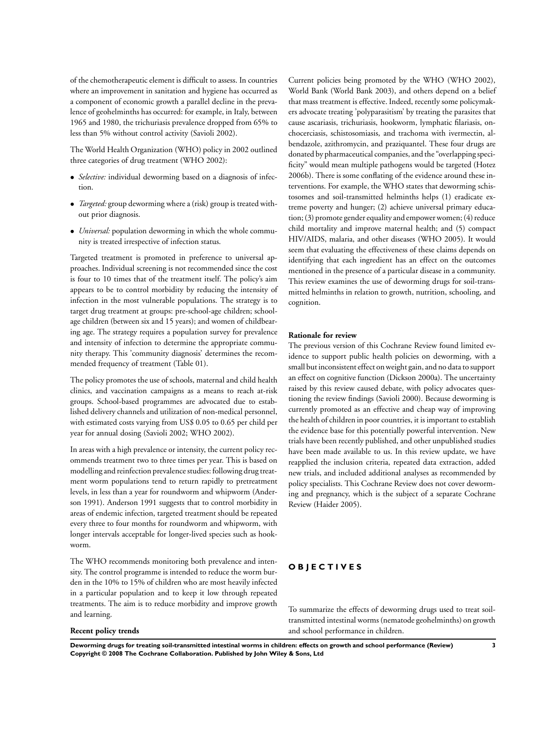of the chemotherapeutic element is difficult to assess. In countries where an improvement in sanitation and hygiene has occurred as a component of economic growth a parallel decline in the prevalence of geohelminths has occurred: for example, in Italy, between 1965 and 1980, the trichuriasis prevalence dropped from 65% to less than 5% without control activity (Savioli 2002).

The World Health Organization (WHO) policy in 2002 outlined three categories of drug treatment (WHO 2002):

- *Selective:* individual deworming based on a diagnosis of infection.
- *Targeted:* group deworming where a (risk) group is treated without prior diagnosis.
- *Universal:* population deworming in which the whole community is treated irrespective of infection status.

Targeted treatment is promoted in preference to universal approaches. Individual screening is not recommended since the cost is four to 10 times that of the treatment itself. The policy's aim appears to be to control morbidity by reducing the intensity of infection in the most vulnerable populations. The strategy is to target drug treatment at groups: pre-school-age children; schoolage children (between six and 15 years); and women of childbearing age. The strategy requires a population survey for prevalence and intensity of infection to determine the appropriate community therapy. This 'community diagnosis' determines the recommended frequency of treatment (Table 01).

The policy promotes the use of schools, maternal and child health clinics, and vaccination campaigns as a means to reach at-risk groups. School-based programmes are advocated due to established delivery channels and utilization of non-medical personnel, with estimated costs varying from US\$ 0.05 to 0.65 per child per year for annual dosing (Savioli 2002; WHO 2002).

In areas with a high prevalence or intensity, the current policy recommends treatment two to three times per year. This is based on modelling and reinfection prevalence studies: following drug treatment worm populations tend to return rapidly to pretreatment levels, in less than a year for roundworm and whipworm (Anderson 1991). Anderson 1991 suggests that to control morbidity in areas of endemic infection, targeted treatment should be repeated every three to four months for roundworm and whipworm, with longer intervals acceptable for longer-lived species such as hookworm.

The WHO recommends monitoring both prevalence and intensity. The control programme is intended to reduce the worm burden in the 10% to 15% of children who are most heavily infected in a particular population and to keep it low through repeated treatments. The aim is to reduce morbidity and improve growth and learning.

#### **Recent policy trends**

Current policies being promoted by the WHO (WHO 2002), World Bank (World Bank 2003), and others depend on a belief that mass treatment is effective. Indeed, recently some policymakers advocate treating 'polyparasitism' by treating the parasites that cause ascariasis, trichuriasis, hookworm, lymphatic filariasis, onchocerciasis, schistosomiasis, and trachoma with ivermectin, albendazole, azithromycin, and praziquantel. These four drugs are donated by pharmaceutical companies, and the "overlapping specificity" would mean multiple pathogens would be targeted (Hotez 2006b). There is some conflating of the evidence around these interventions. For example, the WHO states that deworming schistosomes and soil-transmitted helminths helps (1) eradicate extreme poverty and hunger; (2) achieve universal primary education; (3) promote gender equality and empower women; (4) reduce child mortality and improve maternal health; and (5) compact HIV/AIDS, malaria, and other diseases (WHO 2005). It would seem that evaluating the effectiveness of these claims depends on identifying that each ingredient has an effect on the outcomes mentioned in the presence of a particular disease in a community. This review examines the use of deworming drugs for soil-transmitted helminths in relation to growth, nutrition, schooling, and cognition.

## **Rationale for review**

The previous version of this Cochrane Review found limited evidence to support public health policies on deworming, with a small but inconsistent effect on weight gain, and no data to support an effect on cognitive function (Dickson 2000a). The uncertainty raised by this review caused debate, with policy advocates questioning the review findings (Savioli 2000). Because deworming is currently promoted as an effective and cheap way of improving the health of children in poor countries, it is important to establish the evidence base for this potentially powerful intervention. New trials have been recently published, and other unpublished studies have been made available to us. In this review update, we have reapplied the inclusion criteria, repeated data extraction, added new trials, and included additional analyses as recommended by policy specialists. This Cochrane Review does not cover deworming and pregnancy, which is the subject of a separate Cochrane Review (Haider 2005).

# **O B J E C T I V E S**

To summarize the effects of deworming drugs used to treat soiltransmitted intestinal worms (nematode geohelminths) on growth and school performance in children.

**Deworming drugs for treating soil-transmitted intestinal worms in children: effects on growth and school performance (Review) 3 Copyright © 2008 The Cochrane Collaboration. Published by John Wiley & Sons, Ltd**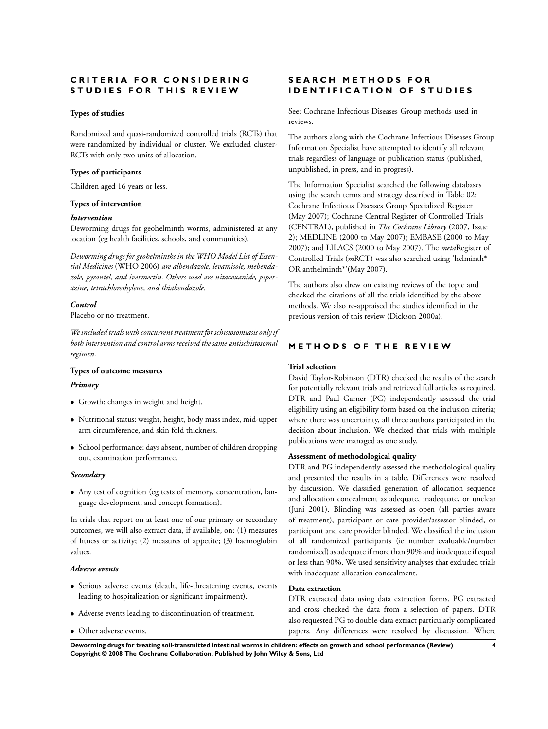# **CRITERIA FOR CONSIDERING S T U D I E S F O R T H I S R E V I E W**

## **Types of studies**

Randomized and quasi-randomized controlled trials (RCTs) that were randomized by individual or cluster. We excluded cluster-RCTs with only two units of allocation.

## **Types of participants**

Children aged 16 years or less.

#### **Types of intervention**

## *Intervention*

Deworming drugs for geohelminth worms, administered at any location (eg health facilities, schools, and communities).

*Deworming drugs for geohelminths in the WHO Model List of Essential Medicines* (WHO 2006) *are albendazole, levamisole, mebendazole, pyrantel, and ivermectin. Others used are nitazoxanide, piperazine, tetrachlorethylene, and thiabendazole.*

# *Control*

Placebo or no treatment.

*We included trials with concurrent treatment for schistosomiasis only if both intervention and control arms received the same antischistosomal regimen.*

#### **Types of outcome measures**

## *Primary*

- Growth: changes in weight and height.
- Nutritional status: weight, height, body mass index, mid-upper arm circumference, and skin fold thickness.
- School performance: days absent, number of children dropping out, examination performance.

#### *Secondary*

• Any test of cognition (eg tests of memory, concentration, language development, and concept formation).

In trials that report on at least one of our primary or secondary outcomes, we will also extract data, if available, on: (1) measures of fitness or activity; (2) measures of appetite; (3) haemoglobin values.

#### *Adverse events*

- Serious adverse events (death, life-threatening events, events leading to hospitalization or significant impairment).
- Adverse events leading to discontinuation of treatment.
- Other adverse events.

# **S E A R C H M E T H O D S F O R IDENTIFICATION OF STUDIES**

See: Cochrane Infectious Diseases Group methods used in reviews.

The authors along with the Cochrane Infectious Diseases Group Information Specialist have attempted to identify all relevant trials regardless of language or publication status (published, unpublished, in press, and in progress).

The Information Specialist searched the following databases using the search terms and strategy described in Table 02: Cochrane Infectious Diseases Group Specialized Register (May 2007); Cochrane Central Register of Controlled Trials (CENTRAL), published in *The Cochrane Library* (2007, Issue 2); MEDLINE (2000 to May 2007); EMBASE (2000 to May 2007); and LILACS (2000 to May 2007). The *meta*Register of Controlled Trials (*m*RCT) was also searched using 'helminth\* OR anthelminth\*'(May 2007).

The authors also drew on existing reviews of the topic and checked the citations of all the trials identified by the above methods. We also re-appraised the studies identified in the previous version of this review (Dickson 2000a).

# **M E T H O D S O F T H E R E V I E W**

#### **Trial selection**

David Taylor-Robinson (DTR) checked the results of the search for potentially relevant trials and retrieved full articles as required. DTR and Paul Garner (PG) independently assessed the trial eligibility using an eligibility form based on the inclusion criteria; where there was uncertainty, all three authors participated in the decision about inclusion. We checked that trials with multiple publications were managed as one study.

## **Assessment of methodological quality**

DTR and PG independently assessed the methodological quality and presented the results in a table. Differences were resolved by discussion. We classified generation of allocation sequence and allocation concealment as adequate, inadequate, or unclear (Juni 2001). Blinding was assessed as open (all parties aware of treatment), participant or care provider/assessor blinded, or participant and care provider blinded. We classified the inclusion of all randomized participants (ie number evaluable/number randomized) as adequate if more than 90% and inadequate if equal or less than 90%. We used sensitivity analyses that excluded trials with inadequate allocation concealment.

## **Data extraction**

DTR extracted data using data extraction forms. PG extracted and cross checked the data from a selection of papers. DTR also requested PG to double-data extract particularly complicated papers. Any differences were resolved by discussion. Where

**Deworming drugs for treating soil-transmitted intestinal worms in children: effects on growth and school performance (Review) 4 Copyright © 2008 The Cochrane Collaboration. Published by John Wiley & Sons, Ltd**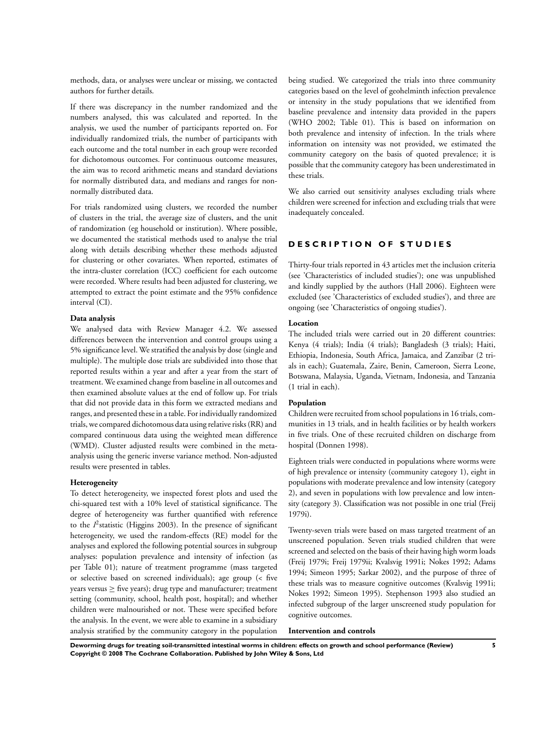methods, data, or analyses were unclear or missing, we contacted authors for further details.

If there was discrepancy in the number randomized and the numbers analysed, this was calculated and reported. In the analysis, we used the number of participants reported on. For individually randomized trials, the number of participants with each outcome and the total number in each group were recorded for dichotomous outcomes. For continuous outcome measures, the aim was to record arithmetic means and standard deviations for normally distributed data, and medians and ranges for nonnormally distributed data.

For trials randomized using clusters, we recorded the number of clusters in the trial, the average size of clusters, and the unit of randomization (eg household or institution). Where possible, we documented the statistical methods used to analyse the trial along with details describing whether these methods adjusted for clustering or other covariates. When reported, estimates of the intra-cluster correlation (ICC) coefficient for each outcome were recorded. Where results had been adjusted for clustering, we attempted to extract the point estimate and the 95% confidence interval (CI).

# **Data analysis**

We analysed data with Review Manager 4.2. We assessed differences between the intervention and control groups using a 5% significance level. We stratified the analysis by dose (single and multiple). The multiple dose trials are subdivided into those that reported results within a year and after a year from the start of treatment. We examined change from baseline in all outcomes and then examined absolute values at the end of follow up. For trials that did not provide data in this form we extracted medians and ranges, and presented these in a table. For individually randomized trials, we compared dichotomous data using relative risks (RR) and compared continuous data using the weighted mean difference (WMD). Cluster adjusted results were combined in the metaanalysis using the generic inverse variance method. Non-adjusted results were presented in tables.

#### **Heterogeneity**

To detect heterogeneity, we inspected forest plots and used the chi-squared test with a 10% level of statistical significance. The degree of heterogeneity was further quantified with reference to the *I* 2 statistic (Higgins 2003). In the presence of significant heterogeneity, we used the random-effects (RE) model for the analyses and explored the following potential sources in subgroup analyses: population prevalence and intensity of infection (as per Table 01); nature of treatment programme (mass targeted or selective based on screened individuals); age group (< five years versus  $\geq$  five years); drug type and manufacturer; treatment setting (community, school, health post, hospital); and whether children were malnourished or not. These were specified before the analysis. In the event, we were able to examine in a subsidiary analysis stratified by the community category in the population

being studied. We categorized the trials into three community categories based on the level of geohelminth infection prevalence or intensity in the study populations that we identified from baseline prevalence and intensity data provided in the papers (WHO 2002; Table 01). This is based on information on both prevalence and intensity of infection. In the trials where information on intensity was not provided, we estimated the community category on the basis of quoted prevalence; it is possible that the community category has been underestimated in these trials.

We also carried out sensitivity analyses excluding trials where children were screened for infection and excluding trials that were inadequately concealed.

# **D E S C R I P T I O N O F S T U D I E S**

Thirty-four trials reported in 43 articles met the inclusion criteria (see 'Characteristics of included studies'); one was unpublished and kindly supplied by the authors (Hall 2006). Eighteen were excluded (see 'Characteristics of excluded studies'), and three are ongoing (see 'Characteristics of ongoing studies').

# **Location**

The included trials were carried out in 20 different countries: Kenya (4 trials); India (4 trials); Bangladesh (3 trials); Haiti, Ethiopia, Indonesia, South Africa, Jamaica, and Zanzibar (2 trials in each); Guatemala, Zaire, Benin, Cameroon, Sierra Leone, Botswana, Malaysia, Uganda, Vietnam, Indonesia, and Tanzania (1 trial in each).

## **Population**

Children were recruited from school populations in 16 trials, communities in 13 trials, and in health facilities or by health workers in five trials. One of these recruited children on discharge from hospital (Donnen 1998).

Eighteen trials were conducted in populations where worms were of high prevalence or intensity (community category 1), eight in populations with moderate prevalence and low intensity (category 2), and seven in populations with low prevalence and low intensity (category 3). Classification was not possible in one trial (Freij 1979i).

Twenty-seven trials were based on mass targeted treatment of an unscreened population. Seven trials studied children that were screened and selected on the basis of their having high worm loads (Freij 1979i; Freij 1979ii; Kvalsvig 1991i; Nokes 1992; Adams 1994; Simeon 1995; Sarkar 2002), and the purpose of three of these trials was to measure cognitive outcomes (Kvalsvig 1991i; Nokes 1992; Simeon 1995). Stephenson 1993 also studied an infected subgroup of the larger unscreened study population for cognitive outcomes.

**Intervention and controls**

**Deworming drugs for treating soil-transmitted intestinal worms in children: effects on growth and school performance (Review) 5 Copyright © 2008 The Cochrane Collaboration. Published by John Wiley & Sons, Ltd**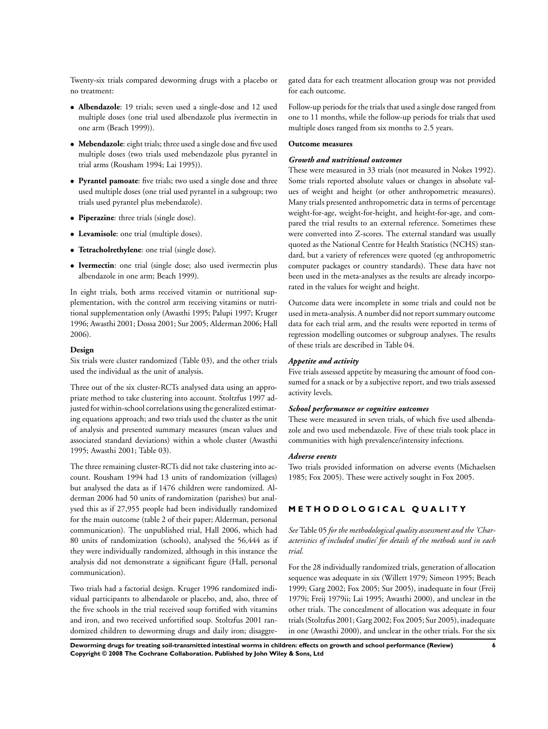Twenty-six trials compared deworming drugs with a placebo or no treatment:

- **Albendazole**: 19 trials; seven used a single-dose and 12 used multiple doses (one trial used albendazole plus ivermectin in one arm (Beach 1999)).
- **Mebendazole**: eight trials; three used a single dose and five used multiple doses (two trials used mebendazole plus pyrantel in trial arms (Rousham 1994; Lai 1995)).
- **Pyrantel pamoate**: five trials; two used a single dose and three used multiple doses (one trial used pyrantel in a subgroup; two trials used pyrantel plus mebendazole).
- **Piperazine**: three trials (single dose).
- **Levamisole**: one trial (multiple doses).
- **Tetracholrethylene**: one trial (single dose).
- **Ivermectin**: one trial (single dose; also used ivermectin plus albendazole in one arm; Beach 1999).

In eight trials, both arms received vitamin or nutritional supplementation, with the control arm receiving vitamins or nutritional supplementation only (Awasthi 1995; Palupi 1997; Kruger 1996; Awasthi 2001; Dossa 2001; Sur 2005; Alderman 2006; Hall 2006).

## **Design**

Six trials were cluster randomized (Table 03), and the other trials used the individual as the unit of analysis.

Three out of the six cluster-RCTs analysed data using an appropriate method to take clustering into account. Stoltzfus 1997 adjusted for within-school correlations using the generalized estimating equations approach; and two trials used the cluster as the unit of analysis and presented summary measures (mean values and associated standard deviations) within a whole cluster (Awasthi 1995; Awasthi 2001; Table 03).

The three remaining cluster-RCTs did not take clustering into account. Rousham 1994 had 13 units of randomization (villages) but analysed the data as if 1476 children were randomized. Alderman 2006 had 50 units of randomization (parishes) but analysed this as if 27,955 people had been individually randomized for the main outcome (table 2 of their paper; Alderman, personal communication). The unpublished trial, Hall 2006, which had 80 units of randomization (schools), analysed the 56,444 as if they were individually randomized, although in this instance the analysis did not demonstrate a significant figure (Hall, personal communication).

Two trials had a factorial design. Kruger 1996 randomized individual participants to albendazole or placebo, and, also, three of the five schools in the trial received soup fortified with vitamins and iron, and two received unfortified soup. Stoltzfus 2001 randomized children to deworming drugs and daily iron; disaggregated data for each treatment allocation group was not provided for each outcome.

Follow-up periods for the trials that used a single dose ranged from one to 11 months, while the follow-up periods for trials that used multiple doses ranged from six months to 2.5 years.

## **Outcome measures**

## *Growth and nutritional outcomes*

These were measured in 33 trials (not measured in Nokes 1992). Some trials reported absolute values or changes in absolute values of weight and height (or other anthropometric measures). Many trials presented anthropometric data in terms of percentage weight-for-age, weight-for-height, and height-for-age, and compared the trial results to an external reference. Sometimes these were converted into Z-scores. The external standard was usually quoted as the National Centre for Health Statistics (NCHS) standard, but a variety of references were quoted (eg anthropometric computer packages or country standards). These data have not been used in the meta-analyses as the results are already incorporated in the values for weight and height.

Outcome data were incomplete in some trials and could not be used in meta-analysis. A number did not report summary outcome data for each trial arm, and the results were reported in terms of regression modelling outcomes or subgroup analyses. The results of these trials are described in Table 04.

## *Appetite and activity*

Five trials assessed appetite by measuring the amount of food consumed for a snack or by a subjective report, and two trials assessed activity levels.

# *School performance or cognitive outcomes*

These were measured in seven trials, of which five used albendazole and two used mebendazole. Five of these trials took place in communities with high prevalence/intensity infections.

## *Adverse events*

Two trials provided information on adverse events (Michaelsen 1985; Fox 2005). These were actively sought in Fox 2005.

# **M E T H O D O L O G I C A L Q U A L I T Y**

*See* Table 05 *for the methodological quality assessment and the 'Characteristics of included studies' for details of the methods used in each trial.*

For the 28 individually randomized trials, generation of allocation sequence was adequate in six (Willett 1979; Simeon 1995; Beach 1999; Garg 2002; Fox 2005; Sur 2005), inadequate in four (Freij 1979i; Freij 1979ii; Lai 1995; Awasthi 2000), and unclear in the other trials. The concealment of allocation was adequate in four trials (Stoltzfus 2001; Garg 2002; Fox 2005; Sur 2005), inadequate in one (Awasthi 2000), and unclear in the other trials. For the six

**Deworming drugs for treating soil-transmitted intestinal worms in children: effects on growth and school performance (Review) 6 Copyright © 2008 The Cochrane Collaboration. Published by John Wiley & Sons, Ltd**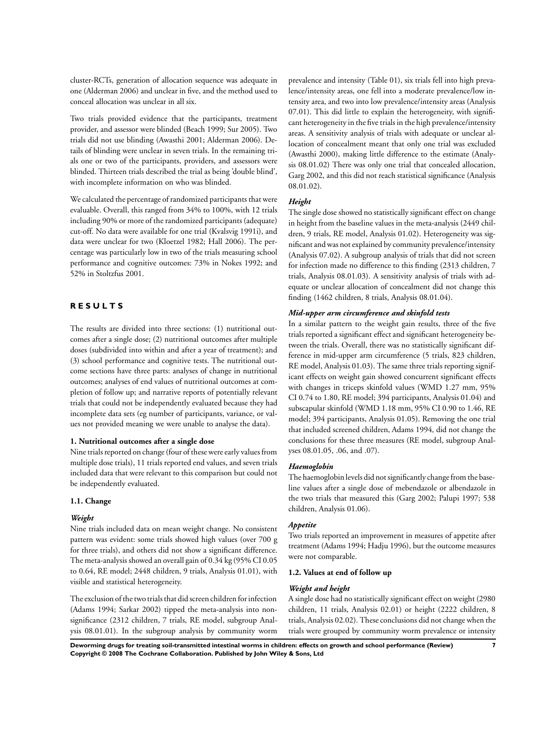cluster-RCTs, generation of allocation sequence was adequate in one (Alderman 2006) and unclear in five, and the method used to conceal allocation was unclear in all six.

Two trials provided evidence that the participants, treatment provider, and assessor were blinded (Beach 1999; Sur 2005). Two trials did not use blinding (Awasthi 2001; Alderman 2006). Details of blinding were unclear in seven trials. In the remaining trials one or two of the participants, providers, and assessors were blinded. Thirteen trials described the trial as being 'double blind', with incomplete information on who was blinded.

We calculated the percentage of randomized participants that were evaluable. Overall, this ranged from 34% to 100%, with 12 trials including 90% or more of the randomized participants (adequate) cut-off. No data were available for one trial (Kvalsvig 1991i), and data were unclear for two (Kloetzel 1982; Hall 2006). The percentage was particularly low in two of the trials measuring school performance and cognitive outcomes: 73% in Nokes 1992; and 52% in Stoltzfus 2001.

# **R E S U L T S**

The results are divided into three sections: (1) nutritional outcomes after a single dose; (2) nutritional outcomes after multiple doses (subdivided into within and after a year of treatment); and (3) school performance and cognitive tests. The nutritional outcome sections have three parts: analyses of change in nutritional outcomes; analyses of end values of nutritional outcomes at completion of follow up; and narrative reports of potentially relevant trials that could not be independently evaluated because they had incomplete data sets (eg number of participants, variance, or values not provided meaning we were unable to analyse the data).

## **1. Nutritional outcomes after a single dose**

Nine trials reported on change (four of these were early values from multiple dose trials), 11 trials reported end values, and seven trials included data that were relevant to this comparison but could not be independently evaluated.

## **1.1. Change**

## *Weight*

Nine trials included data on mean weight change. No consistent pattern was evident: some trials showed high values (over 700 g for three trials), and others did not show a significant difference. The meta-analysis showed an overall gain of 0.34 kg (95% CI 0.05 to 0.64, RE model; 2448 children, 9 trials, Analysis 01.01), with visible and statistical heterogeneity.

The exclusion of the two trials that did screen children for infection (Adams 1994; Sarkar 2002) tipped the meta-analysis into nonsignificance (2312 children, 7 trials, RE model, subgroup Analysis 08.01.01). In the subgroup analysis by community worm prevalence and intensity (Table 01), six trials fell into high prevalence/intensity areas, one fell into a moderate prevalence/low intensity area, and two into low prevalence/intensity areas (Analysis 07.01). This did little to explain the heterogeneity, with significant heterogeneity in the five trials in the high prevalence/intensity areas. A sensitivity analysis of trials with adequate or unclear allocation of concealment meant that only one trial was excluded (Awasthi 2000), making little difference to the estimate (Analysis 08.01.02) There was only one trial that concealed allocation, Garg 2002, and this did not reach statistical significance (Analysis 08.01.02).

# *Height*

The single dose showed no statistically significant effect on change in height from the baseline values in the meta-analysis (2449 children, 9 trials, RE model, Analysis 01.02). Heterogeneity was significant and was not explained by community prevalence/intensity (Analysis 07.02). A subgroup analysis of trials that did not screen for infection made no difference to this finding (2313 children, 7 trials, Analysis 08.01.03). A sensitivity analysis of trials with adequate or unclear allocation of concealment did not change this finding (1462 children, 8 trials, Analysis 08.01.04).

## *Mid-upper arm circumference and skinfold tests*

In a similar pattern to the weight gain results, three of the five trials reported a significant effect and significant heterogeneity between the trials. Overall, there was no statistically significant difference in mid-upper arm circumference (5 trials, 823 children, RE model, Analysis 01.03). The same three trials reporting significant effects on weight gain showed concurrent significant effects with changes in triceps skinfold values (WMD 1.27 mm, 95% CI 0.74 to 1.80, RE model; 394 participants, Analysis 01.04) and subscapular skinfold (WMD 1.18 mm, 95% CI 0.90 to 1.46, RE model; 394 participants, Analysis 01.05). Removing the one trial that included screened children, Adams 1994, did not change the conclusions for these three measures (RE model, subgroup Analyses 08.01.05, .06, and .07).

#### *Haemoglobin*

The haemoglobin levels did not significantly change from the baseline values after a single dose of mebendazole or albendazole in the two trials that measured this (Garg 2002; Palupi 1997; 538 children, Analysis 01.06).

# *Appetite*

Two trials reported an improvement in measures of appetite after treatment (Adams 1994; Hadju 1996), but the outcome measures were not comparable.

#### **1.2. Values at end of follow up**

# *Weight and height*

A single dose had no statistically significant effect on weight (2980 children, 11 trials, Analysis 02.01) or height (2222 children, 8 trials, Analysis 02.02). These conclusions did not change when the trials were grouped by community worm prevalence or intensity

**Deworming drugs for treating soil-transmitted intestinal worms in children: effects on growth and school performance (Review) 7 Copyright © 2008 The Cochrane Collaboration. Published by John Wiley & Sons, Ltd**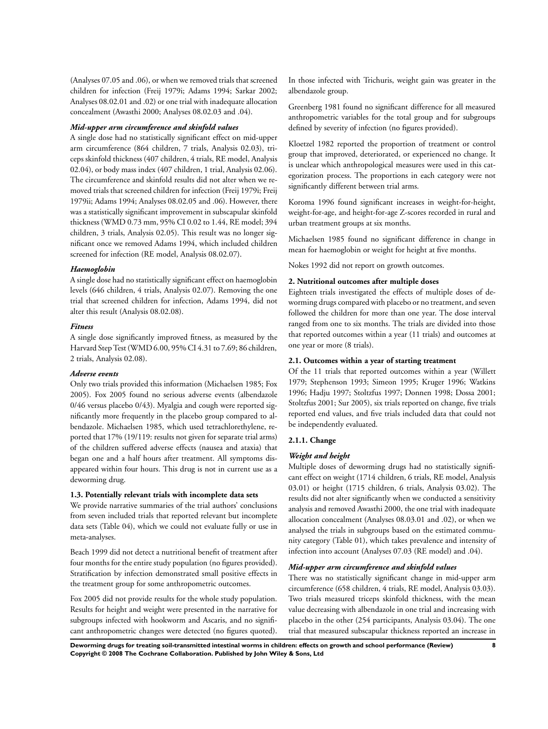(Analyses 07.05 and .06), or when we removed trials that screened children for infection (Freij 1979i; Adams 1994; Sarkar 2002; Analyses 08.02.01 and .02) or one trial with inadequate allocation concealment (Awasthi 2000; Analyses 08.02.03 and .04).

#### *Mid-upper arm circumference and skinfold values*

A single dose had no statistically significant effect on mid-upper arm circumference (864 children, 7 trials, Analysis 02.03), triceps skinfold thickness (407 children, 4 trials, RE model, Analysis 02.04), or body mass index (407 children, 1 trial, Analysis 02.06). The circumference and skinfold results did not alter when we removed trials that screened children for infection (Freij 1979i; Freij 1979ii; Adams 1994; Analyses 08.02.05 and .06). However, there was a statistically significant improvement in subscapular skinfold thickness (WMD 0.73 mm, 95% CI 0.02 to 1.44, RE model; 394 children, 3 trials, Analysis 02.05). This result was no longer significant once we removed Adams 1994, which included children screened for infection (RE model, Analysis 08.02.07).

#### *Haemoglobin*

A single dose had no statistically significant effect on haemoglobin levels (646 children, 4 trials, Analysis 02.07). Removing the one trial that screened children for infection, Adams 1994, did not alter this result (Analysis 08.02.08).

#### *Fitness*

A single dose significantly improved fitness, as measured by the Harvard Step Test (WMD 6.00, 95% CI 4.31 to 7.69; 86 children, 2 trials, Analysis 02.08).

#### *Adverse events*

Only two trials provided this information (Michaelsen 1985; Fox 2005). Fox 2005 found no serious adverse events (albendazole 0/46 versus placebo 0/43). Myalgia and cough were reported significantly more frequently in the placebo group compared to albendazole. Michaelsen 1985, which used tetrachlorethylene, reported that 17% (19/119: results not given for separate trial arms) of the children suffered adverse effects (nausea and ataxia) that began one and a half hours after treatment. All symptoms disappeared within four hours. This drug is not in current use as a deworming drug.

## **1.3. Potentially relevant trials with incomplete data sets**

We provide narrative summaries of the trial authors' conclusions from seven included trials that reported relevant but incomplete data sets (Table 04), which we could not evaluate fully or use in meta-analyses.

Beach 1999 did not detect a nutritional benefit of treatment after four months for the entire study population (no figures provided). Stratification by infection demonstrated small positive effects in the treatment group for some anthropometric outcomes.

Fox 2005 did not provide results for the whole study population. Results for height and weight were presented in the narrative for subgroups infected with hookworm and Ascaris, and no significant anthropometric changes were detected (no figures quoted). In those infected with Trichuris, weight gain was greater in the albendazole group.

Greenberg 1981 found no significant difference for all measured anthropometric variables for the total group and for subgroups defined by severity of infection (no figures provided).

Kloetzel 1982 reported the proportion of treatment or control group that improved, deteriorated, or experienced no change. It is unclear which anthropological measures were used in this categorization process. The proportions in each category were not significantly different between trial arms.

Koroma 1996 found significant increases in weight-for-height, weight-for-age, and height-for-age Z-scores recorded in rural and urban treatment groups at six months.

Michaelsen 1985 found no significant difference in change in mean for haemoglobin or weight for height at five months.

Nokes 1992 did not report on growth outcomes.

#### **2. Nutritional outcomes after multiple doses**

Eighteen trials investigated the effects of multiple doses of deworming drugs compared with placebo or no treatment, and seven followed the children for more than one year. The dose interval ranged from one to six months. The trials are divided into those that reported outcomes within a year (11 trials) and outcomes at one year or more (8 trials).

## **2.1. Outcomes within a year of starting treatment**

Of the 11 trials that reported outcomes within a year (Willett 1979; Stephenson 1993; Simeon 1995; Kruger 1996; Watkins 1996; Hadju 1997; Stoltzfus 1997; Donnen 1998; Dossa 2001; Stoltzfus 2001; Sur 2005), six trials reported on change, five trials reported end values, and five trials included data that could not be independently evaluated.

#### **2.1.1. Change**

## *Weight and height*

Multiple doses of deworming drugs had no statistically significant effect on weight (1714 children, 6 trials, RE model, Analysis 03.01) or height (1715 children, 6 trials, Analysis 03.02). The results did not alter significantly when we conducted a sensitivity analysis and removed Awasthi 2000, the one trial with inadequate allocation concealment (Analyses 08.03.01 and .02), or when we analysed the trials in subgroups based on the estimated community category (Table 01), which takes prevalence and intensity of infection into account (Analyses 07.03 (RE model) and .04).

#### *Mid-upper arm circumference and skinfold values*

There was no statistically significant change in mid-upper arm circumference (658 children, 4 trials, RE model, Analysis 03.03). Two trials measured triceps skinfold thickness, with the mean value decreasing with albendazole in one trial and increasing with placebo in the other (254 participants, Analysis 03.04). The one trial that measured subscapular thickness reported an increase in

**Deworming drugs for treating soil-transmitted intestinal worms in children: effects on growth and school performance (Review) 8 Copyright © 2008 The Cochrane Collaboration. Published by John Wiley & Sons, Ltd**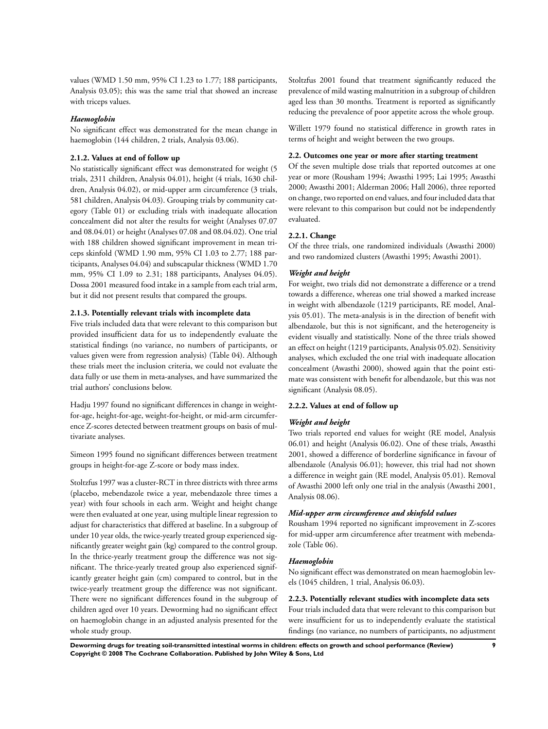values (WMD 1.50 mm, 95% CI 1.23 to 1.77; 188 participants, Analysis 03.05); this was the same trial that showed an increase with triceps values.

## *Haemoglobin*

No significant effect was demonstrated for the mean change in haemoglobin (144 children, 2 trials, Analysis 03.06).

## **2.1.2. Values at end of follow up**

No statistically significant effect was demonstrated for weight (5 trials, 2311 children, Analysis 04.01), height (4 trials, 1630 children, Analysis 04.02), or mid-upper arm circumference (3 trials, 581 children, Analysis 04.03). Grouping trials by community category (Table 01) or excluding trials with inadequate allocation concealment did not alter the results for weight (Analyses 07.07 and 08.04.01) or height (Analyses 07.08 and 08.04.02). One trial with 188 children showed significant improvement in mean triceps skinfold (WMD 1.90 mm, 95% CI 1.03 to 2.77; 188 participants, Analyses 04.04) and subscapular thickness (WMD 1.70 mm, 95% CI 1.09 to 2.31; 188 participants, Analyses 04.05). Dossa 2001 measured food intake in a sample from each trial arm, but it did not present results that compared the groups.

#### **2.1.3. Potentially relevant trials with incomplete data**

Five trials included data that were relevant to this comparison but provided insufficient data for us to independently evaluate the statistical findings (no variance, no numbers of participants, or values given were from regression analysis) (Table 04). Although these trials meet the inclusion criteria, we could not evaluate the data fully or use them in meta-analyses, and have summarized the trial authors' conclusions below.

Hadju 1997 found no significant differences in change in weightfor-age, height-for-age, weight-for-height, or mid-arm circumference Z-scores detected between treatment groups on basis of multivariate analyses.

Simeon 1995 found no significant differences between treatment groups in height-for-age Z-score or body mass index.

Stoltzfus 1997 was a cluster-RCT in three districts with three arms (placebo, mebendazole twice a year, mebendazole three times a year) with four schools in each arm. Weight and height change were then evaluated at one year, using multiple linear regression to adjust for characteristics that differed at baseline. In a subgroup of under 10 year olds, the twice-yearly treated group experienced significantly greater weight gain (kg) compared to the control group. In the thrice-yearly treatment group the difference was not significant. The thrice-yearly treated group also experienced significantly greater height gain (cm) compared to control, but in the twice-yearly treatment group the difference was not significant. There were no significant differences found in the subgroup of children aged over 10 years. Deworming had no significant effect on haemoglobin change in an adjusted analysis presented for the whole study group.

Stoltzfus 2001 found that treatment significantly reduced the prevalence of mild wasting malnutrition in a subgroup of children aged less than 30 months. Treatment is reported as significantly reducing the prevalence of poor appetite across the whole group.

Willett 1979 found no statistical difference in growth rates in terms of height and weight between the two groups.

## **2.2. Outcomes one year or more after starting treatment**

Of the seven multiple dose trials that reported outcomes at one year or more (Rousham 1994; Awasthi 1995; Lai 1995; Awasthi 2000; Awasthi 2001; Alderman 2006; Hall 2006), three reported on change, two reported on end values, and four included data that were relevant to this comparison but could not be independently evaluated.

### **2.2.1. Change**

Of the three trials, one randomized individuals (Awasthi 2000) and two randomized clusters (Awasthi 1995; Awasthi 2001).

#### *Weight and height*

For weight, two trials did not demonstrate a difference or a trend towards a difference, whereas one trial showed a marked increase in weight with albendazole (1219 participants, RE model, Analysis 05.01). The meta-analysis is in the direction of benefit with albendazole, but this is not significant, and the heterogeneity is evident visually and statistically. None of the three trials showed an effect on height (1219 participants, Analysis 05.02). Sensitivity analyses, which excluded the one trial with inadequate allocation concealment (Awasthi 2000), showed again that the point estimate was consistent with benefit for albendazole, but this was not significant (Analysis 08.05).

#### **2.2.2. Values at end of follow up**

#### *Weight and height*

Two trials reported end values for weight (RE model, Analysis 06.01) and height (Analysis 06.02). One of these trials, Awasthi 2001, showed a difference of borderline significance in favour of albendazole (Analysis 06.01); however, this trial had not shown a difference in weight gain (RE model, Analysis 05.01). Removal of Awasthi 2000 left only one trial in the analysis (Awasthi 2001, Analysis 08.06).

## *Mid-upper arm circumference and skinfold values*

Rousham 1994 reported no significant improvement in Z-scores for mid-upper arm circumference after treatment with mebendazole (Table 06).

# *Haemoglobin*

No significant effect was demonstrated on mean haemoglobin levels (1045 children, 1 trial, Analysis 06.03).

#### **2.2.3. Potentially relevant studies with incomplete data sets**

Four trials included data that were relevant to this comparison but were insufficient for us to independently evaluate the statistical findings (no variance, no numbers of participants, no adjustment

**Deworming drugs for treating soil-transmitted intestinal worms in children: effects on growth and school performance (Review) 9 Copyright © 2008 The Cochrane Collaboration. Published by John Wiley & Sons, Ltd**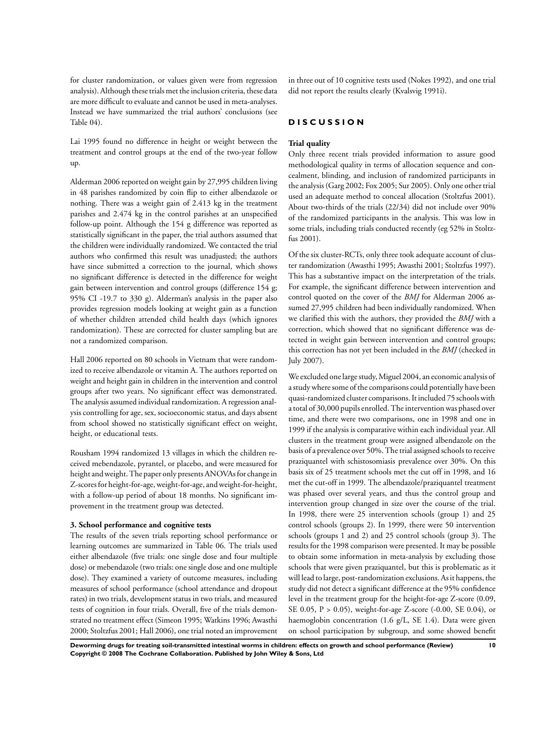for cluster randomization, or values given were from regression analysis). Although these trials met the inclusion criteria, these data are more difficult to evaluate and cannot be used in meta-analyses. Instead we have summarized the trial authors' conclusions (see Table 04).

Lai 1995 found no difference in height or weight between the treatment and control groups at the end of the two-year follow up.

Alderman 2006 reported on weight gain by 27,995 children living in 48 parishes randomized by coin flip to either albendazole or nothing. There was a weight gain of 2.413 kg in the treatment parishes and 2.474 kg in the control parishes at an unspecified follow-up point. Although the 154 g difference was reported as statistically significant in the paper, the trial authors assumed that the children were individually randomized. We contacted the trial authors who confirmed this result was unadjusted; the authors have since submitted a correction to the journal, which shows no significant difference is detected in the difference for weight gain between intervention and control groups (difference 154 g; 95% CI -19.7 to 330 g). Alderman's analysis in the paper also provides regression models looking at weight gain as a function of whether children attended child health days (which ignores randomization). These are corrected for cluster sampling but are not a randomized comparison.

Hall 2006 reported on 80 schools in Vietnam that were randomized to receive albendazole or vitamin A. The authors reported on weight and height gain in children in the intervention and control groups after two years. No significant effect was demonstrated. The analysis assumed individual randomization. A regression analysis controlling for age, sex, socioeconomic status, and days absent from school showed no statistically significant effect on weight, height, or educational tests.

Rousham 1994 randomized 13 villages in which the children received mebendazole, pyrantel, or placebo, and were measured for height and weight. The paper only presents ANOVAs for change in Z-scores for height-for-age, weight-for-age, and weight-for-height, with a follow-up period of about 18 months. No significant improvement in the treatment group was detected.

#### **3. School performance and cognitive tests**

The results of the seven trials reporting school performance or learning outcomes are summarized in Table 06. The trials used either albendazole (five trials: one single dose and four multiple dose) or mebendazole (two trials: one single dose and one multiple dose). They examined a variety of outcome measures, including measures of school performance (school attendance and dropout rates) in two trials, development status in two trials, and measured tests of cognition in four trials. Overall, five of the trials demonstrated no treatment effect (Simeon 1995; Watkins 1996; Awasthi 2000; Stoltzfus 2001; Hall 2006), one trial noted an improvement in three out of 10 cognitive tests used (Nokes 1992), and one trial did not report the results clearly (Kvalsvig 1991i).

# **D I S C U S S I O N**

#### **Trial quality**

Only three recent trials provided information to assure good methodological quality in terms of allocation sequence and concealment, blinding, and inclusion of randomized participants in the analysis (Garg 2002; Fox 2005; Sur 2005). Only one other trial used an adequate method to conceal allocation (Stoltzfus 2001). About two-thirds of the trials (22/34) did not include over 90% of the randomized participants in the analysis. This was low in some trials, including trials conducted recently (eg 52% in Stoltzfus 2001).

Of the six cluster-RCTs, only three took adequate account of cluster randomization (Awasthi 1995; Awasthi 2001; Stoltzfus 1997). This has a substantive impact on the interpretation of the trials. For example, the significant difference between intervention and control quoted on the cover of the *BMJ* for Alderman 2006 assumed 27,995 children had been individually randomized. When we clarified this with the authors, they provided the *BMJ* with a correction, which showed that no significant difference was detected in weight gain between intervention and control groups; this correction has not yet been included in the *BMJ* (checked in July 2007).

We excluded one large study, Miguel 2004, an economic analysis of a study where some of the comparisons could potentially have been quasi-randomized cluster comparisons. It included 75 schools with a total of 30,000 pupils enrolled. The intervention was phased over time, and there were two comparisons, one in 1998 and one in 1999 if the analysis is comparative within each individual year. All clusters in the treatment group were assigned albendazole on the basis of a prevalence over 50%. The trial assigned schools to receive praziquantel with schistosomiasis prevalence over 30%. On this basis six of 25 treatment schools met the cut off in 1998, and 16 met the cut-off in 1999. The albendazole/praziquantel treatment was phased over several years, and thus the control group and intervention group changed in size over the course of the trial. In 1998, there were 25 intervention schools (group 1) and 25 control schools (groups 2). In 1999, there were 50 intervention schools (groups 1 and 2) and 25 control schools (group 3). The results for the 1998 comparison were presented. It may be possible to obtain some information in meta-analysis by excluding those schools that were given praziquantel, but this is problematic as it will lead to large, post-randomization exclusions. As it happens, the study did not detect a significant difference at the 95% confidence level in the treatment group for the height-for-age Z-score (0.09, SE 0.05, P > 0.05), weight-for-age Z-score (-0.00, SE 0.04), or haemoglobin concentration (1.6 g/L, SE 1.4). Data were given on school participation by subgroup, and some showed benefit

**Deworming drugs for treating soil-transmitted intestinal worms in children: effects on growth and school performance (Review) 10 Copyright © 2008 The Cochrane Collaboration. Published by John Wiley & Sons, Ltd**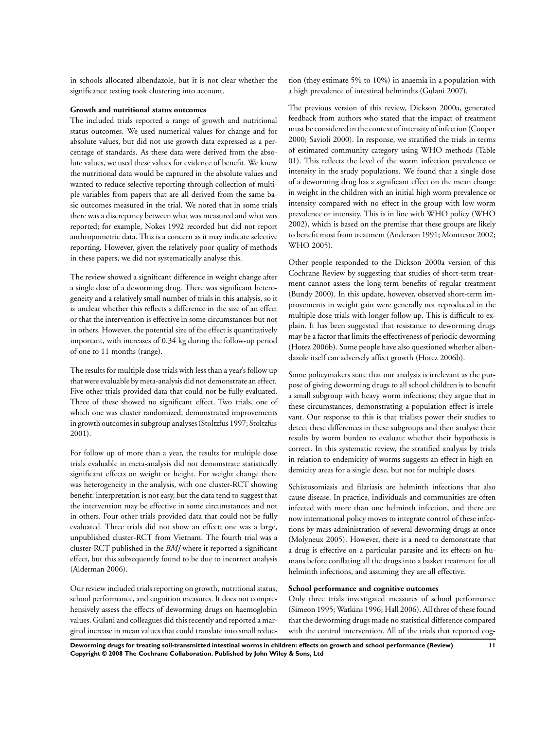in schools allocated albendazole, but it is not clear whether the significance testing took clustering into account.

#### **Growth and nutritional status outcomes**

The included trials reported a range of growth and nutritional status outcomes. We used numerical values for change and for absolute values, but did not use growth data expressed as a percentage of standards. As these data were derived from the absolute values, we used these values for evidence of benefit. We knew the nutritional data would be captured in the absolute values and wanted to reduce selective reporting through collection of multiple variables from papers that are all derived from the same basic outcomes measured in the trial. We noted that in some trials there was a discrepancy between what was measured and what was reported; for example, Nokes 1992 recorded but did not report anthropometric data. This is a concern as it may indicate selective reporting. However, given the relatively poor quality of methods in these papers, we did not systematically analyse this.

The review showed a significant difference in weight change after a single dose of a deworming drug. There was significant heterogeneity and a relatively small number of trials in this analysis, so it is unclear whether this reflects a difference in the size of an effect or that the intervention is effective in some circumstances but not in others. However, the potential size of the effect is quantitatively important, with increases of 0.34 kg during the follow-up period of one to 11 months (range).

The results for multiple dose trials with less than a year's follow up that were evaluable by meta-analysis did not demonstrate an effect. Five other trials provided data that could not be fully evaluated. Three of these showed no significant effect. Two trials, one of which one was cluster randomized, demonstrated improvements in growth outcomes in subgroup analyses (Stoltzfus 1997; Stoltzfus 2001).

For follow up of more than a year, the results for multiple dose trials evaluable in meta-analysis did not demonstrate statistically significant effects on weight or height. For weight change there was heterogeneity in the analysis, with one cluster-RCT showing benefit: interpretation is not easy, but the data tend to suggest that the intervention may be effective in some circumstances and not in others. Four other trials provided data that could not be fully evaluated. Three trials did not show an effect; one was a large, unpublished cluster-RCT from Vietnam. The fourth trial was a cluster-RCT published in the *BMJ* where it reported a significant effect, but this subsequently found to be due to incorrect analysis (Alderman 2006).

Our review included trials reporting on growth, nutritional status, school performance, and cognition measures. It does not comprehensively assess the effects of deworming drugs on haemoglobin values. Gulani and colleagues did this recently and reported a marginal increase in mean values that could translate into small reduction (they estimate 5% to 10%) in anaemia in a population with a high prevalence of intestinal helminths (Gulani 2007).

The previous version of this review, Dickson 2000a, generated feedback from authors who stated that the impact of treatment must be considered in the context of intensity of infection (Cooper 2000; Savioli 2000). In response, we stratified the trials in terms of estimated community category using WHO methods (Table 01). This reflects the level of the worm infection prevalence or intensity in the study populations. We found that a single dose of a deworming drug has a significant effect on the mean change in weight in the children with an initial high worm prevalence or intensity compared with no effect in the group with low worm prevalence or intensity. This is in line with WHO policy (WHO 2002), which is based on the premise that these groups are likely to benefit most from treatment (Anderson 1991; Montresor 2002; WHO 2005).

Other people responded to the Dickson 2000a version of this Cochrane Review by suggesting that studies of short-term treatment cannot assess the long-term benefits of regular treatment (Bundy 2000). In this update, however, observed short-term improvements in weight gain were generally not reproduced in the multiple dose trials with longer follow up. This is difficult to explain. It has been suggested that resistance to deworming drugs may be a factor that limits the effectiveness of periodic deworming (Hotez 2006b). Some people have also questioned whether albendazole itself can adversely affect growth (Hotez 2006b).

Some policymakers state that our analysis is irrelevant as the purpose of giving deworming drugs to all school children is to benefit a small subgroup with heavy worm infections; they argue that in these circumstances, demonstrating a population effect is irrelevant. Our response to this is that trialists power their studies to detect these differences in these subgroups and then analyse their results by worm burden to evaluate whether their hypothesis is correct. In this systematic review, the stratified analysis by trials in relation to endemicity of worms suggests an effect in high endemicity areas for a single dose, but not for multiple doses.

Schistosomiasis and filariasis are helminth infections that also cause disease. In practice, individuals and communities are often infected with more than one helminth infection, and there are now international policy moves to integrate control of these infections by mass administration of several deworming drugs at once (Molyneux 2005). However, there is a need to demonstrate that a drug is effective on a particular parasite and its effects on humans before conflating all the drugs into a basket treatment for all helminth infections, and assuming they are all effective.

#### **School performance and cognitive outcomes**

Only three trials investigated measures of school performance (Simeon 1995; Watkins 1996; Hall 2006). All three of these found that the deworming drugs made no statistical difference compared with the control intervention. All of the trials that reported cog-

**Deworming drugs for treating soil-transmitted intestinal worms in children: effects on growth and school performance (Review) 11 Copyright © 2008 The Cochrane Collaboration. Published by John Wiley & Sons, Ltd**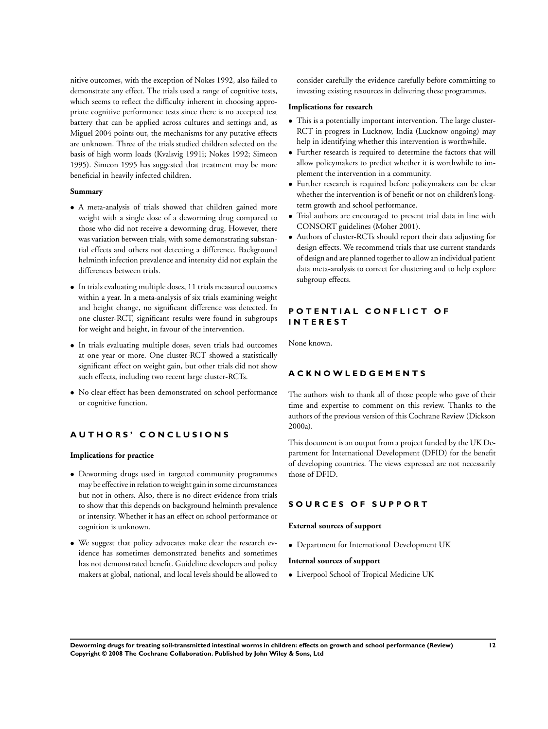nitive outcomes, with the exception of Nokes 1992, also failed to demonstrate any effect. The trials used a range of cognitive tests, which seems to reflect the difficulty inherent in choosing appropriate cognitive performance tests since there is no accepted test battery that can be applied across cultures and settings and, as Miguel 2004 points out, the mechanisms for any putative effects are unknown. Three of the trials studied children selected on the basis of high worm loads (Kvalsvig 1991i; Nokes 1992; Simeon 1995). Simeon 1995 has suggested that treatment may be more beneficial in heavily infected children.

#### **Summary**

- A meta-analysis of trials showed that children gained more weight with a single dose of a deworming drug compared to those who did not receive a deworming drug. However, there was variation between trials, with some demonstrating substantial effects and others not detecting a difference. Background helminth infection prevalence and intensity did not explain the differences between trials.
- In trials evaluating multiple doses, 11 trials measured outcomes within a year. In a meta-analysis of six trials examining weight and height change, no significant difference was detected. In one cluster-RCT, significant results were found in subgroups for weight and height, in favour of the intervention.
- In trials evaluating multiple doses, seven trials had outcomes at one year or more. One cluster-RCT showed a statistically significant effect on weight gain, but other trials did not show such effects, including two recent large cluster-RCTs.
- No clear effect has been demonstrated on school performance or cognitive function.

## **A U T H O R S ' C O N C L U S I O N S**

#### **Implications for practice**

- Deworming drugs used in targeted community programmes may be effective in relation to weight gain in some circumstances but not in others. Also, there is no direct evidence from trials to show that this depends on background helminth prevalence or intensity. Whether it has an effect on school performance or cognition is unknown.
- We suggest that policy advocates make clear the research evidence has sometimes demonstrated benefits and sometimes has not demonstrated benefit. Guideline developers and policy makers at global, national, and local levels should be allowed to

consider carefully the evidence carefully before committing to investing existing resources in delivering these programmes.

## **Implications for research**

- This is a potentially important intervention. The large cluster-RCT in progress in Lucknow, India (Lucknow ongoing) may help in identifying whether this intervention is worthwhile.
- Further research is required to determine the factors that will allow policymakers to predict whether it is worthwhile to implement the intervention in a community.
- Further research is required before policymakers can be clear whether the intervention is of benefit or not on children's longterm growth and school performance.
- Trial authors are encouraged to present trial data in line with CONSORT guidelines (Moher 2001).
- Authors of cluster-RCTs should report their data adjusting for design effects. We recommend trials that use current standards of design and are planned together to allow an individual patient data meta-analysis to correct for clustering and to help explore subgroup effects.

# **POTENTIAL CONFLICT OF I N T E R E S T**

None known.

# **A C K N O W L E D G E M E N T S**

The authors wish to thank all of those people who gave of their time and expertise to comment on this review. Thanks to the authors of the previous version of this Cochrane Review (Dickson 2000a).

This document is an output from a project funded by the UK Department for International Development (DFID) for the benefit of developing countries. The views expressed are not necessarily those of DFID.

## **S O U R C E S O F S U P P O R T**

#### **External sources of support**

• Department for International Development UK

#### **Internal sources of support**

• Liverpool School of Tropical Medicine UK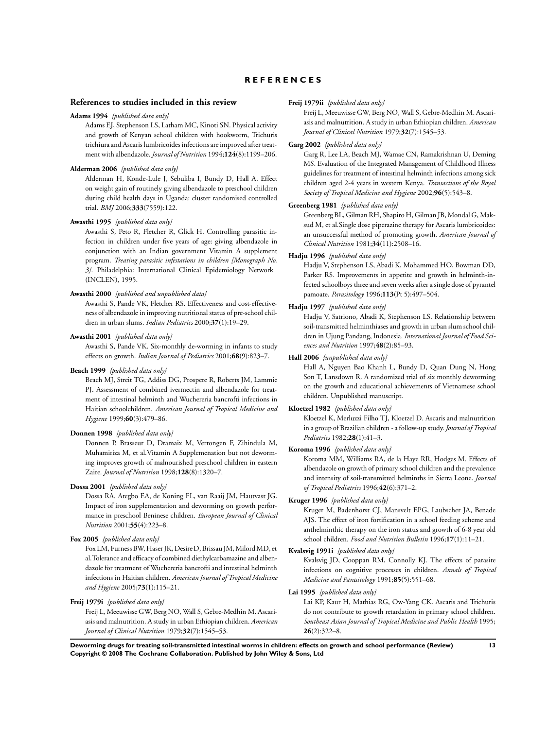# **R E F E R E N C E S**

## **References to studies included in this review**

#### **Adams 1994** *{published data only}*

Adams EJ, Stephenson LS, Latham MC, Kinoti SN. Physical activity and growth of Kenyan school children with hookworm, Trichuris trichiura and Ascaris lumbricoides infections are improved after treatment with albendazole. *Journal of Nutrition* 1994;**124**(8):1199–206.

#### **Alderman 2006** *{published data only}*

Alderman H, Konde-Lule J, Sebuliba I, Bundy D, Hall A. Effect on weight gain of routinely giving albendazole to preschool children during child health days in Uganda: cluster randomised controlled trial. *BMJ* 2006;**333**(7559):122.

#### **Awasthi 1995** *{published data only}*

Awasthi S, Peto R, Fletcher R, Glick H. Controlling parasitic infection in children under five years of age: giving albendazole in conjunction with an Indian government Vitamin A supplement program. *Treating parasitic infestations in children [Monograph No. 3]*. Philadelphia: International Clinical Epidemiology Network (INCLEN), 1995.

## **Awasthi 2000** *{published and unpublished data}*

Awasthi S, Pande VK, Fletcher RS. Effectiveness and cost-effectiveness of albendazole in improving nutritional status of pre-school children in urban slums. *Indian Pediatrics* 2000;**37**(1):19–29.

#### **Awasthi 2001** *{published data only}*

Awasthi S, Pande VK. Six-monthly de-worming in infants to study effects on growth. *Indian Journal of Pediatrics* 2001;**68**(9):823–7.

## **Beach 1999** *{published data only}*

Beach MJ, Streit TG, Addiss DG, Prospere R, Roberts JM, Lammie PJ. Assessment of combined ivermectin and albendazole for treatment of intestinal helminth and Wuchereria bancrofti infections in Haitian schoolchildren. *American Journal of Tropical Medicine and Hygiene* 1999;**60**(3):479–86.

#### **Donnen 1998** *{published data only}*

Donnen P, Brasseur D, Dramaix M, Vertongen F, Zihindula M, Muhamiriza M, et al.Vitamin A Supplemenation but not deworming improves growth of malnourished preschool children in eastern Zaire. *Journal of Nutrition* 1998;**128**(8):1320–7.

## **Dossa 2001** *{published data only}*

Dossa RA, Ategbo EA, de Koning FL, van Raaij JM, Hautvast JG. Impact of iron supplementation and deworming on growth performance in preschool Beninese children. *European Journal of Clinical Nutrition* 2001;**55**(4):223–8.

## **Fox 2005** *{published data only}*

Fox LM, Furness BW, Haser JK, Desire D, Brissau JM, Milord MD, et al.Tolerance and efficacy of combined diethylcarbamazine and albendazole for treatment of Wuchereria bancrofti and intestinal helminth infections in Haitian children. *American Journal of Tropical Medicine and Hygiene* 2005;**73**(1):115–21.

#### **Freij 1979i** *{published data only}*

Freij L, Meeuwisse GW, Berg NO, Wall S, Gebre-Medhin M. Ascariasis and malnutrition. A study in urban Ethiopian children. *American Journal of Clinical Nutrition* 1979;**32**(7):1545–53.

#### **Freij 1979ii** *{published data only}*

Freij L, Meeuwisse GW, Berg NO, Wall S, Gebre-Medhin M. Ascariasis and malnutrition. A study in urban Ethiopian children. *American Journal of Clinical Nutrition* 1979;**32**(7):1545–53.

#### **Garg 2002** *{published data only}*

Garg R, Lee LA, Beach MJ, Wamae CN, Ramakrishnan U, Deming MS. Evaluation of the Integrated Management of Childhood Illness guidelines for treatment of intestinal helminth infections among sick children aged 2-4 years in western Kenya. *Transactions of the Royal Society of Tropical Medicine and Hygiene* 2002;**96**(5):543–8.

#### **Greenberg 1981** *{published data only}*

Greenberg BL, Gilman RH, Shapiro H, Gilman JB, Mondal G, Maksud M, et al.Single dose piperazine therapy for Ascaris lumbricoides: an unsuccessful method of promoting growth. *American Journal of Clinical Nutrition* 1981;**34**(11):2508–16.

#### **Hadju 1996** *{published data only}*

Hadju V, Stephenson LS, Abadi K, Mohammed HO, Bowman DD, Parker RS. Improvements in appetite and growth in helminth-infected schoolboys three and seven weeks after a single dose of pyrantel pamoate. *Parasitology* 1996;**113**(Pt 5):497–504.

#### **Hadju 1997** *{published data only}*

Hadju V, Satriono, Abadi K, Stephenson LS. Relationship between soil-transmitted helminthiases and growth in urban slum school children in Ujung Pandang, Indonesia. *International Journal of Food Sciences and Nutrition* 1997;**48**(2):85–93.

#### **Hall 2006** *{unpublished data only}*

Hall A, Nguyen Bao Khanh L, Bundy D, Quan Dung N, Hong Son T, Lansdown R. A randomized trial of six monthly deworming on the growth and educational achievements of Vietnamese school children. Unpublished manuscript.

## **Kloetzel 1982** *{published data only}*

Kloetzel K, Merluzzi Filho TJ, Kloetzel D. Ascaris and malnutrition in a group of Brazilian children - a follow-up study. *Journal of Tropical Pediatrics* 1982;**28**(1):41–3.

#### **Koroma 1996** *{published data only}*

Koroma MM, Williams RA, de la Haye RR, Hodges M. Effects of albendazole on growth of primary school children and the prevalence and intensity of soil-transmitted helminths in Sierra Leone. *Journal of Tropical Pediatrics* 1996;**42**(6):371–2.

## **Kruger 1996** *{published data only}*

Kruger M, Badenhorst CJ, Mansvelt EPG, Laubscher JA, Benade AJS. The effect of iron fortification in a school feeding scheme and anthelminthic therapy on the iron status and growth of 6-8 year old school children. *Food and Nutrition Bulletin* 1996;**17**(1):11–21.

#### **Kvalsvig 1991i** *{published data only}*

Kvalsvig JD, Cooppan RM, Connolly KJ. The effects of parasite infections on cognitive processes in children. *Annals of Tropical Medicine and Parasitology* 1991;**85**(5):551–68.

#### **Lai 1995** *{published data only}*

Lai KP, Kaur H, Mathias RG, Ow-Yang CK. Ascaris and Trichuris do not contribute to growth retardation in primary school children. *Southeast Asian Journal of Tropical Medicine and Public Health* 1995; **26**(2):322–8.

**Deworming drugs for treating soil-transmitted intestinal worms in children: effects on growth and school performance (Review) 13 Copyright © 2008 The Cochrane Collaboration. Published by John Wiley & Sons, Ltd**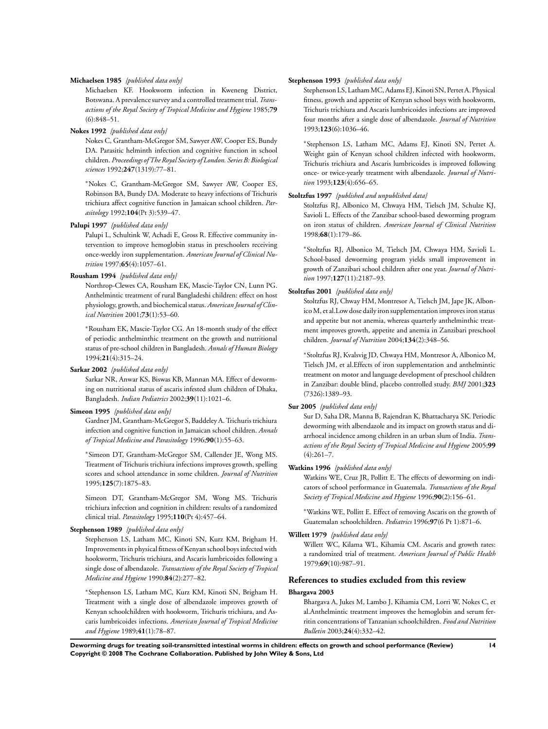#### **Michaelsen 1985** *{published data only}*

Michaelsen KF. Hookworm infection in Kweneng District, Botswana. A prevalence survey and a controlled treatment trial.*Transactions of the Royal Society of Tropical Medicine and Hygiene* 1985;**79** (6):848–51.

#### **Nokes 1992** *{published data only}*

Nokes C, Grantham-McGregor SM, Sawyer AW, Cooper ES, Bundy DA. Parasitic helminth infection and cognitive function in school children. *Proceedings of The Royal Society of London. Series B: Biological sciences* 1992;**247**(1319):77–81.

<sup>∗</sup>Nokes C, Grantham-McGregor SM, Sawyer AW, Cooper ES, Robinson BA, Bundy DA. Moderate to heavy infections of Trichuris trichiura affect cognitive function in Jamaican school children. *Parasitology* 1992;**104**(Pt 3):539–47.

#### **Palupi 1997** *{published data only}*

Palupi L, Schultink W, Achadi E, Gross R. Effective community intervention to improve hemoglobin status in preschoolers receiving once-weekly iron supplementation. *American Journal of Clinical Nutrition* 1997;**65**(4):1057–61.

## **Rousham 1994** *{published data only}*

Northrop-Clewes CA, Rousham EK, Mascie-Taylor CN, Lunn PG. Anthelmintic treatment of rural Bangladeshi children: effect on host physiology, growth, and biochemical status. *American Journal of Clinical Nutrition* 2001;**73**(1):53–60.

<sup>∗</sup>Rousham EK, Mascie-Taylor CG. An 18-month study of the effect of periodic anthelminthic treatment on the growth and nutritional status of pre-school children in Bangladesh. *Annals of Human Biology* 1994;**21**(4):315–24.

#### **Sarkar 2002** *{published data only}*

Sarkar NR, Anwar KS, Biswas KB, Mannan MA. Effect of deworming on nutritional status of ascaris infested slum children of Dhaka, Bangladesh. *Indian Pediatrics* 2002;**39**(11):1021–6.

#### **Simeon 1995** *{published data only}*

Gardner JM, Grantham-McGregor S, Baddeley A. Trichuris trichiura infection and cognitive function in Jamaican school children. *Annals of Tropical Medicine and Parasitology* 1996;**90**(1):55–63.

<sup>∗</sup>Simeon DT, Grantham-McGregor SM, Callender JE, Wong MS. Treatment of Trichuris trichiura infections improves growth, spelling scores and school attendance in some children. *Journal of Nutrition* 1995;**125**(7):1875–83.

Simeon DT, Grantham-McGregor SM, Wong MS. Trichuris trichiura infection and cognition in children: results of a randomized clinical trial. *Parasitology* 1995;**110**(Pt 4):457–64.

## **Stephenson 1989** *{published data only}*

Stephenson LS, Latham MC, Kinoti SN, Kurz KM, Brigham H. Improvements in physical fitness of Kenyan school boys infected with hookworm, Trichuris trichiura, and Ascaris lumbricoides following a single dose of albendazole. *Transactions of the Royal Society of Tropical Medicine and Hygiene* 1990;**84**(2):277–82.

<sup>∗</sup>Stephenson LS, Latham MC, Kurz KM, Kinoti SN, Brigham H. Treatment with a single dose of albendazole improves growth of Kenyan schoolchildren with hookworm, Trichuris trichiura, and Ascaris lumbricoides infections. *American Journal of Tropical Medicine and Hygiene* 1989;**41**(1):78–87.

#### **Stephenson 1993** *{published data only}*

Stephenson LS, Latham MC, Adams EJ, Kinoti SN, Pertet A. Physical fitness, growth and appetite of Kenyan school boys with hookworm, Trichuris trichiura and Ascaris lumbricoides infections are improved four months after a single dose of albendazole. *Journal of Nutrition* 1993;**123**(6):1036–46.

<sup>∗</sup>Stephenson LS, Latham MC, Adams EJ, Kinoti SN, Pertet A. Weight gain of Kenyan school children infected with hookworm, Trichuris trichiura and Ascaris lumbricoides is improved following once- or twice-yearly treatment with albendazole. *Journal of Nutrition* 1993;**123**(4):656–65.

### **Stoltzfus 1997** *{published and unpublished data}*

Stoltzfus RJ, Albonico M, Chwaya HM, Tielsch JM, Schulze KJ, Savioli L. Effects of the Zanzibar school-based deworming program on iron status of children. *American Journal of Clinical Nutrition* 1998;**68**(1):179–86.

<sup>∗</sup>Stoltzfus RJ, Albonico M, Tielsch JM, Chwaya HM, Savioli L. School-based deworming program yields small improvement in growth of Zanzibari school children after one year. *Journal of Nutrition* 1997;**127**(11):2187–93.

#### **Stoltzfus 2001** *{published data only}*

Stoltzfus RJ, Chway HM, Montresor A, Tielsch JM, Jape JK, AlbonicoM, et al.Low dose daily iron supplementation improves iron status and appetite but not anemia, whereas quarterly anthelminthic treatment improves growth, appetite and anemia in Zanzibari preschool children. *Journal of Nutrition* 2004;**134**(2):348–56.

<sup>∗</sup>Stoltzfus RJ, Kvalsvig JD, Chwaya HM, Montresor A, Albonico M, Tielsch JM, et al.Effects of iron supplementation and anthelmintic treatment on motor and language development of preschool children in Zanzibar: double blind, placebo controlled study. *BMJ* 2001;**323** (7326):1389–93.

#### **Sur 2005** *{published data only}*

Sur D, Saha DR, Manna B, Rajendran K, Bhattacharya SK. Periodic deworming with albendazole and its impact on growth status and diarrhoeal incidence among children in an urban slum of India. *Transactions of the Royal Society of Tropical Medicine and Hygiene* 2005;**99**  $(4):261-7.$ 

#### **Watkins 1996** *{published data only}*

Watkins WE, Cruz JR, Pollitt E. The effects of deworming on indicators of school performance in Guatemala. *Transactions of the Royal Society of Tropical Medicine and Hygiene* 1996;**90**(2):156–61.

<sup>∗</sup>Watkins WE, Pollitt E. Effect of removing Ascaris on the growth of Guatemalan schoolchildren. *Pediatrics* 1996;**97**(6 Pt 1):871–6.

## **Willett 1979** *{published data only}*

Willett WC, Kilama WL, Kihamia CM. Ascaris and growth rates: a randomized trial of treatment. *American Journal of Public Health* 1979;**69**(10):987–91.

#### **References to studies excluded from this review**

#### **Bhargava 2003**

Bhargava A, Jukes M, Lambo J, Kihamia CM, Lorri W, Nokes C, et al.Anthelmintic treatment improves the hemoglobin and serum ferritin concentrations of Tanzanian schoolchildren. *Food and Nutrition Bulletin* 2003;**24**(4):332–42.

**Deworming drugs for treating soil-transmitted intestinal worms in children: effects on growth and school performance (Review) 14 Copyright © 2008 The Cochrane Collaboration. Published by John Wiley & Sons, Ltd**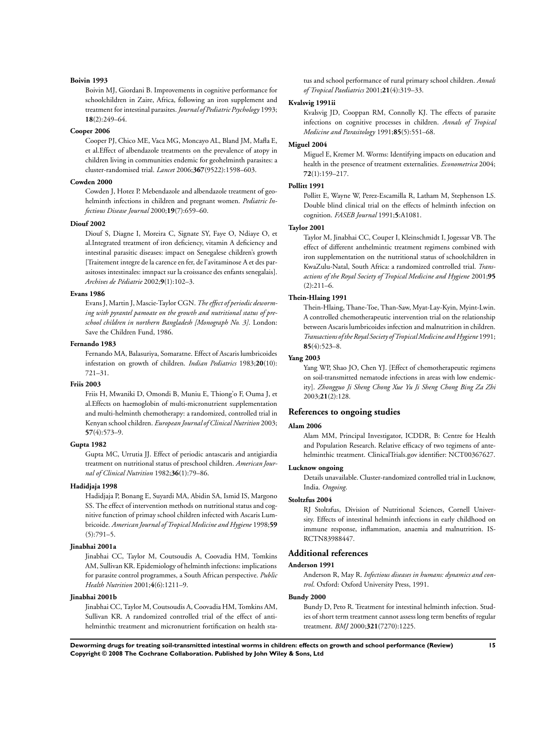#### **Boivin 1993**

Boivin MJ, Giordani B. Improvements in cognitive performance for schoolchildren in Zaire, Africa, following an iron supplement and treatment for intestinal parasites. *Journal of Pediatric Psychology* 1993; **18**(2):249–64.

#### **Cooper 2006**

Cooper PJ, Chico ME, Vaca MG, Moncayo AL, Bland JM, Mafla E, et al.Effect of albendazole treatments on the prevalence of atopy in children living in communities endemic for geohelminth parasites: a cluster-randomised trial. *Lancet* 2006;**367**(9522):1598–603.

#### **Cowden 2000**

Cowden J, Hotez P. Mebendazole and albendazole treatment of geohelminth infections in children and pregnant women. *Pediatric Infectious Disease Journal* 2000;**19**(7):659–60.

#### **Diouf 2002**

Diouf S, Diagne I, Moreira C, Signate SY, Faye O, Ndiaye O, et al.Integrated treatment of iron deficiency, vitamin A deficiency and intestinal parasitic diseases: impact on Senegalese children's growth [Traitement integre de la carence en fer, de l'avitaminose A et des parasitoses intestinales: imnpact sur la croissance des enfants senegalais]. *Archives de Pédiatrie* 2002;**9**(1):102–3.

#### **Evans 1986**

Evans J, Martin J, Mascie-Taylor CGN. *The effect of periodic deworming with pyrantel pamoate on the growth and nutritional status of preschool children in northern Bangladesh [Monograph No. 3]*. London: Save the Children Fund, 1986.

#### **Fernando 1983**

Fernando MA, Balasuriya, Somaratne. Effect of Ascaris lumbricoides infestation on growth of children. *Indian Pediatrics* 1983;**20**(10): 721–31.

#### **Friis 2003**

Friis H, Mwaniki D, Omondi B, Muniu E, Thiong'o F, Ouma J, et al.Effects on haemoglobin of multi-micronutrient supplementation and multi-helminth chemotherapy: a randomized, controlled trial in Kenyan school children. *European Journal of Clinical Nutrition* 2003; **57**(4):573–9.

#### **Gupta 1982**

Gupta MC, Urrutia JJ. Effect of periodic antascaris and antigiardia treatment on nutritional status of preschool children. *American Journal of Clinical Nutrition* 1982;**36**(1):79–86.

### **Hadidjaja 1998**

Hadidjaja P, Bonang E, Suyardi MA, Abidin SA, Ismid IS, Margono SS. The effect of intervention methods on nutritional status and cognitive function of primay school children infected with Ascaris Lumbricoide. *American Journal of Tropical Medicine and Hygiene* 1998;**59** (5):791–5.

## **Jinabhai 2001a**

Jinabhai CC, Taylor M, Coutsoudis A, Coovadia HM, Tomkins AM, Sullivan KR. Epidemiology of helminth infections: implications for parasite control programmes, a South African perspective. *Public Health Nutrition* 2001;**4**(6):1211–9.

#### **Jinabhai 2001b**

Jinabhai CC, Taylor M, Coutsoudis A, Coovadia HM, Tomkins AM, Sullivan KR. A randomized controlled trial of the effect of antihelminthic treatment and micronutrient fortification on health status and school performance of rural primary school children. *Annals of Tropical Paediatrics* 2001;**21**(4):319–33.

# **Kvalsvig 1991ii**

Kvalsvig JD, Cooppan RM, Connolly KJ. The effects of parasite infections on cognitive processes in children. *Annals of Tropical Medicine and Parasitology* 1991;**85**(5):551–68.

# **Miguel 2004**

Miguel E, Kremer M. Worms: Identifying impacts on education and health in the presence of treatment externalities. *Econometrica* 2004; **72**(1):159–217.

## **Pollitt 1991**

Pollitt E, Wayne W, Perez-Escamilla R, Latham M, Stephenson LS. Double blind clinical trial on the effects of helminth infection on cognition. *FASEB Journal* 1991;**5**:A1081.

# **Taylor 2001**

Taylor M, Jinabhai CC, Couper I, Kleinschmidt I, Jogessar VB. The effect of different anthelmintic treatment regimens combined with iron supplementation on the nutritional status of schoolchildren in KwaZulu-Natal, South Africa: a randomized controlled trial. *Transactions of the Royal Society of Tropical Medicine and Hygiene* 2001;**95**  $(2):211-6.$ 

#### **Thein-Hlaing 1991**

Thein-Hlaing, Thane-Toe, Than-Saw, Myat-Lay-Kyin, Myint-Lwin. A controlled chemotherapeutic intervention trial on the relationship between Ascaris lumbricoides infection and malnutrition in children. *Transactions of the Royal Society of Tropical Medicine and Hygiene* 1991; **85**(4):523–8.

# **Yang 2003**

Yang WP, Shao JO, Chen YJ. [Effect of chemotherapeutic regimens on soil-transmitted nematode infections in areas with low endemicity]. *Zhongguo Ji Sheng Chong Xue Yu Ji Sheng Chong Bing Za Zhi* 2003;**21**(2):128.

#### **References to ongoing studies**

#### **Alam 2006**

Alam MM, Principal Investigator, ICDDR, B: Centre for Health and Population Research. Relative efficacy of two tegimens of antehelminthic treatment. ClinicalTrials.gov identifier: NCT00367627.

#### **Lucknow ongoing**

Details unavailable. Cluster-randomized controlled trial in Lucknow, India. *Ongoing*.

#### **Stoltzfus 2004**

RJ Stoltzfus, Division of Nutritional Sciences, Cornell University. Effects of intestinal helminth infections in early childhood on immune response, inflammation, anaemia and malnutrition. IS-RCTN83988447.

## **Additional references**

#### **Anderson 1991**

Anderson R, May R. *Infectious diseases in humans: dynamics and control*. Oxford: Oxford University Press, 1991.

#### **Bundy 2000**

Bundy D, Peto R. Treatment for intestinal helminth infection. Studies of short term treatment cannot assess long term benefits of regular treatment. *BMJ* 2000;**321**(7270):1225.

**Deworming drugs for treating soil-transmitted intestinal worms in children: effects on growth and school performance (Review) 15 Copyright © 2008 The Cochrane Collaboration. Published by John Wiley & Sons, Ltd**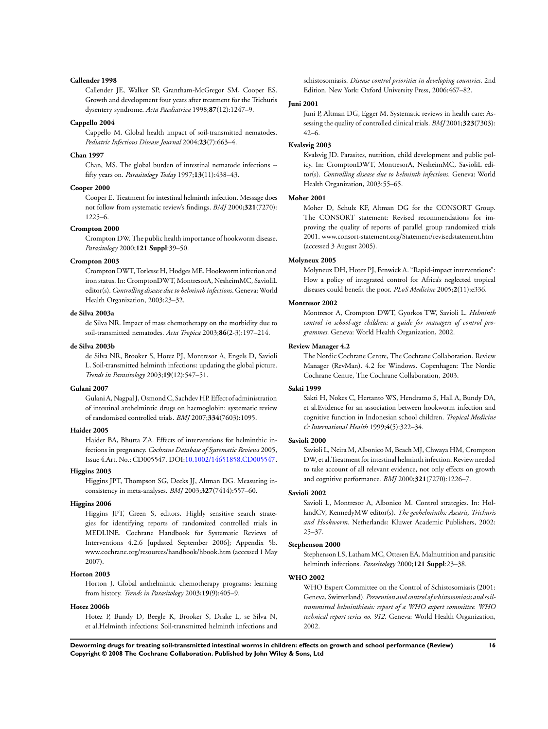#### **Callender 1998**

Callender JE, Walker SP, Grantham-McGregor SM, Cooper ES. Growth and development four years after treatment for the Trichuris dysentery syndrome. *Acta Paediatrica* 1998;**87**(12):1247–9.

# **Cappello 2004**

Cappello M. Global health impact of soil-transmitted nematodes. *Pediatric Infectious Disease Journal* 2004;**23**(7):663–4.

#### **Chan 1997**

Chan, MS. The global burden of intestinal nematode infections - fifty years on. *Parasitology Today* 1997;**13**(11):438–43.

## **Cooper 2000**

Cooper E. Treatment for intestinal helminth infection. Message does not follow from systematic review's findings. *BMJ* 2000;**321**(7270): 1225–6.

#### **Crompton 2000**

Crompton DW. The public health importance of hookworm disease. *Parasitology* 2000;**121 Suppl**:39–50.

# **Crompton 2003**

Crompton DWT, Torlesse H, Hodges ME. Hookworm infection and iron status. In: CromptonDWT, MontresorA, NesheimMC, SavioliL editor(s). *Controlling disease due to helminth infections*. Geneva: World Health Organization, 2003:23–32.

#### **de Silva 2003a**

de Silva NR. Impact of mass chemotherapy on the morbidity due to soil-transmitted nematodes. *Acta Tropica* 2003;**86**(2-3):197–214.

#### **de Silva 2003b**

de Silva NR, Brooker S, Hotez PJ, Montresor A, Engels D, Savioli L. Soil-transmitted helminth infections: updating the global picture. *Trends in Parasitology* 2003;**19**(12):547–51.

#### **Gulani 2007**

Gulani A, Nagpal J, Osmond C, Sachdev HP. Effect of administration of intestinal anthelmintic drugs on haemoglobin: systematic review of randomised controlled trials. *BMJ* 2007;**334**(7603):1095.

#### **Haider 2005**

Haider BA, Bhutta ZA. Effects of interventions for helminthic infections in pregnancy. *Cochrane Database of Systematic Reviews* 2005, Issue 4.Art. No.: CD005547. DOI:[10.1002/14651858.CD005547](ignorespaces http://dx.doi.org/10.1002/14651858.CD005547unskip unskip ).

## **Higgins 2003**

Higgins JPT, Thompson SG, Deeks JJ, Altman DG. Measuring inconsistency in meta-analyses. *BMJ* 2003;**327**(7414):557–60.

#### **Higgins 2006**

Higgins JPT, Green S, editors. Highly sensitive search strategies for identifying reports of randomized controlled trials in MEDLINE. Cochrane Handbook for Systematic Reviews of Interventions 4.2.6 [updated September 2006]; Appendix 5b. www.cochrane.org/resources/handbook/hbook.htm (accessed 1 May 2007).

## **Horton 2003**

Horton J. Global anthelmintic chemotherapy programs: learning from history. *Trends in Parasitology* 2003;**19**(9):405–9.

#### **Hotez 2006b**

Hotez P, Bundy D, Beegle K, Brooker S, Drake L, se Silva N, et al.Helminth infections: Soil-transmitted helminth infections and schistosomiasis. *Disease control priorities in developing countries*. 2nd Edition. New York: Oxford University Press, 2006:467–82.

#### **Juni 2001**

Juni P, Altman DG, Egger M. Systematic reviews in health care: Assessing the quality of controlled clinical trials. *BMJ* 2001;**323**(7303): 42–6.

#### **Kvalsvig 2003**

Kvalsvig JD. Parasites, nutrition, child development and public policy. In: CromptonDWT, MontresorA, NesheimMC, SavioliL editor(s). *Controlling disease due to helminth infections*. Geneva: World Health Organization, 2003:55–65.

# **Moher 2001**

Moher D, Schulz KF, Altman DG for the CONSORT Group. The CONSORT statement: Revised recommendations for improving the quality of reports of parallel group randomized trials 2001. www.consort-statement.org/Statement/revisedstatement.htm (accessed 3 August 2005).

#### **Molyneux 2005**

Molyneux DH, Hotez PJ, Fenwick A. "Rapid-impact interventions": How a policy of integrated control for Africa's neglected tropical diseases could benefit the poor. *PLoS Medicine* 2005;**2**(11):e336.

#### **Montresor 2002**

Montresor A, Crompton DWT, Gyorkos TW, Savioli L. *Helminth control in school-age children: a guide for managers of control programmes*. Geneva: World Health Organization, 2002.

#### **Review Manager 4.2**

The Nordic Cochrane Centre, The Cochrane Collaboration. Review Manager (RevMan). 4.2 for Windows. Copenhagen: The Nordic Cochrane Centre, The Cochrane Collaboration, 2003.

#### **Sakti 1999**

Sakti H, Nokes C, Hertanto WS, Hendratno S, Hall A, Bundy DA, et al.Evidence for an association between hookworm infection and cognitive function in Indonesian school children. *Tropical Medicine & International Health* 1999;**4**(5):322–34.

#### **Savioli 2000**

Savioli L, Neira M, Albonico M, Beach MJ, Chwaya HM, Crompton DW, et al. Treatment for intestinal helminth infection. Review needed to take account of all relevant evidence, not only effects on growth and cognitive performance. *BMJ* 2000;**321**(7270):1226–7.

#### **Savioli 2002**

Savioli L, Montresor A, Albonico M. Control strategies. In: HollandCV, KennedyMW editor(s). *The geohelminths: Ascaris, Trichuris and Hookworm*. Netherlands: Kluwer Academic Publishers, 2002: 25–37.

#### **Stephenson 2000**

Stephenson LS, Latham MC, Ottesen EA. Malnutrition and parasitic helminth infections. *Parasitology* 2000;**121 Suppl**:23–38.

#### **WHO 2002**

WHO Expert Committee on the Control of Schistosomiasis (2001: Geneva, Switzerland). *Prevention and control of schistosomiasis and soiltransmitted helminthiasis: report of a WHO expert committee. WHO technical report series no. 912*. Geneva: World Health Organization, 2002.

**Deworming drugs for treating soil-transmitted intestinal worms in children: effects on growth and school performance (Review) 16 Copyright © 2008 The Cochrane Collaboration. Published by John Wiley & Sons, Ltd**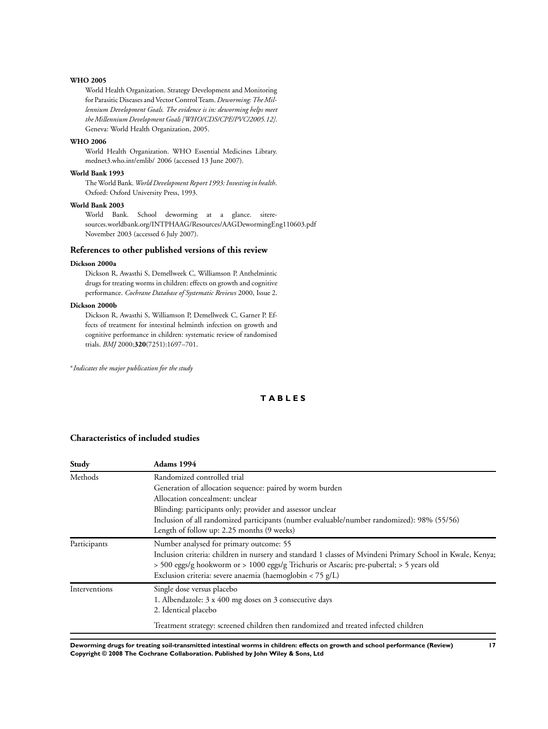## **WHO 2005**

World Health Organization. Strategy Development and Monitoring for Parasitic Diseases and Vector Control Team. *Deworming: The Millennium Development Goals. The evidence is in: deworming helps meet the Millennium Development Goals [WHO/CDS/CPE/PVC/2005.12]*. Geneva: World Health Organization, 2005.

## **WHO 2006**

World Health Organization. WHO Essential Medicines Library. mednet3.who.int/emlib/ 2006 (accessed 13 June 2007).

## **World Bank 1993**

TheWorld Bank. *World Development Report 1993: Investing in health*. Oxford: Oxford University Press, 1993.

# **World Bank 2003**

World Bank. School deworming at a glance. siteresources.worldbank.org/INTPHAAG/Resources/AAGDewormingEng110603.pdf November 2003 (accessed 6 July 2007).

# **References to other published versions of this review**

## **Dickson 2000a**

Dickson R, Awasthi S, Demellweek C, Williamson P. Anthelmintic drugs for treating worms in children: effects on growth and cognitive performance. *Cochrane Database of Systematic Reviews* 2000, Issue 2.

# **Dickson 2000b**

Dickson R, Awasthi S, Williamson P, Demellweek C, Garner P. Effects of treatment for intestinal helminth infection on growth and cognitive performance in children: systematic review of randomised trials. *BMJ* 2000;**320**(7251):1697–701.

∗ *Indicates the major publication for the study*

# **T A B L E S**

# **Characteristics of included studies**

| Study         | <b>Adams</b> 1994                                                                                          |
|---------------|------------------------------------------------------------------------------------------------------------|
| Methods       | Randomized controlled trial                                                                                |
|               | Generation of allocation sequence: paired by worm burden                                                   |
|               | Allocation concealment: unclear                                                                            |
|               | Blinding: participants only; provider and assessor unclear                                                 |
|               | Inclusion of all randomized participants (number evaluable/number randomized): 98% (55/56)                 |
|               | Length of follow up: 2.25 months (9 weeks)                                                                 |
| Participants  | Number analysed for primary outcome: 55                                                                    |
|               | Inclusion criteria: children in nursery and standard 1 classes of Mvindeni Primary School in Kwale, Kenya; |
|               | > 500 eggs/g hookworm or > 1000 eggs/g Trichuris or Ascaris; pre-pubertal; > 5 years old                   |
|               | Exclusion criteria: severe anaemia (haemoglobin < 75 g/L)                                                  |
| Interventions | Single dose versus placebo                                                                                 |
|               | 1. Albendazole: 3 x 400 mg doses on 3 consecutive days                                                     |
|               | 2. Identical placebo                                                                                       |
|               | Treatment strategy: screened children then randomized and treated infected children                        |
|               |                                                                                                            |

**Deworming drugs for treating soil-transmitted intestinal worms in children: effects on growth and school performance (Review) 17 Copyright © 2008 The Cochrane Collaboration. Published by John Wiley & Sons, Ltd**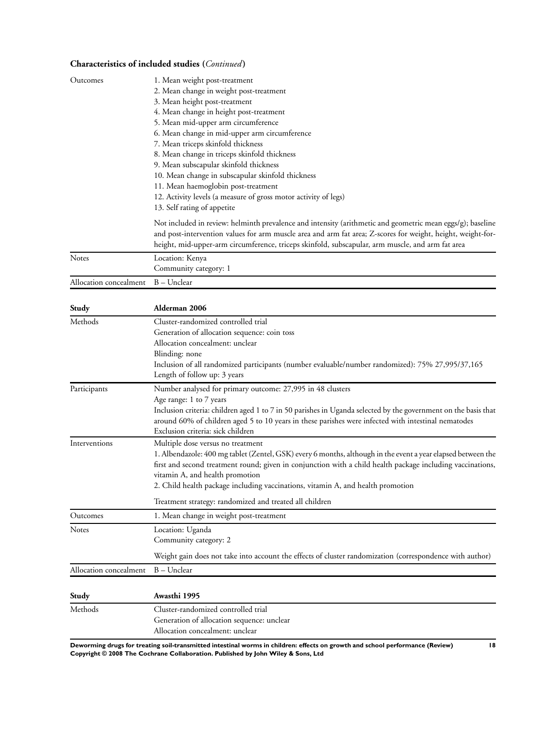| Outcomes                           | 1. Mean weight post-treatment                                                                                                                                                                                                                                                                                                 |
|------------------------------------|-------------------------------------------------------------------------------------------------------------------------------------------------------------------------------------------------------------------------------------------------------------------------------------------------------------------------------|
|                                    | 2. Mean change in weight post-treatment                                                                                                                                                                                                                                                                                       |
|                                    | 3. Mean height post-treatment                                                                                                                                                                                                                                                                                                 |
|                                    | 4. Mean change in height post-treatment                                                                                                                                                                                                                                                                                       |
|                                    | 5. Mean mid-upper arm circumference                                                                                                                                                                                                                                                                                           |
|                                    | 6. Mean change in mid-upper arm circumference                                                                                                                                                                                                                                                                                 |
|                                    | 7. Mean triceps skinfold thickness                                                                                                                                                                                                                                                                                            |
|                                    | 8. Mean change in triceps skinfold thickness                                                                                                                                                                                                                                                                                  |
|                                    | 9. Mean subscapular skinfold thickness                                                                                                                                                                                                                                                                                        |
|                                    | 10. Mean change in subscapular skinfold thickness                                                                                                                                                                                                                                                                             |
|                                    | 11. Mean haemoglobin post-treatment                                                                                                                                                                                                                                                                                           |
|                                    | 12. Activity levels (a measure of gross motor activity of legs)                                                                                                                                                                                                                                                               |
|                                    | 13. Self rating of appetite                                                                                                                                                                                                                                                                                                   |
|                                    | Not included in review: helminth prevalence and intensity (arithmetic and geometric mean eggs/g); baseline<br>and post-intervention values for arm muscle area and arm fat area; Z-scores for weight, height, weight-for-<br>height, mid-upper-arm circumference, triceps skinfold, subscapular, arm muscle, and arm fat area |
| <b>Notes</b>                       | Location: Kenya                                                                                                                                                                                                                                                                                                               |
|                                    | Community category: 1                                                                                                                                                                                                                                                                                                         |
| Allocation concealment B - Unclear |                                                                                                                                                                                                                                                                                                                               |

| Study                  | Alderman 2006                                                                                                  |
|------------------------|----------------------------------------------------------------------------------------------------------------|
| Methods                | Cluster-randomized controlled trial                                                                            |
|                        | Generation of allocation sequence: coin toss                                                                   |
|                        | Allocation concealment: unclear                                                                                |
|                        | Blinding: none                                                                                                 |
|                        | Inclusion of all randomized participants (number evaluable/number randomized): 75% 27,995/37,165               |
|                        | Length of follow up: 3 years                                                                                   |
| Participants           | Number analysed for primary outcome: 27,995 in 48 clusters                                                     |
|                        | Age range: 1 to 7 years                                                                                        |
|                        | Inclusion criteria: children aged 1 to 7 in 50 parishes in Uganda selected by the government on the basis that |
|                        | around 60% of children aged 5 to 10 years in these parishes were infected with intestinal nematodes            |
|                        | Exclusion criteria: sick children                                                                              |
| Interventions          | Multiple dose versus no treatment                                                                              |
|                        | 1. Albendazole: 400 mg tablet (Zentel, GSK) every 6 months, although in the event a year elapsed between the   |
|                        | first and second treatment round; given in conjunction with a child health package including vaccinations,     |
|                        | vitamin A, and health promotion                                                                                |
|                        | 2. Child health package including vaccinations, vitamin A, and health promotion                                |
|                        | Treatment strategy: randomized and treated all children                                                        |
| Outcomes               | 1. Mean change in weight post-treatment                                                                        |
| <b>Notes</b>           | Location: Uganda                                                                                               |
|                        | Community category: 2                                                                                          |
|                        | Weight gain does not take into account the effects of cluster randomization (correspondence with author)       |
| Allocation concealment | $B -$ Unclear                                                                                                  |
|                        |                                                                                                                |
| Study                  | Awasthi 1995                                                                                                   |
| Methods                | Cluster-randomized controlled trial                                                                            |
|                        | Generation of allocation sequence: unclear                                                                     |
|                        | Allocation concealment: unclear                                                                                |

**Deworming drugs for treating soil-transmitted intestinal worms in children: effects on growth and school performance (Review) 18 Copyright © 2008 The Cochrane Collaboration. Published by John Wiley & Sons, Ltd**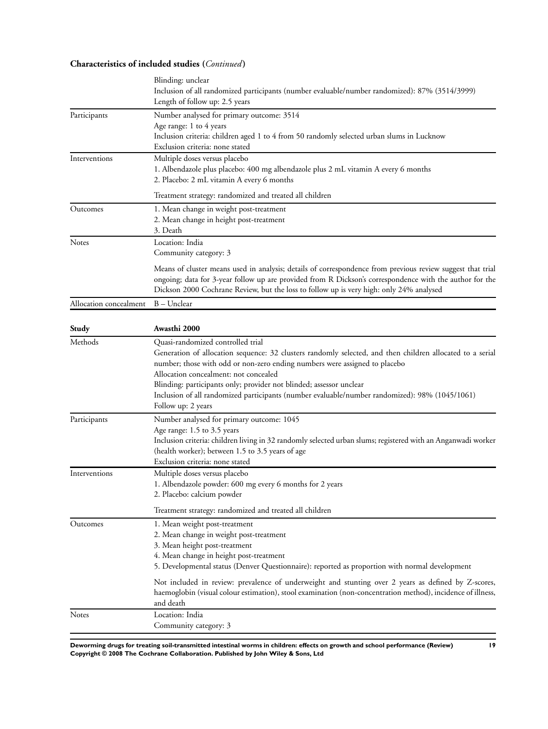|                        | Blinding: unclear<br>Inclusion of all randomized participants (number evaluable/number randomized): 87% (3514/3999)<br>Length of follow up: 2.5 years                                                                                                                                                                                                                                                                                                                |
|------------------------|----------------------------------------------------------------------------------------------------------------------------------------------------------------------------------------------------------------------------------------------------------------------------------------------------------------------------------------------------------------------------------------------------------------------------------------------------------------------|
| Participants           | Number analysed for primary outcome: 3514<br>Age range: 1 to 4 years<br>Inclusion criteria: children aged 1 to 4 from 50 randomly selected urban slums in Lucknow<br>Exclusion criteria: none stated                                                                                                                                                                                                                                                                 |
| Interventions          | Multiple doses versus placebo<br>1. Albendazole plus placebo: 400 mg albendazole plus 2 mL vitamin A every 6 months<br>2. Placebo: 2 mL vitamin A every 6 months<br>Treatment strategy: randomized and treated all children                                                                                                                                                                                                                                          |
| Outcomes               | 1. Mean change in weight post-treatment<br>2. Mean change in height post-treatment<br>3. Death                                                                                                                                                                                                                                                                                                                                                                       |
| Notes                  | Location: India<br>Community category: 3<br>Means of cluster means used in analysis; details of correspondence from previous review suggest that trial<br>ongoing; data for 3-year follow up are provided from R Dickson's correspondence with the author for the<br>Dickson 2000 Cochrane Review, but the loss to follow up is very high: only 24% analysed                                                                                                         |
| Allocation concealment | $B -$ Unclear                                                                                                                                                                                                                                                                                                                                                                                                                                                        |
| Study                  | Awasthi 2000                                                                                                                                                                                                                                                                                                                                                                                                                                                         |
| Methods                | Quasi-randomized controlled trial<br>Generation of allocation sequence: 32 clusters randomly selected, and then children allocated to a serial<br>number; those with odd or non-zero ending numbers were assigned to placebo<br>Allocation concealment: not concealed<br>Blinding: participants only; provider not blinded; assessor unclear<br>Inclusion of all randomized participants (number evaluable/number randomized): 98% (1045/1061)<br>Follow up: 2 years |
| Participants           | Number analysed for primary outcome: 1045<br>Age range: 1.5 to 3.5 years<br>Inclusion criteria: children living in 32 randomly selected urban slums; registered with an Anganwadi worker<br>(health worker); between 1.5 to 3.5 years of age<br>Exclusion criteria: none stated                                                                                                                                                                                      |
| Interventions          | Multiple doses versus placebo<br>1. Albendazole powder: 600 mg every 6 months for 2 years<br>2. Placebo: calcium powder                                                                                                                                                                                                                                                                                                                                              |
|                        | Treatment strategy: randomized and treated all children                                                                                                                                                                                                                                                                                                                                                                                                              |
| Outcomes               | 1. Mean weight post-treatment<br>2. Mean change in weight post-treatment<br>3. Mean height post-treatment<br>4. Mean change in height post-treatment<br>5. Developmental status (Denver Questionnaire): reported as proportion with normal development                                                                                                                                                                                                               |
|                        | Not included in review: prevalence of underweight and stunting over 2 years as defined by Z-scores,<br>haemoglobin (visual colour estimation), stool examination (non-concentration method), incidence of illness,<br>and death                                                                                                                                                                                                                                      |
| Notes                  | Location: India<br>Community category: 3                                                                                                                                                                                                                                                                                                                                                                                                                             |

**Deworming drugs for treating soil-transmitted intestinal worms in children: effects on growth and school performance (Review) 19 Copyright © 2008 The Cochrane Collaboration. Published by John Wiley & Sons, Ltd**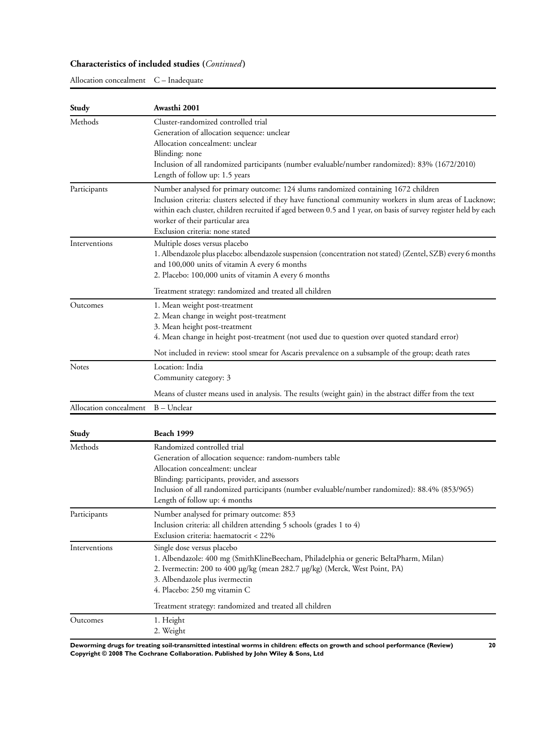Allocation concealment C – Inadequate

| Study                  | Awasthi 2001                                                                                                                                                                                                                                                                                                                                                                              |
|------------------------|-------------------------------------------------------------------------------------------------------------------------------------------------------------------------------------------------------------------------------------------------------------------------------------------------------------------------------------------------------------------------------------------|
| Methods                | Cluster-randomized controlled trial<br>Generation of allocation sequence: unclear<br>Allocation concealment: unclear<br>Blinding: none<br>Inclusion of all randomized participants (number evaluable/number randomized): 83% (1672/2010)<br>Length of follow up: 1.5 years                                                                                                                |
| Participants           | Number analysed for primary outcome: 124 slums randomized containing 1672 children<br>Inclusion criteria: clusters selected if they have functional community workers in slum areas of Lucknow;<br>within each cluster, children recruited if aged between 0.5 and 1 year, on basis of survey register held by each<br>worker of their particular area<br>Exclusion criteria: none stated |
| Interventions          | Multiple doses versus placebo<br>1. Albendazole plus placebo: albendazole suspension (concentration not stated) (Zentel, SZB) every 6 months<br>and 100,000 units of vitamin A every 6 months<br>2. Placebo: 100,000 units of vitamin A every 6 months                                                                                                                                    |
| Outcomes               | Treatment strategy: randomized and treated all children<br>1. Mean weight post-treatment<br>2. Mean change in weight post-treatment<br>3. Mean height post-treatment<br>4. Mean change in height post-treatment (not used due to question over quoted standard error)                                                                                                                     |
| Notes                  | Not included in review: stool smear for Ascaris prevalence on a subsample of the group; death rates<br>Location: India<br>Community category: 3                                                                                                                                                                                                                                           |
| Allocation concealment | Means of cluster means used in analysis. The results (weight gain) in the abstract differ from the text<br>B - Unclear                                                                                                                                                                                                                                                                    |
| Study                  | <b>Beach 1999</b>                                                                                                                                                                                                                                                                                                                                                                         |
| Methods                | Randomized controlled trial<br>Generation of allocation sequence: random-numbers table<br>Allocation concealment: unclear<br>Blinding: participants, provider, and assessors<br>Inclusion of all randomized participants (number evaluable/number randomized): 88.4% (853/965)<br>Length of follow up: 4 months                                                                           |
| Participants           | Number analysed for primary outcome: 853<br>Inclusion criteria: all children attending 5 schools (grades 1 to 4)<br>Exclusion criteria: haematocrit < 22%                                                                                                                                                                                                                                 |
| Interventions          | Single dose versus placebo<br>1. Albendazole: 400 mg (SmithKlineBeecham, Philadelphia or generic BeltaPharm, Milan)<br>2. Ivermectin: 200 to 400 µg/kg (mean 282.7 µg/kg) (Merck, West Point, PA)<br>3. Albendazole plus ivermectin<br>4. Placebo: 250 mg vitamin C                                                                                                                       |
| Outcomes               | Treatment strategy: randomized and treated all children<br>1. Height<br>2. Weight                                                                                                                                                                                                                                                                                                         |

**Deworming drugs for treating soil-transmitted intestinal worms in children: effects on growth and school performance (Review) 20 Copyright © 2008 The Cochrane Collaboration. Published by John Wiley & Sons, Ltd**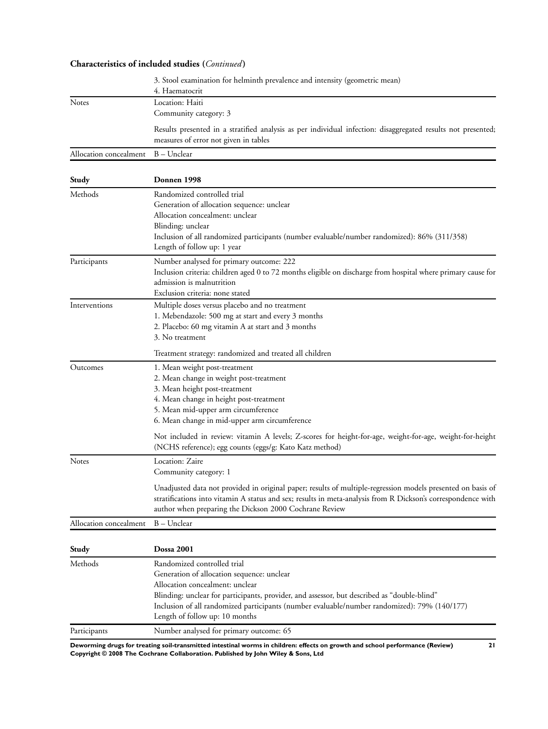|                        | 3. Stool examination for helminth prevalence and intensity (geometric mean)<br>4. Haematocrit                                                                                                                                                                                                                                                 |
|------------------------|-----------------------------------------------------------------------------------------------------------------------------------------------------------------------------------------------------------------------------------------------------------------------------------------------------------------------------------------------|
| Notes                  | Location: Haiti<br>Community category: 3                                                                                                                                                                                                                                                                                                      |
|                        | Results presented in a stratified analysis as per individual infection: disaggregated results not presented;<br>measures of error not given in tables                                                                                                                                                                                         |
| Allocation concealment | B – Unclear                                                                                                                                                                                                                                                                                                                                   |
| Study                  | Donnen 1998                                                                                                                                                                                                                                                                                                                                   |
| Methods                | Randomized controlled trial<br>Generation of allocation sequence: unclear<br>Allocation concealment: unclear<br>Blinding: unclear<br>Inclusion of all randomized participants (number evaluable/number randomized): 86% (311/358)<br>Length of follow up: 1 year                                                                              |
| Participants           | Number analysed for primary outcome: 222<br>Inclusion criteria: children aged 0 to 72 months eligible on discharge from hospital where primary cause for<br>admission is malnutrition<br>Exclusion criteria: none stated                                                                                                                      |
| Interventions          | Multiple doses versus placebo and no treatment<br>1. Mebendazole: 500 mg at start and every 3 months<br>2. Placebo: 60 mg vitamin A at start and 3 months<br>3. No treatment                                                                                                                                                                  |
|                        | Treatment strategy: randomized and treated all children                                                                                                                                                                                                                                                                                       |
| Outcomes               | 1. Mean weight post-treatment<br>2. Mean change in weight post-treatment<br>3. Mean height post-treatment<br>4. Mean change in height post-treatment<br>5. Mean mid-upper arm circumference<br>6. Mean change in mid-upper arm circumference                                                                                                  |
|                        | Not included in review: vitamin A levels; Z-scores for height-for-age, weight-for-age, weight-for-height<br>(NCHS reference); egg counts (eggs/g: Kato Katz method)                                                                                                                                                                           |
| Notes                  | Location: Zaire<br>Community category: 1                                                                                                                                                                                                                                                                                                      |
|                        | Unadjusted data not provided in original paper; results of multiple-regression models presented on basis of<br>stratifications into vitamin A status and sex; results in meta-analysis from R Dickson's correspondence with<br>author when preparing the Dickson 2000 Cochrane Review                                                         |
| Allocation concealment | B - Unclear                                                                                                                                                                                                                                                                                                                                   |
| Study                  | <b>Dossa 2001</b>                                                                                                                                                                                                                                                                                                                             |
| Methods                | Randomized controlled trial<br>Generation of allocation sequence: unclear<br>Allocation concealment: unclear<br>Blinding: unclear for participants, provider, and assessor, but described as "double-blind"<br>Inclusion of all randomized participants (number evaluable/number randomized): 79% (140/177)<br>Length of follow up: 10 months |

**Deworming drugs for treating soil-transmitted intestinal worms in children: effects on growth and school performance (Review) 21 Copyright © 2008 The Cochrane Collaboration. Published by John Wiley & Sons, Ltd**

Participants Number analysed for primary outcome: 65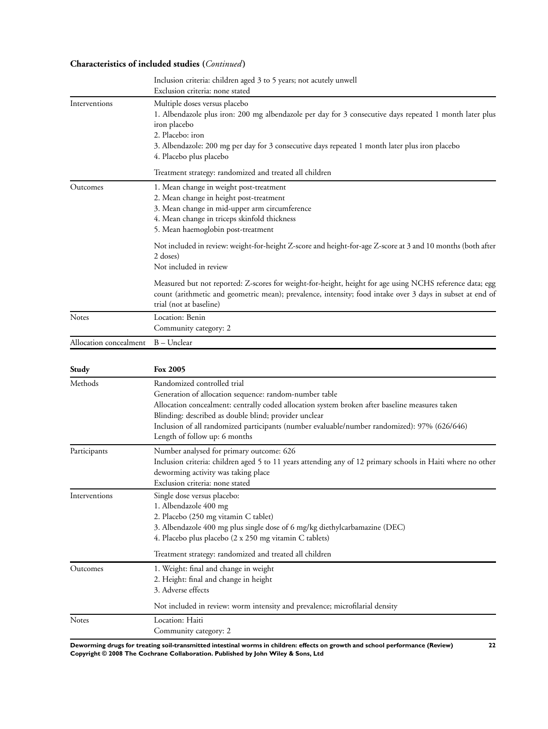|                        | Inclusion criteria: children aged 3 to 5 years; not acutely unwell                                                                                                                                                                                                                                        |
|------------------------|-----------------------------------------------------------------------------------------------------------------------------------------------------------------------------------------------------------------------------------------------------------------------------------------------------------|
|                        | Exclusion criteria: none stated                                                                                                                                                                                                                                                                           |
| Interventions          | Multiple doses versus placebo<br>1. Albendazole plus iron: 200 mg albendazole per day for 3 consecutive days repeated 1 month later plus<br>iron placebo<br>2. Placebo: iron<br>3. Albendazole: 200 mg per day for 3 consecutive days repeated 1 month later plus iron placebo<br>4. Placebo plus placebo |
|                        | Treatment strategy: randomized and treated all children                                                                                                                                                                                                                                                   |
| Outcomes               | 1. Mean change in weight post-treatment<br>2. Mean change in height post-treatment<br>3. Mean change in mid-upper arm circumference<br>4. Mean change in triceps skinfold thickness<br>5. Mean haemoglobin post-treatment                                                                                 |
|                        | Not included in review: weight-for-height Z-score and height-for-age Z-score at 3 and 10 months (both after<br>2 doses)<br>Not included in review                                                                                                                                                         |
|                        | Measured but not reported: Z-scores for weight-for-height, height for age using NCHS reference data; egg<br>count (arithmetic and geometric mean); prevalence, intensity; food intake over 3 days in subset at end of<br>trial (not at baseline)                                                          |
| <b>Notes</b>           | Location: Benin<br>Community category: 2                                                                                                                                                                                                                                                                  |
| Allocation concealment | B - Unclear                                                                                                                                                                                                                                                                                               |

| Study         | Fox 2005                                                                                                                                                                                                                                         |
|---------------|--------------------------------------------------------------------------------------------------------------------------------------------------------------------------------------------------------------------------------------------------|
| Methods       | Randomized controlled trial<br>Generation of allocation sequence: random-number table<br>Allocation concealment: centrally coded allocation system broken after baseline measures taken<br>Blinding: described as double blind; provider unclear |
|               | Inclusion of all randomized participants (number evaluable/number randomized): 97% (626/646)<br>Length of follow up: 6 months                                                                                                                    |
| Participants  | Number analysed for primary outcome: 626<br>Inclusion criteria: children aged 5 to 11 years attending any of 12 primary schools in Haiti where no other<br>deworming activity was taking place<br>Exclusion criteria: none stated                |
| Interventions | Single dose versus placebo:<br>1. Albendazole 400 mg<br>2. Placebo (250 mg vitamin C tablet)<br>3. Albendazole 400 mg plus single dose of 6 mg/kg diethylcarbamazine (DEC)<br>4. Placebo plus placebo (2 x 250 mg vitamin C tablets)             |
|               | Treatment strategy: randomized and treated all children                                                                                                                                                                                          |
| Outcomes      | 1. Weight: final and change in weight<br>2. Height: final and change in height<br>3. Adverse effects                                                                                                                                             |
|               | Not included in review: worm intensity and prevalence; microfilarial density                                                                                                                                                                     |
| <b>Notes</b>  | Location: Haiti<br>Community category: 2                                                                                                                                                                                                         |

**Deworming drugs for treating soil-transmitted intestinal worms in children: effects on growth and school performance (Review) 22 Copyright © 2008 The Cochrane Collaboration. Published by John Wiley & Sons, Ltd**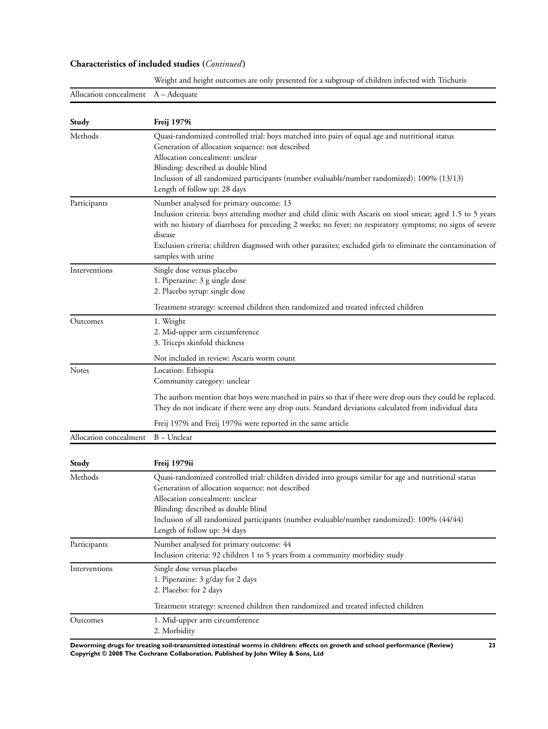Weight and height outcomes are only presented for a subgroup of children infected with Trichuris

| Allocation concealment | A – Adequate                                                                                                                                                                                                                                                                                                                                                                                                          |
|------------------------|-----------------------------------------------------------------------------------------------------------------------------------------------------------------------------------------------------------------------------------------------------------------------------------------------------------------------------------------------------------------------------------------------------------------------|
|                        |                                                                                                                                                                                                                                                                                                                                                                                                                       |
| Study                  | Freij 1979i                                                                                                                                                                                                                                                                                                                                                                                                           |
| Methods                | Quasi-randomized controlled trial: boys matched into pairs of equal age and nutritional status<br>Generation of allocation sequence: not described<br>Allocation concealment: unclear<br>Blinding: described as double blind<br>Inclusion of all randomized participants (number evaluable/number randomized): 100% (13/13)<br>Length of follow up: 28 days                                                           |
| Participants           | Number analysed for primary outcome: 13<br>Inclusion criteria: boys attending mother and child clinic with Ascaris on stool smear; aged 1.5 to 5 years<br>with no history of diarrhoea for preceding 2 weeks; no fever; no respiratory symptoms; no signs of severe<br>disease<br>Exclusion criteria: children diagnosed with other parasites; excluded girls to eliminate the contamination of<br>samples with urine |
| Interventions          | Single dose versus placebo<br>1. Piperazine: 3 g single dose<br>2. Placebo syrup: single dose                                                                                                                                                                                                                                                                                                                         |
|                        | Treatment strategy: screened children then randomized and treated infected children                                                                                                                                                                                                                                                                                                                                   |
| Outcomes               | 1. Weight<br>2. Mid-upper arm circumference<br>3. Triceps skinfold thickness                                                                                                                                                                                                                                                                                                                                          |
|                        | Not included in review: Ascaris worm count                                                                                                                                                                                                                                                                                                                                                                            |
| Notes                  | Location: Ethiopia<br>Community category: unclear                                                                                                                                                                                                                                                                                                                                                                     |
|                        | The authors mention that boys were matched in pairs so that if there were drop outs they could be replaced.<br>They do not indicate if there were any drop outs. Standard deviations calculated from individual data                                                                                                                                                                                                  |
|                        | Freij 1979i and Freij 1979ii were reported in the same article                                                                                                                                                                                                                                                                                                                                                        |
| Allocation concealment | B - Unclear                                                                                                                                                                                                                                                                                                                                                                                                           |
| Study                  | Freij 1979ii                                                                                                                                                                                                                                                                                                                                                                                                          |
| Methods                | Quasi-randomized controlled trial: children divided into groups similar for age and nutritional status<br>Generation of allocation sequence: not described<br>Allocation concealment: unclear<br>Blinding: described as double blind<br>Inclusion of all randomized participants (number evaluable/number randomized): 100% (44/44)<br>Length of follow up: 34 days                                                   |
| Participants           | Number analysed for primary outcome: 44<br>Inclusion criteria: 92 children 1 to 5 years from a community morbidity study                                                                                                                                                                                                                                                                                              |
| Interventions          | Single dose versus placebo<br>1. Piperazine: 3 g/day for 2 days<br>2. Placebo: for 2 days                                                                                                                                                                                                                                                                                                                             |
|                        | Treatment strategy: screened children then randomized and treated infected children                                                                                                                                                                                                                                                                                                                                   |
| Outcomes               | 1. Mid-upper arm circumference<br>2. Morbidity                                                                                                                                                                                                                                                                                                                                                                        |

**Deworming drugs for treating soil-transmitted intestinal worms in children: effects on growth and school performance (Review) 23 Copyright © 2008 The Cochrane Collaboration. Published by John Wiley & Sons, Ltd**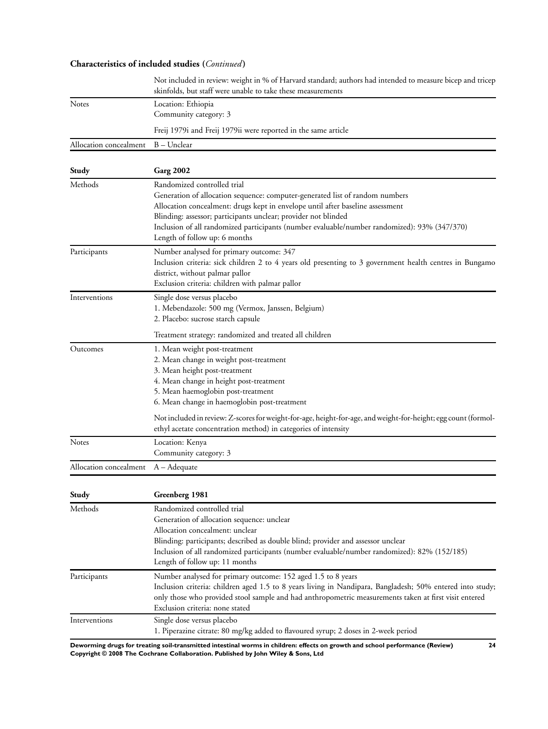|                                    | Not included in review: weight in % of Harvard standard; authors had intended to measure bicep and tricep<br>skinfolds, but staff were unable to take these measurements |
|------------------------------------|--------------------------------------------------------------------------------------------------------------------------------------------------------------------------|
| <b>Notes</b>                       | Location: Ethiopia<br>Community category: 3                                                                                                                              |
|                                    | Freij 1979i and Freij 1979ii were reported in the same article                                                                                                           |
| Allocation concealment B - Unclear |                                                                                                                                                                          |

| Study                  | <b>Garg 2002</b>                                                                                                                                                                                                                                                                                                                                                                                                               |
|------------------------|--------------------------------------------------------------------------------------------------------------------------------------------------------------------------------------------------------------------------------------------------------------------------------------------------------------------------------------------------------------------------------------------------------------------------------|
| Methods                | Randomized controlled trial<br>Generation of allocation sequence: computer-generated list of random numbers<br>Allocation concealment: drugs kept in envelope until after baseline assessment<br>Blinding: assessor; participants unclear; provider not blinded<br>Inclusion of all randomized participants (number evaluable/number randomized): 93% (347/370)<br>Length of follow up: 6 months                               |
| Participants           | Number analysed for primary outcome: 347<br>Inclusion criteria: sick children 2 to 4 years old presenting to 3 government health centres in Bungamo<br>district, without palmar pallor<br>Exclusion criteria: children with palmar pallor                                                                                                                                                                                      |
| Interventions          | Single dose versus placebo<br>1. Mebendazole: 500 mg (Vermox, Janssen, Belgium)<br>2. Placebo: sucrose starch capsule<br>Treatment strategy: randomized and treated all children                                                                                                                                                                                                                                               |
| Outcomes               | 1. Mean weight post-treatment<br>2. Mean change in weight post-treatment<br>3. Mean height post-treatment<br>4. Mean change in height post-treatment<br>5. Mean haemoglobin post-treatment<br>6. Mean change in haemoglobin post-treatment<br>Not included in review: Z-scores for weight-for-age, height-for-age, and weight-for-height; egg count (formol-<br>ethyl acetate concentration method) in categories of intensity |
| <b>Notes</b>           | Location: Kenya<br>Community category: 3                                                                                                                                                                                                                                                                                                                                                                                       |
| Allocation concealment | $A - Adequate$                                                                                                                                                                                                                                                                                                                                                                                                                 |

| Study         | Greenberg 1981                                                                                            |
|---------------|-----------------------------------------------------------------------------------------------------------|
| Methods       | Randomized controlled trial                                                                               |
|               | Generation of allocation sequence: unclear                                                                |
|               | Allocation concealment: unclear                                                                           |
|               | Blinding: participants; described as double blind; provider and assessor unclear                          |
|               | Inclusion of all randomized participants (number evaluable/number randomized): 82% (152/185)              |
|               | Length of follow up: 11 months                                                                            |
| Participants  | Number analysed for primary outcome: 152 aged 1.5 to 8 years                                              |
|               | Inclusion criteria: children aged 1.5 to 8 years living in Nandipara, Bangladesh; 50% entered into study; |
|               | only those who provided stool sample and had anthropometric measurements taken at first visit entered     |
|               | Exclusion criteria: none stated                                                                           |
| Interventions | Single dose versus placebo                                                                                |
|               | 1. Piperazine citrate: 80 mg/kg added to flavoured syrup; 2 doses in 2-week period                        |

**Deworming drugs for treating soil-transmitted intestinal worms in children: effects on growth and school performance (Review) 24 Copyright © 2008 The Cochrane Collaboration. Published by John Wiley & Sons, Ltd**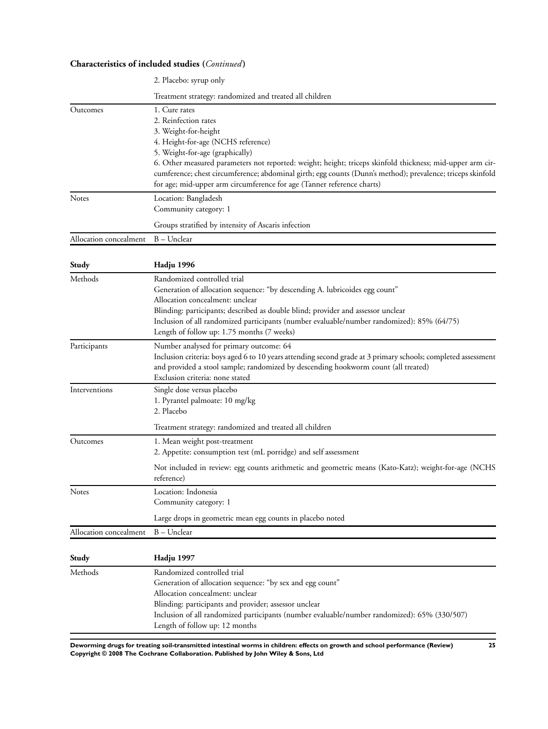# 2. Placebo: syrup only

|                        | Treatment strategy: randomized and treated all children                                                                                                                                                                                                                                                                                                                                                                                     |
|------------------------|---------------------------------------------------------------------------------------------------------------------------------------------------------------------------------------------------------------------------------------------------------------------------------------------------------------------------------------------------------------------------------------------------------------------------------------------|
| Outcomes               | 1. Cure rates<br>2. Reinfection rates<br>3. Weight-for-height<br>4. Height-for-age (NCHS reference)<br>5. Weight-for-age (graphically)<br>6. Other measured parameters not reported: weight; height; triceps skinfold thickness; mid-upper arm cir-<br>cumference; chest circumference; abdominal girth; egg counts (Dunn's method); prevalence; triceps skinfold<br>for age; mid-upper arm circumference for age (Tanner reference charts) |
| <b>Notes</b>           | Location: Bangladesh<br>Community category: 1                                                                                                                                                                                                                                                                                                                                                                                               |
|                        | Groups stratified by intensity of Ascaris infection                                                                                                                                                                                                                                                                                                                                                                                         |
| Allocation concealment | B – Unclear                                                                                                                                                                                                                                                                                                                                                                                                                                 |
| Study                  | Hadju 1996                                                                                                                                                                                                                                                                                                                                                                                                                                  |
| Methods                | Randomized controlled trial<br>Generation of allocation sequence: "by descending A. lubricoides egg count"<br>Allocation concealment: unclear<br>Blinding: participants; described as double blind; provider and assessor unclear<br>Inclusion of all randomized participants (number evaluable/number randomized): 85% (64/75)<br>Length of follow up: 1.75 months (7 weeks)                                                               |
| Participants           | Number analysed for primary outcome: 64<br>Inclusion criteria: boys aged 6 to 10 years attending second grade at 3 primary schools; completed assessment<br>and provided a stool sample; randomized by descending hookworm count (all treated)<br>Exclusion criteria: none stated                                                                                                                                                           |
| Interventions          | Single dose versus placebo<br>1. Pyrantel palmoate: 10 mg/kg<br>2. Placebo                                                                                                                                                                                                                                                                                                                                                                  |
|                        | Treatment strategy: randomized and treated all children                                                                                                                                                                                                                                                                                                                                                                                     |
| Outcomes               | 1. Mean weight post-treatment<br>2. Appetite: consumption test (mL porridge) and self assessment                                                                                                                                                                                                                                                                                                                                            |
|                        | Not included in review: egg counts arithmetic and geometric means (Kato-Katz); weight-for-age (NCHS<br>reference)                                                                                                                                                                                                                                                                                                                           |
| Notes                  | Location: Indonesia<br>Community category: 1                                                                                                                                                                                                                                                                                                                                                                                                |
|                        | Large drops in geometric mean egg counts in placebo noted                                                                                                                                                                                                                                                                                                                                                                                   |
| Allocation concealment | B – Unclear                                                                                                                                                                                                                                                                                                                                                                                                                                 |

| Study   | Hadju 1997                                                                                   |
|---------|----------------------------------------------------------------------------------------------|
| Methods | Randomized controlled trial                                                                  |
|         | Generation of allocation sequence: "by sex and egg count"                                    |
|         | Allocation concealment: unclear                                                              |
|         | Blinding: participants and provider; assessor unclear                                        |
|         | Inclusion of all randomized participants (number evaluable/number randomized): 65% (330/507) |
|         | Length of follow up: 12 months                                                               |

**Deworming drugs for treating soil-transmitted intestinal worms in children: effects on growth and school performance (Review) 25 Copyright © 2008 The Cochrane Collaboration. Published by John Wiley & Sons, Ltd**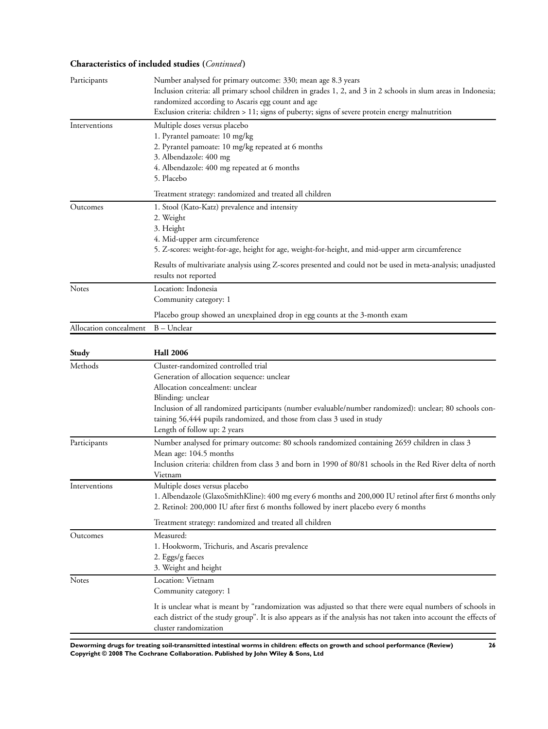| Participants           | Number analysed for primary outcome: 330; mean age 8.3 years<br>Inclusion criteria: all primary school children in grades 1, 2, and 3 in 2 schools in slum areas in Indonesia;<br>randomized according to Ascaris egg count and age<br>Exclusion criteria: children > 11; signs of puberty; signs of severe protein energy malnutrition                        |
|------------------------|----------------------------------------------------------------------------------------------------------------------------------------------------------------------------------------------------------------------------------------------------------------------------------------------------------------------------------------------------------------|
| Interventions          | Multiple doses versus placebo<br>1. Pyrantel pamoate: 10 mg/kg<br>2. Pyrantel pamoate: 10 mg/kg repeated at 6 months<br>3. Albendazole: 400 mg<br>4. Albendazole: 400 mg repeated at 6 months<br>5. Placebo                                                                                                                                                    |
|                        | Treatment strategy: randomized and treated all children                                                                                                                                                                                                                                                                                                        |
| Outcomes               | 1. Stool (Kato-Katz) prevalence and intensity<br>2. Weight<br>3. Height<br>4. Mid-upper arm circumference<br>5. Z-scores: weight-for-age, height for age, weight-for-height, and mid-upper arm circumference                                                                                                                                                   |
|                        | Results of multivariate analysis using Z-scores presented and could not be used in meta-analysis; unadjusted<br>results not reported                                                                                                                                                                                                                           |
| Notes                  | Location: Indonesia<br>Community category: 1                                                                                                                                                                                                                                                                                                                   |
|                        | Placebo group showed an unexplained drop in egg counts at the 3-month exam                                                                                                                                                                                                                                                                                     |
| Allocation concealment | B - Unclear                                                                                                                                                                                                                                                                                                                                                    |
| Study                  | <b>Hall 2006</b>                                                                                                                                                                                                                                                                                                                                               |
| Methods                | Cluster-randomized controlled trial<br>Generation of allocation sequence: unclear<br>Allocation concealment: unclear<br>Blinding: unclear<br>Inclusion of all randomized participants (number evaluable/number randomized): unclear; 80 schools con-<br>taining 56,444 pupils randomized, and those from class 3 used in study<br>Length of follow up: 2 years |
| Participants           | Number analysed for primary outcome: 80 schools randomized containing 2659 children in class 3<br>Mean age: 104.5 months<br>Inclusion criteria: children from class 3 and born in 1990 of 80/81 schools in the Red River delta of north                                                                                                                        |

|               | Aliocation conceaiment: unclear                                                                                    |
|---------------|--------------------------------------------------------------------------------------------------------------------|
|               | Blinding: unclear                                                                                                  |
|               | Inclusion of all randomized participants (number evaluable/number randomized): unclear; 80 schools con-            |
|               | taining 56,444 pupils randomized, and those from class 3 used in study                                             |
|               | Length of follow up: 2 years                                                                                       |
| Participants  | Number analysed for primary outcome: 80 schools randomized containing 2659 children in class 3                     |
|               | Mean age: 104.5 months                                                                                             |
|               | Inclusion criteria: children from class 3 and born in 1990 of 80/81 schools in the Red River delta of north        |
|               | Vietnam                                                                                                            |
| Interventions | Multiple doses versus placebo                                                                                      |
|               | 1. Albendazole (GlaxoSmithKline): 400 mg every 6 months and 200,000 IU retinol after first 6 months only           |
|               | 2. Retinol: 200,000 IU after first 6 months followed by inert placebo every 6 months                               |
|               | Treatment strategy: randomized and treated all children                                                            |
| Outcomes      | Measured:                                                                                                          |
|               | 1. Hookworm, Trichuris, and Ascaris prevalence                                                                     |
|               | 2. Eggs/g faeces                                                                                                   |
|               | 3. Weight and height                                                                                               |
| <b>Notes</b>  | Location: Vietnam                                                                                                  |
|               | Community category: 1                                                                                              |
|               | It is unclear what is meant by "randomization was adjusted so that there were equal numbers of schools in          |
|               | each district of the study group". It is also appears as if the analysis has not taken into account the effects of |
|               | cluster randomization                                                                                              |

**Deworming drugs for treating soil-transmitted intestinal worms in children: effects on growth and school performance (Review) 26 Copyright © 2008 The Cochrane Collaboration. Published by John Wiley & Sons, Ltd**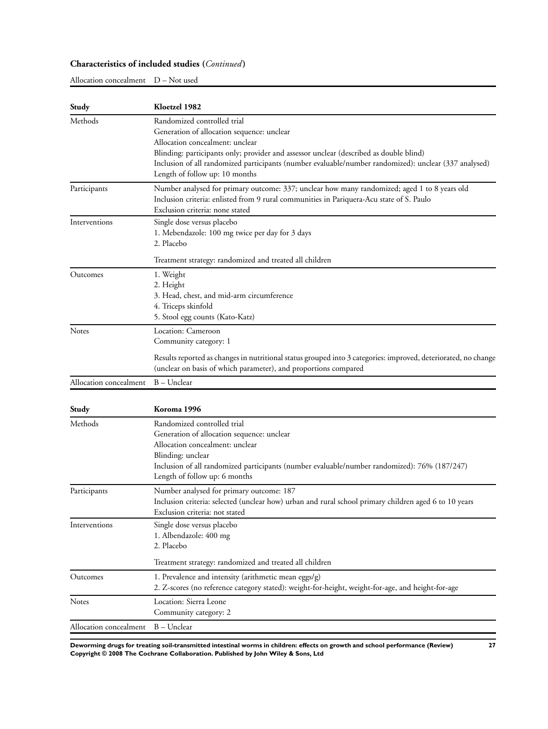Allocation concealment D – Not used

| Study                  | Kloetzel 1982                                                                                                                                                                                                                                                                                                                                     |
|------------------------|---------------------------------------------------------------------------------------------------------------------------------------------------------------------------------------------------------------------------------------------------------------------------------------------------------------------------------------------------|
| Methods                | Randomized controlled trial<br>Generation of allocation sequence: unclear<br>Allocation concealment: unclear<br>Blinding: participants only; provider and assessor unclear (described as double blind)<br>Inclusion of all randomized participants (number evaluable/number randomized): unclear (337 analysed)<br>Length of follow up: 10 months |
| Participants           | Number analysed for primary outcome: 337; unclear how many randomized; aged 1 to 8 years old<br>Inclusion criteria: enlisted from 9 rural communities in Pariquera-Acu state of S. Paulo<br>Exclusion criteria: none stated                                                                                                                       |
| Interventions          | Single dose versus placebo<br>1. Mebendazole: 100 mg twice per day for 3 days<br>2. Placebo                                                                                                                                                                                                                                                       |
|                        | Treatment strategy: randomized and treated all children                                                                                                                                                                                                                                                                                           |
| Outcomes               | 1. Weight<br>2. Height<br>3. Head, chest, and mid-arm circumference<br>4. Triceps skinfold<br>5. Stool egg counts (Kato-Katz)                                                                                                                                                                                                                     |
| Notes                  | Location: Cameroon<br>Community category: 1<br>Results reported as changes in nutritional status grouped into 3 categories: improved, deteriorated, no change                                                                                                                                                                                     |
|                        | (unclear on basis of which parameter), and proportions compared                                                                                                                                                                                                                                                                                   |
| Allocation concealment | $B -$ Unclear                                                                                                                                                                                                                                                                                                                                     |
| Study                  | Koroma 1996                                                                                                                                                                                                                                                                                                                                       |
| Methods                | Randomized controlled trial<br>Generation of allocation sequence: unclear<br>Allocation concealment: unclear<br>Blinding: unclear<br>Inclusion of all randomized participants (number evaluable/number randomized): 76% (187/247)<br>Length of follow up: 6 months                                                                                |
| Participants           | Number analysed for primary outcome: 187<br>Inclusion criteria: selected (unclear how) urban and rural school primary children aged 6 to 10 years<br>Exclusion criteria: not stated                                                                                                                                                               |
| Interventions          | Single dose versus placebo<br>1. Albendazole: 400 mg<br>2. Placebo                                                                                                                                                                                                                                                                                |
|                        | Treatment strategy: randomized and treated all children                                                                                                                                                                                                                                                                                           |
| Outcomes               | 1. Prevalence and intensity (arithmetic mean eggs/g)<br>2. Z-scores (no reference category stated): weight-for-height, weight-for-age, and height-for-age                                                                                                                                                                                         |
| Notes                  | Location: Sierra Leone<br>Community category: 2                                                                                                                                                                                                                                                                                                   |
| Allocation concealment | B - Unclear                                                                                                                                                                                                                                                                                                                                       |
|                        |                                                                                                                                                                                                                                                                                                                                                   |

**Deworming drugs for treating soil-transmitted intestinal worms in children: effects on growth and school performance (Review) 27 Copyright © 2008 The Cochrane Collaboration. Published by John Wiley & Sons, Ltd**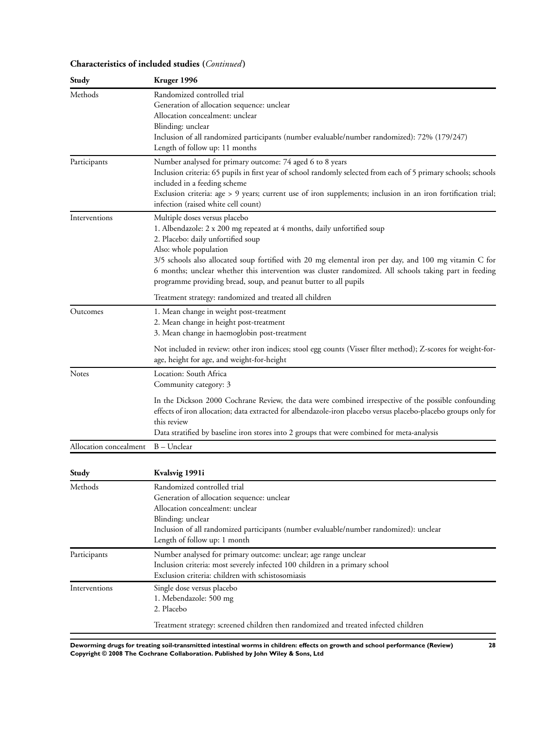| Study                  | Kruger 1996                                                                                                                                                                                                                                                                                                                                                                                                                                                     |
|------------------------|-----------------------------------------------------------------------------------------------------------------------------------------------------------------------------------------------------------------------------------------------------------------------------------------------------------------------------------------------------------------------------------------------------------------------------------------------------------------|
| Methods                | Randomized controlled trial<br>Generation of allocation sequence: unclear<br>Allocation concealment: unclear<br>Blinding: unclear<br>Inclusion of all randomized participants (number evaluable/number randomized): 72% (179/247)<br>Length of follow up: 11 months                                                                                                                                                                                             |
| Participants           | Number analysed for primary outcome: 74 aged 6 to 8 years<br>Inclusion criteria: 65 pupils in first year of school randomly selected from each of 5 primary schools; schools<br>included in a feeding scheme<br>Exclusion criteria: age > 9 years; current use of iron supplements; inclusion in an iron fortification trial;<br>infection (raised white cell count)                                                                                            |
| Interventions          | Multiple doses versus placebo<br>1. Albendazole: 2 x 200 mg repeated at 4 months, daily unfortified soup<br>2. Placebo: daily unfortified soup<br>Also: whole population<br>3/5 schools also allocated soup fortified with 20 mg elemental iron per day, and 100 mg vitamin C for<br>6 months; unclear whether this intervention was cluster randomized. All schools taking part in feeding<br>programme providing bread, soup, and peanut butter to all pupils |
|                        | Treatment strategy: randomized and treated all children                                                                                                                                                                                                                                                                                                                                                                                                         |
| Outcomes               | 1. Mean change in weight post-treatment<br>2. Mean change in height post-treatment<br>3. Mean change in haemoglobin post-treatment                                                                                                                                                                                                                                                                                                                              |
|                        | Not included in review: other iron indices; stool egg counts (Visser filter method); Z-scores for weight-for-<br>age, height for age, and weight-for-height                                                                                                                                                                                                                                                                                                     |
| Notes                  | Location: South Africa<br>Community category: 3                                                                                                                                                                                                                                                                                                                                                                                                                 |
|                        | In the Dickson 2000 Cochrane Review, the data were combined irrespective of the possible confounding<br>effects of iron allocation; data extracted for albendazole-iron placebo versus placebo-placebo groups only for<br>this review<br>Data stratified by baseline iron stores into 2 groups that were combined for meta-analysis                                                                                                                             |
| Allocation concealment | B - Unclear                                                                                                                                                                                                                                                                                                                                                                                                                                                     |
| Study                  | Kvalsvig 1991i                                                                                                                                                                                                                                                                                                                                                                                                                                                  |
| Methods                | Randomized controlled trial<br>Generation of allocation sequence: unclear<br>Allocation concealment: unclear<br>Blinding: unclear<br>Inclusion of all randomized participants (number evaluable/number randomized): unclear<br>Length of follow up: 1 month                                                                                                                                                                                                     |
| Participants           | Number analysed for primary outcome: unclear; age range unclear<br>Inclusion criteria: most severely infected 100 children in a primary school<br>Exclusion criteria: children with schistosomiasis                                                                                                                                                                                                                                                             |
| Interventions          | Single dose versus placebo<br>1. Mebendazole: 500 mg<br>2. Placebo                                                                                                                                                                                                                                                                                                                                                                                              |
|                        | Treatment strategy: screened children then randomized and treated infected children                                                                                                                                                                                                                                                                                                                                                                             |
|                        |                                                                                                                                                                                                                                                                                                                                                                                                                                                                 |

**Deworming drugs for treating soil-transmitted intestinal worms in children: effects on growth and school performance (Review) 28 Copyright © 2008 The Cochrane Collaboration. Published by John Wiley & Sons, Ltd**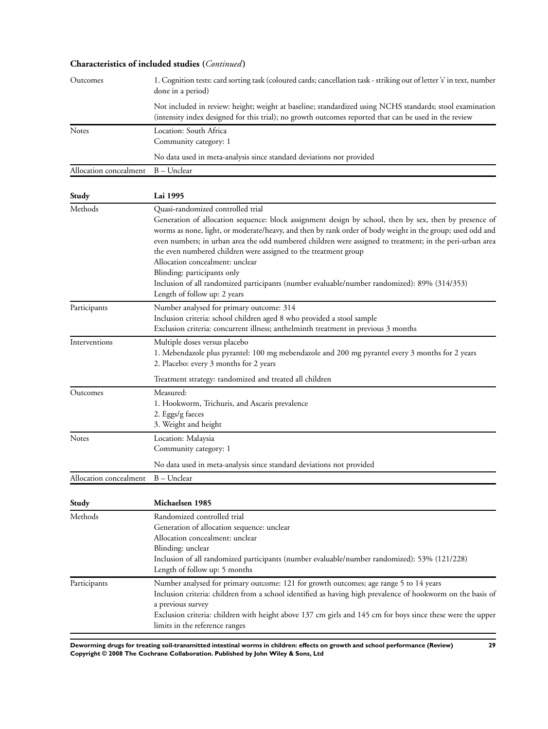Allocation concealment B - Unclear

| Outcomes     | 1. Cognition tests: card sorting task (coloured cards; cancellation task - striking out of letter's' in text, number<br>done in a period)                                                                         |
|--------------|-------------------------------------------------------------------------------------------------------------------------------------------------------------------------------------------------------------------|
|              | Not included in review: height; weight at baseline; standardized using NCHS standards; stool examination<br>(intensity index designed for this trial); no growth outcomes reported that can be used in the review |
| <b>Notes</b> | Location: South Africa<br>Community category: 1                                                                                                                                                                   |
|              | No data used in meta-analysis since standard deviations not provided                                                                                                                                              |

| Study                  | Lai 1995                                                                                                                                                                                                                                                                                                                                                                                                                                                                                                                                                                                                                                  |
|------------------------|-------------------------------------------------------------------------------------------------------------------------------------------------------------------------------------------------------------------------------------------------------------------------------------------------------------------------------------------------------------------------------------------------------------------------------------------------------------------------------------------------------------------------------------------------------------------------------------------------------------------------------------------|
| Methods                | Quasi-randomized controlled trial<br>Generation of allocation sequence: block assignment design by school, then by sex, then by presence of<br>worms as none, light, or moderate/heavy, and then by rank order of body weight in the group; used odd and<br>even numbers; in urban area the odd numbered children were assigned to treatment; in the peri-urban area<br>the even numbered children were assigned to the treatment group<br>Allocation concealment: unclear<br>Blinding: participants only<br>Inclusion of all randomized participants (number evaluable/number randomized): 89% (314/353)<br>Length of follow up: 2 years |
| Participants           | Number analysed for primary outcome: 314<br>Inclusion criteria: school children aged 8 who provided a stool sample<br>Exclusion criteria: concurrent illness; anthelminth treatment in previous 3 months                                                                                                                                                                                                                                                                                                                                                                                                                                  |
| Interventions          | Multiple doses versus placebo<br>1. Mebendazole plus pyrantel: 100 mg mebendazole and 200 mg pyrantel every 3 months for 2 years<br>2. Placebo: every 3 months for 2 years                                                                                                                                                                                                                                                                                                                                                                                                                                                                |
|                        | Treatment strategy: randomized and treated all children                                                                                                                                                                                                                                                                                                                                                                                                                                                                                                                                                                                   |
| Outcomes               | Measured:<br>1. Hookworm, Trichuris, and Ascaris prevalence<br>2. Eggs/g faeces<br>3. Weight and height                                                                                                                                                                                                                                                                                                                                                                                                                                                                                                                                   |
| <b>Notes</b>           | Location: Malaysia<br>Community category: 1                                                                                                                                                                                                                                                                                                                                                                                                                                                                                                                                                                                               |
|                        | No data used in meta-analysis since standard deviations not provided                                                                                                                                                                                                                                                                                                                                                                                                                                                                                                                                                                      |
| Allocation concealment | $B -$ Unclear                                                                                                                                                                                                                                                                                                                                                                                                                                                                                                                                                                                                                             |

| Study        | Michaelsen 1985                                                                                                                  |
|--------------|----------------------------------------------------------------------------------------------------------------------------------|
| Methods      | Randomized controlled trial                                                                                                      |
|              | Generation of allocation sequence: unclear                                                                                       |
|              | Allocation concealment: unclear                                                                                                  |
|              | Blinding: unclear                                                                                                                |
|              | Inclusion of all randomized participants (number evaluable/number randomized): 53% (121/228)                                     |
|              | Length of follow up: 5 months                                                                                                    |
| Participants | Number analysed for primary outcome: 121 for growth outcomes; age range 5 to 14 years                                            |
|              | Inclusion criteria: children from a school identified as having high prevalence of hookworm on the basis of<br>a previous survey |
|              | Exclusion criteria: children with height above 137 cm girls and 145 cm for boys since these were the upper                       |
|              | limits in the reference ranges                                                                                                   |
|              |                                                                                                                                  |

**Deworming drugs for treating soil-transmitted intestinal worms in children: effects on growth and school performance (Review) 29 Copyright © 2008 The Cochrane Collaboration. Published by John Wiley & Sons, Ltd**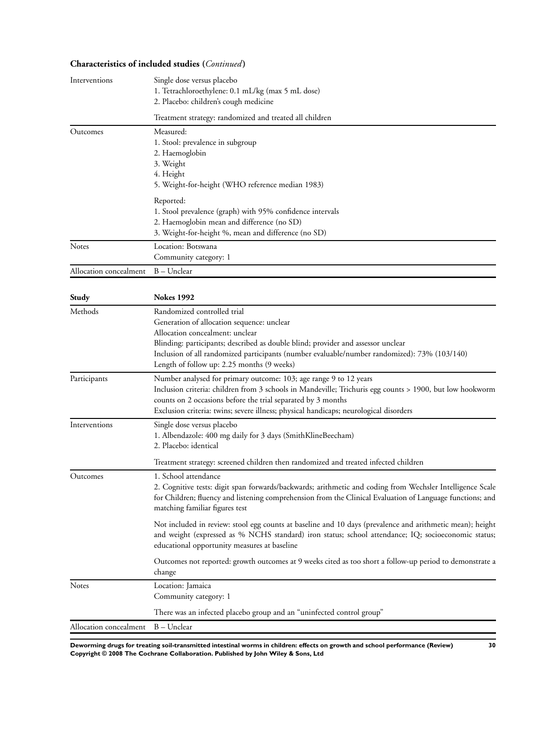| Interventions          | Single dose versus placebo<br>1. Tetrachloroethylene: 0.1 mL/kg (max 5 mL dose)<br>2. Placebo: children's cough medicine                                                    |
|------------------------|-----------------------------------------------------------------------------------------------------------------------------------------------------------------------------|
|                        | Treatment strategy: randomized and treated all children                                                                                                                     |
| Outcomes               | Measured:<br>1. Stool: prevalence in subgroup<br>2. Haemoglobin<br>3. Weight<br>4. Height<br>5. Weight-for-height (WHO reference median 1983)                               |
|                        | Reported:<br>1. Stool prevalence (graph) with 95% confidence intervals<br>2. Haemoglobin mean and difference (no SD)<br>3. Weight-for-height %, mean and difference (no SD) |
| Notes                  | Location: Botswana<br>Community category: 1                                                                                                                                 |
| Allocation concealment | B – Unclear                                                                                                                                                                 |

| Study                  | <b>Nokes 1992</b>                                                                                                                                                                                                                                                                                                                              |
|------------------------|------------------------------------------------------------------------------------------------------------------------------------------------------------------------------------------------------------------------------------------------------------------------------------------------------------------------------------------------|
| Methods                | Randomized controlled trial<br>Generation of allocation sequence: unclear<br>Allocation concealment: unclear<br>Blinding: participants; described as double blind; provider and assessor unclear<br>Inclusion of all randomized participants (number evaluable/number randomized): 73% (103/140)<br>Length of follow up: 2.25 months (9 weeks) |
| Participants           | Number analysed for primary outcome: 103; age range 9 to 12 years<br>Inclusion criteria: children from 3 schools in Mandeville; Trichuris egg counts > 1900, but low hookworm<br>counts on 2 occasions before the trial separated by 3 months<br>Exclusion criteria: twins; severe illness; physical handicaps; neurological disorders         |
| Interventions          | Single dose versus placebo<br>1. Albendazole: 400 mg daily for 3 days (SmithKlineBeecham)<br>2. Placebo: identical                                                                                                                                                                                                                             |
|                        | Treatment strategy: screened children then randomized and treated infected children                                                                                                                                                                                                                                                            |
| Outcomes               | 1. School attendance<br>2. Cognitive tests: digit span forwards/backwards; arithmetic and coding from Wechsler Intelligence Scale<br>for Children; fluency and listening comprehension from the Clinical Evaluation of Language functions; and<br>matching familiar figures test                                                               |
|                        | Not included in review: stool egg counts at baseline and 10 days (prevalence and arithmetic mean); height<br>and weight (expressed as % NCHS standard) iron status; school attendance; IQ; socioeconomic status;<br>educational opportunity measures at baseline                                                                               |
|                        | Outcomes not reported: growth outcomes at 9 weeks cited as too short a follow-up period to demonstrate a<br>change                                                                                                                                                                                                                             |
| <b>Notes</b>           | Location: Jamaica<br>Community category: 1                                                                                                                                                                                                                                                                                                     |
| Allocation concealment | There was an infected placebo group and an "uninfected control group"<br>$B -$ Unclear                                                                                                                                                                                                                                                         |

**Deworming drugs for treating soil-transmitted intestinal worms in children: effects on growth and school performance (Review) 30 Copyright © 2008 The Cochrane Collaboration. Published by John Wiley & Sons, Ltd**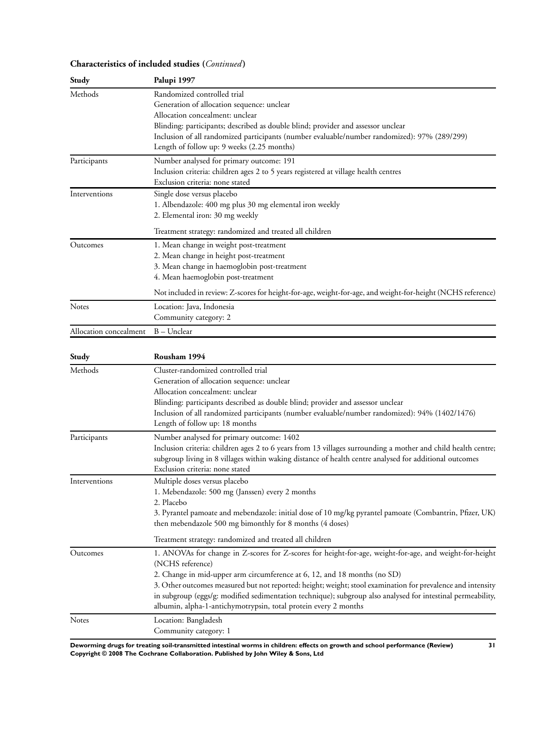| Study                  | Palupi 1997                                                                                                                                                                                                                                                                                                                                 |
|------------------------|---------------------------------------------------------------------------------------------------------------------------------------------------------------------------------------------------------------------------------------------------------------------------------------------------------------------------------------------|
| Methods                | Randomized controlled trial<br>Generation of allocation sequence: unclear<br>Allocation concealment: unclear<br>Blinding: participants; described as double blind; provider and assessor unclear                                                                                                                                            |
|                        | Inclusion of all randomized participants (number evaluable/number randomized): 97% (289/299)<br>Length of follow up: 9 weeks (2.25 months)                                                                                                                                                                                                  |
| Participants           | Number analysed for primary outcome: 191<br>Inclusion criteria: children ages 2 to 5 years registered at village health centres<br>Exclusion criteria: none stated                                                                                                                                                                          |
| Interventions          | Single dose versus placebo<br>1. Albendazole: 400 mg plus 30 mg elemental iron weekly<br>2. Elemental iron: 30 mg weekly                                                                                                                                                                                                                    |
|                        | Treatment strategy: randomized and treated all children                                                                                                                                                                                                                                                                                     |
| Outcomes               | 1. Mean change in weight post-treatment<br>2. Mean change in height post-treatment<br>3. Mean change in haemoglobin post-treatment<br>4. Mean haemoglobin post-treatment                                                                                                                                                                    |
|                        | Not included in review: Z-scores for height-for-age, weight-for-age, and weight-for-height (NCHS reference)                                                                                                                                                                                                                                 |
| Notes                  | Location: Java, Indonesia<br>Community category: 2                                                                                                                                                                                                                                                                                          |
| Allocation concealment | B – Unclear                                                                                                                                                                                                                                                                                                                                 |
| Study                  | Rousham 1994                                                                                                                                                                                                                                                                                                                                |
| Methods                | Cluster-randomized controlled trial<br>Generation of allocation sequence: unclear<br>Allocation concealment: unclear<br>Blinding: participants described as double blind; provider and assessor unclear<br>Inclusion of all randomized participants (number evaluable/number randomized): 94% (1402/1476)<br>Length of follow up: 18 months |
| Participants           | Number analysed for primary outcome: 1402<br>Inclusion criteria: children ages 2 to 6 years from 13 villages surrounding a mother and child health centre;<br>subgroup living in 8 villages within waking distance of health centre analysed for additional outcomes<br>Exclusion criteria: none stated                                     |
| Interventions          | Multiple doses versus placebo<br>1. Mebendazole: 500 mg (Janssen) every 2 months<br>2. Placebo                                                                                                                                                                                                                                              |

3. Pyrantel pamoate and mebendazole: initial dose of 10 mg/kg pyrantel pamoate (Combantrin, Pfizer, UK) then mebendazole 500 mg bimonthly for 8 months (4 doses) Treatment strategy: randomized and treated all children Outcomes 1. ANOVAs for change in Z-scores for Z-scores for height-for-age, weight-for-age, and weight-for-height (NCHS reference) 2. Change in mid-upper arm circumference at 6, 12, and 18 months (no SD) 3. Other outcomes measured but not reported: height; weight; stool examination for prevalence and intensity in subgroup (eggs/g: modified sedimentation technique); subgroup also analysed for intestinal permeability, albumin, alpha-1-antichymotrypsin, total protein every 2 months

Community category: 1 **Deworming drugs for treating soil-transmitted intestinal worms in children: effects on growth and school performance (Review) 31 Copyright © 2008 The Cochrane Collaboration. Published by John Wiley & Sons, Ltd**

Notes Location: Bangladesh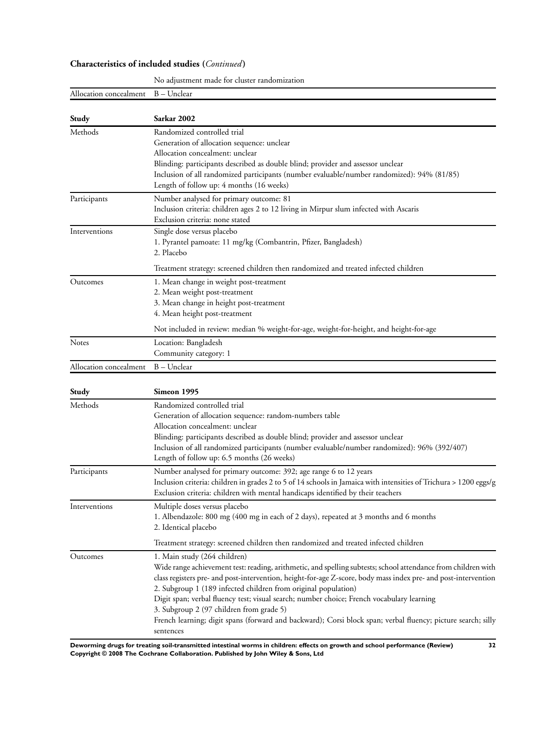No adjustment made for cluster randomization

|                        | I TO acquisitinent made for chister randomization                                                                                                                                                                                                                                                                                                                                                                                                                          |
|------------------------|----------------------------------------------------------------------------------------------------------------------------------------------------------------------------------------------------------------------------------------------------------------------------------------------------------------------------------------------------------------------------------------------------------------------------------------------------------------------------|
| Allocation concealment | B – Unclear                                                                                                                                                                                                                                                                                                                                                                                                                                                                |
| Study                  | Sarkar 2002                                                                                                                                                                                                                                                                                                                                                                                                                                                                |
| Methods                | Randomized controlled trial<br>Generation of allocation sequence: unclear<br>Allocation concealment: unclear<br>Blinding: participants described as double blind; provider and assessor unclear<br>Inclusion of all randomized participants (number evaluable/number randomized): 94% (81/85)<br>Length of follow up: 4 months (16 weeks)                                                                                                                                  |
| Participants           | Number analysed for primary outcome: 81<br>Inclusion criteria: children ages 2 to 12 living in Mirpur slum infected with Ascaris<br>Exclusion criteria: none stated                                                                                                                                                                                                                                                                                                        |
| Interventions          | Single dose versus placebo<br>1. Pyrantel pamoate: 11 mg/kg (Combantrin, Pfizer, Bangladesh)<br>2. Placebo                                                                                                                                                                                                                                                                                                                                                                 |
| Outcomes               | Treatment strategy: screened children then randomized and treated infected children<br>1. Mean change in weight post-treatment<br>2. Mean weight post-treatment<br>3. Mean change in height post-treatment<br>4. Mean height post-treatment                                                                                                                                                                                                                                |
|                        | Not included in review: median % weight-for-age, weight-for-height, and height-for-age                                                                                                                                                                                                                                                                                                                                                                                     |
| Notes                  | Location: Bangladesh<br>Community category: 1                                                                                                                                                                                                                                                                                                                                                                                                                              |
| Allocation concealment | $B -$ Unclear                                                                                                                                                                                                                                                                                                                                                                                                                                                              |
| Study                  | Simeon 1995                                                                                                                                                                                                                                                                                                                                                                                                                                                                |
| Methods                | Randomized controlled trial<br>Generation of allocation sequence: random-numbers table<br>Allocation concealment: unclear<br>Blinding: participants described as double blind; provider and assessor unclear<br>Inclusion of all randomized participants (number evaluable/number randomized): 96% (392/407)<br>Length of follow up: 6.5 months (26 weeks)                                                                                                                 |
| Participants           | Number analysed for primary outcome: 392; age range 6 to 12 years<br>Inclusion criteria: children in grades 2 to 5 of 14 schools in Jamaica with intensities of Trichura > 1200 eggs/g<br>Exclusion criteria: children with mental handicaps identified by their teachers                                                                                                                                                                                                  |
| Interventions          | Multiple doses versus placebo<br>1. Albendazole: 800 mg (400 mg in each of 2 days), repeated at 3 months and 6 months<br>2. Identical placebo                                                                                                                                                                                                                                                                                                                              |
|                        | Treatment strategy: screened children then randomized and treated infected children                                                                                                                                                                                                                                                                                                                                                                                        |
| Outcomes               | 1. Main study (264 children)<br>Wide range achievement test: reading, arithmetic, and spelling subtests; school attendance from children with<br>class registers pre- and post-intervention, height-for-age Z-score, body mass index pre- and post-intervention<br>2. Subgroup 1 (189 infected children from original population)<br>Digit span; verbal fluency test; visual search; number choice; French vocabulary learning<br>3. Subgroup 2 (97 children from grade 5) |

French learning; digit spans (forward and backward); Corsi block span; verbal fluency; picture search; silly sentences

**Deworming drugs for treating soil-transmitted intestinal worms in children: effects on growth and school performance (Review) 32 Copyright © 2008 The Cochrane Collaboration. Published by John Wiley & Sons, Ltd**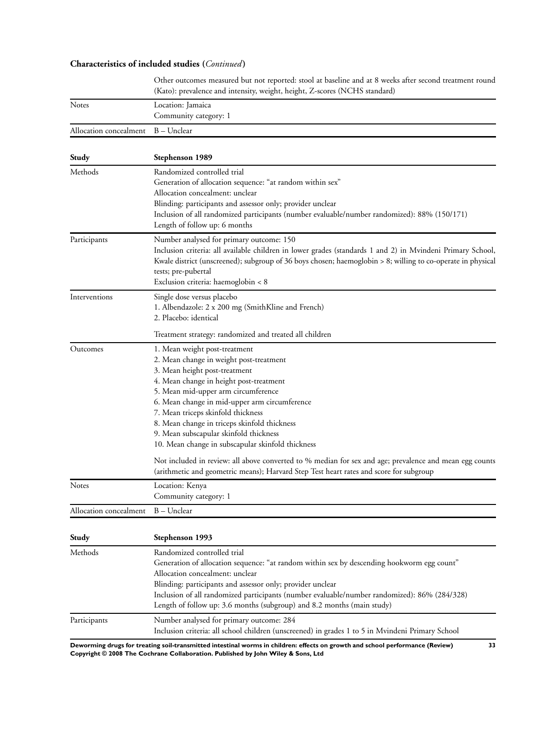Other outcomes measured but not reported: stool at baseline and at 8 weeks after second treatment round (Kato): prevalence and intensity, weight, height, Z-scores (NCHS standard)

| Notes                              | Location: Jamaica     |
|------------------------------------|-----------------------|
|                                    | Community category: 1 |
| Allocation concealment B - Unclear |                       |

| Study                  | Stephenson 1989                                                                                                                                                                                                                                                                                                                                                                                                                   |
|------------------------|-----------------------------------------------------------------------------------------------------------------------------------------------------------------------------------------------------------------------------------------------------------------------------------------------------------------------------------------------------------------------------------------------------------------------------------|
| Methods                | Randomized controlled trial<br>Generation of allocation sequence: "at random within sex"<br>Allocation concealment: unclear<br>Blinding: participants and assessor only; provider unclear<br>Inclusion of all randomized participants (number evaluable/number randomized): 88% (150/171)<br>Length of follow up: 6 months                                                                                                        |
| Participants           | Number analysed for primary outcome: 150<br>Inclusion criteria: all available children in lower grades (standards 1 and 2) in Mvindeni Primary School,<br>Kwale district (unscreened); subgroup of 36 boys chosen; haemoglobin > 8; willing to co-operate in physical<br>tests; pre-pubertal<br>Exclusion criteria: haemoglobin < 8                                                                                               |
| Interventions          | Single dose versus placebo<br>1. Albendazole: 2 x 200 mg (SmithKline and French)<br>2. Placebo: identical                                                                                                                                                                                                                                                                                                                         |
|                        | Treatment strategy: randomized and treated all children                                                                                                                                                                                                                                                                                                                                                                           |
| Outcomes               | 1. Mean weight post-treatment<br>2. Mean change in weight post-treatment<br>3. Mean height post-treatment<br>4. Mean change in height post-treatment<br>5. Mean mid-upper arm circumference<br>6. Mean change in mid-upper arm circumference<br>7. Mean triceps skinfold thickness<br>8. Mean change in triceps skinfold thickness<br>9. Mean subscapular skinfold thickness<br>10. Mean change in subscapular skinfold thickness |
|                        | Not included in review: all above converted to % median for sex and age; prevalence and mean egg counts<br>(arithmetic and geometric means); Harvard Step Test heart rates and score for subgroup                                                                                                                                                                                                                                 |
| Notes                  | Location: Kenya<br>Community category: 1                                                                                                                                                                                                                                                                                                                                                                                          |
| Allocation concealment | B - Unclear                                                                                                                                                                                                                                                                                                                                                                                                                       |

| Study        | Stephenson 1993                                                                                                                                                                                                                                                                                                                                                                                      |
|--------------|------------------------------------------------------------------------------------------------------------------------------------------------------------------------------------------------------------------------------------------------------------------------------------------------------------------------------------------------------------------------------------------------------|
| Methods      | Randomized controlled trial<br>Generation of allocation sequence: "at random within sex by descending hookworm egg count"<br>Allocation concealment: unclear<br>Blinding: participants and assessor only; provider unclear<br>Inclusion of all randomized participants (number evaluable/number randomized): 86% (284/328)<br>Length of follow up: 3.6 months (subgroup) and 8.2 months (main study) |
| Participants | Number analysed for primary outcome: 284<br>Inclusion criteria: all school children (unscreened) in grades 1 to 5 in Mvindeni Primary School                                                                                                                                                                                                                                                         |

**Deworming drugs for treating soil-transmitted intestinal worms in children: effects on growth and school performance (Review) 33 Copyright © 2008 The Cochrane Collaboration. Published by John Wiley & Sons, Ltd**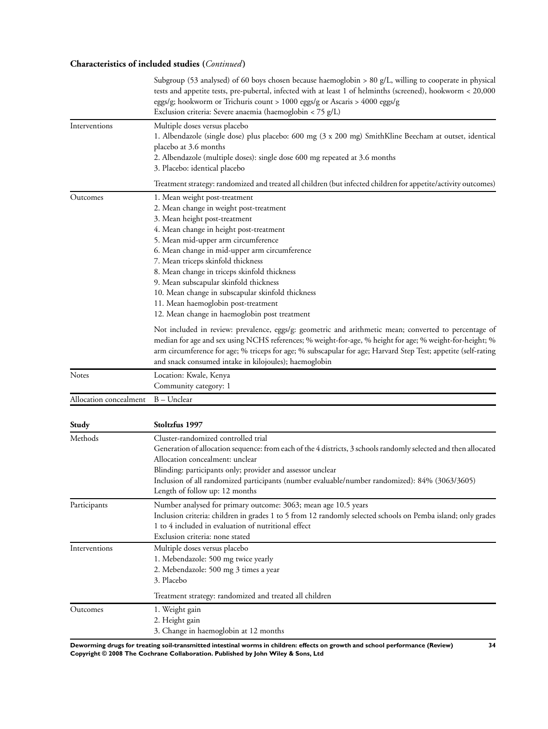# **Characteristics of included studies (***Continued* **)**

|                        | Subgroup (53 analysed) of 60 boys chosen because haemoglobin $> 80$ g/L, willing to cooperate in physical<br>tests and appetite tests, pre-pubertal, infected with at least 1 of helminths (screened), hookworm < 20,000<br>eggs/g; hookworm or Trichuris count > 1000 eggs/g or Ascaris > 4000 eggs/g<br>Exclusion criteria: Severe anaemia (haemoglobin < 75 g/L)                                                                                                                                                       |  |  |  |  |
|------------------------|---------------------------------------------------------------------------------------------------------------------------------------------------------------------------------------------------------------------------------------------------------------------------------------------------------------------------------------------------------------------------------------------------------------------------------------------------------------------------------------------------------------------------|--|--|--|--|
| Interventions          | Multiple doses versus placebo<br>1. Albendazole (single dose) plus placebo: 600 mg (3 x 200 mg) SmithKline Beecham at outset, identical<br>placebo at 3.6 months<br>2. Albendazole (multiple doses): single dose 600 mg repeated at 3.6 months<br>3. Placebo: identical placebo                                                                                                                                                                                                                                           |  |  |  |  |
|                        | Treatment strategy: randomized and treated all children (but infected children for appetite/activity outcomes)                                                                                                                                                                                                                                                                                                                                                                                                            |  |  |  |  |
| Outcomes               | 1. Mean weight post-treatment<br>2. Mean change in weight post-treatment<br>3. Mean height post-treatment<br>4. Mean change in height post-treatment<br>5. Mean mid-upper arm circumference<br>6. Mean change in mid-upper arm circumference<br>7. Mean triceps skinfold thickness<br>8. Mean change in triceps skinfold thickness<br>9. Mean subscapular skinfold thickness<br>10. Mean change in subscapular skinfold thickness<br>11. Mean haemoglobin post-treatment<br>12. Mean change in haemoglobin post treatment |  |  |  |  |
|                        | Not included in review: prevalence, eggs/g: geometric and arithmetic mean; converted to percentage of<br>median for age and sex using NCHS references; % weight-for-age, % height for age; % weight-for-height; %<br>arm circumference for age; % triceps for age; % subscapular for age; Harvard Step Test; appetite (self-rating<br>and snack consumed intake in kilojoules); haemoglobin                                                                                                                               |  |  |  |  |
| Notes                  | Location: Kwale, Kenya<br>Community category: 1                                                                                                                                                                                                                                                                                                                                                                                                                                                                           |  |  |  |  |
| Allocation concealment | B - Unclear                                                                                                                                                                                                                                                                                                                                                                                                                                                                                                               |  |  |  |  |
| Study                  | Stoltzfus 1997                                                                                                                                                                                                                                                                                                                                                                                                                                                                                                            |  |  |  |  |
| Methods                | Cluster-randomized controlled trial<br>Generation of allocation sequence: from each of the 4 districts, 3 schools randomly selected and then allocated<br>Allocation concealment: unclear<br>Blinding: participants only; provider and assessor unclear<br>Inclusion of all randomized participants (number evaluable/number randomized): 84% (3063/3605)<br>Length of follow up: 12 months                                                                                                                               |  |  |  |  |
| Participants           | Number analysed for primary outcome: 3063; mean age 10.5 years<br>Inclusion criteria: children in grades 1 to 5 from 12 randomly selected schools on Pemba island; only grades<br>1 to 4 included in evaluation of nutritional effect<br>Exclusion criteria: none stated                                                                                                                                                                                                                                                  |  |  |  |  |
| Interventions          | Multiple doses versus placebo<br>1. Mebendazole: 500 mg twice yearly<br>2. Mebendazole: 500 mg 3 times a year<br>3. Placebo                                                                                                                                                                                                                                                                                                                                                                                               |  |  |  |  |
|                        | Treatment strategy: randomized and treated all children                                                                                                                                                                                                                                                                                                                                                                                                                                                                   |  |  |  |  |
| Outcomes               | 1. Weight gain<br>2. Height gain<br>3. Change in haemoglobin at 12 months                                                                                                                                                                                                                                                                                                                                                                                                                                                 |  |  |  |  |

**Deworming drugs for treating soil-transmitted intestinal worms in children: effects on growth and school performance (Review) 34 Copyright © 2008 The Cochrane Collaboration. Published by John Wiley & Sons, Ltd**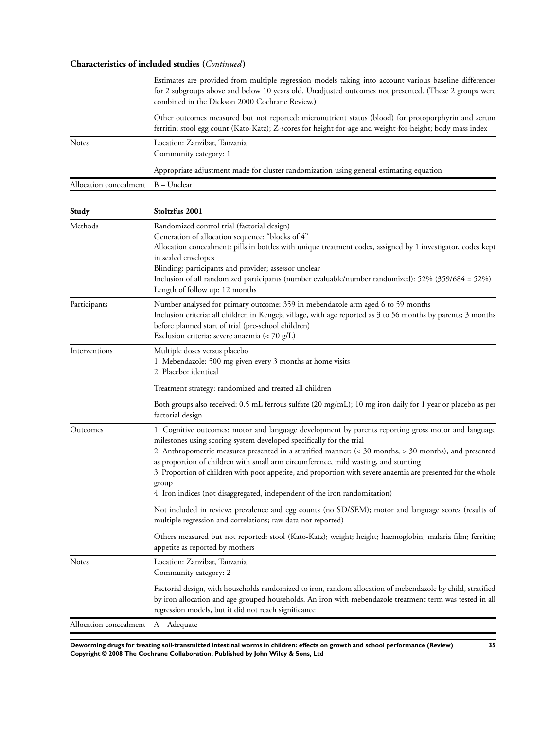#### **Characteristics of included studies (***Continued* **)**

Estimates are provided from multiple regression models taking into account various baseline differences for 2 subgroups above and below 10 years old. Unadjusted outcomes not presented. (These 2 groups were combined in the Dickson 2000 Cochrane Review.)

Other outcomes measured but not reported: micronutrient status (blood) for protoporphyrin and serum ferritin; stool egg count (Kato-Katz); Z-scores for height-for-age and weight-for-height; body mass index

| <b>Notes</b>                       | Location: Zanzibar, Tanzania<br>Community category: 1                                   |
|------------------------------------|-----------------------------------------------------------------------------------------|
|                                    | Appropriate adjustment made for cluster randomization using general estimating equation |
| Allocation concealment B – Unclear |                                                                                         |

| Study                  | Stoltzfus 2001                                                                                                                                                                                                                                                                                                                                                                                                                                                                                                                                                                     |  |  |  |
|------------------------|------------------------------------------------------------------------------------------------------------------------------------------------------------------------------------------------------------------------------------------------------------------------------------------------------------------------------------------------------------------------------------------------------------------------------------------------------------------------------------------------------------------------------------------------------------------------------------|--|--|--|
| Methods                | Randomized control trial (factorial design)<br>Generation of allocation sequence: "blocks of 4"<br>Allocation concealment: pills in bottles with unique treatment codes, assigned by 1 investigator, codes kept<br>in sealed envelopes<br>Blinding: participants and provider; assessor unclear<br>Inclusion of all randomized participants (number evaluable/number randomized): 52% (359/684 = 52%)<br>Length of follow up: 12 months                                                                                                                                            |  |  |  |
| Participants           | Number analysed for primary outcome: 359 in mebendazole arm aged 6 to 59 months<br>Inclusion criteria: all children in Kengeja village, with age reported as 3 to 56 months by parents; 3 months<br>before planned start of trial (pre-school children)<br>Exclusion criteria: severe anaemia (< 70 g/L)                                                                                                                                                                                                                                                                           |  |  |  |
| Interventions          | Multiple doses versus placebo<br>1. Mebendazole: 500 mg given every 3 months at home visits<br>2. Placebo: identical                                                                                                                                                                                                                                                                                                                                                                                                                                                               |  |  |  |
|                        | Treatment strategy: randomized and treated all children                                                                                                                                                                                                                                                                                                                                                                                                                                                                                                                            |  |  |  |
|                        | Both groups also received: 0.5 mL ferrous sulfate (20 mg/mL); 10 mg iron daily for 1 year or placebo as per<br>factorial design                                                                                                                                                                                                                                                                                                                                                                                                                                                    |  |  |  |
| Outcomes               | 1. Cognitive outcomes: motor and language development by parents reporting gross motor and language<br>milestones using scoring system developed specifically for the trial<br>2. Anthropometric measures presented in a stratified manner: (< 30 months, > 30 months), and presented<br>as proportion of children with small arm circumference, mild wasting, and stunting<br>3. Proportion of children with poor appetite, and proportion with severe anaemia are presented for the whole<br>group<br>4. Iron indices (not disaggregated, independent of the iron randomization) |  |  |  |
|                        | Not included in review: prevalence and egg counts (no SD/SEM); motor and language scores (results of<br>multiple regression and correlations; raw data not reported)                                                                                                                                                                                                                                                                                                                                                                                                               |  |  |  |
|                        | Others measured but not reported: stool (Kato-Katz); weight; height; haemoglobin; malaria film; ferritin;<br>appetite as reported by mothers                                                                                                                                                                                                                                                                                                                                                                                                                                       |  |  |  |
| Notes                  | Location: Zanzibar, Tanzania<br>Community category: 2                                                                                                                                                                                                                                                                                                                                                                                                                                                                                                                              |  |  |  |
|                        | Factorial design, with households randomized to iron, random allocation of mebendazole by child, stratified<br>by iron allocation and age grouped households. An iron with mebendazole treatment term was tested in all<br>regression models, but it did not reach significance                                                                                                                                                                                                                                                                                                    |  |  |  |
| Allocation concealment | A – Adequate                                                                                                                                                                                                                                                                                                                                                                                                                                                                                                                                                                       |  |  |  |

**Deworming drugs for treating soil-transmitted intestinal worms in children: effects on growth and school performance (Review) 35 Copyright © 2008 The Cochrane Collaboration. Published by John Wiley & Sons, Ltd**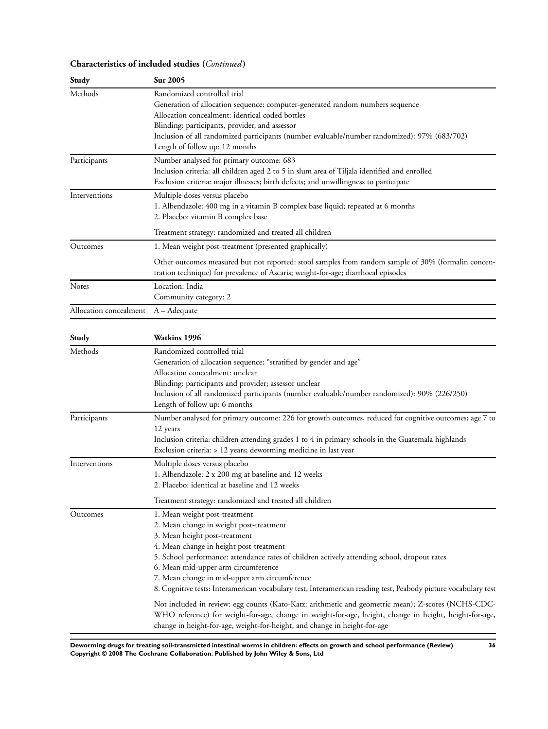# **Characteristics of included studies (***Continued* **)**

| Study                  | Sur 2005                                                                                                                                                                                                                                                                                                                                                                                                                                                                                                                                                                                                                                                                                                                                                    |  |  |  |  |
|------------------------|-------------------------------------------------------------------------------------------------------------------------------------------------------------------------------------------------------------------------------------------------------------------------------------------------------------------------------------------------------------------------------------------------------------------------------------------------------------------------------------------------------------------------------------------------------------------------------------------------------------------------------------------------------------------------------------------------------------------------------------------------------------|--|--|--|--|
| Methods                | Randomized controlled trial<br>Generation of allocation sequence: computer-generated random numbers sequence<br>Allocation concealment: identical coded bottles<br>Blinding: participants, provider, and assessor<br>Inclusion of all randomized participants (number evaluable/number randomized): 97% (683/702)<br>Length of follow up: 12 months                                                                                                                                                                                                                                                                                                                                                                                                         |  |  |  |  |
| Participants           | Number analysed for primary outcome: 683<br>Inclusion criteria: all children aged 2 to 5 in slum area of Tiljala identified and enrolled<br>Exclusion criteria: major illnesses; birth defects; and unwillingness to participate                                                                                                                                                                                                                                                                                                                                                                                                                                                                                                                            |  |  |  |  |
| Interventions          | Multiple doses versus placebo<br>1. Albendazole: 400 mg in a vitamin B complex base liquid; repeated at 6 months<br>2. Placebo: vitamin B complex base                                                                                                                                                                                                                                                                                                                                                                                                                                                                                                                                                                                                      |  |  |  |  |
|                        | Treatment strategy: randomized and treated all children                                                                                                                                                                                                                                                                                                                                                                                                                                                                                                                                                                                                                                                                                                     |  |  |  |  |
| Outcomes               | 1. Mean weight post-treatment (presented graphically)                                                                                                                                                                                                                                                                                                                                                                                                                                                                                                                                                                                                                                                                                                       |  |  |  |  |
|                        | Other outcomes measured but not reported: stool samples from random sample of 30% (formalin concen-<br>tration technique) for prevalence of Ascaris; weight-for-age; diarrhoeal episodes                                                                                                                                                                                                                                                                                                                                                                                                                                                                                                                                                                    |  |  |  |  |
| <b>Notes</b>           | Location: India<br>Community category: 2                                                                                                                                                                                                                                                                                                                                                                                                                                                                                                                                                                                                                                                                                                                    |  |  |  |  |
| Allocation concealment | $A - Adequate$                                                                                                                                                                                                                                                                                                                                                                                                                                                                                                                                                                                                                                                                                                                                              |  |  |  |  |
| Study                  | Watkins 1996                                                                                                                                                                                                                                                                                                                                                                                                                                                                                                                                                                                                                                                                                                                                                |  |  |  |  |
| Methods                | Randomized controlled trial<br>Generation of allocation sequence: "stratified by gender and age"<br>Allocation concealment: unclear<br>Blinding: participants and provider; assessor unclear<br>Inclusion of all randomized participants (number evaluable/number randomized): 90% (226/250)<br>Length of follow up: 6 months                                                                                                                                                                                                                                                                                                                                                                                                                               |  |  |  |  |
| Participants           | Number analysed for primary outcome: 226 for growth outcomes, reduced for cognitive outcomes; age 7 to<br>12 years<br>Inclusion criteria: children attending grades 1 to 4 in primary schools in the Guatemala highlands<br>Exclusion criteria: > 12 years; deworming medicine in last year                                                                                                                                                                                                                                                                                                                                                                                                                                                                 |  |  |  |  |
| Interventions          | Multiple doses versus placebo<br>1. Albendazole: 2 x 200 mg at baseline and 12 weeks<br>2. Placebo: identical at baseline and 12 weeks<br>Treatment strategy: randomized and treated all children                                                                                                                                                                                                                                                                                                                                                                                                                                                                                                                                                           |  |  |  |  |
| Outcomes               | 1. Mean weight post-treatment<br>2. Mean change in weight post-treatment<br>3. Mean height post-treatment<br>4. Mean change in height post-treatment<br>5. School performance: attendance rates of children actively attending school, dropout rates<br>6. Mean mid-upper arm circumference<br>7. Mean change in mid-upper arm circumference<br>8. Cognitive tests: Interamerican vocabulary test, Interamerican reading test, Peabody picture vocabulary test<br>Not included in review: egg counts (Kato-Katz: arithmetic and geometric mean); Z-scores (NCHS-CDC-<br>WHO reference) for weight-for-age, change in weight-for-age, height, change in height, height-for-age,<br>change in height-for-age, weight-for-height, and change in height-for-age |  |  |  |  |

**Deworming drugs for treating soil-transmitted intestinal worms in children: effects on growth and school performance (Review) 36 Copyright © 2008 The Cochrane Collaboration. Published by John Wiley & Sons, Ltd**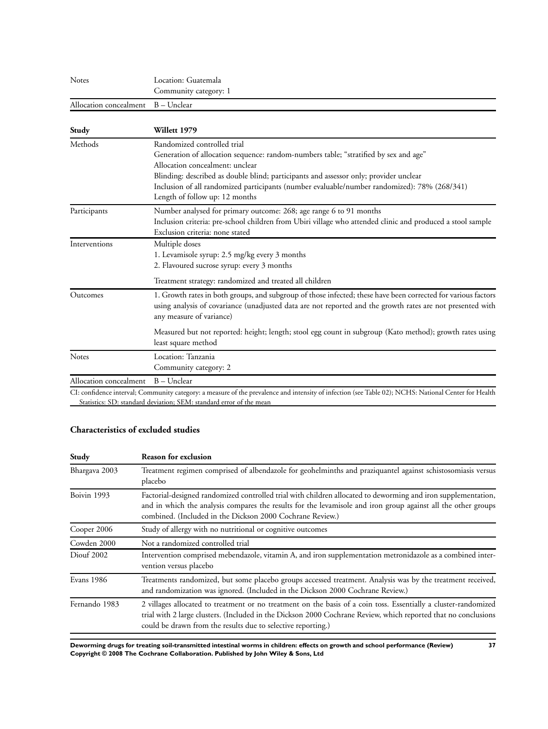| Notes                  | Location: Guatemala                                                                                                                                                                                                                                                                                                                                                               |  |  |  |
|------------------------|-----------------------------------------------------------------------------------------------------------------------------------------------------------------------------------------------------------------------------------------------------------------------------------------------------------------------------------------------------------------------------------|--|--|--|
|                        | Community category: 1                                                                                                                                                                                                                                                                                                                                                             |  |  |  |
| Allocation concealment | B - Unclear                                                                                                                                                                                                                                                                                                                                                                       |  |  |  |
| Study                  | Willett 1979                                                                                                                                                                                                                                                                                                                                                                      |  |  |  |
| Methods                | Randomized controlled trial<br>Generation of allocation sequence: random-numbers table; "stratified by sex and age"<br>Allocation concealment: unclear<br>Blinding: described as double blind; participants and assessor only; provider unclear<br>Inclusion of all randomized participants (number evaluable/number randomized): 78% (268/341)<br>Length of follow up: 12 months |  |  |  |
| Participants           | Number analysed for primary outcome: 268; age range 6 to 91 months<br>Inclusion criteria: pre-school children from Ubiri village who attended clinic and produced a stool sample<br>Exclusion criteria: none stated                                                                                                                                                               |  |  |  |
| Interventions          | Multiple doses<br>1. Levamisole syrup: 2.5 mg/kg every 3 months<br>2. Flavoured sucrose syrup: every 3 months                                                                                                                                                                                                                                                                     |  |  |  |
|                        | Treatment strategy: randomized and treated all children                                                                                                                                                                                                                                                                                                                           |  |  |  |
| Outcomes               | 1. Growth rates in both groups, and subgroup of those infected; these have been corrected for various factors<br>using analysis of covariance (unadjusted data are not reported and the growth rates are not presented with<br>any measure of variance)                                                                                                                           |  |  |  |
|                        | Measured but not reported: height; length; stool egg count in subgroup (Kato method); growth rates using<br>least square method                                                                                                                                                                                                                                                   |  |  |  |
| Notes                  | Location: Tanzania<br>Community category: 2                                                                                                                                                                                                                                                                                                                                       |  |  |  |
| Allocation concealment | B - Unclear                                                                                                                                                                                                                                                                                                                                                                       |  |  |  |
|                        | CI: confidence interval; Community category: a measure of the prevalence and intensity of infection (see Table 02); NCHS: National Center for Health                                                                                                                                                                                                                              |  |  |  |

CI: confidence interval; Community category: a measure of the prevalence and intensity of infection (see Table 02); NCHS: National Center for Health Statistics: SD: standard deviation; SEM: standard error of the mean

# **Characteristics of excluded studies**

| Study                                                                                                                                                                                                                                                                                                      | <b>Reason for exclusion</b>                                                                                                                                                                                                                                                                       |  |  |  |  |
|------------------------------------------------------------------------------------------------------------------------------------------------------------------------------------------------------------------------------------------------------------------------------------------------------------|---------------------------------------------------------------------------------------------------------------------------------------------------------------------------------------------------------------------------------------------------------------------------------------------------|--|--|--|--|
| Bhargava 2003                                                                                                                                                                                                                                                                                              | Treatment regimen comprised of albendazole for geohelminths and praziquantel against schistosomiasis versus<br>placebo                                                                                                                                                                            |  |  |  |  |
| Boivin 1993<br>Factorial-designed randomized controlled trial with children allocated to deworming and iron supplementation,<br>and in which the analysis compares the results for the levamisole and iron group against all the other groups<br>combined. (Included in the Dickson 2000 Cochrane Review.) |                                                                                                                                                                                                                                                                                                   |  |  |  |  |
| Cooper 2006                                                                                                                                                                                                                                                                                                | Study of allergy with no nutritional or cognitive outcomes                                                                                                                                                                                                                                        |  |  |  |  |
| Cowden 2000                                                                                                                                                                                                                                                                                                | Not a randomized controlled trial                                                                                                                                                                                                                                                                 |  |  |  |  |
| Diouf 2002                                                                                                                                                                                                                                                                                                 | Intervention comprised mebendazole, vitamin A, and iron supplementation metronidazole as a combined inter-<br>vention versus placebo                                                                                                                                                              |  |  |  |  |
| Treatments randomized, but some placebo groups accessed treatment. Analysis was by the treatment received,<br><b>Evans 1986</b><br>and randomization was ignored. (Included in the Dickson 2000 Cochrane Review.)                                                                                          |                                                                                                                                                                                                                                                                                                   |  |  |  |  |
| Fernando 1983                                                                                                                                                                                                                                                                                              | 2 villages allocated to treatment or no treatment on the basis of a coin toss. Essentially a cluster-randomized<br>trial with 2 large clusters. (Included in the Dickson 2000 Cochrane Review, which reported that no conclusions<br>could be drawn from the results due to selective reporting.) |  |  |  |  |

**Deworming drugs for treating soil-transmitted intestinal worms in children: effects on growth and school performance (Review) 37 Copyright © 2008 The Cochrane Collaboration. Published by John Wiley & Sons, Ltd**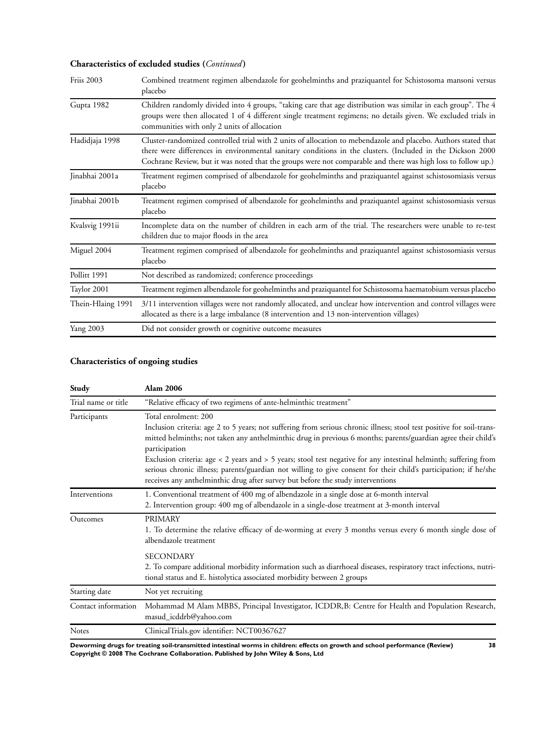### **Characteristics of excluded studies (***Continued* **)**

| Friis 2003<br>Combined treatment regimen albendazole for geohelminths and praziquantel for Schistosoma mansoni versus<br>placebo |                                                                                                                                                                                                                                                                                                                                              |  |  |
|----------------------------------------------------------------------------------------------------------------------------------|----------------------------------------------------------------------------------------------------------------------------------------------------------------------------------------------------------------------------------------------------------------------------------------------------------------------------------------------|--|--|
| Gupta 1982                                                                                                                       | Children randomly divided into 4 groups, "taking care that age distribution was similar in each group". The 4<br>groups were then allocated 1 of 4 different single treatment regimens; no details given. We excluded trials in<br>communities with only 2 units of allocation                                                               |  |  |
| Hadidjaja 1998                                                                                                                   | Cluster-randomized controlled trial with 2 units of allocation to mebendazole and placebo. Authors stated that<br>there were differences in environmental sanitary conditions in the clusters. (Included in the Dickson 2000<br>Cochrane Review, but it was noted that the groups were not comparable and there was high loss to follow up.) |  |  |
| Jinabhai 2001a                                                                                                                   | Treatment regimen comprised of albendazole for geohelminths and praziquantel against schistosomiasis versus<br>placebo                                                                                                                                                                                                                       |  |  |
| Jinabhai 2001b                                                                                                                   | Treatment regimen comprised of albendazole for geohelminths and praziquantel against schistosomiasis versus<br>placebo                                                                                                                                                                                                                       |  |  |
| Kvalsvig 1991ii                                                                                                                  | Incomplete data on the number of children in each arm of the trial. The researchers were unable to re-test<br>children due to major floods in the area                                                                                                                                                                                       |  |  |
| Miguel 2004                                                                                                                      | Treatment regimen comprised of albendazole for geohelminths and praziquantel against schistosomiasis versus<br>placebo                                                                                                                                                                                                                       |  |  |
| Pollitt 1991                                                                                                                     | Not described as randomized; conference proceedings                                                                                                                                                                                                                                                                                          |  |  |
| Taylor 2001                                                                                                                      | Treatment regimen albendazole for geohelminths and praziquantel for Schistosoma haematobium versus placebo                                                                                                                                                                                                                                   |  |  |
| Thein-Hlaing 1991                                                                                                                | 3/11 intervention villages were not randomly allocated, and unclear how intervention and control villages were<br>allocated as there is a large imbalance (8 intervention and 13 non-intervention villages)                                                                                                                                  |  |  |
| Yang 2003                                                                                                                        | Did not consider growth or cognitive outcome measures                                                                                                                                                                                                                                                                                        |  |  |

# **Characteristics of ongoing studies**

| Study               | <b>Alam 2006</b>                                                                                                                                                                                                                                                                                                                                                                                                                                                                                                                                                                                               |  |  |  |  |
|---------------------|----------------------------------------------------------------------------------------------------------------------------------------------------------------------------------------------------------------------------------------------------------------------------------------------------------------------------------------------------------------------------------------------------------------------------------------------------------------------------------------------------------------------------------------------------------------------------------------------------------------|--|--|--|--|
| Trial name or title | "Relative efficacy of two regimens of ante-helminthic treatment"                                                                                                                                                                                                                                                                                                                                                                                                                                                                                                                                               |  |  |  |  |
| Participants        | Total enrolment: 200<br>Inclusion criteria: age 2 to 5 years; not suffering from serious chronic illness; stool test positive for soil-trans-<br>mitted helminths; not taken any anthelminthic drug in previous 6 months; parents/guardian agree their child's<br>participation<br>Exclusion criteria: $age < 2$ years and $> 5$ years; stool test negative for any intestinal helminth; suffering from<br>serious chronic illness; parents/guardian not willing to give consent for their child's participation; if he/she<br>receives any anthelminthic drug after survey but before the study interventions |  |  |  |  |
| Interventions       | 1. Conventional treatment of 400 mg of albendazole in a single dose at 6-month interval<br>2. Intervention group: 400 mg of albendazole in a single-dose treatment at 3-month interval                                                                                                                                                                                                                                                                                                                                                                                                                         |  |  |  |  |
| Outcomes            | <b>PRIMARY</b><br>1. To determine the relative efficacy of de-worming at every 3 months versus every 6 month single dose of<br>albendazole treatment                                                                                                                                                                                                                                                                                                                                                                                                                                                           |  |  |  |  |
|                     | <b>SECONDARY</b><br>2. To compare additional morbidity information such as diarrhoeal diseases, respiratory tract infections, nutri-<br>tional status and E. histolytica associated morbidity between 2 groups                                                                                                                                                                                                                                                                                                                                                                                                 |  |  |  |  |
| Starting date       | Not yet recruiting                                                                                                                                                                                                                                                                                                                                                                                                                                                                                                                                                                                             |  |  |  |  |
| Contact information | Mohammad M Alam MBBS, Principal Investigator, ICDDR, B: Centre for Health and Population Research,<br>masud_icddrb@yahoo.com                                                                                                                                                                                                                                                                                                                                                                                                                                                                                   |  |  |  |  |
| Notes               | ClinicalTrials.gov identifier: NCT00367627                                                                                                                                                                                                                                                                                                                                                                                                                                                                                                                                                                     |  |  |  |  |

**Deworming drugs for treating soil-transmitted intestinal worms in children: effects on growth and school performance (Review) 38 Copyright © 2008 The Cochrane Collaboration. Published by John Wiley & Sons, Ltd**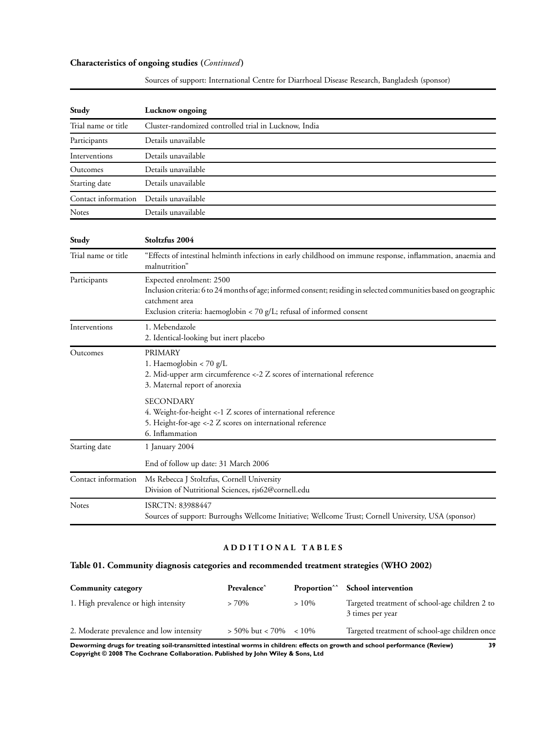# **Characteristics of ongoing studies (***Continued* **)**

### Sources of support: International Centre for Diarrhoeal Disease Research, Bangladesh (sponsor)

| Lucknow ongoing<br>Study |                                                                                                                                                                                                                                          |  |  |  |
|--------------------------|------------------------------------------------------------------------------------------------------------------------------------------------------------------------------------------------------------------------------------------|--|--|--|
| Trial name or title      | Cluster-randomized controlled trial in Lucknow, India                                                                                                                                                                                    |  |  |  |
| Participants             | Details unavailable                                                                                                                                                                                                                      |  |  |  |
| Interventions            | Details unavailable                                                                                                                                                                                                                      |  |  |  |
| Outcomes                 | Details unavailable                                                                                                                                                                                                                      |  |  |  |
| Starting date            | Details unavailable                                                                                                                                                                                                                      |  |  |  |
| Contact information      | Details unavailable                                                                                                                                                                                                                      |  |  |  |
| Notes                    | Details unavailable                                                                                                                                                                                                                      |  |  |  |
| Study                    | Stoltzfus 2004                                                                                                                                                                                                                           |  |  |  |
| Trial name or title      | Effects of intestinal helminth infections in early childhood on immune response, inflammation, anaemia and<br>malnutrition"                                                                                                              |  |  |  |
| Participants             | Expected enrolment: 2500<br>Inclusion criteria: 6 to 24 months of age; informed consent; residing in selected communities based on geographic<br>catchment area<br>Exclusion criteria: haemoglobin < 70 g/L; refusal of informed consent |  |  |  |
| Interventions            | 1. Mebendazole<br>2. Identical-looking but inert placebo                                                                                                                                                                                 |  |  |  |
| Outcomes                 | <b>PRIMARY</b><br>1. Haemoglobin < 70 g/L<br>2. Mid-upper arm circumference <- 2 Z scores of international reference<br>3. Maternal report of anorexia                                                                                   |  |  |  |
|                          | <b>SECONDARY</b><br>4. Weight-for-height <-1 Z scores of international reference<br>5. Height-for-age <-2 Z scores on international reference<br>6. Inflammation                                                                         |  |  |  |
| Starting date            | 1 January 2004                                                                                                                                                                                                                           |  |  |  |
|                          | End of follow up date: 31 March 2006                                                                                                                                                                                                     |  |  |  |
| Contact information      | Ms Rebecca J Stoltzfus, Cornell University<br>Division of Nutritional Sciences, rjs62@cornell.edu                                                                                                                                        |  |  |  |
| Notes                    | ISRCTN: 83988447<br>Sources of support: Burroughs Wellcome Initiative; Wellcome Trust; Cornell University, USA (sponsor)                                                                                                                 |  |  |  |

### **A D D I T I O N A L T A B L E S**

# **Table 01. Community diagnosis categories and recommended treatment strategies (WHO 2002)**

| Community category                       | Prevalence <sup>^</sup>  |         | Proportion <sup>**</sup> School intervention                       |
|------------------------------------------|--------------------------|---------|--------------------------------------------------------------------|
| 1. High prevalence or high intensity     | $> 70\%$                 | $>10\%$ | Targeted treatment of school-age children 2 to<br>3 times per year |
| 2. Moderate prevalence and low intensity | $> 50\%$ but < 70% < 10% |         | Targeted treatment of school-age children once                     |

**Deworming drugs for treating soil-transmitted intestinal worms in children: effects on growth and school performance (Review) 39 Copyright © 2008 The Cochrane Collaboration. Published by John Wiley & Sons, Ltd**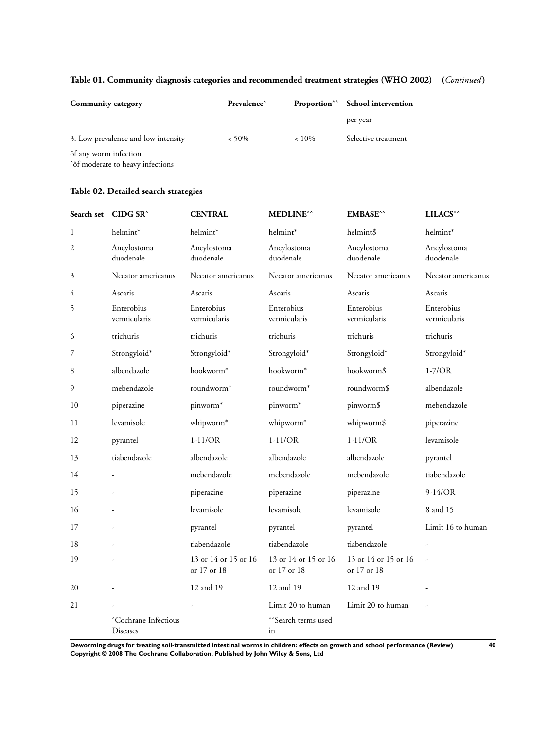# **Table 01. Community diagnosis categories and recommended treatment strategies (WHO 2002) (***Continued* **)**

| <b>Community category</b>           | Prevalence <sup>^</sup> |           | Proportion <sup>**</sup> School intervention |
|-------------------------------------|-------------------------|-----------|----------------------------------------------|
|                                     |                         |           | per year                                     |
| 3. Low prevalence and low intensity | $< 50\%$                | $~< 10\%$ | Selective treatment                          |
| ôf any worm infection               |                         |           |                                              |

ˆôf moderate to heavy infections

# **Table 02. Detailed search strategies**

|                | Search set CIDG SR^                                 | <b>CENTRAL</b>                      | <b>MEDLINE^^</b>                      | EMBASE <sup>^^</sup>                | LILACS <sup>^^</sup>       |
|----------------|-----------------------------------------------------|-------------------------------------|---------------------------------------|-------------------------------------|----------------------------|
| $\mathbf{1}$   | helmint*                                            | helmint*                            | helmint*                              | helmint\$                           | helmint*                   |
| $\overline{2}$ | Ancylostoma<br>duodenale                            | Ancylostoma<br>duodenale            | Ancylostoma<br>duodenale              | Ancylostoma<br>duodenale            | Ancylostoma<br>duodenale   |
| 3              | Necator americanus                                  | Necator americanus                  | Necator americanus                    | Necator americanus                  | Necator americanus         |
| 4              | Ascaris                                             | Ascaris                             | Ascaris                               | Ascaris                             | Ascaris                    |
| 5              | Enterobius<br>vermicularis                          | Enterobius<br>vermicularis          | Enterobius<br>vermicularis            | Enterobius<br>vermicularis          | Enterobius<br>vermicularis |
| 6              | trichuris                                           | trichuris                           | trichuris                             | trichuris                           | trichuris                  |
| 7              | Strongyloid*                                        | Strongyloid*                        | Strongyloid*                          | Strongyloid*                        | Strongyloid*               |
| 8              | albendazole                                         | hookworm*                           | hookworm*                             | hookworm\$                          | $1-7/OR$                   |
| 9              | mebendazole                                         | roundworm*                          | roundworm*                            | roundworm\$                         | albendazole                |
| 10             | piperazine                                          | pinworm*                            | pinworm*                              | pinworm\$                           | mebendazole                |
| 11             | levamisole                                          | whipworm*                           | whipworm*                             | whipworm\$                          | piperazine                 |
| 12             | pyrantel                                            | $1-11/OR$                           | $1-11/OR$                             | $1-11/OR$                           | levamisole                 |
| 13             | tiabendazole                                        | albendazole                         | albendazole                           | albendazole                         | pyrantel                   |
| 14             | $\overline{\phantom{a}}$                            | mebendazole                         | mebendazole                           | mebendazole                         | tiabendazole               |
| 15             |                                                     | piperazine                          | piperazine                            | piperazine                          | 9-14/OR                    |
| 16             |                                                     | levamisole                          | levamisole                            | levamisole                          | 8 and 15                   |
| 17             |                                                     | pyrantel                            | pyrantel                              | pyrantel                            | Limit 16 to human          |
| 18             |                                                     | tiabendazole                        | tiabendazole                          | tiabendazole                        |                            |
| 19             |                                                     | 13 or 14 or 15 or 16<br>or 17 or 18 | 13 or 14 or 15 or 16<br>or 17 or 18   | 13 or 14 or 15 or 16<br>or 17 or 18 | L,                         |
| 20             |                                                     | 12 and 19                           | 12 and 19                             | 12 and 19                           |                            |
| 21             |                                                     |                                     | Limit 20 to human                     | Limit 20 to human                   |                            |
|                | <sup>^</sup> Cochrane Infectious<br><b>Diseases</b> |                                     | <sup>^^</sup> Search terms used<br>in |                                     |                            |

**Deworming drugs for treating soil-transmitted intestinal worms in children: effects on growth and school performance (Review) 40 Copyright © 2008 The Cochrane Collaboration. Published by John Wiley & Sons, Ltd**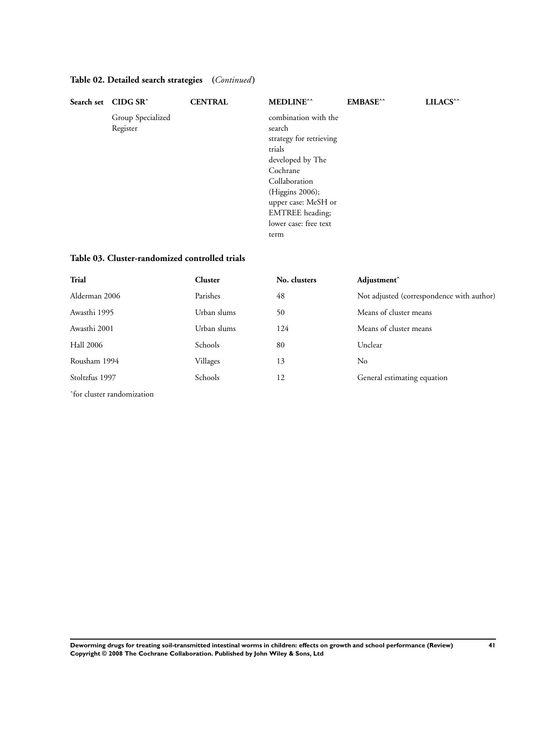| Search set CIDG SR <sup>^</sup> | <b>CENTRAL</b> | <b>MEDLINE</b> <sup>^^</sup>                                                                                                                                                                                      | <b>EMBASE</b> <sup>^^</sup> | LILACS <sup>^^</sup> |
|---------------------------------|----------------|-------------------------------------------------------------------------------------------------------------------------------------------------------------------------------------------------------------------|-----------------------------|----------------------|
| Group Specialized<br>Register   |                | combination with the<br>search<br>strategy for retrieving<br>trials<br>developed by The<br>Cochrane<br>Collaboration<br>(Higgins 2006);<br>upper case: MeSH or<br><b>EMTREE</b> heading;<br>lower case: free text |                             |                      |
|                                 |                | term                                                                                                                                                                                                              |                             |                      |

# **Table 02. Detailed search strategies (***Continued* **)**

### **Table 03. Cluster-randomized controlled trials**

| <b>Trial</b>     | <b>Cluster</b> | No. clusters | Adjustment <sup>^</sup>                   |
|------------------|----------------|--------------|-------------------------------------------|
| Alderman 2006    | Parishes       | 48           | Not adjusted (correspondence with author) |
| Awasthi 1995     | Urban slums    | 50           | Means of cluster means                    |
| Awasthi 2001     | Urban slums    | 124          | Means of cluster means                    |
| <b>Hall 2006</b> | Schools        | 80           | Unclear                                   |
| Rousham 1994     | Villages       | 13           | No                                        |
| Stoltzfus 1997   | Schools        | 12           | General estimating equation               |
|                  |                |              |                                           |

ˆfor cluster randomization

**Deworming drugs for treating soil-transmitted intestinal worms in children: effects on growth and school performance (Review) 41 Copyright © 2008 The Cochrane Collaboration. Published by John Wiley & Sons, Ltd**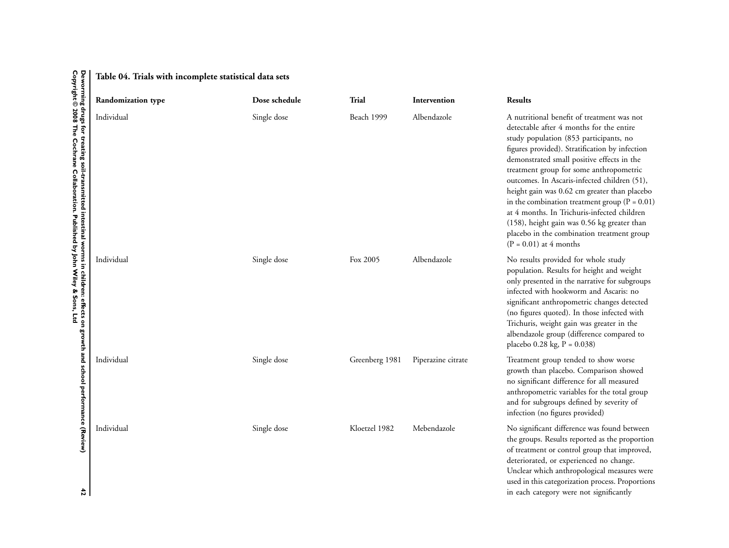#### Deworming drugs for treating soil-transmitted intestinal worms in children: effects on<br>Copyright © 2008 The Cochrane Collaboration. Published by John Wiley & Sons, Ltd **Copyright © 2008 The Cochrane Collaboration. Published by John Wiley & Sons, Ltd42 Deworming drugs for treating soil-transmitted intestinal worms in children: effects on growth and school performance (Review) Table 04. Trials with incomplete statistical data setsRandomization type Dose schedule Trial Intervention Results**Individual Single dose Beach 1999 Albendazole <sup>A</sup> nutritional benefit of treatment was notdetectable after 4 months for the entire study population (853 participants, no figures provided). Stratification by infectiondemonstrated small positive effects in the treatment group for some anthropometric outcomes. In Ascaris-infected children (51), height gain was 0.62 cm greater than <sup>p</sup>laceboin the combination treatment group  $(P = 0.01)$ at 4 months. In Trichuris-infected children (158), height gain was 0.56 kg greater than <sup>p</sup>lacebo in the combination treatment group $(P = 0.01)$  at 4 months Individual Single dose Fox 2005 Albendazole No results provided for whole study population. Results for height and weight only presented in the narrative for subgroupsinfected with hookworm and Ascaris: no significant anthropometric changes detected (no figures quoted). In those infected withTrichuris, weight gain was greater in thegrowth albendazole group (difference compared toplacebo  $0.28 \text{ kg}$ ,  $P = 0.038$ ) and school performance (Review) Individual Single dose Greenberg 1981 Piperazine citrate Treatment group tended to show worse growth than <sup>p</sup>lacebo. Comparison showed no significant difference for all measured anthropometric variables for the total groupand for subgroups defined by severity ofinfection (no figures provided)Individual Single dose Kloetzel 1982 Mebendazole No significant difference was found between the groups. Results reported as the proportion of treatment or control group that improved, deteriorated, or experienced no change. Unclear which anthropological measures were used in this categorization process. Proportions $42$ in each category were not significantly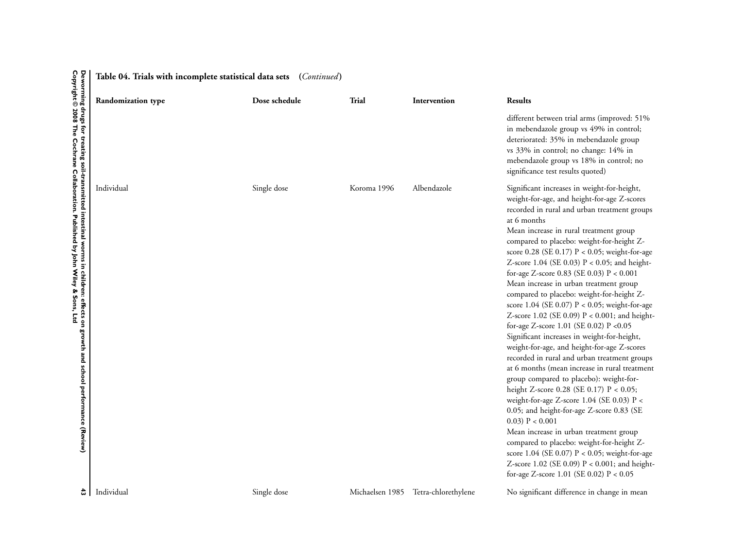| Randomization type | Dose schedule | <b>Trial</b> | Intervention                        | <b>Results</b>                                                                                                                                                                                                                                                                                                                                                                                                                                                                                                                                                                                                                                                                                                                                                                                                                                                                                                                                                                                                                                                                                                                                                                                                                                                                                         |
|--------------------|---------------|--------------|-------------------------------------|--------------------------------------------------------------------------------------------------------------------------------------------------------------------------------------------------------------------------------------------------------------------------------------------------------------------------------------------------------------------------------------------------------------------------------------------------------------------------------------------------------------------------------------------------------------------------------------------------------------------------------------------------------------------------------------------------------------------------------------------------------------------------------------------------------------------------------------------------------------------------------------------------------------------------------------------------------------------------------------------------------------------------------------------------------------------------------------------------------------------------------------------------------------------------------------------------------------------------------------------------------------------------------------------------------|
|                    |               |              |                                     | different between trial arms (improved: 51%<br>in mebendazole group vs 49% in control;<br>deteriorated: 35% in mebendazole group<br>vs 33% in control; no change: 14% in<br>mebendazole group vs 18% in control; no<br>significance test results quoted)                                                                                                                                                                                                                                                                                                                                                                                                                                                                                                                                                                                                                                                                                                                                                                                                                                                                                                                                                                                                                                               |
| Individual         | Single dose   | Koroma 1996  | Albendazole                         | Significant increases in weight-for-height,<br>weight-for-age, and height-for-age Z-scores<br>recorded in rural and urban treatment groups<br>at 6 months<br>Mean increase in rural treatment group<br>compared to placebo: weight-for-height Z-<br>score $0.28$ (SE $0.17$ ) P < 0.05; weight-for-age<br>Z-score 1.04 (SE 0.03) $P < 0.05$ ; and height-<br>for-age Z-score $0.83$ (SE $0.03$ ) P < $0.001$<br>Mean increase in urban treatment group<br>compared to placebo: weight-for-height Z-<br>score $1.04$ (SE 0.07) P < 0.05; weight-for-age<br>Z-score 1.02 (SE 0.09) $P < 0.001$ ; and height-<br>for-age Z-score 1.01 (SE 0.02) P < 0.05<br>Significant increases in weight-for-height,<br>weight-for-age, and height-for-age Z-scores<br>recorded in rural and urban treatment groups<br>at 6 months (mean increase in rural treatment<br>group compared to placebo): weight-for-<br>height Z-score 0.28 (SE 0.17) P < 0.05;<br>weight-for-age Z-score 1.04 (SE 0.03) $P <$<br>0.05; and height-for-age Z-score 0.83 (SE<br>$0.03)$ P < 0.001<br>Mean increase in urban treatment group<br>compared to placebo: weight-for-height Z-<br>score $1.04$ (SE 0.07) P < 0.05; weight-for-age<br>Z-score 1.02 (SE 0.09) $P < 0.001$ ; and height-<br>for-age Z-score 1.01 (SE 0.02) $P < 0.05$ |
| Individual         | Single dose   |              | Michaelsen 1985 Tetra-chlorethylene | No significant difference in change in mean                                                                                                                                                                                                                                                                                                                                                                                                                                                                                                                                                                                                                                                                                                                                                                                                                                                                                                                                                                                                                                                                                                                                                                                                                                                            |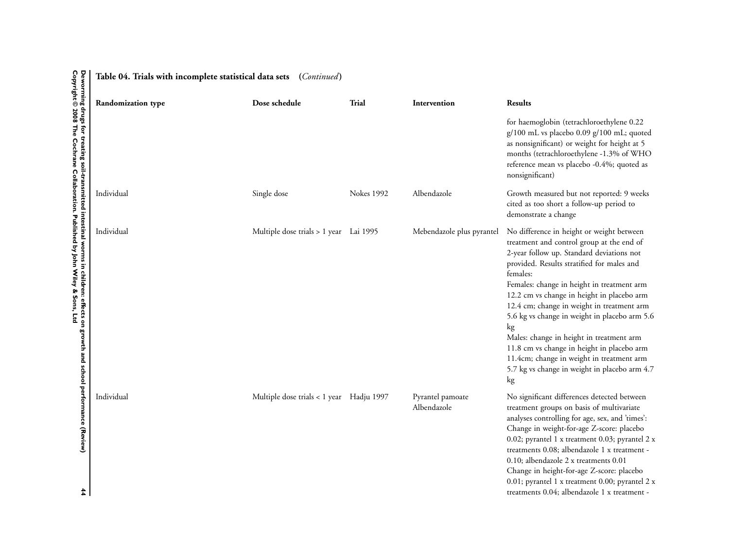| <b>Randomization type</b> | Dose schedule                            | <b>Trial</b>      | Intervention                    | <b>Results</b>                                                                                                                                                                                                                                                                                                                                                                                                                                                                                                                                                                               |
|---------------------------|------------------------------------------|-------------------|---------------------------------|----------------------------------------------------------------------------------------------------------------------------------------------------------------------------------------------------------------------------------------------------------------------------------------------------------------------------------------------------------------------------------------------------------------------------------------------------------------------------------------------------------------------------------------------------------------------------------------------|
|                           |                                          |                   |                                 | for haemoglobin (tetrachloroethylene 0.22<br>g/100 mL vs placebo 0.09 g/100 mL; quoted<br>as nonsignificant) or weight for height at 5<br>months (tetrachloroethylene -1.3% of WHO<br>reference mean vs placebo -0.4%; quoted as<br>nonsignificant)                                                                                                                                                                                                                                                                                                                                          |
| Individual                | Single dose                              | <b>Nokes 1992</b> | Albendazole                     | Growth measured but not reported: 9 weeks<br>cited as too short a follow-up period to<br>demonstrate a change                                                                                                                                                                                                                                                                                                                                                                                                                                                                                |
| Individual                | Multiple dose trials > 1 year Lai 1995   |                   | Mebendazole plus pyrantel       | No difference in height or weight between<br>treatment and control group at the end of<br>2-year follow up. Standard deviations not<br>provided. Results stratified for males and<br>females:<br>Females: change in height in treatment arm<br>12.2 cm vs change in height in placebo arm<br>12.4 cm; change in weight in treatment arm<br>5.6 kg vs change in weight in placebo arm 5.6<br>kg<br>Males: change in height in treatment arm<br>11.8 cm vs change in height in placebo arm<br>11.4cm; change in weight in treatment arm<br>5.7 kg vs change in weight in placebo arm 4.7<br>kg |
| Individual                | Multiple dose trials < 1 year Hadju 1997 |                   | Pyrantel pamoate<br>Albendazole | No significant differences detected between<br>treatment groups on basis of multivariate<br>analyses controlling for age, sex, and 'times':<br>Change in weight-for-age Z-score: placebo<br>0.02; pyrantel 1 x treatment 0.03; pyrantel 2 x<br>treatments 0.08; albendazole 1 x treatment -<br>0.10; albendazole 2 x treatments 0.01<br>Change in height-for-age Z-score: placebo<br>0.01; pyrantel 1 x treatment 0.00; pyrantel 2 x<br>treatments 0.04; albendazole 1 x treatment -                                                                                                         |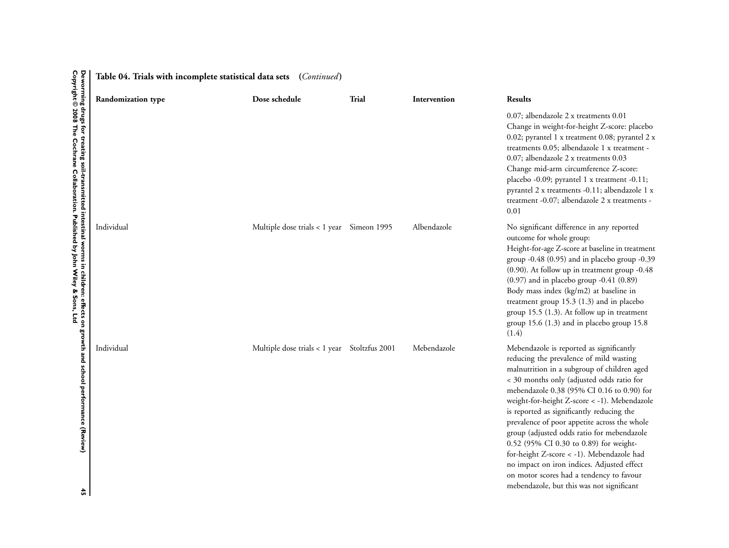| Randomization type | Dose schedule                                | <b>Trial</b> | Intervention | <b>Results</b>                                                                                                                                                                                                                                                                                                                                                                                                                                                                                                                                                                                                                                         |
|--------------------|----------------------------------------------|--------------|--------------|--------------------------------------------------------------------------------------------------------------------------------------------------------------------------------------------------------------------------------------------------------------------------------------------------------------------------------------------------------------------------------------------------------------------------------------------------------------------------------------------------------------------------------------------------------------------------------------------------------------------------------------------------------|
|                    |                                              |              |              | 0.07; albendazole 2 x treatments 0.01<br>Change in weight-for-height Z-score: placebo<br>0.02; pyrantel 1 x treatment 0.08; pyrantel 2 x<br>treatments 0.05; albendazole 1 x treatment -<br>0.07; albendazole 2 x treatments 0.03<br>Change mid-arm circumference Z-score:<br>placebo -0.09; pyrantel 1 x treatment -0.11;<br>pyrantel 2 x treatments -0.11; albendazole 1 x<br>treatment -0.07; albendazole 2 x treatments -<br>0.01                                                                                                                                                                                                                  |
| Individual         | Multiple dose trials < 1 year Simeon 1995    |              | Albendazole  | No significant difference in any reported<br>outcome for whole group:<br>Height-for-age Z-score at baseline in treatment<br>group $-0.48$ (0.95) and in placebo group $-0.39$<br>(0.90). At follow up in treatment group -0.48<br>$(0.97)$ and in placebo group -0.41 $(0.89)$<br>Body mass index (kg/m2) at baseline in<br>treatment group 15.3 (1.3) and in placebo<br>group 15.5 (1.3). At follow up in treatment<br>group 15.6 (1.3) and in placebo group 15.8<br>(1.4)                                                                                                                                                                            |
| Individual         | Multiple dose trials < 1 year Stoltzfus 2001 |              | Mebendazole  | Mebendazole is reported as significantly<br>reducing the prevalence of mild wasting<br>malnutrition in a subgroup of children aged<br>< 30 months only (adjusted odds ratio for<br>mebendazole 0.38 (95% CI 0.16 to 0.90) for<br>weight-for-height Z-score < -1). Mebendazole<br>is reported as significantly reducing the<br>prevalence of poor appetite across the whole<br>group (adjusted odds ratio for mebendazole<br>0.52 (95% CI 0.30 to 0.89) for weight-<br>for-height Z-score < -1). Mebendazole had<br>no impact on iron indices. Adjusted effect<br>on motor scores had a tendency to favour<br>mebendazole, but this was not significant |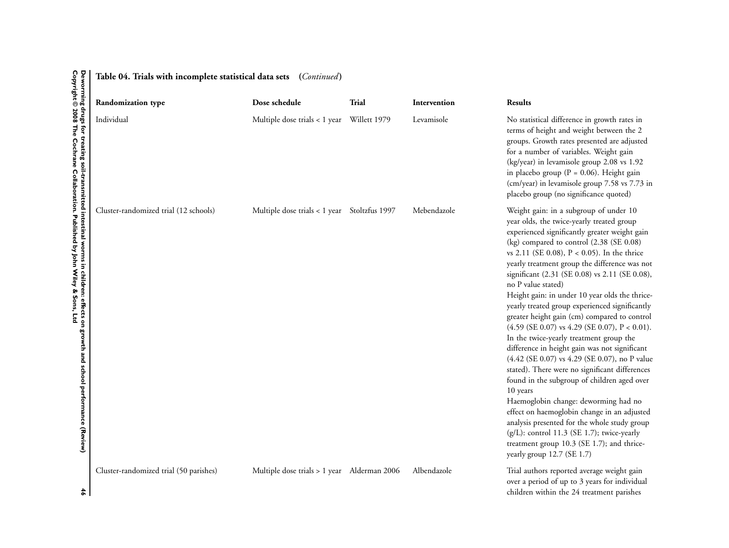| <b>Randomization type</b>              | Dose schedule                                | <b>Trial</b> | Intervention | <b>Results</b>                                                                                                                                                                                                                                                                                                                                                                                                                                                                                                                                                                                                                                                                                                                                                                                                                                                                                                                                                                                                                                                                                |
|----------------------------------------|----------------------------------------------|--------------|--------------|-----------------------------------------------------------------------------------------------------------------------------------------------------------------------------------------------------------------------------------------------------------------------------------------------------------------------------------------------------------------------------------------------------------------------------------------------------------------------------------------------------------------------------------------------------------------------------------------------------------------------------------------------------------------------------------------------------------------------------------------------------------------------------------------------------------------------------------------------------------------------------------------------------------------------------------------------------------------------------------------------------------------------------------------------------------------------------------------------|
| Individual                             |                                              |              | Levamisole   | No statistical difference in growth rates in<br>terms of height and weight between the 2<br>groups. Growth rates presented are adjusted<br>for a number of variables. Weight gain<br>(kg/year) in levamisole group 2.08 vs 1.92<br>in placebo group ( $P = 0.06$ ). Height gain<br>(cm/year) in levamisole group 7.58 vs 7.73 in<br>placebo group (no significance quoted)                                                                                                                                                                                                                                                                                                                                                                                                                                                                                                                                                                                                                                                                                                                    |
| Cluster-randomized trial (12 schools)  | Multiple dose trials < 1 year Stoltzfus 1997 |              | Mebendazole  | Weight gain: in a subgroup of under 10<br>year olds, the twice-yearly treated group<br>experienced significantly greater weight gain<br>(kg) compared to control (2.38 (SE 0.08)<br>vs 2.11 (SE 0.08), P < 0.05). In the thrice<br>yearly treatment group the difference was not<br>significant (2.31 (SE 0.08) vs 2.11 (SE 0.08),<br>no P value stated)<br>Height gain: in under 10 year olds the thrice-<br>yearly treated group experienced significantly<br>greater height gain (cm) compared to control<br>$(4.59$ (SE 0.07) vs 4.29 (SE 0.07), P < 0.01).<br>In the twice-yearly treatment group the<br>difference in height gain was not significant<br>(4.42 (SE 0.07) vs 4.29 (SE 0.07), no P value<br>stated). There were no significant differences<br>found in the subgroup of children aged over<br>10 years<br>Haemoglobin change: deworming had no<br>effect on haemoglobin change in an adjusted<br>analysis presented for the whole study group<br>$(g/L)$ : control 11.3 (SE 1.7); twice-yearly<br>treatment group 10.3 (SE 1.7); and thrice-<br>yearly group 12.7 (SE 1.7) |
| Cluster-randomized trial (50 parishes) | Multiple dose trials > 1 year Alderman 2006  |              | Albendazole  | Trial authors reported average weight gain<br>over a period of up to 3 years for individual<br>children within the 24 treatment parishes                                                                                                                                                                                                                                                                                                                                                                                                                                                                                                                                                                                                                                                                                                                                                                                                                                                                                                                                                      |

children within the 24 treatment parishes

# **Table 04. Trials with incomplete statistical data sets (***Continued* **)**

 $\frac{4}{16}$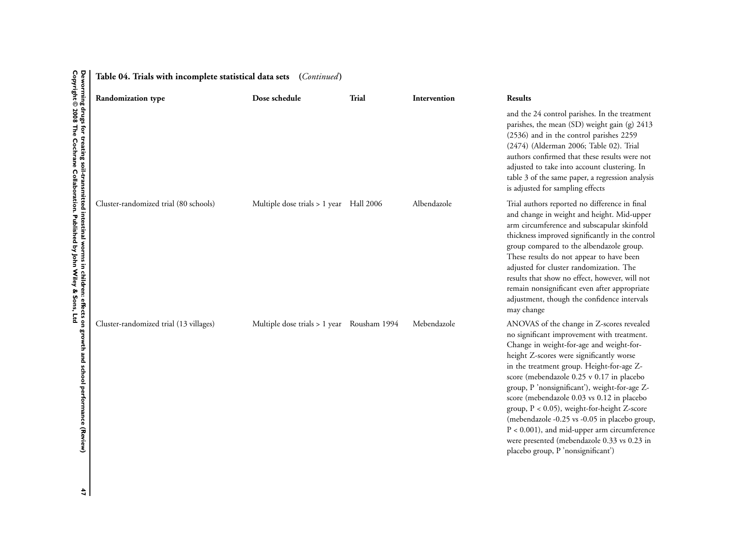| Randomization type                     | Dose schedule                              | <b>Trial</b> | Intervention | <b>Results</b>                                                                                                                                                                                                                                                                                                                                                                                                                                                                                                                                                                                                     |
|----------------------------------------|--------------------------------------------|--------------|--------------|--------------------------------------------------------------------------------------------------------------------------------------------------------------------------------------------------------------------------------------------------------------------------------------------------------------------------------------------------------------------------------------------------------------------------------------------------------------------------------------------------------------------------------------------------------------------------------------------------------------------|
|                                        |                                            |              |              | and the 24 control parishes. In the treatment<br>parishes, the mean (SD) weight gain (g) 2413<br>(2536) and in the control parishes 2259<br>(2474) (Alderman 2006; Table 02). Trial<br>authors confirmed that these results were not<br>adjusted to take into account clustering. In<br>table 3 of the same paper, a regression analysis<br>is adjusted for sampling effects                                                                                                                                                                                                                                       |
| Cluster-randomized trial (80 schools)  | Multiple dose trials > 1 year Hall 2006    |              | Albendazole  | Trial authors reported no difference in final<br>and change in weight and height. Mid-upper<br>arm circumference and subscapular skinfold<br>thickness improved significantly in the control<br>group compared to the albendazole group.<br>These results do not appear to have been<br>adjusted for cluster randomization. The<br>results that show no effect, however, will not<br>remain nonsignificant even after appropriate<br>adjustment, though the confidence intervals<br>may change                                                                                                                     |
| Cluster-randomized trial (13 villages) | Multiple dose trials > 1 year Rousham 1994 |              | Mebendazole  | ANOVAS of the change in Z-scores revealed<br>no significant improvement with treatment.<br>Change in weight-for-age and weight-for-<br>height Z-scores were significantly worse<br>in the treatment group. Height-for-age Z-<br>score (mebendazole 0.25 v 0.17 in placebo<br>group, P 'nonsignificant'), weight-for-age Z-<br>score (mebendazole 0.03 vs 0.12 in placebo<br>group, $P < 0.05$ ), weight-for-height Z-score<br>(mebendazole -0.25 vs -0.05 in placebo group,<br>$P < 0.001$ ), and mid-upper arm circumference<br>were presented (mebendazole 0.33 vs 0.23 in<br>placebo group, P 'nonsignificant') |

 $47$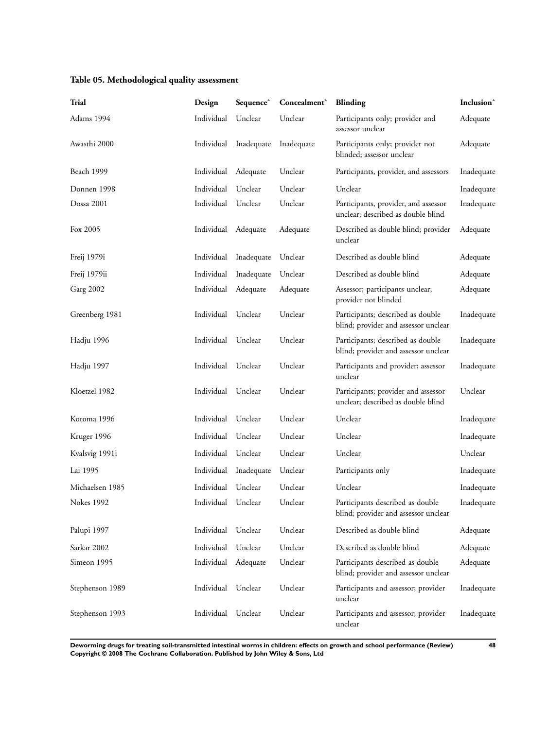# **Table 05. Methodological quality assessment**

| Trial            | Design     | Sequence <sup>^</sup> | Concealment <sup>^</sup> | Blinding                                                                   | Inclusion <sup>^</sup> |
|------------------|------------|-----------------------|--------------------------|----------------------------------------------------------------------------|------------------------|
| Adams 1994       | Individual | Unclear               | Unclear                  | Participants only; provider and<br>assessor unclear                        | Adequate               |
| Awasthi 2000     | Individual | Inadequate            | Inadequate               | Participants only; provider not<br>blinded; assessor unclear               | Adequate               |
| Beach 1999       | Individual | Adequate              | Unclear                  | Participants, provider, and assessors                                      | Inadequate             |
| Donnen 1998      | Individual | Unclear               | Unclear                  | Unclear                                                                    | Inadequate             |
| Dossa 2001       | Individual | Unclear               | Unclear                  | Participants, provider, and assessor<br>unclear; described as double blind | Inadequate             |
| Fox 2005         | Individual | Adequate              | Adequate                 | Described as double blind; provider<br>unclear                             | Adequate               |
| Freij 1979i      | Individual | Inadequate            | Unclear                  | Described as double blind                                                  | Adequate               |
| Freij 1979ii     | Individual | Inadequate            | Unclear                  | Described as double blind                                                  | Adequate               |
| <b>Garg 2002</b> | Individual | Adequate              | Adequate                 | Assessor; participants unclear;<br>provider not blinded                    | Adequate               |
| Greenberg 1981   | Individual | Unclear               | Unclear                  | Participants; described as double<br>blind; provider and assessor unclear  | Inadequate             |
| Hadju 1996       | Individual | Unclear               | Unclear                  | Participants; described as double<br>blind; provider and assessor unclear  | Inadequate             |
| Hadju 1997       | Individual | Unclear               | Unclear                  | Participants and provider; assessor<br>unclear                             | Inadequate             |
| Kloetzel 1982    | Individual | Unclear               | Unclear                  | Participants; provider and assessor<br>unclear; described as double blind  | Unclear                |
| Koroma 1996      | Individual | Unclear               | Unclear                  | Unclear                                                                    | Inadequate             |
| Kruger 1996      | Individual | Unclear               | Unclear                  | Unclear                                                                    | Inadequate             |
| Kvalsvig 1991i   | Individual | Unclear               | Unclear                  | Unclear                                                                    | Unclear                |
| Lai 1995         | Individual | Inadequate            | Unclear                  | Participants only                                                          | Inadequate             |
| Michaelsen 1985  | Individual | Unclear               | Unclear                  | Unclear                                                                    | Inadequate             |
| Nokes 1992       | Individual | Unclear               | Unclear                  | Participants described as double<br>blind; provider and assessor unclear   | Inadequate             |
| Palupi 1997      | Individual | Unclear               | Unclear                  | Described as double blind                                                  | Adequate               |
| Sarkar 2002      | Individual | Unclear               | Unclear                  | Described as double blind                                                  | Adequate               |
| Simeon 1995      | Individual | Adequate              | Unclear                  | Participants described as double<br>blind; provider and assessor unclear   | Adequate               |
| Stephenson 1989  | Individual | Unclear               | Unclear                  | Participants and assessor; provider<br>unclear                             | Inadequate             |
| Stephenson 1993  | Individual | Unclear               | Unclear                  | Participants and assessor; provider<br>unclear                             | Inadequate             |

**Deworming drugs for treating soil-transmitted intestinal worms in children: effects on growth and school performance (Review) 48 Copyright © 2008 The Cochrane Collaboration. Published by John Wiley & Sons, Ltd**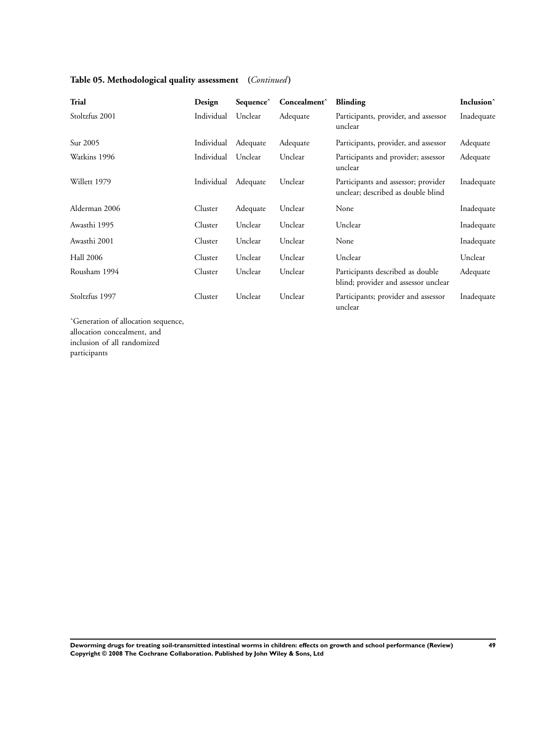# **Table 05. Methodological quality assessment (***Continued* **)**

| <b>Trial</b>     | Design     | Sequence <sup>^</sup> | Concealment <sup>^</sup> | Blinding                                                                  | Inclusion <sup>^</sup> |
|------------------|------------|-----------------------|--------------------------|---------------------------------------------------------------------------|------------------------|
| Stoltzfus 2001   | Individual | Unclear               | Adequate                 | Participants, provider, and assessor<br>unclear                           | Inadequate             |
| Sur 2005         | Individual | Adequate              | Adequate                 | Participants, provider, and assessor                                      | Adequate               |
| Watkins 1996     | Individual | Unclear               | Unclear                  | Participants and provider; assessor<br>unclear                            | Adequate               |
| Willett 1979     | Individual | Adequate              | Unclear                  | Participants and assessor; provider<br>unclear; described as double blind | Inadequate             |
| Alderman 2006    | Cluster    | Adequate              | Unclear                  | None                                                                      | Inadequate             |
| Awasthi 1995     | Cluster    | Unclear               | Unclear                  | Unclear                                                                   | Inadequate             |
| Awasthi 2001     | Cluster    | Unclear               | Unclear                  | None                                                                      | Inadequate             |
| <b>Hall 2006</b> | Cluster    | Unclear               | Unclear                  | Unclear                                                                   | Unclear                |
| Rousham 1994     | Cluster    | Unclear               | Unclear                  | Participants described as double<br>blind; provider and assessor unclear  | Adequate               |
| Stoltzfus 1997   | Cluster    | Unclear               | Unclear                  | Participants; provider and assessor<br>unclear                            | Inadequate             |

ˆGeneration of allocation sequence, allocation concealment, and inclusion of all randomized participants

**Deworming drugs for treating soil-transmitted intestinal worms in children: effects on growth and school performance (Review) 49 Copyright © 2008 The Cochrane Collaboration. Published by John Wiley & Sons, Ltd**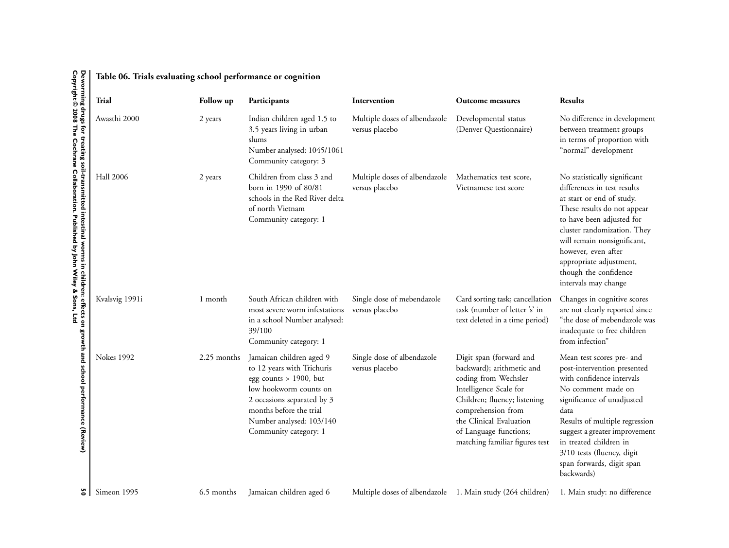Deworming drugs for treating soil-transmitted intestinal worms in children: effects on<br>Copyright © 2008 The Cochrane Collaboration. Published by John Wiley & Sons, Ltd **Copyright © 2008 The Cochrane Collaboration. Published by John Wiley & Sons, Ltd50 Deworming drugs for treating soil-transmitted intestinal worms in children: effects on growth and school performance (Review) Trial Follow up Participants Intervention Outcome measures Results**Awasthi <sup>2000</sup> <sup>2</sup> years Indian children aged 1.5 toMultiple doses of albendazoleDevelopmental statusNo difference in development3.5 years living in urbanversus placebo(Denver Questionnaire)between treatment groups in terms of proportion withslumsNumber analysed: 1045/1061"normal" developmentCommunity category: 3No statistically significantHall 2006 <sup>2</sup> years Children from class 3 andMultiple doses of albendazole Mathematics test score, born in 1990 of 80/81versus placeboVietnamese test scoredifferences in test results at start or end of study. schools in the Red River deltaof north VietnamThese results do not appearto have been adjusted for Community category: <sup>1</sup>cluster randomization. Theywill remain nonsignificant, however, even after appropriate adjustment, though the confidenceintervals may changeKvalsvig 1991i 1 month 1 South African children with Single dose of mebendazoleCard sorting task; cancellationChanges in cognitive scores are not clearly reported sinceversus placebotask (number of letter 's' in most severe worm infestations "the dose of mebendazole wasin <sup>a</sup> school Number analysed: text deleted in <sup>a</sup> time period)39/100inadequate to free childrengrowth Community category: <sup>1</sup>from infection"and school performance (Review) Nokes 1992 2.25 months Jamaican children aged 9Single dose of albendazoleDigit span (forward andMean test scores pre- and to <sup>12</sup> years with Trichurisversus placebo backward); arithmetic and post-intervention presentedegg counts <sup>&</sup>gt; 1900, butcoding from Wechslerwith confidence intervalslow hookworm counts onIntelligence Scale forNo comment made on <sup>2</sup> occasions separated by 3Children; fluency; listening significance of unadjustedmonths before the trial comprehension fromdataNumber analysed: 103/140 Results of multiple regression the Clinical EvaluationCommunity category: <sup>1</sup> of Language functions; suggest <sup>a</sup> greater improvementmatching familiar figures testin treated children in 3/10 tests (fluency, digitspan forwards, digit spanbackwards)Simeon 1995 6.5 months Jamaican children aged 6 ឌ l Multiple doses of albendazole 1. Main study (264 children) 1. Main study: no difference

#### **Table 06. Trials evaluating school performance or cognition**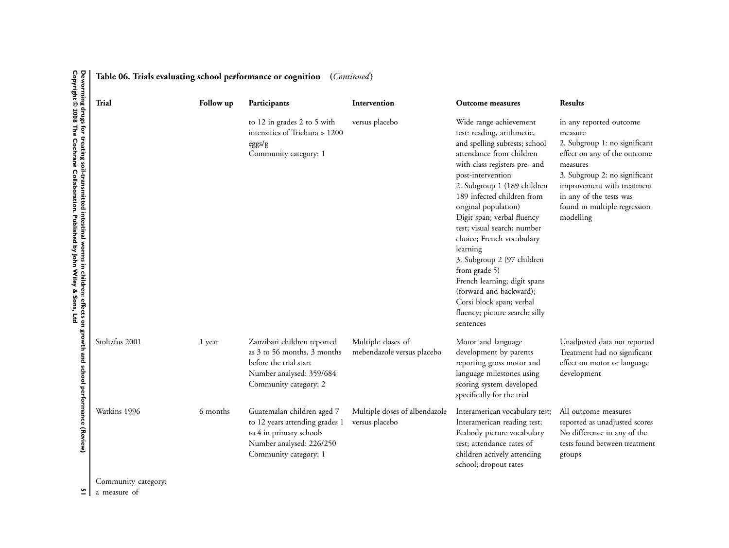| <b>Trial</b>   | Follow up | Participants                                                                                                                                 | Intervention                                    | <b>Outcome measures</b>                                                                                                                                                                                                                                                                                                                                                                                                                                                                                                                                 | Results                                                                                                                                                                                                                                                |
|----------------|-----------|----------------------------------------------------------------------------------------------------------------------------------------------|-------------------------------------------------|---------------------------------------------------------------------------------------------------------------------------------------------------------------------------------------------------------------------------------------------------------------------------------------------------------------------------------------------------------------------------------------------------------------------------------------------------------------------------------------------------------------------------------------------------------|--------------------------------------------------------------------------------------------------------------------------------------------------------------------------------------------------------------------------------------------------------|
|                |           | to 12 in grades 2 to 5 with<br>intensities of Trichura > 1200<br>eggs/g<br>Community category: 1                                             | versus placebo                                  | Wide range achievement<br>test: reading, arithmetic,<br>and spelling subtests; school<br>attendance from children<br>with class registers pre- and<br>post-intervention<br>2. Subgroup 1 (189 children<br>189 infected children from<br>original population)<br>Digit span; verbal fluency<br>test; visual search; number<br>choice; French vocabulary<br>learning<br>3. Subgroup 2 (97 children<br>from grade 5)<br>French learning; digit spans<br>(forward and backward);<br>Corsi block span; verbal<br>fluency; picture search; silly<br>sentences | in any reported outcome<br>measure<br>2. Subgroup 1: no significant<br>effect on any of the outcome<br>measures<br>3. Subgroup 2: no significant<br>improvement with treatment<br>in any of the tests was<br>found in multiple regression<br>modelling |
| Stoltzfus 2001 | 1 year    | Zanzibari children reported<br>as 3 to 56 months, 3 months<br>before the trial start<br>Number analysed: 359/684<br>Community category: 2    | Multiple doses of<br>mebendazole versus placebo | Motor and language<br>development by parents<br>reporting gross motor and<br>language milestones using<br>scoring system developed<br>specifically for the trial                                                                                                                                                                                                                                                                                                                                                                                        | Unadjusted data not reported<br>Treatment had no significant<br>effect on motor or language<br>development                                                                                                                                             |
| Watkins 1996   | 6 months  | Guatemalan children aged 7<br>to 12 years attending grades 1<br>to 4 in primary schools<br>Number analysed: 226/250<br>Community category: 1 | Multiple doses of albendazole<br>versus placebo | Interamerican vocabulary test;<br>Interamerican reading test;<br>Peabody picture vocabulary<br>test; attendance rates of<br>children actively attending<br>school; dropout rates                                                                                                                                                                                                                                                                                                                                                                        | All outcome measures<br>reported as unadjusted scores<br>No difference in any of the<br>tests found between treatment<br>groups                                                                                                                        |

# **Table 06. Trials evaluating school performance or cognition (***Continued* **)**

<sup>a</sup> measure of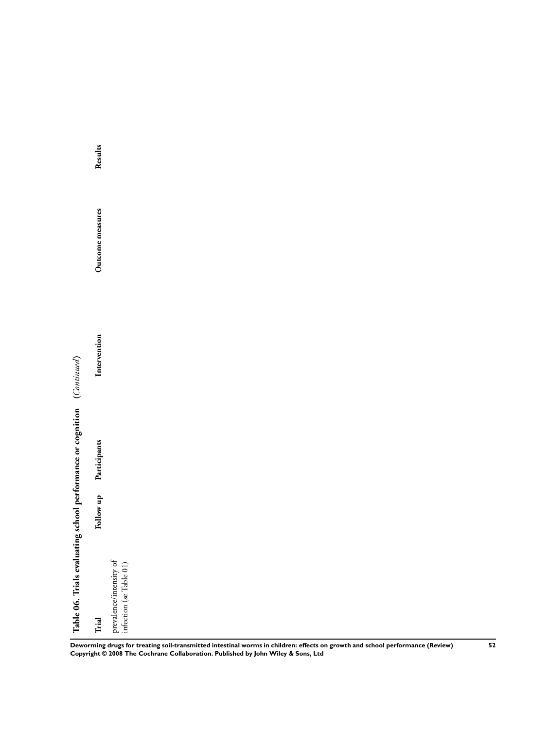| Table 06. Trials evaluating school performance or cognition (Continued) |                        |              |                         |         |
|-------------------------------------------------------------------------|------------------------|--------------|-------------------------|---------|
| Trial                                                                   | Follow up Participants | Intervention | <b>Jutcome</b> measures | Results |
| revalence/intensity of<br>nfection (se Table 01)                        |                        |              |                         |         |
|                                                                         |                        |              |                         |         |

Results

**Deworming drugs for treating soil-transmitted intestinal worms in children: effects on growth and school performance (Review) 52 Copyright © 2008 The Cochrane Collaboration. Published by John Wiley & Sons, Ltd**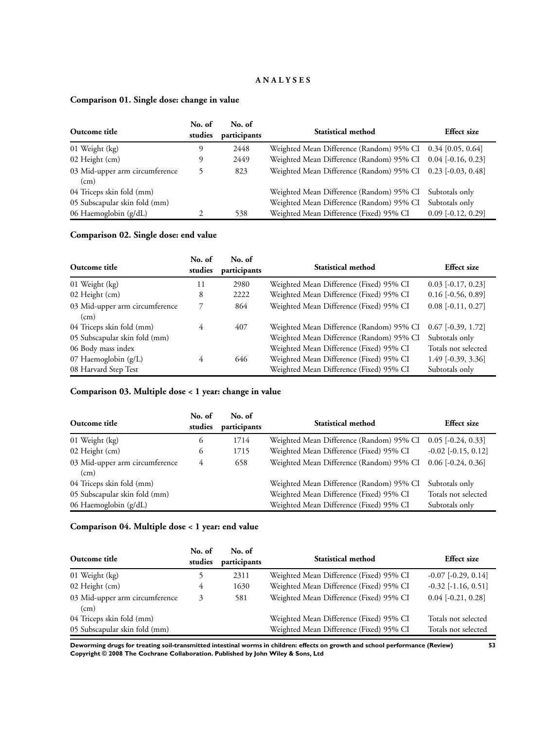### **A N A L Y S E S**

| Outcome title                          | No. of<br>studies | No. of<br>participants | <b>Statistical method</b>                                   | <b>Effect</b> size   |  |
|----------------------------------------|-------------------|------------------------|-------------------------------------------------------------|----------------------|--|
| 01 Weight (kg)                         |                   | 2448                   | Weighted Mean Difference (Random) 95% CI 0.34 [0.05, 0.64]  |                      |  |
| 02 Height (cm)                         |                   | 2449                   | Weighted Mean Difference (Random) 95% CI 0.04 [-0.16, 0.23] |                      |  |
| 03 Mid-upper arm circumference<br>(cm) |                   | 823                    | Weighted Mean Difference (Random) 95% CI 0.23 [-0.03, 0.48] |                      |  |
| 04 Triceps skin fold (mm)              |                   |                        | Weighted Mean Difference (Random) 95% CI                    | Subtotals only       |  |
| 05 Subscapular skin fold (mm)          |                   |                        | Weighted Mean Difference (Random) 95% CI                    | Subtotals only       |  |
| 06 Haemoglobin $(g/dL)$                |                   | 538                    | Weighted Mean Difference (Fixed) 95% CI                     | $0.09$ [-0.12, 0.29] |  |

# **Comparison 02. Single dose: end value**

| Outcome title                          | No. of<br>studies | No. of<br>participants | <b>Statistical method</b>                | <b>Effect</b> size   |
|----------------------------------------|-------------------|------------------------|------------------------------------------|----------------------|
| 01 Weight (kg)                         | 11                | 2980                   | Weighted Mean Difference (Fixed) 95% CI  | $0.03$ [-0.17, 0.23] |
| 02 Height (cm)                         | 8                 | 2222                   | Weighted Mean Difference (Fixed) 95% CI  | $0.16$ [-0.56, 0.89] |
| 03 Mid-upper arm circumference<br>(cm) |                   | 864                    | Weighted Mean Difference (Fixed) 95% CI  | $0.08$ [-0.11, 0.27] |
| 04 Triceps skin fold (mm)              | 4                 | 407                    | Weighted Mean Difference (Random) 95% CI | $0.67$ [-0.39, 1.72] |
| 05 Subscapular skin fold (mm)          |                   |                        | Weighted Mean Difference (Random) 95% CI | Subtotals only       |
| 06 Body mass index                     |                   |                        | Weighted Mean Difference (Fixed) 95% CI  | Totals not selected  |
| 07 Haemoglobin $(g/L)$                 | 4                 | 646                    | Weighted Mean Difference (Fixed) 95% CI  | $1.49$ [-0.39, 3.36] |
| 08 Harvard Step Test                   |                   |                        | Weighted Mean Difference (Fixed) 95% CI  | Subtotals only       |

# **Comparison 03. Multiple dose < 1 year: change in value**

| Outcome title                          | No. of<br>studies | No. of<br>participants | Statistical method                       | <b>Effect</b> size       |
|----------------------------------------|-------------------|------------------------|------------------------------------------|--------------------------|
| 01 Weight (kg)                         | 6                 | 1714                   | Weighted Mean Difference (Random) 95% CI | $0.05$ [-0.24, 0.33]     |
| 02 Height (cm)                         | 6                 | 1715                   | Weighted Mean Difference (Fixed) 95% CI  | $-0.02$ $[-0.15, 0.12]$  |
| 03 Mid-upper arm circumference<br>(cm) | 4                 | 658                    | Weighted Mean Difference (Random) 95% CI | $0.06$ [ $-0.24$ , 0.36] |
| 04 Triceps skin fold (mm)              |                   |                        | Weighted Mean Difference (Random) 95% CI | Subtotals only           |
| 05 Subscapular skin fold (mm)          |                   |                        | Weighted Mean Difference (Fixed) 95% CI  | Totals not selected      |
| 06 Haemoglobin $(g/dL)$                |                   |                        | Weighted Mean Difference (Fixed) 95% CI  | Subtotals only           |

# **Comparison 04. Multiple dose < 1 year: end value**

| Outcome title                          | No. of<br>studies | No. of<br>participants | Statistical method                      | <b>Effect</b> size           |  |  |
|----------------------------------------|-------------------|------------------------|-----------------------------------------|------------------------------|--|--|
| 01 Weight (kg)                         |                   | 2311                   | Weighted Mean Difference (Fixed) 95% CI | $-0.07$ $[-0.29, 0.14]$      |  |  |
| 02 Height (cm)                         | 4                 | 1630                   | Weighted Mean Difference (Fixed) 95% CI | $-0.32$ [ $-1.16$ , $0.51$ ] |  |  |
| 03 Mid-upper arm circumference<br>(cm) | 3                 | 581                    | Weighted Mean Difference (Fixed) 95% CI | $0.04$ [-0.21, 0.28]         |  |  |
| 04 Triceps skin fold (mm)              |                   |                        | Weighted Mean Difference (Fixed) 95% CI | Totals not selected          |  |  |
| 05 Subscapular skin fold (mm)          |                   |                        | Weighted Mean Difference (Fixed) 95% CI | Totals not selected          |  |  |

**Deworming drugs for treating soil-transmitted intestinal worms in children: effects on growth and school performance (Review) 53 Copyright © 2008 The Cochrane Collaboration. Published by John Wiley & Sons, Ltd**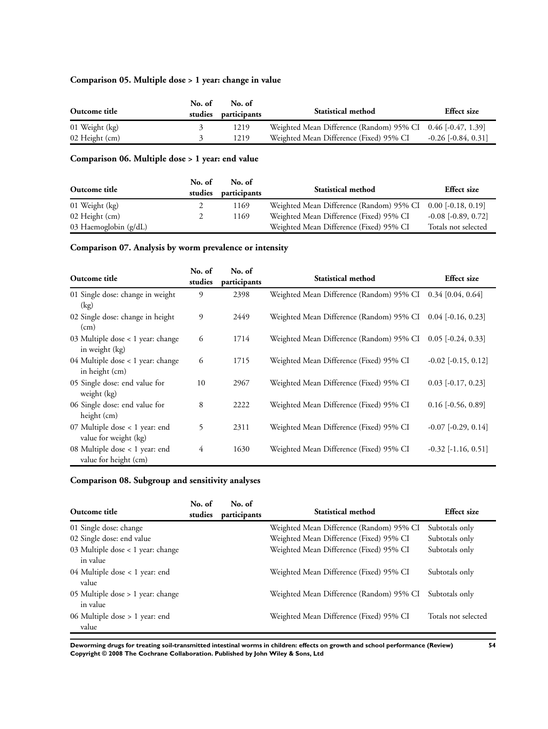# **Comparison 05. Multiple dose > 1 year: change in value**

| Outcome title    | No. of | No. of<br>studies participants | <b>Statistical method</b>                                   | <b>Effect</b> size           |  |
|------------------|--------|--------------------------------|-------------------------------------------------------------|------------------------------|--|
| 01 Weight $(kg)$ |        | 1219                           | Weighted Mean Difference (Random) 95% CI 0.46 [-0.47, 1.39] |                              |  |
| 02 Height (cm)   |        | 1219                           | Weighted Mean Difference (Fixed) 95% CI                     | $-0.26$ [ $-0.84$ , $0.31$ ] |  |

# **Comparison 06. Multiple dose > 1 year: end value**

| Outcome title         | No. of<br>studies | No. of<br>participants | <b>Statistical method</b>                | <b>Effect</b> size      |  |
|-----------------------|-------------------|------------------------|------------------------------------------|-------------------------|--|
| 01 Weight (kg)        |                   | 1169                   | Weighted Mean Difference (Random) 95% CI | $0.00$ [-0.18, 0.19]    |  |
| 02 Height (cm)        |                   | 1169                   | Weighted Mean Difference (Fixed) 95% CI  | $-0.08$ $[-0.89, 0.72]$ |  |
| 03 Haemoglobin (g/dL) |                   |                        | Weighted Mean Difference (Fixed) 95% CI  | Totals not selected     |  |

### **Comparison 07. Analysis by worm prevalence or intensity**

| Outcome title                                           | No. of<br>studies | No. of<br>participants | <b>Statistical method</b>                                   | <b>Effect</b> size           |
|---------------------------------------------------------|-------------------|------------------------|-------------------------------------------------------------|------------------------------|
| 01 Single dose: change in weight<br>(kg)                | 9                 | 2398                   | Weighted Mean Difference (Random) 95% CI 0.34 [0.04, 0.64]  |                              |
| 02 Single dose: change in height<br>(cm)                | 9                 | 2449                   | Weighted Mean Difference (Random) 95% CI 0.04 [-0.16, 0.23] |                              |
| 03 Multiple dose < 1 year: change<br>in weight (kg)     | 6                 | 1714                   | Weighted Mean Difference (Random) 95% CI 0.05 [-0.24, 0.33] |                              |
| 04 Multiple dose < 1 year: change<br>in height (cm)     | 6                 | 1715                   | Weighted Mean Difference (Fixed) 95% CI                     | $-0.02$ [ $-0.15$ , $0.12$ ] |
| 05 Single dose: end value for<br>weight (kg)            | 10                | 2967                   | Weighted Mean Difference (Fixed) 95% CI                     | $0.03$ [-0.17, 0.23]         |
| 06 Single dose: end value for<br>height (cm)            | 8                 | 2222                   | Weighted Mean Difference (Fixed) 95% CI                     | $0.16$ [-0.56, 0.89]         |
| 07 Multiple dose < 1 year: end<br>value for weight (kg) | 5                 | 2311                   | Weighted Mean Difference (Fixed) 95% CI                     | $-0.07$ $[-0.29, 0.14]$      |
| 08 Multiple dose < 1 year: end<br>value for height (cm) | $\overline{4}$    | 1630                   | Weighted Mean Difference (Fixed) 95% CI                     | $-0.32$ [ $-1.16$ , $0.51$ ] |

# **Comparison 08. Subgroup and sensitivity analyses**

| Outcome title                                       | No. of<br>studies | No. of<br>participants | Statistical method                                                                  | <b>Effect</b> size               |
|-----------------------------------------------------|-------------------|------------------------|-------------------------------------------------------------------------------------|----------------------------------|
| 01 Single dose: change<br>02 Single dose: end value |                   |                        | Weighted Mean Difference (Random) 95% CI<br>Weighted Mean Difference (Fixed) 95% CI | Subtotals only<br>Subtotals only |
| 03 Multiple dose < 1 year: change<br>in value       |                   |                        | Weighted Mean Difference (Fixed) 95% CI                                             | Subtotals only                   |
| 04 Multiple dose < 1 year: end<br>value             |                   |                        | Weighted Mean Difference (Fixed) 95% CI                                             | Subtotals only                   |
| 05 Multiple dose > 1 year: change<br>in value       |                   |                        | Weighted Mean Difference (Random) 95% CI                                            | Subtotals only                   |
| 06 Multiple dose > 1 year: end<br>value             |                   |                        | Weighted Mean Difference (Fixed) 95% CI                                             | Totals not selected              |

**Deworming drugs for treating soil-transmitted intestinal worms in children: effects on growth and school performance (Review) 54 Copyright © 2008 The Cochrane Collaboration. Published by John Wiley & Sons, Ltd**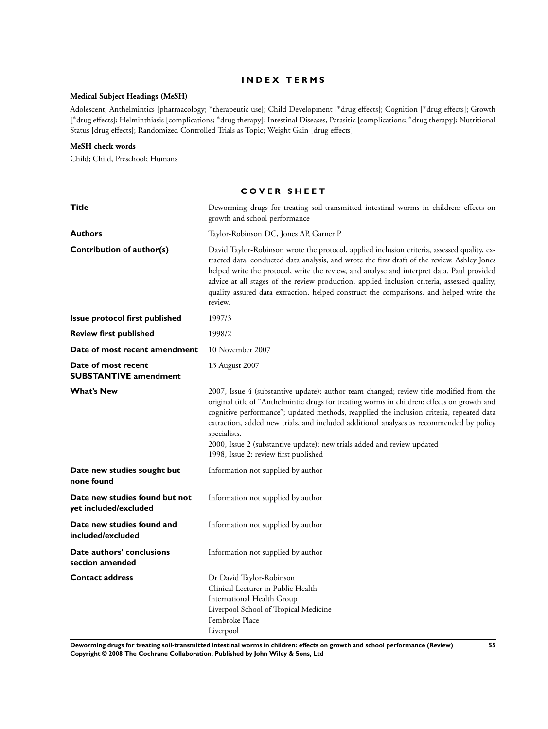#### **I N D E X T E R M S**

### **Medical Subject Headings (MeSH)**

Adolescent; Anthelmintics [pharmacology; <sup>∗</sup> therapeutic use]; Child Development [∗drug effects]; Cognition [∗drug effects]; Growth [ <sup>∗</sup>drug effects]; Helminthiasis [complications; <sup>∗</sup>drug therapy]; Intestinal Diseases, Parasitic [complications; <sup>∗</sup>drug therapy]; Nutritional Status [drug effects]; Randomized Controlled Trials as Topic; Weight Gain [drug effects]

### **MeSH check words**

Child; Child, Preschool; Humans

#### **C O V E R S H E E T**

| Title                                                   | Deworming drugs for treating soil-transmitted intestinal worms in children: effects on<br>growth and school performance                                                                                                                                                                                                                                                                                                                                                                                           |
|---------------------------------------------------------|-------------------------------------------------------------------------------------------------------------------------------------------------------------------------------------------------------------------------------------------------------------------------------------------------------------------------------------------------------------------------------------------------------------------------------------------------------------------------------------------------------------------|
| <b>Authors</b>                                          | Taylor-Robinson DC, Jones AP, Garner P                                                                                                                                                                                                                                                                                                                                                                                                                                                                            |
| Contribution of author(s)                               | David Taylor-Robinson wrote the protocol, applied inclusion criteria, assessed quality, ex-<br>tracted data, conducted data analysis, and wrote the first draft of the review. Ashley Jones<br>helped write the protocol, write the review, and analyse and interpret data. Paul provided<br>advice at all stages of the review production, applied inclusion criteria, assessed quality,<br>quality assured data extraction, helped construct the comparisons, and helped write the<br>review.                   |
| Issue protocol first published                          | 1997/3                                                                                                                                                                                                                                                                                                                                                                                                                                                                                                            |
| <b>Review first published</b>                           | 1998/2                                                                                                                                                                                                                                                                                                                                                                                                                                                                                                            |
| Date of most recent amendment                           | 10 November 2007                                                                                                                                                                                                                                                                                                                                                                                                                                                                                                  |
| Date of most recent<br><b>SUBSTANTIVE amendment</b>     | 13 August 2007                                                                                                                                                                                                                                                                                                                                                                                                                                                                                                    |
| <b>What's New</b>                                       | 2007, Issue 4 (substantive update): author team changed; review title modified from the<br>original title of "Anthelmintic drugs for treating worms in children: effects on growth and<br>cognitive performance"; updated methods, reapplied the inclusion criteria, repeated data<br>extraction, added new trials, and included additional analyses as recommended by policy<br>specialists.<br>2000, Issue 2 (substantive update): new trials added and review updated<br>1998, Issue 2: review first published |
| Date new studies sought but<br>none found               | Information not supplied by author                                                                                                                                                                                                                                                                                                                                                                                                                                                                                |
| Date new studies found but not<br>yet included/excluded | Information not supplied by author                                                                                                                                                                                                                                                                                                                                                                                                                                                                                |
| Date new studies found and<br>included/excluded         | Information not supplied by author                                                                                                                                                                                                                                                                                                                                                                                                                                                                                |
| Date authors' conclusions<br>section amended            | Information not supplied by author                                                                                                                                                                                                                                                                                                                                                                                                                                                                                |
| <b>Contact address</b>                                  | Dr David Taylor-Robinson<br>Clinical Lecturer in Public Health<br>International Health Group<br>Liverpool School of Tropical Medicine<br>Pembroke Place<br>Liverpool                                                                                                                                                                                                                                                                                                                                              |

**Deworming drugs for treating soil-transmitted intestinal worms in children: effects on growth and school performance (Review) 55 Copyright © 2008 The Cochrane Collaboration. Published by John Wiley & Sons, Ltd**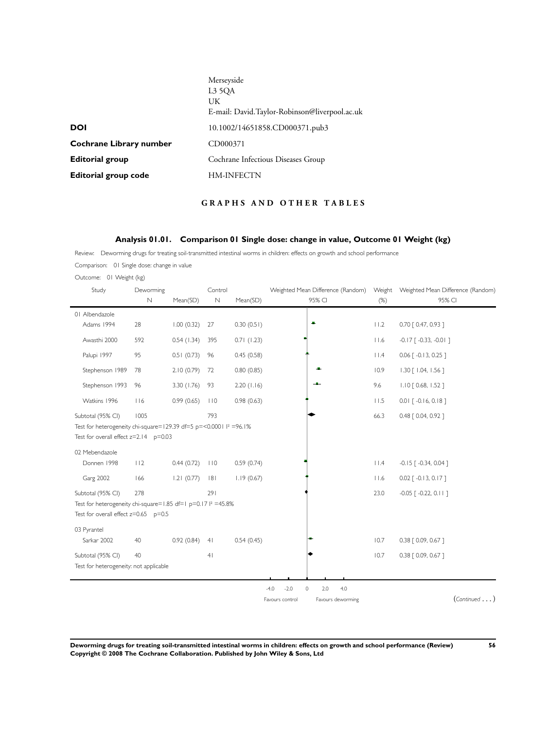|                                | Merseyside                                    |
|--------------------------------|-----------------------------------------------|
|                                | L3 5QA                                        |
|                                | UK                                            |
|                                | E-mail: David.Taylor-Robinson@liverpool.ac.uk |
| DOI                            | 10.1002/14651858.CD000371.pub3                |
| <b>Cochrane Library number</b> | CD000371                                      |
| <b>Editorial group</b>         | Cochrane Infectious Diseases Group            |
| <b>Editorial group code</b>    | HM-INFECTN                                    |

# **G R A P H S A N D O T H E R T A B L E S**

### **Analysis 01.01. Comparison 01 Single dose: change in value, Outcome 01 Weight (kg)**

Review: Deworming drugs for treating soil-transmitted intestinal worms in children: effects on growth and school performance

Comparison: 01 Single dose: change in value

| Outcome: 01 Weight (kg)                                                                                                                       |             |            |                |            |                                            |        |                                                                                  |
|-----------------------------------------------------------------------------------------------------------------------------------------------|-------------|------------|----------------|------------|--------------------------------------------|--------|----------------------------------------------------------------------------------|
| Study                                                                                                                                         | Deworming   |            | Control        |            |                                            |        | Weighted Mean Difference (Random)    Veight    Veighted Mean Difference (Random) |
|                                                                                                                                               | $\mathbb N$ | Mean(SD)   | $\hbox{N}$     | Mean(SD)   | 95% CI                                     | $(\%)$ | 95% CI                                                                           |
| 01 Albendazole                                                                                                                                |             |            |                |            |                                            |        |                                                                                  |
| Adams 1994                                                                                                                                    | 28          | 1.00(0.32) | 27             | 0.30(0.51) | æ.                                         | 11.2   | 0.70 [ 0.47, 0.93 ]                                                              |
| Awasthi 2000                                                                                                                                  | 592         | 0.54(1.34) | 395            | 0.71(1.23) |                                            | 11.6   | $-0.17$ [ $-0.33$ , $-0.01$ ]                                                    |
| Palupi 1997                                                                                                                                   | 95          | 0.51(0.73) | 96             | 0.45(0.58) |                                            | 11.4   | $0.06$ $\lceil -0.13, 0.25 \rceil$                                               |
| Stephenson 1989                                                                                                                               | 78          | 2.10(0.79) | 72             | 0.80(0.85) |                                            | 10.9   | $1.30$ $[$ $1.04$ , $1.56$ $]$                                                   |
| Stephenson 1993                                                                                                                               | 96          | 3.30(1.76) | 93             | 2.20(1.16) | -8-                                        | 9.6    | $1.10$ [ 0.68, 1.52 ]                                                            |
| Watkins 1996                                                                                                                                  | 116         | 0.99(0.65) | 10             | 0.98(0.63) |                                            | 11.5   | $0.01$ $[ -0.16, 0.18]$                                                          |
| Subtotal (95% CI)<br>Test for heterogeneity chi-square=129.39 df=5 p=<0.0001 l <sup>2</sup> =96.1%<br>Test for overall effect $z=2.14$ p=0.03 | 1005        |            | 793            |            |                                            | 66.3   | 0.48 [ 0.04, 0.92 ]                                                              |
| 02 Mebendazole                                                                                                                                |             |            |                |            |                                            |        |                                                                                  |
| Donnen 1998                                                                                                                                   | 112         | 0.44(0.72) | 10             | 0.59(0.74) |                                            | 11.4   | $-0.15$ [ $-0.34$ , 0.04]                                                        |
| Garg 2002                                                                                                                                     | 166         | 1.21(0.77) | 8              | 1.19(0.67) |                                            | 11.6   | $0.02$ $\lceil -0.13, 0.17 \rceil$                                               |
| Subtotal (95% CI)<br>Test for heterogeneity chi-square=1.85 df=1 p=0.17 l <sup>2</sup> =45.8%<br>Test for overall effect $z=0.65$ $p=0.5$     | 278         |            | 291            |            |                                            | 23.0   | $-0.05$ $[-0.22, 0.11]$                                                          |
| 03 Pyrantel                                                                                                                                   |             |            |                |            |                                            |        |                                                                                  |
| Sarkar 2002                                                                                                                                   | 40          | 0.92(0.84) | 4 <sup>1</sup> | 0.54(0.45) | ۰.                                         | 10.7   | $0.38$ $[0.09, 0.67]$                                                            |
| Subtotal (95% CI)<br>Test for heterogeneity: not applicable                                                                                   | 40          |            | 4 <sub>1</sub> |            |                                            | 10.7   | 0.38 [ 0.09, 0.67 ]                                                              |
|                                                                                                                                               |             |            |                |            | $-2.0$<br>2.0<br>4.0<br>$-4.0$<br>$\Omega$ |        |                                                                                  |
|                                                                                                                                               |             |            |                |            | Favours control<br>Favours deworming       |        | $(Continued \dots)$                                                              |

**Deworming drugs for treating soil-transmitted intestinal worms in children: effects on growth and school performance (Review) 56 Copyright © 2008 The Cochrane Collaboration. Published by John Wiley & Sons, Ltd**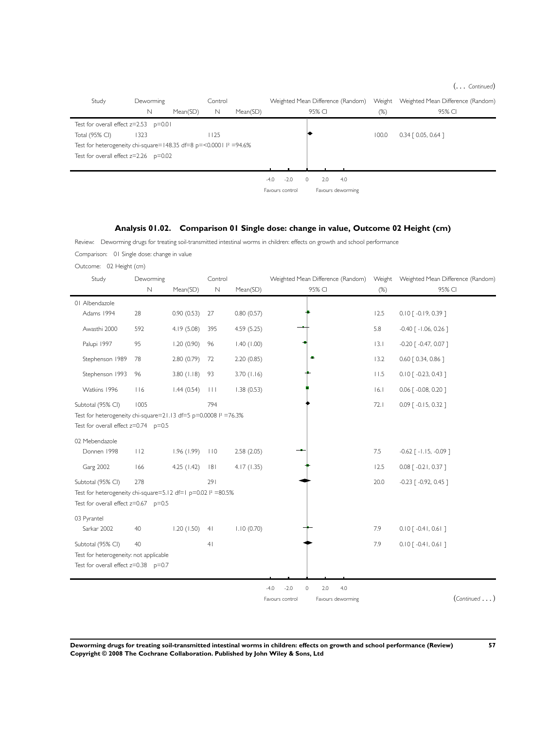(... *Continued*)

| Study                                                                | Deworming |          | Control |          |        |                 |        | Weighted Mean Difference (Random) | Weight | Weighted Mean Difference (Random) |
|----------------------------------------------------------------------|-----------|----------|---------|----------|--------|-----------------|--------|-----------------------------------|--------|-----------------------------------|
|                                                                      | N         | Mean(SD) | N       | Mean(SD) |        |                 | 95% CI |                                   | $(\%)$ | 95% CI                            |
| Test for overall effect $z=2.53$ $p=0.01$                            |           |          |         |          |        |                 |        |                                   |        |                                   |
| Total (95% CI)                                                       | 1323      |          | l 125   |          |        |                 |        |                                   | 100.0  | $0.34$ $[0.05, 0.64]$             |
| Test for heterogeneity chi-square=148.35 df=8 p=<0.0001 $1^2$ =94.6% |           |          |         |          |        |                 |        |                                   |        |                                   |
| Test for overall effect $z=2.26$ $p=0.02$                            |           |          |         |          |        |                 |        |                                   |        |                                   |
|                                                                      |           |          |         |          |        |                 |        |                                   |        |                                   |
|                                                                      |           |          |         |          | $-4.0$ | $-2.0$          | 2.0    | 4.0                               |        |                                   |
|                                                                      |           |          |         |          |        | Favours control |        | Favours deworming                 |        |                                   |
|                                                                      |           |          |         |          |        |                 |        |                                   |        |                                   |

### **Analysis 01.02. Comparison 01 Single dose: change in value, Outcome 02 Height (cm)**

Review: Deworming drugs for treating soil-transmitted intestinal worms in children: effects on growth and school performance

Comparison: 01 Single dose: change in value

Outcome: 02 Height (cm)

| Study                                                                                                                                      | Deworming   |            | Control        |            | Weighted Mean Difference (Random)                                           |        | Weight Weighted Mean Difference (Random) |
|--------------------------------------------------------------------------------------------------------------------------------------------|-------------|------------|----------------|------------|-----------------------------------------------------------------------------|--------|------------------------------------------|
|                                                                                                                                            | $\mathbb N$ | Mean(SD)   | $\mathbb N$    | Mean(SD)   | 95% CI                                                                      | $(\%)$ | 95% CI                                   |
| 01 Albendazole                                                                                                                             |             |            |                |            |                                                                             |        |                                          |
| Adams 1994                                                                                                                                 | 28          | 0.90(0.53) | 27             | 0.80(0.57) |                                                                             | 12.5   | $0.10$ $\lceil -0.19, 0.39 \rceil$       |
| Awasthi 2000                                                                                                                               | 592         | 4.19(5.08) | 395            | 4.59(5.25) |                                                                             | 5.8    | $-0.40$ $\lceil -1.06, 0.26 \rceil$      |
| Palupi 1997                                                                                                                                | 95          | 1.20(0.90) | 96             | 1.40(1.00) |                                                                             | 3.1    | $-0.20$ $\lceil -0.47, 0.07 \rceil$      |
| Stephenson 1989                                                                                                                            | 78          | 2.80(0.79) | 72             | 2.20(0.85) |                                                                             | 13.2   | 0.60 [ 0.34, 0.86 ]                      |
| Stephenson 1993                                                                                                                            | 96          | 3.80(1.18) | 93             | 3.70(1.16) |                                                                             | 11.5   | $0.10$ $[-0.23, 0.43]$                   |
| Watkins 1996                                                                                                                               | 116         | 1.44(0.54) | $\perp$        | 1.38(0.53) |                                                                             | 6.1    | $0.06$ $\lceil -0.08, 0.20 \rceil$       |
| Subtotal (95% CI)<br>Test for heterogeneity chi-square=21.13 df=5 p=0.0008 l <sup>2</sup> =76.3%<br>Test for overall effect $z=0.74$ p=0.5 | 1005        |            | 794            |            |                                                                             | 72.1   | $0.09$ $\lceil -0.15, 0.32 \rceil$       |
| 02 Mebendazole                                                                                                                             |             |            |                |            |                                                                             |        |                                          |
| Donnen 1998                                                                                                                                | 112         | 1.96(1.99) | 10             | 2.58(2.05) |                                                                             | 7.5    | $-0.62$ [ $-1.15, -0.09$ ]               |
| Garg 2002                                                                                                                                  | 166         | 4.25(1.42) | 8              | 4.17(1.35) |                                                                             | 12.5   | $0.08$ $\lceil -0.21, 0.37 \rceil$       |
| Subtotal (95% CI)<br>Test for heterogeneity chi-square=5.12 df=1 p=0.02 l <sup>2</sup> =80.5%<br>Test for overall effect $z=0.67$ $p=0.5$  | 278         |            | 291            |            |                                                                             | 20.0   | $-0.23$ $\lceil -0.92, 0.45 \rceil$      |
| 03 Pyrantel                                                                                                                                |             |            |                |            |                                                                             |        |                                          |
| Sarkar 2002                                                                                                                                | 40          | 1.20(1.50) | 4 <sub>1</sub> | 1.10(0.70) |                                                                             | 7.9    | $0.10$ $\lceil -0.41, 0.61 \rceil$       |
| Subtotal (95% CI)                                                                                                                          | 40          |            | 4 <sub>1</sub> |            |                                                                             | 7.9    | $0.10$ $\lceil -0.41, 0.61 \rceil$       |
| Test for heterogeneity: not applicable                                                                                                     |             |            |                |            |                                                                             |        |                                          |
| Test for overall effect $z=0.38$ $p=0.7$                                                                                                   |             |            |                |            |                                                                             |        |                                          |
|                                                                                                                                            |             |            |                |            | 2.0<br>4.0<br>$-4.0$<br>$-2.0$<br>Ò<br>Favours deworming<br>Favours control |        | $(Continued \dots)$                      |

**Deworming drugs for treating soil-transmitted intestinal worms in children: effects on growth and school performance (Review) 57 Copyright © 2008 The Cochrane Collaboration. Published by John Wiley & Sons, Ltd**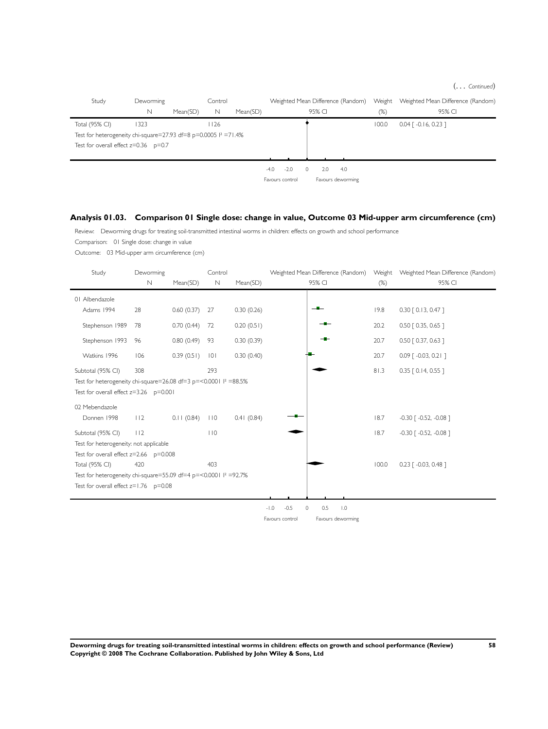(... *Continued*)

| Study                                                              | Deworming |          | Control |          |        |                 |        | Weighted Mean Difference (Random) |       | Weight Weighted Mean Difference (Random) |
|--------------------------------------------------------------------|-----------|----------|---------|----------|--------|-----------------|--------|-----------------------------------|-------|------------------------------------------|
|                                                                    | N         | Mean(SD) | N       | Mean(SD) |        |                 | 95% CI |                                   | (%)   | 95% CI                                   |
| Total (95% CI)                                                     | 323       |          | 126     |          |        |                 |        |                                   | 100.0 | $0.04$ [ -0.16, 0.23 ]                   |
| Test for heterogeneity chi-square=27.93 df=8 p=0.0005 $1^2$ =71.4% |           |          |         |          |        |                 |        |                                   |       |                                          |
| Test for overall effect $z=0.36$ $p=0.7$                           |           |          |         |          |        |                 |        |                                   |       |                                          |
|                                                                    |           |          |         |          |        |                 |        |                                   |       |                                          |
|                                                                    |           |          |         |          | $-4.0$ | $-2.0$          | 2.0    | 4.0                               |       |                                          |
|                                                                    |           |          |         |          |        | Favours control |        | Favours deworming                 |       |                                          |

#### **Analysis 01.03. Comparison 01 Single dose: change in value, Outcome 03 Mid-upper arm circumference (cm)**

Review: Deworming drugs for treating soil-transmitted intestinal worms in children: effects on growth and school performance

Comparison: 01 Single dose: change in value

Outcome: 03 Mid-upper arm circumference (cm)

| Study                                                                                                                                     | Deworming  |            | Control    |            | Weighted Mean Difference (Random)                                                        |        | Weight Weighted Mean Difference (Random) |
|-------------------------------------------------------------------------------------------------------------------------------------------|------------|------------|------------|------------|------------------------------------------------------------------------------------------|--------|------------------------------------------|
|                                                                                                                                           | $\hbox{N}$ | Mean(SD)   | $\hbox{N}$ | Mean(SD)   | 95% CI                                                                                   | $(\%)$ | 95% CI                                   |
| 01 Albendazole                                                                                                                            |            |            |            |            |                                                                                          |        |                                          |
| Adams 1994                                                                                                                                | 28         | 0.60(0.37) | 27         | 0.30(0.26) | $-$                                                                                      | 19.8   | $0.30$ $[0.13, 0.47]$                    |
| Stephenson 1989                                                                                                                           | 78         | 0.70(0.44) | 72         | 0.20(0.51) |                                                                                          | 20.2   | $0.50$ $[0.35, 0.65]$                    |
| Stephenson 1993                                                                                                                           | 96         | 0.80(0.49) | 93         | 0.30(0.39) |                                                                                          | 20.7   | 0.50 [ 0.37, 0.63 ]                      |
| Watkins 1996                                                                                                                              | 106        | 0.39(0.51) | 0          | 0.30(0.40) |                                                                                          | 20.7   | $0.09$ $[-0.03, 0.21]$                   |
| Subtotal (95% CI)<br>Test for heterogeneity chi-square=26.08 df=3 p=<0.000   $1^2$ =88.5%<br>Test for overall effect $z=3.26$ $p=0.001$   | 308        |            | 293        |            |                                                                                          | 81.3   | $0.35$ $[0.14, 0.55]$                    |
| 02 Mebendazole<br>Donnen 1998                                                                                                             | 112        | 0.11(0.84) | 110        | 0.41(0.84) |                                                                                          | 18.7   | $-0.30$ $\lceil -0.52, -0.08 \rceil$     |
| Subtotal (95% CI)<br>Test for heterogeneity: not applicable<br>Test for overall effect $z=2.66$ p=0.008                                   | 112        |            | 110        |            |                                                                                          | 18.7   | $-0.30$ $\lceil -0.52, -0.08 \rceil$     |
| Total (95% CI)<br>Test for heterogeneity chi-square=55.09 df=4 p=<0.0001 l <sup>2</sup> =92.7%<br>Test for overall effect $z=1.76$ p=0.08 | 420        |            | 403        |            |                                                                                          | 100.0  | $0.23$ [ -0.03, 0.48 ]                   |
|                                                                                                                                           |            |            |            |            | $-1.0$<br>$-0.5$<br>0.5<br>$\overline{1.0}$<br>0<br>Favours control<br>Favours deworming |        |                                          |

**Deworming drugs for treating soil-transmitted intestinal worms in children: effects on growth and school performance (Review) 58 Copyright © 2008 The Cochrane Collaboration. Published by John Wiley & Sons, Ltd**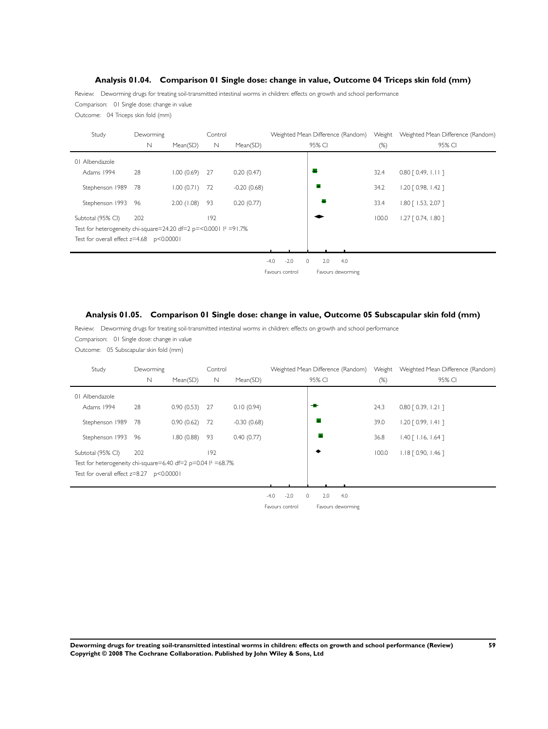### **Analysis 01.04. Comparison 01 Single dose: change in value, Outcome 04 Triceps skin fold (mm)**

Review: Deworming drugs for treating soil-transmitted intestinal worms in children: effects on growth and school performance Comparison: 01 Single dose: change in value

Outcome: 04 Triceps skin fold (mm)

| Study                                                                            | Deworming |                 | Control     |               | Weighted Mean Difference (Random) |                |                   | Weight | Weighted Mean Difference (Random) |
|----------------------------------------------------------------------------------|-----------|-----------------|-------------|---------------|-----------------------------------|----------------|-------------------|--------|-----------------------------------|
|                                                                                  | N         | Mean(SD)        | $\mathbb N$ | Mean(SD)      |                                   | 95% CI         |                   | $(\%)$ | 95% CI                            |
| 01 Albendazole                                                                   |           |                 |             |               |                                   |                |                   |        |                                   |
| Adams 1994                                                                       | 28        | $1.00(0.69)$ 27 |             | 0.20(0.47)    |                                   | $\blacksquare$ |                   | 32.4   | $0.80$ [ 0.49, 1.11 ]             |
| Stephenson 1989                                                                  | -78       | 1.00(0.71)      | - 72        | $-0.20(0.68)$ |                                   | H              |                   | 34.2   | 1.20 [ 0.98, 1.42 ]               |
| Stephenson 1993                                                                  | 96        | 2.00(1.08)      | 93          | 0.20(0.77)    |                                   | H              |                   | 33.4   | $1.80$ [ $1.53$ , 2.07 ]          |
| Subtotal (95% CI)                                                                | 202       |                 | 192         |               |                                   |                |                   | 100.0  | $1.27$ $[0.74, 1.80]$             |
| Test for heterogeneity chi-square=24.20 df=2 $p = 0.0001$   <sup>2</sup> = 91.7% |           |                 |             |               |                                   |                |                   |        |                                   |
| Test for overall effect $z=4.68$ $p<0.00001$                                     |           |                 |             |               |                                   |                |                   |        |                                   |
|                                                                                  |           |                 |             |               |                                   |                |                   |        |                                   |
|                                                                                  |           |                 |             |               | $-2.0$<br>$-4.0$                  | 2.0            | 4.0               |        |                                   |
|                                                                                  |           |                 |             |               | Favours control                   |                | Favours deworming |        |                                   |

#### **Analysis 01.05. Comparison 01 Single dose: change in value, Outcome 05 Subscapular skin fold (mm)**

Review: Deworming drugs for treating soil-transmitted intestinal worms in children: effects on growth and school performance

Comparison: 01 Single dose: change in value

Outcome: 05 Subscapular skin fold (mm)

| Study                                                               | Deworming   |                 | Control     |               |                  | Weighted Mean Difference (Random) Weight |        | Weighted Mean Difference (Random) |
|---------------------------------------------------------------------|-------------|-----------------|-------------|---------------|------------------|------------------------------------------|--------|-----------------------------------|
|                                                                     | $\mathbb N$ | Mean(SD)        | $\mathbb N$ | Mean(SD)      |                  | 95% CI                                   | $(\%)$ | 95% CI                            |
| 01 Albendazole                                                      |             |                 |             |               |                  |                                          |        |                                   |
| Adams 1994                                                          | 28          | $0.90(0.53)$ 27 |             | 0.10(0.94)    |                  | $\blacksquare$                           | 24.3   | $0.80$ $[0.39, 1.21]$             |
| Stephenson 1989                                                     | 78          | 0.90(0.62)      | 72          | $-0.30(0.68)$ |                  | ÷                                        | 39.0   | $1.20$ $[0.99, 1.41]$             |
| Stephenson 1993                                                     | 96          | 1.80(0.88)      | 93          | 0.40(0.77)    |                  |                                          | 36.8   | $1.40$ $[$ $1.16$ , $1.64$ $]$    |
| Subtotal (95% CI)                                                   | 202         |                 | 192         |               |                  |                                          | 100.0  | $1.18$ $[0.90, 1.46]$             |
| Test for heterogeneity chi-square=6.40 df=2 $p=0.04$ $1^2 = 68.7\%$ |             |                 |             |               |                  |                                          |        |                                   |
| Test for overall effect $z=8.27$ $p<0.00001$                        |             |                 |             |               |                  |                                          |        |                                   |
|                                                                     |             |                 |             |               |                  |                                          |        |                                   |
|                                                                     |             |                 |             |               | $-2.0$<br>$-4.0$ | 4.0<br>2.0                               |        |                                   |
|                                                                     |             |                 |             |               | Favours control  | Favours deworming                        |        |                                   |
|                                                                     |             |                 |             |               |                  |                                          |        |                                   |
|                                                                     |             |                 |             |               |                  |                                          |        |                                   |
|                                                                     |             |                 |             |               |                  |                                          |        |                                   |
|                                                                     |             |                 |             |               |                  |                                          |        |                                   |
|                                                                     |             |                 |             |               |                  |                                          |        |                                   |

**Deworming drugs for treating soil-transmitted intestinal worms in children: effects on growth and school performance (Review) 59 Copyright © 2008 The Cochrane Collaboration. Published by John Wiley & Sons, Ltd**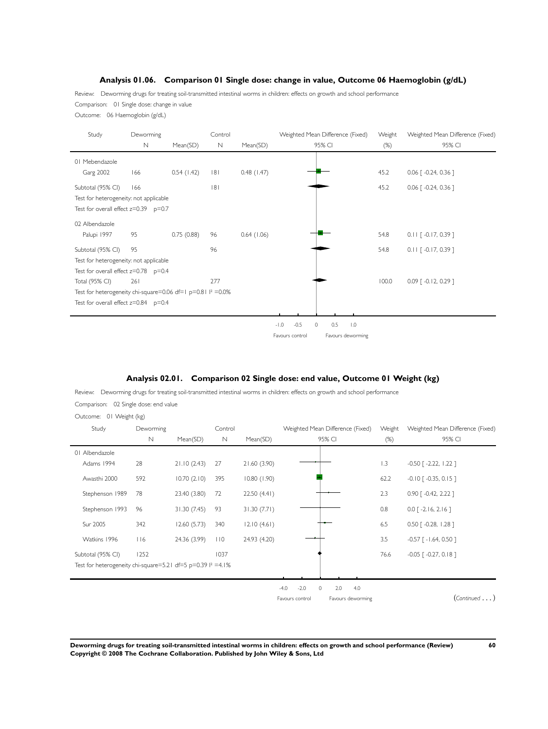#### **Analysis 01.06. Comparison 01 Single dose: change in value, Outcome 06 Haemoglobin (g/dL)**

Review: Deworming drugs for treating soil-transmitted intestinal worms in children: effects on growth and school performance Comparison: 01 Single dose: change in value

Outcome: 06 Haemoglobin (g/dL)

| Study                                                            | Deworming   |            | Control     |               | Weighted Mean Difference (Fixed)                        | Weight | Weighted Mean Difference (Fixed)   |
|------------------------------------------------------------------|-------------|------------|-------------|---------------|---------------------------------------------------------|--------|------------------------------------|
|                                                                  | $\mathbb N$ | Mean(SD)   | $\mathbb N$ | Mean(SD)      | 95% CI                                                  | $(\%)$ | 95% CI                             |
| 01 Mebendazole                                                   |             |            |             |               |                                                         |        |                                    |
| Garg 2002                                                        | 166         | 0.54(1.42) | 8           | $0.48$ (1.47) |                                                         | 45.2   | $0.06$ $\lceil -0.24, 0.36 \rceil$ |
| Subtotal (95% CI)                                                | 166         |            | 8           |               |                                                         | 45.2   | $0.06$ $\lceil -0.24, 0.36 \rceil$ |
| Test for heterogeneity: not applicable                           |             |            |             |               |                                                         |        |                                    |
| Test for overall effect $z=0.39$ $p=0.7$                         |             |            |             |               |                                                         |        |                                    |
| 02 Albendazole                                                   |             |            |             |               |                                                         |        |                                    |
| Palupi 1997                                                      | 95          | 0.75(0.88) | 96          | 0.64(1.06)    |                                                         | 54.8   | $0.11$ $[-0.17, 0.39]$             |
| Subtotal (95% CI)                                                | 95          |            | 96          |               |                                                         | 54.8   | $0.11$ $[-0.17, 0.39]$             |
| Test for heterogeneity: not applicable                           |             |            |             |               |                                                         |        |                                    |
| Test for overall effect $z=0.78$ p=0.4                           |             |            |             |               |                                                         |        |                                    |
| Total (95% CI)                                                   | 261         |            | 277         |               |                                                         | 100.0  | $0.09$ $[-0.12, 0.29]$             |
| Test for heterogeneity chi-square=0.06 df=1 $p=0.81$ $1^2$ =0.0% |             |            |             |               |                                                         |        |                                    |
| Test for overall effect $z=0.84$ p=0.4                           |             |            |             |               |                                                         |        |                                    |
|                                                                  |             |            |             |               |                                                         |        |                                    |
|                                                                  |             |            |             |               | 0.5<br>$-1.0$<br>$-0.5$<br>$\overline{1.0}$<br>$\Omega$ |        |                                    |
|                                                                  |             |            |             |               | Favours deworming<br>Favours control                    |        |                                    |

#### **Analysis 02.01. Comparison 02 Single dose: end value, Outcome 01 Weight (kg)**

Review: Deworming drugs for treating soil-transmitted intestinal worms in children: effects on growth and school performance

Comparison: 02 Single dose: end value Outcome: 01 Weight (kg)

| Study                                                          | Deworming |              | Control     |              |                  |          | Weighted Mean Difference (Fixed) | Weight | Weighted Mean Difference (Fixed)   |
|----------------------------------------------------------------|-----------|--------------|-------------|--------------|------------------|----------|----------------------------------|--------|------------------------------------|
|                                                                | N         | Mean(SD)     | $\mathbb N$ | Mean(SD)     |                  |          | 95% CI                           | $(\%)$ | 95% CI                             |
| 01 Albendazole                                                 |           |              |             |              |                  |          |                                  |        |                                    |
| Adams 1994                                                     | 28        | 21.10(2.43)  | 27          | 21.60(3.90)  |                  |          |                                  | 1.3    | $-0.50$ $[-2.22, 1.22]$            |
| Awasthi 2000                                                   | 592       | 10.70(2.10)  | 395         | 10.80(1.90)  |                  |          |                                  | 62.2   | $-0.10$ $[-0.35, 0.15]$            |
| Stephenson 1989                                                | 78        | 23.40 (3.80) | 72          | 22.50 (4.41) |                  |          |                                  | 2.3    | $0.90$ $\lceil -0.42, 2.22 \rceil$ |
| Stephenson 1993                                                | 96        | 31.30(7.45)  | 93          | 31.30(7.71)  |                  |          |                                  | 0.8    | $0.0$ [ -2.16, 2.16 ]              |
| Sur 2005                                                       | 342       | 12.60(5.73)  | 340         | 12.10(4.61)  |                  |          |                                  | 6.5    | $0.50$ $\lceil -0.28, 1.28 \rceil$ |
| Watkins 1996                                                   | 116       | 24.36 (3.99) | 110         | 24.93 (4.20) |                  |          |                                  | 3.5    | $-0.57$ [ $-1.64$ , 0.50]          |
| Subtotal (95% CI)                                              | 1252      |              | 1037        |              |                  |          |                                  | 76.6   | $-0.05$ $[-0.27, 0.18]$            |
| Test for heterogeneity chi-square=5.21 df=5 p=0.39 $1^2$ =4.1% |           |              |             |              |                  |          |                                  |        |                                    |
|                                                                |           |              |             |              |                  |          |                                  |        |                                    |
|                                                                |           |              |             |              | $-2.0$<br>$-4.0$ | $\Omega$ | 2.0<br>4.0                       |        |                                    |
|                                                                |           |              |             |              | Favours control  |          | Favours deworming                |        | $(Continued \dots)$                |

**Deworming drugs for treating soil-transmitted intestinal worms in children: effects on growth and school performance (Review) 60 Copyright © 2008 The Cochrane Collaboration. Published by John Wiley & Sons, Ltd**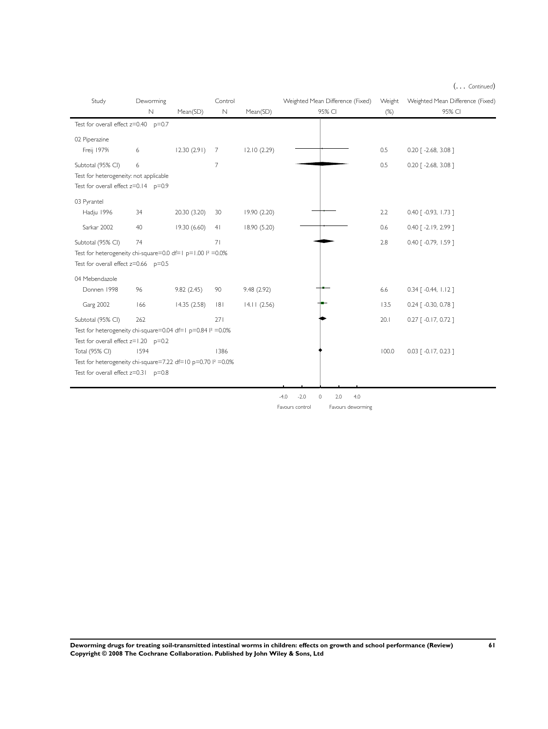| $(\ldots)$<br>Continued) |
|--------------------------|
|--------------------------|

| Study                                                                   | Deworming   |              | Control        |              | Weighted Mean Difference (Fixed) | Weight | Weighted Mean Difference (Fixed)   |
|-------------------------------------------------------------------------|-------------|--------------|----------------|--------------|----------------------------------|--------|------------------------------------|
|                                                                         | $\mathbb N$ | Mean(SD)     | $\mathsf{N}$   | Mean(SD)     | 95% CI                           | $(\%)$ | 95% CI                             |
| Test for overall effect $z=0.40$ $p=0.7$                                |             |              |                |              |                                  |        |                                    |
| 02 Piperazine                                                           |             |              |                |              |                                  |        |                                    |
| Freij 1979i                                                             | 6           | 12.30(2.91)  | 7              | 12.10(2.29)  |                                  | 0.5    | $0.20$ $\lceil -2.68, 3.08 \rceil$ |
| Subtotal (95% CI)                                                       | 6           |              | $\overline{7}$ |              |                                  | 0.5    | $0.20$ $\lceil -2.68, 3.08 \rceil$ |
| Test for heterogeneity: not applicable                                  |             |              |                |              |                                  |        |                                    |
| Test for overall effect $z=0.14$ $p=0.9$                                |             |              |                |              |                                  |        |                                    |
| 03 Pyrantel                                                             |             |              |                |              |                                  |        |                                    |
| Hadju 1996                                                              | 34          | 20.30 (3.20) | 30             | 19.90 (2.20) |                                  | 2.2    | $0.40$ $\lceil -0.93, 1.73 \rceil$ |
| Sarkar 2002                                                             | 40          | 19.30 (6.60) | 4 <sub>1</sub> | 18.90 (5.20) |                                  | 0.6    | 0.40 [ -2.19, 2.99 ]               |
| Subtotal (95% CI)                                                       | 74          |              | 71             |              |                                  | 2.8    | 0.40 [ -0.79, 1.59 ]               |
| Test for heterogeneity chi-square=0.0 df=1 $p=1.0012$ =0.0%             |             |              |                |              |                                  |        |                                    |
| Test for overall effect $z=0.66$ $p=0.5$                                |             |              |                |              |                                  |        |                                    |
| 04 Mebendazole                                                          |             |              |                |              |                                  |        |                                    |
| Donnen 1998                                                             | 96          | 9.82(2.45)   | 90             | 9.48(2.92)   |                                  | 6.6    | $0.34$ $\lceil -0.44, 1.12 \rceil$ |
| Garg 2002                                                               | 166         | 14.35(2.58)  | 8              | 14.11(2.56)  |                                  | 13.5   | $0.24$ $\lceil -0.30, 0.78 \rceil$ |
| Subtotal (95% CI)                                                       | 262         |              | 271            |              |                                  | 20.1   | $0.27$ [ -0.17, 0.72 ]             |
| Test for heterogeneity chi-square=0.04 df=1 p=0.84 l <sup>2</sup> =0.0% |             |              |                |              |                                  |        |                                    |
| Test for overall effect $z=1.20$ p=0.2                                  |             |              |                |              |                                  |        |                                    |
| Total (95% CI)                                                          | 1594        |              | 1386           |              |                                  | 100.0  | $0.03$ $\lceil -0.17, 0.23 \rceil$ |
| Test for heterogeneity chi-square=7.22 df=10 p=0.70 $1^2$ =0.0%         |             |              |                |              |                                  |        |                                    |
| Test for overall effect $z=0.31$ $p=0.8$                                |             |              |                |              |                                  |        |                                    |
|                                                                         |             |              |                |              |                                  |        |                                    |

Favours control Favours deworming

| Deworming drugs for treating soil-transmitted intestinal worms in children: effects on growth and school performance (Review) | -61 |
|-------------------------------------------------------------------------------------------------------------------------------|-----|
| Copyright © 2008 The Cochrane Collaboration. Published by John Wiley & Sons, Ltd                                              |     |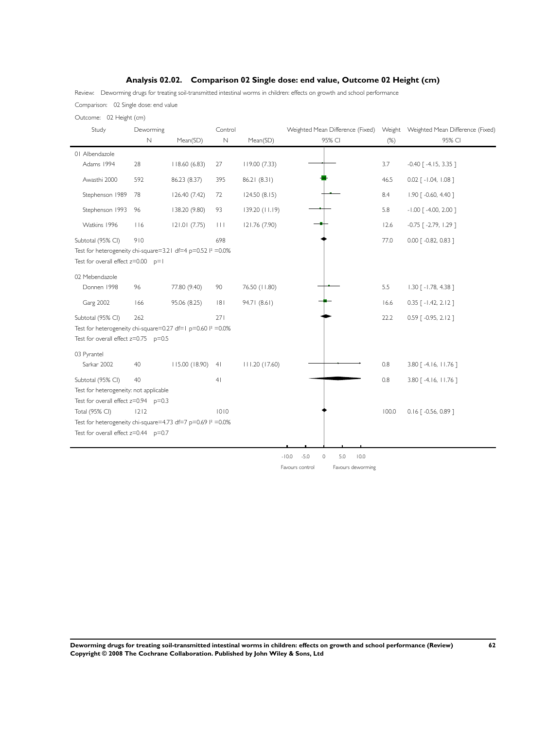#### **Analysis 02.02. Comparison 02 Single dose: end value, Outcome 02 Height (cm)**

Review: Deworming drugs for treating soil-transmitted intestinal worms in children: effects on growth and school performance

Comparison: 02 Single dose: end value

Outcome: 02 Height (cm)

| Study                                                                   | Deworming    |                | Control                 |                | Weighted Mean Difference (Fixed)             |        | Weight Weighted Mean Difference (Fixed) |
|-------------------------------------------------------------------------|--------------|----------------|-------------------------|----------------|----------------------------------------------|--------|-----------------------------------------|
|                                                                         | $\mathsf{N}$ | Mean(SD)       | $\mathbb N$             | Mean(SD)       | 95% CI                                       | $(\%)$ | 95% CI                                  |
| 01 Albendazole                                                          |              |                |                         |                |                                              |        |                                         |
| Adams 1994                                                              | 28           | 118.60 (6.83)  | 27                      | 119.00 (7.33)  |                                              | 3.7    | $-0.40$ $[-4.15, 3.35]$                 |
| Awasthi 2000                                                            | 592          | 86.23 (8.37)   | 395                     | 86.21 (8.31)   |                                              | 46.5   | $0.02$ $\lceil -1.04, 1.08 \rceil$      |
| Stephenson 1989                                                         | 78           | 126.40 (7.42)  | 72                      | 124.50(8.15)   |                                              | 8.4    | 1.90 [ -0.60, 4.40 ]                    |
| Stephenson 1993                                                         | 96           | 138.20 (9.80)  | 93                      | 139.20 (11.19) |                                              | 5.8    | $-1.00$ $[-4.00, 2.00]$                 |
| Watkins 1996                                                            | 116          | 121.01(7.75)   | $\vert \ \vert \ \vert$ | 121.76 (7.90)  |                                              | 12.6   | $-0.75$ [ $-2.79$ , 1.29 ]              |
| Subtotal (95% CI)                                                       | 910          |                | 698                     |                |                                              | 77.0   | $0.00$ $\lceil -0.82, 0.83 \rceil$      |
| Test for heterogeneity chi-square=3.21 df=4 p=0.52 l <sup>2</sup> =0.0% |              |                |                         |                |                                              |        |                                         |
| Test for overall effect $z=0.00$ $p=1$                                  |              |                |                         |                |                                              |        |                                         |
| 02 Mebendazole                                                          |              |                |                         |                |                                              |        |                                         |
| Donnen 1998                                                             | 96           | 77.80 (9.40)   | 90                      | 76.50 (11.80)  |                                              | 5.5    | $1.30$ [ $-1.78$ , 4.38]                |
| Garg 2002                                                               | 166          | 95.06 (8.25)   | 8                       | 94.71 (8.61)   |                                              | 16.6   | $0.35$ $\lceil -1.42, 2.12 \rceil$      |
| Subtotal (95% CI)                                                       | 262          |                | 271                     |                |                                              | 22.2   | $0.59$ $\lceil -0.95, 2.12 \rceil$      |
| Test for heterogeneity chi-square=0.27 df=1 p=0.60 l <sup>2</sup> =0.0% |              |                |                         |                |                                              |        |                                         |
| Test for overall effect $z=0.75$ $p=0.5$                                |              |                |                         |                |                                              |        |                                         |
| 03 Pyrantel                                                             |              |                |                         |                |                                              |        |                                         |
| Sarkar 2002                                                             | 40           | 115.00 (18.90) | 4 <sub>1</sub>          | 111.20(17.60)  |                                              | 0.8    | 3.80 [-4.16, 11.76]                     |
| Subtotal (95% CI)                                                       | 40           |                | 4 <sub>1</sub>          |                |                                              | 0.8    | 3.80 [ -4.16, 11.76 ]                   |
| Test for heterogeneity: not applicable                                  |              |                |                         |                |                                              |        |                                         |
| Test for overall effect $z=0.94$ $p=0.3$                                |              |                |                         |                |                                              |        |                                         |
| Total (95% CI)                                                          | $1212$       |                | 1010                    |                |                                              | 100.0  | $0.16$ $[ -0.56, 0.89]$                 |
| Test for heterogeneity chi-square=4.73 df=7 $p=0.69$ $1^2 = 0.0\%$      |              |                |                         |                |                                              |        |                                         |
| Test for overall effect $z=0.44$ $p=0.7$                                |              |                |                         |                |                                              |        |                                         |
|                                                                         |              |                |                         |                |                                              |        |                                         |
|                                                                         |              |                |                         |                | $-10.0$<br>$-5.0$<br>5.0<br>10.0<br>$\Omega$ |        |                                         |

Favours control Favours deworming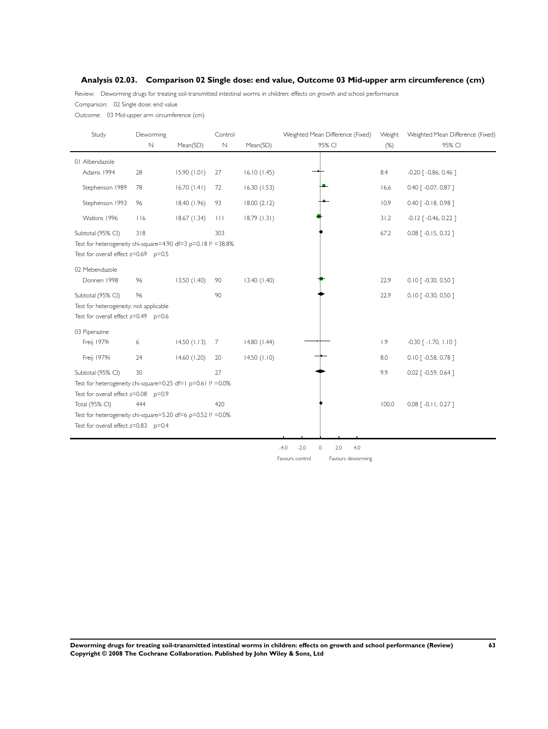#### **Analysis 02.03. Comparison 02 Single dose: end value, Outcome 03 Mid-upper arm circumference (cm)**

Review: Deworming drugs for treating soil-transmitted intestinal worms in children: effects on growth and school performance

Comparison: 02 Single dose: end value

Outcome: 03 Mid-upper arm circumference (cm)

| Study                                                                                                                             | Deworming  |              | Control     |             | Weighted Mean Difference (Fixed)                                            | Weight | Weighted Mean Difference (Fixed)    |
|-----------------------------------------------------------------------------------------------------------------------------------|------------|--------------|-------------|-------------|-----------------------------------------------------------------------------|--------|-------------------------------------|
|                                                                                                                                   | $\hbox{N}$ | Mean(SD)     | $\mathbb N$ | Mean(SD)    | 95% CI                                                                      | $(\%)$ | 95% CI                              |
| 01 Albendazole                                                                                                                    |            |              |             |             |                                                                             |        |                                     |
| Adams 1994                                                                                                                        | 28         | 15.90(1.01)  | 27          | 16.10(1.45) |                                                                             | 8.4    | $-0.20$ $\lceil -0.86, 0.46 \rceil$ |
| Stephenson 1989                                                                                                                   | 78         | 16.70(1.41)  | 72          | 16.30(1.53) |                                                                             | 16.6   | 0.40 [ -0.07, 0.87 ]                |
| Stephenson 1993                                                                                                                   | 96         | 18.40 (1.96) | 93          | 18.00(2.12) |                                                                             | 10.9   | $0.40$ $[ -0.18, 0.98 ]$            |
| Watkins 1996                                                                                                                      | 116        | 18.67 (1.34) | $\perp$     | 18.79(1.31) |                                                                             | 31.2   | $-0.12$ $[-0.46, 0.22]$             |
| Subtotal (95% CI)<br>Test for heterogeneity chi-square=4.90 df=3 p=0.18 $1^2$ =38.8%<br>Test for overall effect $z=0.69$ $p=0.5$  | 318        |              | 303         |             |                                                                             | 67.2   | $0.08$ $\lceil -0.15, 0.32 \rceil$  |
| 02 Mebendazole<br>Donnen 1998                                                                                                     | 96         | 13.50 (1.40) | 90          | 13.40(1.40) |                                                                             | 22.9   | 0.10 [ -0.30, 0.50 ]                |
| Subtotal (95% CI)<br>Test for heterogeneity: not applicable<br>Test for overall effect $z=0.49$ $p=0.6$                           | 96         |              | 90          |             |                                                                             | 22.9   | $0.10$ $\lceil -0.30, 0.50 \rceil$  |
| 03 Piperazine                                                                                                                     |            |              |             |             |                                                                             |        |                                     |
| Freij 1979i                                                                                                                       | 6          | 14.50(1.13)  | 7           | 14.80(1.44) |                                                                             | 1.9    | $-0.30$ $[-1.70, 1.10]$             |
| Freij 1979ii                                                                                                                      | 24         | 14.60 (1.20) | 20          | 14.50(1.10) |                                                                             | 8.0    | $0.10$ [ -0.58, 0.78 ]              |
| Subtotal (95% CI)<br>Test for heterogeneity chi-square=0.25 df=1 $p=0.61$ $1^2$ =0.0%<br>Test for overall effect $z=0.08$ $p=0.9$ | 30         |              | 27          |             |                                                                             | 9.9    | $0.02$ $\lceil -0.59, 0.64 \rceil$  |
| Total (95% CI)<br>Test for heterogeneity chi-square=5.20 df=6 p=0.52 $1^2$ =0.0%<br>Test for overall effect $z=0.83$ $p=0.4$      | 444        |              | 420         |             |                                                                             | 100.0  | $0.08$ $\lceil -0.11, 0.27 \rceil$  |
|                                                                                                                                   |            |              |             |             | 4.0<br>$-2.0$<br>2.0<br>$-4.0$<br>0<br>Favours deworming<br>Favours control |        |                                     |

**Deworming drugs for treating soil-transmitted intestinal worms in children: effects on growth and school performance (Review) 63 Copyright © 2008 The Cochrane Collaboration. Published by John Wiley & Sons, Ltd**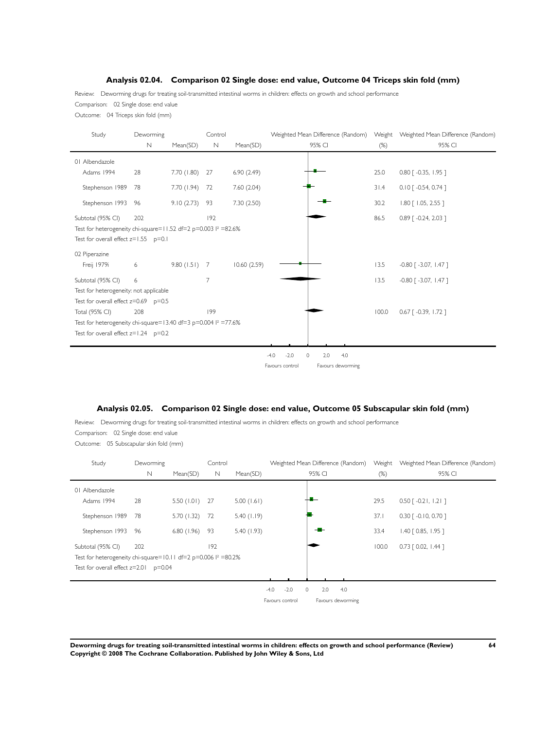#### **Analysis 02.04. Comparison 02 Single dose: end value, Outcome 04 Triceps skin fold (mm)**

Review: Deworming drugs for treating soil-transmitted intestinal worms in children: effects on growth and school performance Comparison: 02 Single dose: end value

Outcome: 04 Triceps skin fold (mm)

| Study                                                                                                                                       | Deworming |                | Control        |             |                                      |        | Weighted Mean Difference (Random) Weight Weighted Mean Difference (Random) |
|---------------------------------------------------------------------------------------------------------------------------------------------|-----------|----------------|----------------|-------------|--------------------------------------|--------|----------------------------------------------------------------------------|
|                                                                                                                                             | N         | Mean(SD)       | $\mathbb N$    | Mean(SD)    | 95% CI                               | $(\%)$ | 95% CI                                                                     |
| 01 Albendazole                                                                                                                              |           |                |                |             |                                      |        |                                                                            |
| Adams 1994                                                                                                                                  | 28        | 7.70 (1.80)    | 27             | 6.90(2.49)  |                                      | 25.0   | $0.80$ $\lceil -0.35, 1.95 \rceil$                                         |
| Stephenson 1989                                                                                                                             | 78        | 7.70 (1.94)    | 72             | 7.60(2.04)  |                                      | 31.4   | $0.10$ $\lceil -0.54, 0.74 \rceil$                                         |
| Stephenson 1993                                                                                                                             | 96        | 9.10(2.73)     | 93             | 7.30(2.50)  |                                      | 30.2   | $1.80$ $[$ 1.05, 2.55 ]                                                    |
| Subtotal (95% CI)<br>Test for heterogeneity chi-square=11.52 df=2 p=0.003 l <sup>2</sup> =82.6%<br>Test for overall effect $z=1.55$ $p=0.1$ | 202       |                | 192            |             |                                      | 86.5   | $0.89$ $\lceil -0.24, 2.03 \rceil$                                         |
| 02 Piperazine                                                                                                                               |           |                |                |             |                                      |        |                                                                            |
| Freij 1979i                                                                                                                                 | 6         | $9.80(1.51)$ 7 |                | 10.60(2.59) |                                      | 13.5   | $-0.80$ [ $-3.07$ , 1.47 ]                                                 |
| Subtotal (95% CI)                                                                                                                           | 6         |                | $\overline{7}$ |             |                                      | 13.5   | $-0.80$ $[-3.07, 1.47]$                                                    |
| Test for heterogeneity: not applicable                                                                                                      |           |                |                |             |                                      |        |                                                                            |
| Test for overall effect $z=0.69$ $p=0.5$                                                                                                    |           |                |                |             |                                      |        |                                                                            |
| Total (95% CI)                                                                                                                              | 208       |                | 199            |             |                                      | 100.0  | $0.67$ $[-0.39, 1.72]$                                                     |
| Test for heterogeneity chi-square=13.40 df=3 p=0.004 $1^2$ =77.6%                                                                           |           |                |                |             |                                      |        |                                                                            |
| Test for overall effect $z=1.24$ p=0.2                                                                                                      |           |                |                |             |                                      |        |                                                                            |
|                                                                                                                                             |           |                |                |             |                                      |        |                                                                            |
|                                                                                                                                             |           |                |                |             | 4.0<br>$-2.0$<br>2.0<br>$-4.0$<br>0  |        |                                                                            |
|                                                                                                                                             |           |                |                |             | Favours control<br>Favours deworming |        |                                                                            |

#### **Analysis 02.05. Comparison 02 Single dose: end value, Outcome 05 Subscapular skin fold (mm)**

Review: Deworming drugs for treating soil-transmitted intestinal worms in children: effects on growth and school performance Comparison: 02 Single dose: end value

Outcome: 05 Subscapular skin fold (mm)

| Study                                                                 | Deworming   |                 | Control |            |                  | Weighted Mean Difference (Random) | Weight | Weighted Mean Difference (Random)  |
|-----------------------------------------------------------------------|-------------|-----------------|---------|------------|------------------|-----------------------------------|--------|------------------------------------|
|                                                                       | $\mathbb N$ | Mean(SD)        | N       | Mean(SD)   |                  | 95% CI                            | $(\%)$ | 95% CI                             |
| 01 Albendazole                                                        |             |                 |         |            |                  |                                   |        |                                    |
| Adams 1994                                                            | 28          | $5.50(1.01)$ 27 |         | 5.00(1.61) |                  |                                   | 29.5   | $0.50$ [ -0.21, 1.21 ]             |
| Stephenson 1989                                                       | 78          | 5.70 (1.32) 72  |         | 5.40(1.19) |                  |                                   | 37.1   | $0.30$ $\lceil -0.10, 0.70 \rceil$ |
| Stephenson 1993                                                       | -96         | $6.80(1.96)$ 93 |         | 5.40(1.93) |                  | - 11                              | 33.4   | $1.40$ $[0.85, 1.95]$              |
| Subtotal (95% CI)                                                     | 202         |                 | 192     |            |                  |                                   | 100.0  | $0.73$ $[0.02, 1.44]$              |
| Test for heterogeneity chi-square=10.11 df=2 $p=0.006$ $1^2 = 80.2\%$ |             |                 |         |            |                  |                                   |        |                                    |
| Test for overall effect $z=2.01$ p=0.04                               |             |                 |         |            |                  |                                   |        |                                    |
|                                                                       |             |                 |         |            |                  |                                   |        |                                    |
|                                                                       |             |                 |         |            | $-2.0$<br>$-4.0$ | 2.0<br>4.0<br>U                   |        |                                    |
|                                                                       |             |                 |         |            | Favours control  | Favours deworming                 |        |                                    |

**Deworming drugs for treating soil-transmitted intestinal worms in children: effects on growth and school performance (Review) 64 Copyright © 2008 The Cochrane Collaboration. Published by John Wiley & Sons, Ltd**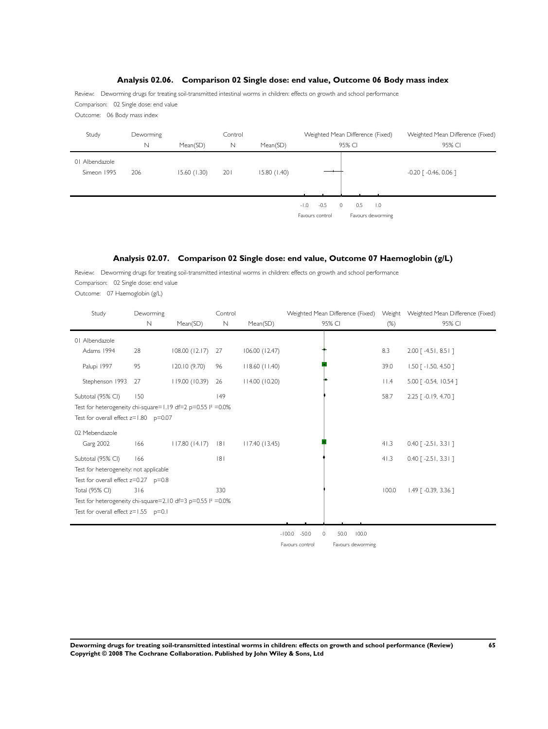#### **Analysis 02.06. Comparison 02 Single dose: end value, Outcome 06 Body mass index**

Review: Deworming drugs for treating soil-transmitted intestinal worms in children: effects on growth and school performance Comparison: 02 Single dose: end value

Outcome: 06 Body mass index

| Study                         | Deworming | Control     |             |             |                                     | Weighted Mean Difference (Fixed)             | Weighted Mean Difference (Fixed)    |
|-------------------------------|-----------|-------------|-------------|-------------|-------------------------------------|----------------------------------------------|-------------------------------------|
|                               | N         | Mean(SD)    | $\mathbb N$ | Mean(SD)    |                                     | 95% CI                                       | 95% CI                              |
| 01 Albendazole<br>Simeon 1995 | 206       | 15.60(1.30) | 201         | 15.80(1.40) |                                     |                                              | $-0.20$ $\lceil -0.46, 0.06 \rceil$ |
|                               |           |             |             |             | $-0.5$<br>$-1.0$<br>Favours control | 0.5<br>$\overline{1.0}$<br>Favours deworming |                                     |

#### **Analysis 02.07. Comparison 02 Single dose: end value, Outcome 07 Haemoglobin (g/L)**

Review: Deworming drugs for treating soil-transmitted intestinal worms in children: effects on growth and school performance Comparison: 02 Single dose: end value Outcome: 07 Haemoglobin (g/L)

| Mean(SD)<br>$\mathbb N$<br>Mean(SD)<br>95% CI<br>95% CI<br>N<br>$(\%)$<br>01 Albendazole<br>28<br>108.00(12.17)<br>106.00 (12.47)<br>8.3<br>$2.00$ [ -4.51, 8.51 ]<br>Adams 1994<br>27<br>95<br>120.10 (9.70)<br>118.60(11.40)<br>39.0<br>$1.50$ [ -1.50, 4.50 ]<br>Palupi 1997<br>96<br>119.00 (10.39)<br>114.00(10.20)<br>11.4<br>5.00 [ -0.54, 10.54 ]<br>Stephenson 1993<br>27<br>26<br>150<br> 49<br>58.7<br>2.25 [ -0.19, 4.70 ]<br>Subtotal (95% CI)<br>Test for heterogeneity chi-square=1.19 df=2 $p=0.55$ $1^2 = 0.0\%$<br>Test for overall effect $z=1.80$ p=0.07<br>02 Mebendazole<br>117.80(14.17)<br> 8 <br>117.40(13.45)<br>41.3<br>$0.40$ [ -2.51, 3.31 ]<br><b>Garg 2002</b><br>166<br> 8 <br>41.3<br>$0.40$ [ -2.51, 3.31 ]<br>Subtotal (95% CI)<br>166<br>Test for heterogeneity: not applicable<br>Test for overall effect $z=0.27$ $p=0.8$<br>316<br>330<br>100.0<br>Total (95% CI)<br>$1.49$ [ -0.39, 3.36 ]<br>Test for heterogeneity chi-square=2.10 df=3 p=0.55 $1^2$ =0.0%<br>Test for overall effect $z=1.55$ $p=0.1$ | Study | Deworming | Control |  | Weighted Mean Difference (Fixed)    Veight    Veighted Mean Difference (Fixed) |
|--------------------------------------------------------------------------------------------------------------------------------------------------------------------------------------------------------------------------------------------------------------------------------------------------------------------------------------------------------------------------------------------------------------------------------------------------------------------------------------------------------------------------------------------------------------------------------------------------------------------------------------------------------------------------------------------------------------------------------------------------------------------------------------------------------------------------------------------------------------------------------------------------------------------------------------------------------------------------------------------------------------------------------------------------|-------|-----------|---------|--|--------------------------------------------------------------------------------|
|                                                                                                                                                                                                                                                                                                                                                                                                                                                                                                                                                                                                                                                                                                                                                                                                                                                                                                                                                                                                                                                  |       |           |         |  |                                                                                |
|                                                                                                                                                                                                                                                                                                                                                                                                                                                                                                                                                                                                                                                                                                                                                                                                                                                                                                                                                                                                                                                  |       |           |         |  |                                                                                |
|                                                                                                                                                                                                                                                                                                                                                                                                                                                                                                                                                                                                                                                                                                                                                                                                                                                                                                                                                                                                                                                  |       |           |         |  |                                                                                |
|                                                                                                                                                                                                                                                                                                                                                                                                                                                                                                                                                                                                                                                                                                                                                                                                                                                                                                                                                                                                                                                  |       |           |         |  |                                                                                |
|                                                                                                                                                                                                                                                                                                                                                                                                                                                                                                                                                                                                                                                                                                                                                                                                                                                                                                                                                                                                                                                  |       |           |         |  |                                                                                |
|                                                                                                                                                                                                                                                                                                                                                                                                                                                                                                                                                                                                                                                                                                                                                                                                                                                                                                                                                                                                                                                  |       |           |         |  |                                                                                |
|                                                                                                                                                                                                                                                                                                                                                                                                                                                                                                                                                                                                                                                                                                                                                                                                                                                                                                                                                                                                                                                  |       |           |         |  |                                                                                |
|                                                                                                                                                                                                                                                                                                                                                                                                                                                                                                                                                                                                                                                                                                                                                                                                                                                                                                                                                                                                                                                  |       |           |         |  |                                                                                |
|                                                                                                                                                                                                                                                                                                                                                                                                                                                                                                                                                                                                                                                                                                                                                                                                                                                                                                                                                                                                                                                  |       |           |         |  |                                                                                |
|                                                                                                                                                                                                                                                                                                                                                                                                                                                                                                                                                                                                                                                                                                                                                                                                                                                                                                                                                                                                                                                  |       |           |         |  |                                                                                |
|                                                                                                                                                                                                                                                                                                                                                                                                                                                                                                                                                                                                                                                                                                                                                                                                                                                                                                                                                                                                                                                  |       |           |         |  |                                                                                |
|                                                                                                                                                                                                                                                                                                                                                                                                                                                                                                                                                                                                                                                                                                                                                                                                                                                                                                                                                                                                                                                  |       |           |         |  |                                                                                |
|                                                                                                                                                                                                                                                                                                                                                                                                                                                                                                                                                                                                                                                                                                                                                                                                                                                                                                                                                                                                                                                  |       |           |         |  |                                                                                |
|                                                                                                                                                                                                                                                                                                                                                                                                                                                                                                                                                                                                                                                                                                                                                                                                                                                                                                                                                                                                                                                  |       |           |         |  |                                                                                |
|                                                                                                                                                                                                                                                                                                                                                                                                                                                                                                                                                                                                                                                                                                                                                                                                                                                                                                                                                                                                                                                  |       |           |         |  |                                                                                |
|                                                                                                                                                                                                                                                                                                                                                                                                                                                                                                                                                                                                                                                                                                                                                                                                                                                                                                                                                                                                                                                  |       |           |         |  |                                                                                |

 $-100.0$   $-50.0$  0  $50.0$  100.0 Favours control Favours deworming

**Deworming drugs for treating soil-transmitted intestinal worms in children: effects on growth and school performance (Review) 65 Copyright © 2008 The Cochrane Collaboration. Published by John Wiley & Sons, Ltd**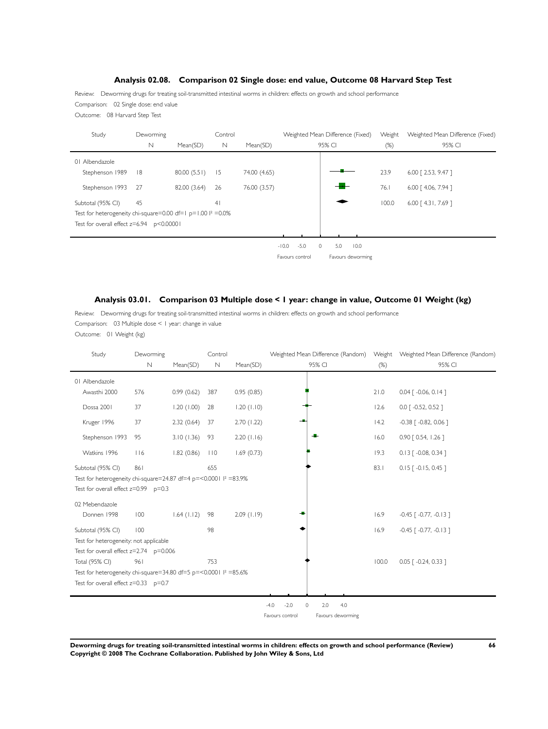#### **Analysis 02.08. Comparison 02 Single dose: end value, Outcome 08 Harvard Step Test**

Review: Deworming drugs for treating soil-transmitted intestinal worms in children: effects on growth and school performance Comparison: 02 Single dose: end value

Outcome: 08 Harvard Step Test

| Study                                                            | Deworming    |              | Control        |              |                   | Weighted Mean Difference (Fixed) | Weight | Weighted Mean Difference (Fixed) |
|------------------------------------------------------------------|--------------|--------------|----------------|--------------|-------------------|----------------------------------|--------|----------------------------------|
|                                                                  | $\mathsf{N}$ | Mean(SD)     | N              | Mean(SD)     |                   | 95% CI                           |        | 95% CI                           |
| 01 Albendazole                                                   |              |              |                |              |                   |                                  |        |                                  |
| Stephenson 1989                                                  | 8            | 80.00(5.51)  | 5              | 74.00 (4.65) |                   |                                  | 23.9   | 6.00 $[2.53, 9.47]$              |
| Stephenson 1993                                                  | - 27         | 82.00 (3.64) | 26             | 76.00 (3.57) |                   | ╶╊┹╌                             | 76.1   | 6.00 [ 4.06, 7.94 ]              |
| Subtotal (95% CI)                                                | 45           |              | 4 <sup>1</sup> |              |                   |                                  | 100.0  | $6.00$ [ 4.31, 7.69 ]            |
| Test for heterogeneity chi-square=0.00 df=1 $p=1.00$ $P = 0.0\%$ |              |              |                |              |                   |                                  |        |                                  |
| Test for overall effect $z=6.94$ $p<0.00001$                     |              |              |                |              |                   |                                  |        |                                  |
|                                                                  |              |              |                |              |                   |                                  |        |                                  |
|                                                                  |              |              |                |              | $-5.0$<br>$-10.0$ | 5.0<br>10.0                      |        |                                  |
|                                                                  |              |              |                |              | Favours control   | Favours deworming                |        |                                  |

### **Analysis 03.01. Comparison 03 Multiple dose < 1 year: change in value, Outcome 01 Weight (kg)**

Review: Deworming drugs for treating soil-transmitted intestinal worms in children: effects on growth and school performance Comparison: 03 Multiple dose < 1 year: change in value

Outcome: 01 Weight (kg)

| Study                                                                    | Deworming |            | Control     |            |                                      |        | Weighted Mean Difference (Random)    Veight    Veighted Mean Difference (Random) |
|--------------------------------------------------------------------------|-----------|------------|-------------|------------|--------------------------------------|--------|----------------------------------------------------------------------------------|
|                                                                          | N         | Mean(SD)   | $\mathbb N$ | Mean(SD)   | 95% CI                               | $(\%)$ | 95% CI                                                                           |
| 01 Albendazole                                                           |           |            |             |            |                                      |        |                                                                                  |
| Awasthi 2000                                                             | 576       | 0.99(0.62) | 387         | 0.95(0.85) |                                      | 21.0   | $0.04$ $[ -0.06, 0.14]$                                                          |
| Dossa 2001                                                               | 37        | 1.20(1.00) | 28          | 1.20(1.10) |                                      | 12.6   | $0.0$ $\lceil -0.52, 0.52 \rceil$                                                |
| Kruger 1996                                                              | 37        | 2.32(0.64) | 37          | 2.70(1.22) |                                      | 14.2   | $-0.38$ $\lceil -0.82, 0.06 \rceil$                                              |
| Stephenson 1993                                                          | 95        | 3.10(1.36) | 93          | 2.20(1.16) | - 동안 -                               | 16.0   | 0.90 [ 0.54, 1.26 ]                                                              |
| Watkins 1996                                                             | 116       | 1.82(0.86) | 10          | 1.69(0.73) |                                      | 19.3   | $0.13$ $[ -0.08, 0.34]$                                                          |
| Subtotal (95% CI)                                                        | 861       |            | 655         |            |                                      | 83.1   | $0.15$ $[-0.15, 0.45]$                                                           |
| Test for heterogeneity chi-square=24.87 df=4 $p = 0.0001$ $1^2 = 83.9\%$ |           |            |             |            |                                      |        |                                                                                  |
| Test for overall effect $z=0.99$ $p=0.3$                                 |           |            |             |            |                                      |        |                                                                                  |
| 02 Mebendazole                                                           |           |            |             |            |                                      |        |                                                                                  |
| Donnen 1998                                                              | 100       | 1.64(1.12) | 98          | 2.09(1.19) |                                      | 16.9   | $-0.45$ $[-0.77, -0.13]$                                                         |
| Subtotal (95% CI)                                                        | 100       |            | 98          |            |                                      | 16.9   | $-0.45$ $[-0.77, -0.13]$                                                         |
| Test for heterogeneity: not applicable                                   |           |            |             |            |                                      |        |                                                                                  |
| Test for overall effect $z=2.74$ p=0.006                                 |           |            |             |            |                                      |        |                                                                                  |
| Total (95% CI)                                                           | 961       |            | 753         |            |                                      | 100.0  | $0.05$ $\lceil -0.24, 0.33 \rceil$                                               |
| Test for heterogeneity chi-square=34.80 df=5 $p = 0.0001$ $1^2 = 85.6\%$ |           |            |             |            |                                      |        |                                                                                  |
| Test for overall effect $z=0.33$ $p=0.7$                                 |           |            |             |            |                                      |        |                                                                                  |
|                                                                          |           |            |             |            |                                      |        |                                                                                  |
|                                                                          |           |            |             |            | $-4.0$<br>$-2.0$<br>2.0<br>4.0<br>∩  |        |                                                                                  |
|                                                                          |           |            |             |            | Favours deworming<br>Favours control |        |                                                                                  |

**Deworming drugs for treating soil-transmitted intestinal worms in children: effects on growth and school performance (Review) 66 Copyright © 2008 The Cochrane Collaboration. Published by John Wiley & Sons, Ltd**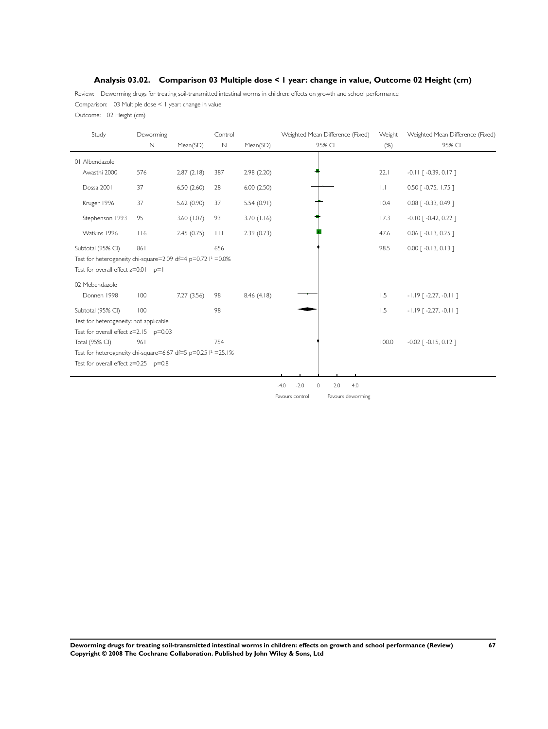#### **Analysis 03.02. Comparison 03 Multiple dose < 1 year: change in value, Outcome 02 Height (cm)**

Review: Deworming drugs for treating soil-transmitted intestinal worms in children: effects on growth and school performance Comparison: 03 Multiple dose < 1 year: change in value

Outcome: 02 Height (cm)

| Study                                                                                                                         | Deworming  |             | Control    |            | Weighted Mean Difference (Fixed)     | Weight      | Weighted Mean Difference (Fixed)   |
|-------------------------------------------------------------------------------------------------------------------------------|------------|-------------|------------|------------|--------------------------------------|-------------|------------------------------------|
|                                                                                                                               | $\hbox{N}$ | Mean(SD)    | $\hbox{N}$ | Mean(SD)   | 95% CI                               | $(\%)$      | 95% CI                             |
| 01 Albendazole                                                                                                                |            |             |            |            |                                      |             |                                    |
| Awasthi 2000                                                                                                                  | 576        | 2.87(2.18)  | 387        | 2.98(2.20) |                                      | 22.1        | $-0.11$ [ $-0.39, 0.17$ ]          |
| Dossa 2001                                                                                                                    | 37         | 6.50(2.60)  | 28         | 6.00(2.50) |                                      | $  \cdot  $ | $0.50$ $\lceil -0.75, 1.75 \rceil$ |
| Kruger 1996                                                                                                                   | 37         | 5.62(0.90)  | 37         | 5.54(0.91) |                                      | 10.4        | 0.08 [ -0.33, 0.49 ]               |
| Stephenson 1993                                                                                                               | 95         | 3.60 (1.07) | 93         | 3.70(1.16) |                                      | 17.3        | $-0.10$ $[-0.42, 0.22]$            |
| Watkins 1996                                                                                                                  | 116        | 2.45(0.75)  | $\perp$    | 2.39(0.73) |                                      | 47.6        | $0.06$ $\lceil -0.13, 0.25 \rceil$ |
| Subtotal (95% CI)<br>Test for heterogeneity chi-square=2.09 df=4 p=0.72 $1^2$ =0.0%<br>Test for overall effect $z=0.01$ $p=1$ | 861        |             | 656        |            |                                      | 98.5        | $0.00$ $\lceil -0.13, 0.13 \rceil$ |
| 02 Mebendazole                                                                                                                |            |             |            |            |                                      |             |                                    |
| Donnen 1998                                                                                                                   | 100        | 7.27(3.56)  | 98         | 8.46(4.18) |                                      | 1.5         | $-1.19$ [ $-2.27$ , $-0.11$ ]      |
| Subtotal (95% CI)                                                                                                             | 100        |             | 98         |            |                                      | 1.5         | $-1.19$ [ $-2.27$ , $-0.11$ ]      |
| Test for heterogeneity: not applicable                                                                                        |            |             |            |            |                                      |             |                                    |
| Test for overall effect $z=2.15$ $p=0.03$                                                                                     |            |             |            |            |                                      |             |                                    |
| Total (95% CI)                                                                                                                | 961        |             | 754        |            |                                      | 100.0       | $-0.02$ $[-0.15, 0.12]$            |
| Test for heterogeneity chi-square=6.67 df=5 p=0.25 $1^2$ =25.1%                                                               |            |             |            |            |                                      |             |                                    |
| Test for overall effect $z=0.25$ $p=0.8$                                                                                      |            |             |            |            |                                      |             |                                    |
|                                                                                                                               |            |             |            |            |                                      |             |                                    |
|                                                                                                                               |            |             |            |            | $-2.0$<br>2.0<br>4.0<br>$-4.0$<br>0  |             |                                    |
|                                                                                                                               |            |             |            |            | Favours deworming<br>Favours control |             |                                    |
|                                                                                                                               |            |             |            |            |                                      |             |                                    |
|                                                                                                                               |            |             |            |            |                                      |             |                                    |

**Deworming drugs for treating soil-transmitted intestinal worms in children: effects on growth and school performance (Review) 67 Copyright © 2008 The Cochrane Collaboration. Published by John Wiley & Sons, Ltd**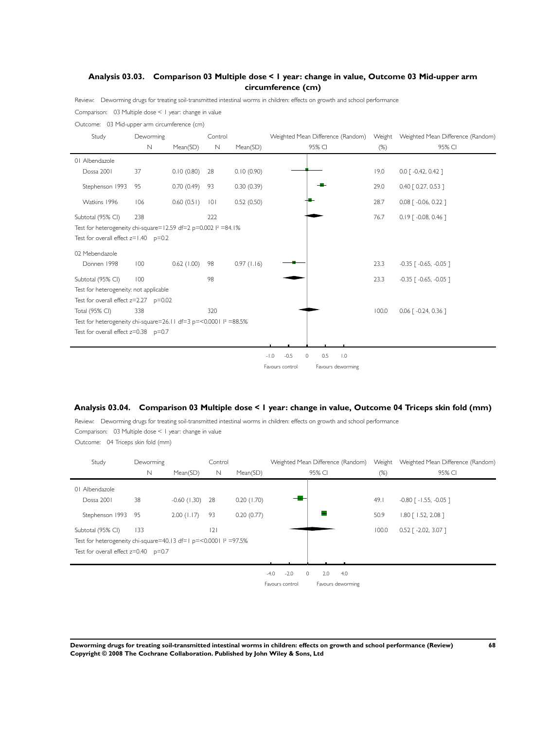### **Analysis 03.03. Comparison 03 Multiple dose < 1 year: change in value, Outcome 03 Mid-upper arm circumference (cm)**

Review: Deworming drugs for treating soil-transmitted intestinal worms in children: effects on growth and school performance

Comparison: 03 Multiple dose < 1 year: change in value

| Outcome: | 03 Mid-upper arm circumference (cm) |  |  |  |  |
|----------|-------------------------------------|--|--|--|--|
|----------|-------------------------------------|--|--|--|--|

| Study                                                               | Deworming |               | Control     |            | Weighted Mean Difference (Random)                | Weight | Weighted Mean Difference (Random)    |
|---------------------------------------------------------------------|-----------|---------------|-------------|------------|--------------------------------------------------|--------|--------------------------------------|
|                                                                     | N         | Mean(SD)      | $\mathbb N$ | Mean(SD)   | 95% CI                                           | $(\%)$ | 95% CI                               |
| 01 Albendazole                                                      |           |               |             |            |                                                  |        |                                      |
| Dossa 2001                                                          | 37        | 0.10(0.80)    | 28          | 0.10(0.90) |                                                  | 19.0   | $0.0$ $\lceil -0.42, 0.42 \rceil$    |
| Stephenson 1993                                                     | 95        | 0.70(0.49)    | 93          | 0.30(0.39) |                                                  | 29.0   | $0.40$ $[0.27, 0.53]$                |
| Watkins 1996                                                        | 106       | 0.60(0.51)    | 0           | 0.52(0.50) |                                                  | 28.7   | $0.08$ $\lceil -0.06, 0.22 \rceil$   |
| Subtotal (95% CI)                                                   | 238       |               | 222         |            |                                                  | 76.7   | $0.19$ [ -0.08, 0.46 ]               |
| Test for heterogeneity chi-square=12.59 df=2 p=0.002 $P = 84.1\%$   |           |               |             |            |                                                  |        |                                      |
| Test for overall effect $z=1.40$ p=0.2                              |           |               |             |            |                                                  |        |                                      |
| 02 Mebendazole                                                      |           |               |             |            |                                                  |        |                                      |
| Donnen 1998                                                         | 100       | $0.62$ (1.00) | 98          | 0.97(1.16) |                                                  | 23.3   | $-0.35$ $\lceil -0.65, -0.05 \rceil$ |
| Subtotal (95% CI)                                                   | 100       |               | 98          |            |                                                  | 23.3   | $-0.35$ $\lceil -0.65, -0.05 \rceil$ |
| Test for heterogeneity: not applicable                              |           |               |             |            |                                                  |        |                                      |
| Test for overall effect $z=2.27$ $p=0.02$                           |           |               |             |            |                                                  |        |                                      |
| Total (95% CI)                                                      | 338       |               | 320         |            |                                                  | 100.0  | $0.06$ $\lceil -0.24, 0.36 \rceil$   |
| Test for heterogeneity chi-square=26.11 df=3 p=<0.0001 $1^2$ =88.5% |           |               |             |            |                                                  |        |                                      |
| Test for overall effect $z=0.38$ $p=0.7$                            |           |               |             |            |                                                  |        |                                      |
|                                                                     |           |               |             |            |                                                  |        |                                      |
|                                                                     |           |               |             |            | $-0.5$<br>0.5<br>$\overline{0}$ .<br>$-1.0$<br>U |        |                                      |
|                                                                     |           |               |             |            | Favours deworming<br>Favours control             |        |                                      |
|                                                                     |           |               |             |            |                                                  |        |                                      |

### **Analysis 03.04. Comparison 03 Multiple dose < 1 year: change in value, Outcome 04 Triceps skin fold (mm)**

Review: Deworming drugs for treating soil-transmitted intestinal worms in children: effects on growth and school performance Comparison: 03 Multiple dose < 1 year: change in value

Outcome: 04 Triceps skin fold (mm)

| Study                                                                        | Deworming |                   | Control |            |                  |                   |        | Weighted Mean Difference (Random) Weight Weighted Mean Difference (Random) |
|------------------------------------------------------------------------------|-----------|-------------------|---------|------------|------------------|-------------------|--------|----------------------------------------------------------------------------|
|                                                                              | N         | Mean(SD)          | N       | Mean(SD)   |                  | 95% CI            | $(\%)$ | 95% CI                                                                     |
| 01 Albendazole                                                               |           |                   |         |            |                  |                   |        |                                                                            |
| Dossa 2001                                                                   | 38        | $-0.60$ (1.30) 28 |         | 0.20(1.70) |                  |                   | 49.1   | $-0.80$ $[-1.55, -0.05]$                                                   |
| Stephenson 1993 95                                                           |           | $2.00$ (1.17)     | - 93    | 0.20(0.77) |                  |                   | 50.9   | 1.80 [ 1.52, 2.08 ]                                                        |
| Subtotal (95% CI)                                                            | 133       |                   | 2       |            |                  |                   | 100.0  | $0.52$ [ $-2.02$ , 3.07 ]                                                  |
| Test for heterogeneity chi-square=40.13 df=1 p=<0.0001 l <sup>2</sup> =97.5% |           |                   |         |            |                  |                   |        |                                                                            |
| Test for overall effect $z=0.40$ $p=0.7$                                     |           |                   |         |            |                  |                   |        |                                                                            |
|                                                                              |           |                   |         |            |                  |                   |        |                                                                            |
|                                                                              |           |                   |         |            | $-2.0$<br>$-4.0$ | 4.0<br>2.0        |        |                                                                            |
|                                                                              |           |                   |         |            | Favours control  | Favours deworming |        |                                                                            |

**Deworming drugs for treating soil-transmitted intestinal worms in children: effects on growth and school performance (Review) 68 Copyright © 2008 The Cochrane Collaboration. Published by John Wiley & Sons, Ltd**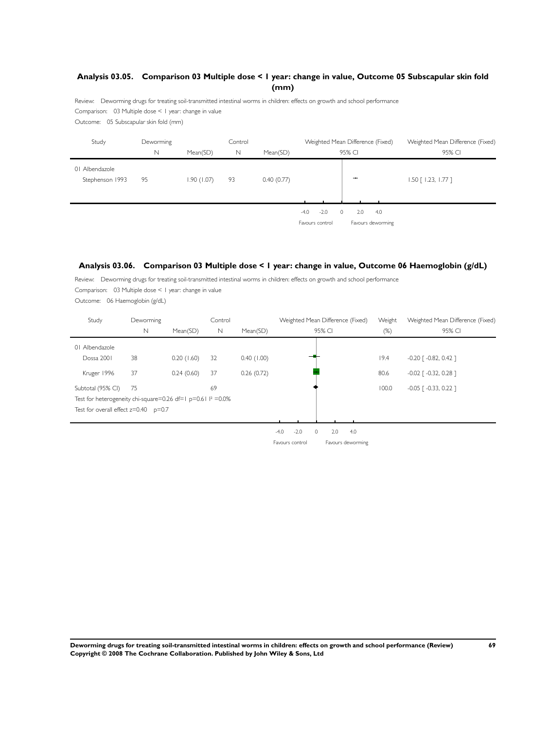### **Analysis 03.05. Comparison 03 Multiple dose < 1 year: change in value, Outcome 05 Subscapular skin fold (mm)**

Review: Deworming drugs for treating soil-transmitted intestinal worms in children: effects on growth and school performance Comparison: 03 Multiple dose < 1 year: change in value Outcome: 05 Subscapular skin fold (mm)

| Study                             | Deworming |            | Control |            |                                     | Weighted Mean Difference (Fixed) | Weighted Mean Difference (Fixed) |  |  |
|-----------------------------------|-----------|------------|---------|------------|-------------------------------------|----------------------------------|----------------------------------|--|--|
|                                   | N         | Mean(SD)   | N       | Mean(SD)   |                                     | 95% CI                           | 95% CI                           |  |  |
| 01 Albendazole<br>Stephenson 1993 | 95        | 1.90(1.07) | 93      | 0.40(0.77) |                                     | $\overline{\phantom{0}}$         | $1.50$ [ $1.23$ , $1.77$ ]       |  |  |
|                                   |           |            |         |            | $-2.0$<br>$-4.0$<br>Favours control | 2.0<br>4.0<br>Favours deworming  |                                  |  |  |

### **Analysis 03.06. Comparison 03 Multiple dose < 1 year: change in value, Outcome 06 Haemoglobin (g/dL)**

Review: Deworming drugs for treating soil-transmitted intestinal worms in children: effects on growth and school performance Comparison: 03 Multiple dose < 1 year: change in value

Outcome: 06 Haemoglobin (g/dL)

| Study                                                            | Deworming |            | Control     |            |        |                 |         |     | Weighted Mean Difference (Fixed) | Weight | Weighted Mean Difference (Fixed)    |
|------------------------------------------------------------------|-----------|------------|-------------|------------|--------|-----------------|---------|-----|----------------------------------|--------|-------------------------------------|
|                                                                  | N         | Mean(SD)   | $\mathbb N$ | Mean(SD)   |        |                 | 95% CI  |     |                                  | $(\%)$ | 95% CI                              |
| 01 Albendazole                                                   |           |            |             |            |        |                 |         |     |                                  |        |                                     |
| Dossa 2001                                                       | 38        | 0.20(1.60) | 32          | 0.40(1.00) |        |                 |         |     |                                  | 19.4   | $-0.20$ $\lceil -0.82, 0.42 \rceil$ |
| Kruger 1996                                                      | 37        | 0.24(0.60) | 37          | 0.26(0.72) |        |                 |         |     |                                  | 80.6   | $-0.02$ $\lceil -0.32, 0.28 \rceil$ |
| Subtotal (95% CI)                                                | 75        |            | 69          |            |        |                 |         |     |                                  | 100.0  | $-0.05$ $\lceil -0.33, 0.22 \rceil$ |
| Test for heterogeneity chi-square=0.26 df=1 $p=0.61$ $1^2$ =0.0% |           |            |             |            |        |                 |         |     |                                  |        |                                     |
| Test for overall effect $z=0.40$ $p=0.7$                         |           |            |             |            |        |                 |         |     |                                  |        |                                     |
|                                                                  |           |            |             |            |        |                 |         |     |                                  |        |                                     |
|                                                                  |           |            |             |            | $-4.0$ | $-2.0$          | $\circ$ | 2.0 | 4.0                              |        |                                     |
|                                                                  |           |            |             |            |        | Favours control |         |     | Favours deworming                |        |                                     |
|                                                                  |           |            |             |            |        |                 |         |     |                                  |        |                                     |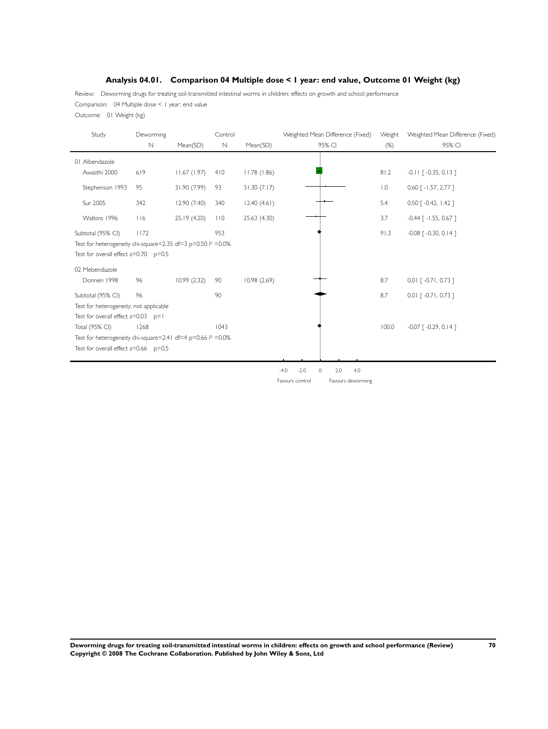#### **Analysis 04.01. Comparison 04 Multiple dose < 1 year: end value, Outcome 01 Weight (kg)**

Review: Deworming drugs for treating soil-transmitted intestinal worms in children: effects on growth and school performance Comparison: 04 Multiple dose < 1 year: end value

Outcome: 01 Weight (kg)

| Study                                                                                                                                                                       | Deworming  |              | Control             |              | Weighted Mean Difference (Fixed)     | Weight | Weighted Mean Difference (Fixed) |
|-----------------------------------------------------------------------------------------------------------------------------------------------------------------------------|------------|--------------|---------------------|--------------|--------------------------------------|--------|----------------------------------|
|                                                                                                                                                                             | $\hbox{N}$ | Mean(SD)     | $\mathsf{N}\xspace$ | Mean(SD)     | 95% CI                               | $(\%)$ | 95% CI                           |
| 01 Albendazole                                                                                                                                                              |            |              |                     |              |                                      |        |                                  |
| Awasthi 2000                                                                                                                                                                | 619        | 11.67(1.97)  | 410                 | 11.78 (1.86) |                                      | 81.2   | $-0.11$ [ $-0.35, 0.13$ ]        |
| Stephenson 1993                                                                                                                                                             | 95         | 31.90 (7.99) | 93                  | 31.30 (7.17) |                                      | 1.0    | 0.60 [-1.57, 2.77]               |
| Sur 2005                                                                                                                                                                    | 342        | 12.90(7.40)  | 340                 | 12.40(4.61)  |                                      | 5.4    | 0.50 [ -0.42, 1.42 ]             |
| Watkins 1996                                                                                                                                                                | 116        | 25.19 (4.20) | $ $ $ $ 0           | 25.63 (4.30) |                                      | 3.7    | $-0.44$ [ $-1.55$ , 0.67]        |
| Subtotal (95% CI)<br>Test for heterogeneity chi-square=2.35 df=3 p=0.50 l <sup>2</sup> =0.0%<br>Test for overall effect $z=0.70$ $p=0.5$                                    | 1172       |              | 953                 |              |                                      | 91.3   | $-0.08$ [ $-0.30$ , $0.14$ ]     |
| 02 Mebendazole<br>Donnen 1998                                                                                                                                               | 96         | 10.99 (2.32) | 90                  | 10.98 (2.69) |                                      | 8.7    | $0.01$ [-0.71, 0.73]             |
| Subtotal (95% CI)<br>Test for heterogeneity: not applicable                                                                                                                 | 96         |              | 90                  |              |                                      | 8.7    | 0.01 [ -0.71, 0.73 ]             |
| Test for overall effect $z=0.03$ $p=1$<br>Total (95% CI)<br>Test for heterogeneity chi-square=2.41 df=4 p=0.66 l <sup>2</sup> =0.0%<br>Test for overall effect z=0.66 p=0.5 | 1268       |              | 1043                |              |                                      | 100.0  | $-0.07$ [ $-0.29$ , 0.14]        |
|                                                                                                                                                                             |            |              |                     |              | Favours control<br>Favours deworming |        |                                  |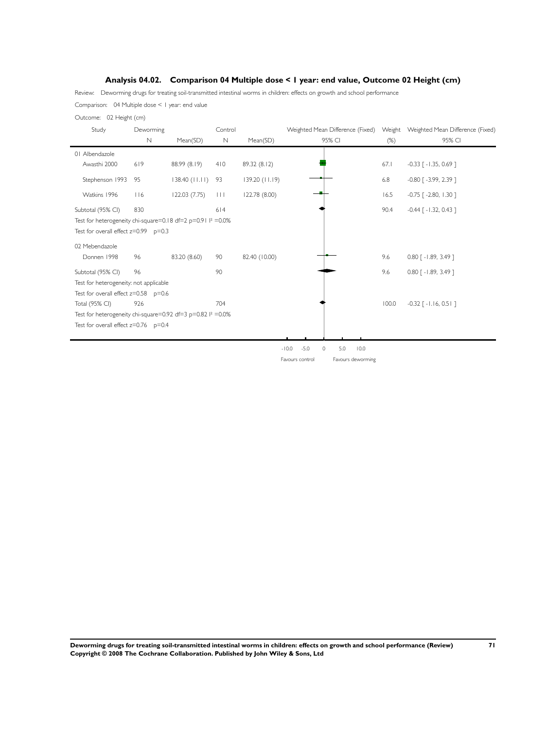#### **Analysis 04.02. Comparison 04 Multiple dose < 1 year: end value, Outcome 02 Height (cm)**

Review: Deworming drugs for treating soil-transmitted intestinal worms in children: effects on growth and school performance

Comparison: 04 Multiple dose < 1 year: end value

Outcome: 02 Height (cm)

| Study                                                          | Deworming |                  | Control     |                | Weighted Mean Difference (Fixed) | Weight | Weighted Mean Difference (Fixed) |
|----------------------------------------------------------------|-----------|------------------|-------------|----------------|----------------------------------|--------|----------------------------------|
|                                                                | N         | Mean(SD)         | $\mathbb N$ | Mean(SD)       | 95% CI                           | $(\%)$ | 95% CI                           |
| 01 Albendazole                                                 |           |                  |             |                |                                  |        |                                  |
| Awasthi 2000                                                   | 619       | 88.99 (8.19)     | 410         | 89.32 (8.12)   |                                  | 67.1   | $-0.33$ [ $-1.35$ , 0.69]        |
| Stephenson 1993                                                | 95        | $138.40$ (11.11) | 93          | 139.20 (11.19) |                                  | 6.8    | $-0.80$ [ $-3.99$ , 2.39 ]       |
| Watkins 1996                                                   | $ $ 16    | 122.03(7.75)     | $\Box$      | 122.78 (8.00)  |                                  | 16.5   | $-0.75$ [ $-2.80$ , 1.30 ]       |
| Subtotal (95% CI)                                              | 830       |                  | 614         |                |                                  | 90.4   | $-0.44$ [ $-1.32$ , 0.43]        |
| Test for heterogeneity chi-square=0.18 df=2 $p=0.9112$ =0.0%   |           |                  |             |                |                                  |        |                                  |
| Test for overall effect $z=0.99$ $p=0.3$                       |           |                  |             |                |                                  |        |                                  |
| 02 Mebendazole                                                 |           |                  |             |                |                                  |        |                                  |
| Donnen 1998                                                    | 96        | 83.20 (8.60)     | 90          | 82.40 (10.00)  |                                  | 9.6    | $0.80$ [ -1.89, 3.49 ]           |
| Subtotal (95% CI)                                              | 96        |                  | 90          |                |                                  | 9.6    | $0.80$ [ -1.89, 3.49 ]           |
| Test for heterogeneity: not applicable                         |           |                  |             |                |                                  |        |                                  |
| Test for overall effect $z=0.58$ $p=0.6$                       |           |                  |             |                |                                  |        |                                  |
| Total (95% CI)                                                 | 926       |                  | 704         |                |                                  | 100.0  | $-0.32$ [ $-1.16$ , $0.51$ ]     |
| Test for heterogeneity chi-square=0.92 df=3 p=0.82 $1^2$ =0.0% |           |                  |             |                |                                  |        |                                  |
| Test for overall effect $z=0.76$ p=0.4                         |           |                  |             |                |                                  |        |                                  |
|                                                                |           |                  |             |                |                                  |        |                                  |
|                                                                |           |                  |             |                | $-10.0$<br>$-5.0$<br>5.0<br>10.0 |        |                                  |

Favours control Favours deworming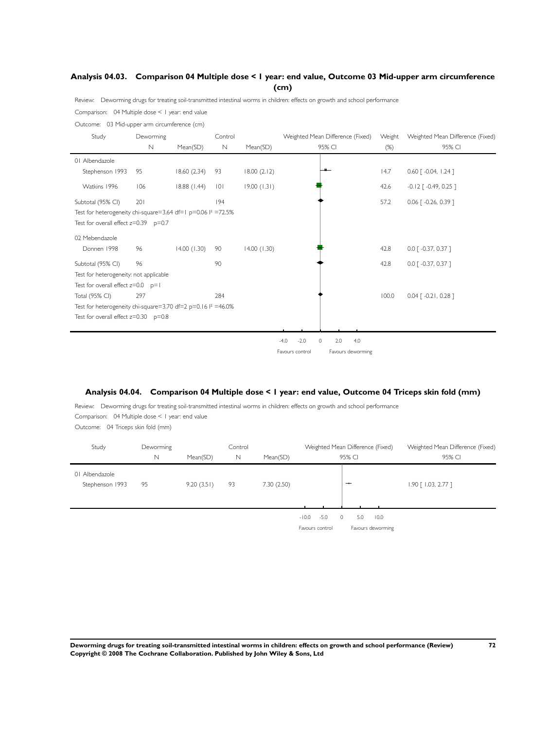## **Analysis 04.03. Comparison 04 Multiple dose < 1 year: end value, Outcome 03 Mid-upper arm circumference (cm)**

Review: Deworming drugs for treating soil-transmitted intestinal worms in children: effects on growth and school performance

Comparison: 04 Multiple dose < 1 year: end value

Outcome: 03 Mid-upper arm circumference (cm)

| Study                                                               | Deworming   |             | Control |             |                  | Weighted Mean Difference (Fixed) | Weight | Weighted Mean Difference (Fixed)    |
|---------------------------------------------------------------------|-------------|-------------|---------|-------------|------------------|----------------------------------|--------|-------------------------------------|
|                                                                     | $\mathbb N$ | Mean(SD)    | N       | Mean(SD)    |                  | 95% CI                           | $(\%)$ | 95% CI                              |
| 01 Albendazole                                                      |             |             |         |             |                  |                                  |        |                                     |
| Stephenson 1993                                                     | 95          | 18.60(2.34) | 93      | 18.00(2.12) |                  |                                  | 14.7   | $0.60$ $\lceil -0.04, 1.24 \rceil$  |
| Watkins 1996                                                        | 106         | 18.88(1.44) | 0       | 19.00(1.31) |                  |                                  | 42.6   | $-0.12$ $\lceil -0.49, 0.25 \rceil$ |
| Subtotal (95% CI)                                                   | 201         |             | 194     |             |                  |                                  | 57.2   | $0.06$ $\lceil -0.26, 0.39 \rceil$  |
| Test for heterogeneity chi-square=3.64 df=1 $p=0.06$ $1^2 = 72.5\%$ |             |             |         |             |                  |                                  |        |                                     |
| Test for overall effect $z=0.39$ $p=0.7$                            |             |             |         |             |                  |                                  |        |                                     |
| 02 Mebendazole                                                      |             |             |         |             |                  |                                  |        |                                     |
| Donnen 1998                                                         | 96          | 14.00(1.30) | 90      | 14.00(1.30) |                  |                                  | 42.8   | $0.0$ [ -0.37, 0.37 ]               |
| Subtotal (95% CI)                                                   | 96          |             | 90      |             |                  |                                  | 42.8   | $0.0$ [ $-0.37$ , 0.37 ]            |
| Test for heterogeneity: not applicable                              |             |             |         |             |                  |                                  |        |                                     |
| Test for overall effect $z=0.0$ $p=1$                               |             |             |         |             |                  |                                  |        |                                     |
| Total (95% CI)                                                      | 297         |             | 284     |             |                  |                                  | 100.0  | $0.04$ $\lceil -0.21, 0.28 \rceil$  |
| Test for heterogeneity chi-square=3.70 df=2 p=0.16 $1^2$ =46.0%     |             |             |         |             |                  |                                  |        |                                     |
| Test for overall effect $z=0.30$ $p=0.8$                            |             |             |         |             |                  |                                  |        |                                     |
|                                                                     |             |             |         |             |                  |                                  |        |                                     |
|                                                                     |             |             |         |             | $-4.0$<br>$-2.0$ | 4.0<br>2.0                       |        |                                     |
|                                                                     |             |             |         |             | Favours control  | Favours deworming                |        |                                     |

# **Analysis 04.04. Comparison 04 Multiple dose < 1 year: end value, Outcome 04 Triceps skin fold (mm)**

Review: Deworming drugs for treating soil-transmitted intestinal worms in children: effects on growth and school performance Comparison: 04 Multiple dose < 1 year: end value Outcome: 04 Triceps skin fold (mm)

| Study                             | Deworming<br>$\mathbb N$ | Mean(SD)   | Control<br>$\mathbb N$ | Mean(SD)    |                                      | Weighted Mean Difference (Fixed)<br>95% CI | Weighted Mean Difference (Fixed)<br>95% CI |  |
|-----------------------------------|--------------------------|------------|------------------------|-------------|--------------------------------------|--------------------------------------------|--------------------------------------------|--|
| 01 Albendazole<br>Stephenson 1993 | 95                       | 9.20(3.51) | 93                     | 7.30 (2.50) |                                      |                                            | 1.90 [1.03, 2.77]                          |  |
|                                   |                          |            |                        |             | $-5.0$<br>$-10.0$<br>Favours control | 5.0<br>10.0<br>Favours deworming           |                                            |  |

**Deworming drugs for treating soil-transmitted intestinal worms in children: effects on growth and school performance (Review) 72 Copyright © 2008 The Cochrane Collaboration. Published by John Wiley & Sons, Ltd**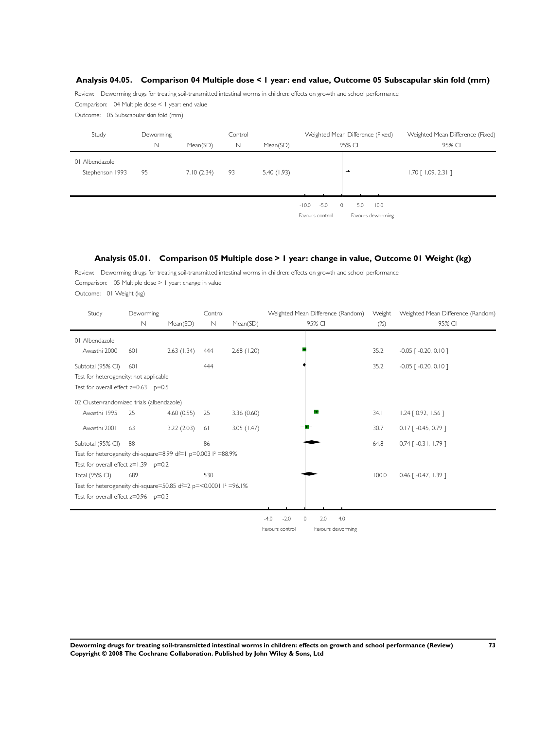#### **Analysis 04.05. Comparison 04 Multiple dose < 1 year: end value, Outcome 05 Subscapular skin fold (mm)**

Review: Deworming drugs for treating soil-transmitted intestinal worms in children: effects on growth and school performance

Comparison: 04 Multiple dose < 1 year: end value

Outcome: 05 Subscapular skin fold (mm)

| Study                             | Deworming |            | Control     |            | Weighted Mean Difference (Fixed)            |                           | Weighted Mean Difference (Fixed) |
|-----------------------------------|-----------|------------|-------------|------------|---------------------------------------------|---------------------------|----------------------------------|
|                                   | N         | Mean(SD)   | $\mathbb N$ | Mean(SD)   | 95% CI                                      |                           | 95% CI                           |
| 01 Albendazole<br>Stephenson 1993 | 95        | 7.10(2.34) | 93          | 5.40(1.93) | $\overline{\phantom{0}}$                    |                           | $1.70$ [ $1.09$ , $2.31$ ]       |
|                                   |           |            |             |            | $-10.0$<br>$-5.0$<br>5.0<br>Favours control | 10.0<br>Favours deworming |                                  |

#### **Analysis 05.01. Comparison 05 Multiple dose > 1 year: change in value, Outcome 01 Weight (kg)**

Review: Deworming drugs for treating soil-transmitted intestinal worms in children: effects on growth and school performance Comparison: 05 Multiple dose > 1 year: change in value Outcome: 01 Weight (kg)

| Study                                                                           | Deworming |            | Control     |            | Weighted Mean Difference (Random)    | Weight | Weighted Mean Difference (Random) |
|---------------------------------------------------------------------------------|-----------|------------|-------------|------------|--------------------------------------|--------|-----------------------------------|
|                                                                                 | N         | Mean(SD)   | $\mathbb N$ | Mean(SD)   | 95% CI                               | $(\%)$ | 95% CI                            |
| 01 Albendazole                                                                  |           |            |             |            |                                      |        |                                   |
| Awasthi 2000                                                                    | 601       | 2.63(1.34) | 444         | 2.68(1.20) |                                      | 35.2   | $-0.05$ $[-0.20, 0.10]$           |
| Subtotal (95% CI)                                                               | 601       |            | 444         |            |                                      | 35.2   | $-0.05$ $[-0.20, 0.10]$           |
| Test for heterogeneity: not applicable                                          |           |            |             |            |                                      |        |                                   |
| Test for overall effect $z=0.63$ $p=0.5$                                        |           |            |             |            |                                      |        |                                   |
| 02 Cluster-randomized trials (albendazole)                                      |           |            |             |            |                                      |        |                                   |
| Awasthi 1995                                                                    | 25        | 4.60(0.55) | 25          | 3.36(0.60) |                                      | 34.1   | $1.24$ [ 0.92, 1.56 ]             |
| Awasthi 2001                                                                    | 63        | 3.22(2.03) | 61          | 3.05(1.47) |                                      | 30.7   | $0.17$ [ -0.45, 0.79 ]            |
| Subtotal (95% CI)                                                               | 88        |            | 86          |            |                                      | 64.8   | $0.74$ [ -0.31, 1.79 ]            |
| Test for heterogeneity chi-square=8.99 df=1 $p=0.003$ $1^2 = 88.9\%$            |           |            |             |            |                                      |        |                                   |
| Test for overall effect $z=1.39$ $p=0.2$                                        |           |            |             |            |                                      |        |                                   |
| Total (95% CI)                                                                  | 689       |            | 530         |            |                                      | 100.0  | 0.46 [ -0.47, 1.39 ]              |
| Test for heterogeneity chi-square=50.85 df=2 $p = 0.0001$   <sup>2</sup> =96.1% |           |            |             |            |                                      |        |                                   |
| Test for overall effect $z=0.96$ $p=0.3$                                        |           |            |             |            |                                      |        |                                   |
|                                                                                 |           |            |             |            |                                      |        |                                   |
|                                                                                 |           |            |             |            | 2.0<br>$-4.0$<br>$-2.0$<br>4.0<br>0  |        |                                   |
|                                                                                 |           |            |             |            | Favours deworming<br>Favours control |        |                                   |
|                                                                                 |           |            |             |            |                                      |        |                                   |
|                                                                                 |           |            |             |            |                                      |        |                                   |
|                                                                                 |           |            |             |            |                                      |        |                                   |

**Deworming drugs for treating soil-transmitted intestinal worms in children: effects on growth and school performance (Review) 73 Copyright © 2008 The Cochrane Collaboration. Published by John Wiley & Sons, Ltd**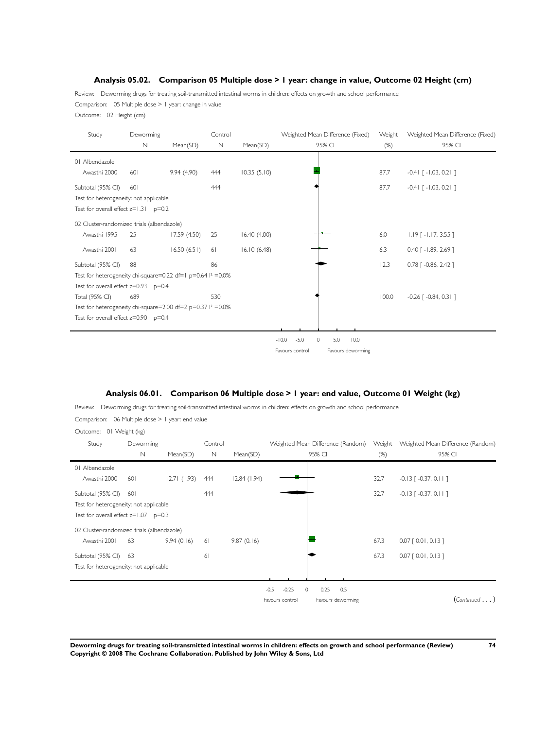#### **Analysis 05.02. Comparison 05 Multiple dose > 1 year: change in value, Outcome 02 Height (cm)**

Review: Deworming drugs for treating soil-transmitted intestinal worms in children: effects on growth and school performance Comparison: 05 Multiple dose > 1 year: change in value

Outcome: 02 Height (cm)

| Study                                                            | Deworming |             | Control     |             | Weighted Mean Difference (Fixed)      | Weight | Weighted Mean Difference (Fixed)    |
|------------------------------------------------------------------|-----------|-------------|-------------|-------------|---------------------------------------|--------|-------------------------------------|
|                                                                  | N         | Mean(SD)    | $\mathbb N$ | Mean(SD)    | 95% CI                                | $(\%)$ | 95% CI                              |
| 01 Albendazole                                                   |           |             |             |             |                                       |        |                                     |
| Awasthi 2000                                                     | 601       | 9.94(4.90)  | 444         | 10.35(5.10) |                                       | 87.7   | $-0.41$ [ $-1.03$ , 0.21]           |
| Subtotal (95% CI)                                                | 601       |             | 444         |             |                                       | 87.7   | $-0.4$   $\lceil -1.03, 0.2$   ]    |
| Test for heterogeneity: not applicable                           |           |             |             |             |                                       |        |                                     |
| Test for overall effect $z=1.31$ p=0.2                           |           |             |             |             |                                       |        |                                     |
| 02 Cluster-randomized trials (albendazole)                       |           |             |             |             |                                       |        |                                     |
| Awasthi 1995                                                     | 25        | 17.59(4.50) | 25          | 16.40(4.00) |                                       | 6.0    | $1.19$ [ -1.17, 3.55 ]              |
| Awasthi 2001                                                     | 63        | 16.50(6.51) | 61          | 16.10(6.48) |                                       | 6.3    | $0.40$ $\lceil -1.89, 2.69 \rceil$  |
| Subtotal (95% CI)                                                | 88        |             | 86          |             |                                       | 12.3   | $0.78$ $\lceil -0.86, 2.42 \rceil$  |
| Test for heterogeneity chi-square=0.22 df=1 $p=0.64$ $1^2$ =0.0% |           |             |             |             |                                       |        |                                     |
| Test for overall effect $z=0.93$ $p=0.4$                         |           |             |             |             |                                       |        |                                     |
| Total (95% CI)                                                   | 689       |             | 530         |             |                                       | 100.0  | $-0.26$ $\lceil -0.84, 0.31 \rceil$ |
| Test for heterogeneity chi-square=2.00 df=2 $p=0.37$ $1^2$ =0.0% |           |             |             |             |                                       |        |                                     |
| Test for overall effect $z=0.90$ $p=0.4$                         |           |             |             |             |                                       |        |                                     |
|                                                                  |           |             |             |             |                                       |        |                                     |
|                                                                  |           |             |             |             | 10.0<br>$-10.0$<br>$-5.0$<br>5.0<br>0 |        |                                     |
|                                                                  |           |             |             |             | Favours deworming<br>Favours control  |        |                                     |

#### **Analysis 06.01. Comparison 06 Multiple dose > 1 year: end value, Outcome 01 Weight (kg)**

Review: Deworming drugs for treating soil-transmitted intestinal worms in children: effects on growth and school performance

| Comparison:                                | 06 Multiple dose > I year: end value |             |         |             |                   |                                   |        |                                   |
|--------------------------------------------|--------------------------------------|-------------|---------|-------------|-------------------|-----------------------------------|--------|-----------------------------------|
| Outcome:                                   | 01 Weight (kg)                       |             |         |             |                   |                                   |        |                                   |
| Study                                      | Deworming                            |             | Control |             |                   | Weighted Mean Difference (Random) | Weight | Weighted Mean Difference (Random) |
|                                            | $\mathbb N$                          | Mean(SD)    | N       | Mean(SD)    |                   | 95% CI                            | $(\%)$ | 95% CI                            |
| 01 Albendazole                             |                                      |             |         |             |                   |                                   |        |                                   |
| Awasthi 2000                               | 601                                  | 12.71(1.93) | 444     | 12.84(1.94) |                   |                                   | 32.7   | $-0.13$ $[-0.37, 0.11]$           |
| Subtotal (95% CI)                          | 601                                  |             | 444     |             |                   |                                   | 32.7   | $-0.13$ $[-0.37, 0.11]$           |
| Test for heterogeneity: not applicable     |                                      |             |         |             |                   |                                   |        |                                   |
| Test for overall effect $z=1.07$ p=0.3     |                                      |             |         |             |                   |                                   |        |                                   |
| 02 Cluster-randomized trials (albendazole) |                                      |             |         |             |                   |                                   |        |                                   |
| Awasthi 2001                               | 63                                   | 9.94(0.16)  | 61      | 9.87(0.16)  |                   |                                   | 67.3   | $0.07$ $[0.01, 0.13]$             |
| Subtotal (95% CI)                          | 63                                   |             | 61      |             |                   |                                   | 67.3   | $0.07$ $[0.01, 0.13]$             |
| Test for heterogeneity: not applicable     |                                      |             |         |             |                   |                                   |        |                                   |
|                                            |                                      |             |         |             |                   |                                   |        |                                   |
|                                            |                                      |             |         |             | $-0.25$<br>$-0.5$ | 0.5<br>0.25<br>$\Omega$           |        |                                   |
|                                            |                                      |             |         |             | Favours control   | Favours deworming                 |        | $(Continued \dots)$               |
|                                            |                                      |             |         |             |                   |                                   |        |                                   |

**Deworming drugs for treating soil-transmitted intestinal worms in children: effects on growth and school performance (Review) 74 Copyright © 2008 The Cochrane Collaboration. Published by John Wiley & Sons, Ltd**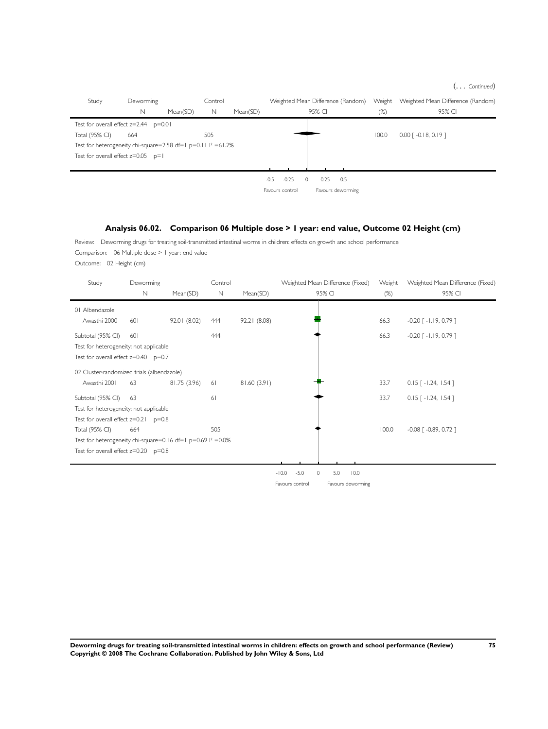(... *Continued*)



#### **Analysis 06.02. Comparison 06 Multiple dose > 1 year: end value, Outcome 02 Height (cm)**

Review: Deworming drugs for treating soil-transmitted intestinal worms in children: effects on growth and school performance

Comparison: 06 Multiple dose > 1 year: end value

Outcome: 02 Height (cm)

| Study                                                            | Deworming   |              | Control     |              |                   | Weighted Mean Difference (Fixed) | Weight | Weighted Mean Difference (Fixed)   |
|------------------------------------------------------------------|-------------|--------------|-------------|--------------|-------------------|----------------------------------|--------|------------------------------------|
|                                                                  | $\mathbb N$ | Mean(SD)     | $\mathbb N$ | Mean(SD)     |                   | 95% CI                           | $(\%)$ | 95% CI                             |
| 01 Albendazole                                                   |             |              |             |              |                   |                                  |        |                                    |
| Awasthi 2000                                                     | 601         | 92.01 (8.02) | 444         | 92.21 (8.08) |                   |                                  | 66.3   | $-0.20$ [ $-1.19$ , 0.79]          |
| Subtotal (95% CI)                                                | 601         |              | 444         |              |                   |                                  | 66.3   | $-0.20$ [ $-1.19$ , 0.79]          |
| Test for heterogeneity: not applicable                           |             |              |             |              |                   |                                  |        |                                    |
| Test for overall effect $z=0.40$ p=0.7                           |             |              |             |              |                   |                                  |        |                                    |
| 02 Cluster-randomized trials (albendazole)                       |             |              |             |              |                   |                                  |        |                                    |
| Awasthi 2001                                                     | 63          | 81.75 (3.96) | 61          | 81.60(3.91)  |                   |                                  | 33.7   | $0.15$ [ -1.24, 1.54 ]             |
| Subtotal (95% CI)                                                | 63          |              | 61          |              |                   |                                  | 33.7   | $0.15$ $\lceil -1.24, 1.54 \rceil$ |
| Test for heterogeneity: not applicable                           |             |              |             |              |                   |                                  |        |                                    |
| Test for overall effect $z=0.21$ p=0.8                           |             |              |             |              |                   |                                  |        |                                    |
| Total (95% CI)                                                   | 664         |              | 505         |              |                   |                                  | 100.0  | $-0.08$ $[-0.89, 0.72]$            |
| Test for heterogeneity chi-square=0.16 df=1 $p=0.69$ $1^2$ =0.0% |             |              |             |              |                   |                                  |        |                                    |
| Test for overall effect $z=0.20$ $p=0.8$                         |             |              |             |              |                   |                                  |        |                                    |
|                                                                  |             |              |             |              |                   |                                  |        |                                    |
|                                                                  |             |              |             |              | $-10.0$<br>$-5.0$ | 10.0<br>5.0<br>0                 |        |                                    |
|                                                                  |             |              |             |              | Favours control   | Favours deworming                |        |                                    |

**Deworming drugs for treating soil-transmitted intestinal worms in children: effects on growth and school performance (Review) 75 Copyright © 2008 The Cochrane Collaboration. Published by John Wiley & Sons, Ltd**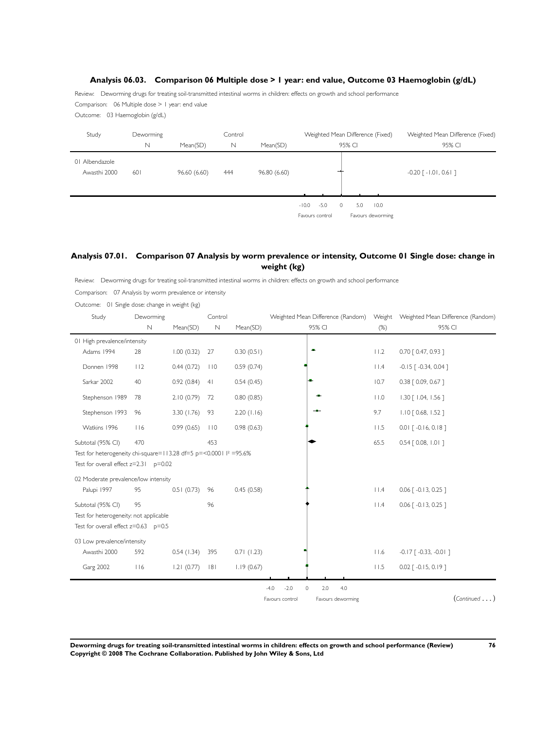#### **Analysis 06.03. Comparison 06 Multiple dose > 1 year: end value, Outcome 03 Haemoglobin (g/dL)**

Review: Deworming drugs for treating soil-transmitted intestinal worms in children: effects on growth and school performance Comparison: 06 Multiple dose > 1 year: end value

Outcome: 03 Haemoglobin (g/dL)

j.

l.

| Study                          | Deworming<br>N | Mean(SD)     | Control<br>N | Mean(SD)     |                                      | Weighted Mean Difference (Fixed)<br>95% CI | Weighted Mean Difference (Fixed)<br>95% CI |
|--------------------------------|----------------|--------------|--------------|--------------|--------------------------------------|--------------------------------------------|--------------------------------------------|
| 01 Albendazole<br>Awasthi 2000 | 601            | 96.60 (6.60) | 444          | 96.80 (6.60) |                                      |                                            | $-0.20$ [ $-1.01$ , 0.61]                  |
|                                |                |              |              |              | $-5.0$<br>$-10.0$<br>Favours control | 5.0<br>10.0<br>Favours deworming           |                                            |

## **Analysis 07.01. Comparison 07 Analysis by worm prevalence or intensity, Outcome 01 Single dose: change in weight (kg)**

Review: Deworming drugs for treating soil-transmitted intestinal worms in children: effects on growth and school performance

Comparison: 07 Analysis by worm prevalence or intensity

Outcome: 01 Single dose: change in weight (kg)

| Study                                                            | Deworming   |            | Control        |            |                  | Weighted Mean Difference (Random) |     |                | Weight Weighted Mean Difference (Random) |
|------------------------------------------------------------------|-------------|------------|----------------|------------|------------------|-----------------------------------|-----|----------------|------------------------------------------|
|                                                                  | $\mathbb N$ | Mean(SD)   | $\mathbb N$    | Mean(SD)   |                  | 95% CI                            |     | $(\%)$         | 95% CI                                   |
| 01 High prevalence/intensity                                     |             |            |                |            |                  |                                   |     |                |                                          |
| Adams 1994                                                       | 28          | 1.00(0.32) | 27             | 0.30(0.51) |                  | æ.                                |     | 11.2           | 0.70 [ 0.47, 0.93 ]                      |
| Donnen 1998                                                      | 112         | 0.44(0.72) | 10             | 0.59(0.74) |                  |                                   |     | 11.4           | $-0.15$ [ $-0.34$ , 0.04]                |
| Sarkar 2002                                                      | 40          | 0.92(0.84) | 4 <sub>1</sub> | 0.54(0.45) |                  |                                   |     | 10.7           | 0.38 [ 0.09, 0.67 ]                      |
| Stephenson 1989                                                  | 78          | 2.10(0.79) | 72             | 0.80(0.85) |                  |                                   |     | $  \cdot  $ .0 | $1.30$ $[$ $1.04$ , $1.56$ $]$           |
| Stephenson 1993                                                  | 96          | 3.30(1.76) | -93            | 2.20(1.16) |                  | $-$                               |     | 9.7            | $1.10$ $[0.68, 1.52]$                    |
| Watkins 1996                                                     | 116         | 0.99(0.65) | 10             | 0.98(0.63) |                  |                                   |     | 11.5           | $0.01$ $[-0.16, 0.18]$                   |
| Subtotal (95% CI)                                                | 470         |            | 453            |            |                  |                                   |     | 65.5           | $0.54$ [ 0.08, 1.01 ]                    |
| Test for heterogeneity chi-square=113.28 df=5 p=<0.000112 =95.6% |             |            |                |            |                  |                                   |     |                |                                          |
| Test for overall effect $z=2.31$                                 | $p = 0.02$  |            |                |            |                  |                                   |     |                |                                          |
| 02 Moderate prevalence/low intensity                             |             |            |                |            |                  |                                   |     |                |                                          |
| Palupi 1997                                                      | 95          | 0.51(0.73) | 96             | 0.45(0.58) |                  |                                   |     | 11.4           | $0.06$ $\lceil -0.13, 0.25 \rceil$       |
| Subtotal (95% CI)                                                | 95          |            | 96             |            |                  |                                   |     | 11.4           | $0.06$ $\lceil -0.13, 0.25 \rceil$       |
| Test for heterogeneity: not applicable                           |             |            |                |            |                  |                                   |     |                |                                          |
| Test for overall effect $z=0.63$ $p=0.5$                         |             |            |                |            |                  |                                   |     |                |                                          |
| 03 Low prevalence/intensity                                      |             |            |                |            |                  |                                   |     |                |                                          |
| Awasthi 2000                                                     | 592         | 0.54(1.34) | 395            | 0.71(1.23) |                  |                                   |     | 11.6           | $-0.17$ [ $-0.33$ , $-0.01$ ]            |
| Garg 2002                                                        | 116         | 1.21(0.77) | 8              | 1.19(0.67) |                  |                                   |     | 11.5           | $0.02$ $\lceil -0.15, 0.19 \rceil$       |
|                                                                  |             |            |                |            | $-4.0$<br>$-2.0$ | 2.0<br>0                          | 4.0 |                |                                          |
|                                                                  |             |            |                |            | Favours control  | Favours deworming                 |     |                | $(Continued \dots)$                      |

**Deworming drugs for treating soil-transmitted intestinal worms in children: effects on growth and school performance (Review) 76 Copyright © 2008 The Cochrane Collaboration. Published by John Wiley & Sons, Ltd**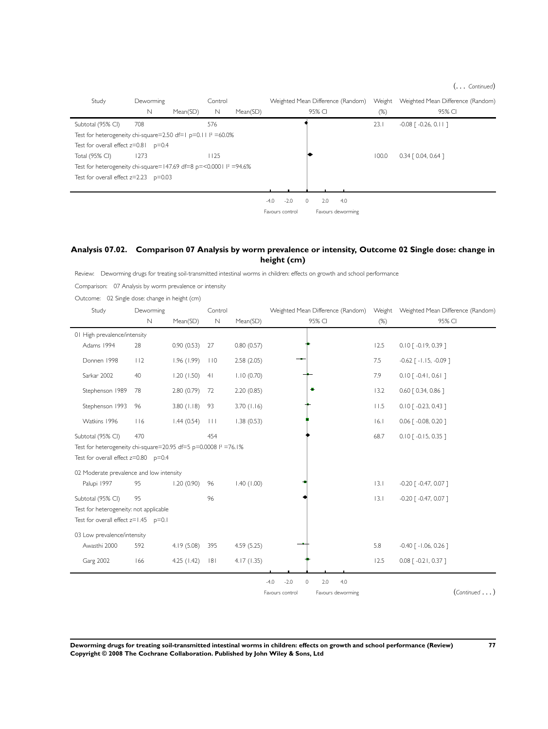| Study                                                                | Deworming |          | Control |          |        | Weighted Mean Difference (Random) |  | Weight | Weighted Mean Difference (Random) |        |                         |
|----------------------------------------------------------------------|-----------|----------|---------|----------|--------|-----------------------------------|--|--------|-----------------------------------|--------|-------------------------|
|                                                                      | N         | Mean(SD) | N       | Mean(SD) |        |                                   |  | 95% CI |                                   | $(\%)$ | 95% CI                  |
| Subtotal (95% CI)                                                    | 708       |          | 576     |          |        |                                   |  |        |                                   | 23.1   | $-0.08$ $[-0.26, 0.11]$ |
| Test for heterogeneity chi-square=2.50 df=1 $p=0.111^2$ =60.0%       |           |          |         |          |        |                                   |  |        |                                   |        |                         |
| Test for overall effect $z=0.81$                                     | $p=0.4$   |          |         |          |        |                                   |  |        |                                   |        |                         |
| Total (95% CI)                                                       | 1273      |          | 125     |          |        |                                   |  |        |                                   | 100.0  | $0.34$ $[0.04, 0.64]$   |
| Test for heterogeneity chi-square=147.69 df=8 p=<0.0001 $1^2$ =94.6% |           |          |         |          |        |                                   |  |        |                                   |        |                         |
| Test for overall effect $z=2.23$ $p=0.03$                            |           |          |         |          |        |                                   |  |        |                                   |        |                         |
|                                                                      |           |          |         |          |        |                                   |  |        |                                   |        |                         |
|                                                                      |           |          |         |          | $-4.0$ | $-2.0$                            |  | 2.0    | 4.0                               |        |                         |
|                                                                      |           |          |         |          |        | Favours control                   |  |        | Favours deworming                 |        |                         |

# **Analysis 07.02. Comparison 07 Analysis by worm prevalence or intensity, Outcome 02 Single dose: change in height (cm)**

Review: Deworming drugs for treating soil-transmitted intestinal worms in children: effects on growth and school performance

Comparison: 07 Analysis by worm prevalence or intensity

| Outcome: 02 Single dose: change in height (cm)                     |              |             |                |             |                                                                            |        |                                     |
|--------------------------------------------------------------------|--------------|-------------|----------------|-------------|----------------------------------------------------------------------------|--------|-------------------------------------|
| Study                                                              | Deworming    |             | Control        |             | Weighted Mean Difference (Random) Weight Weighted Mean Difference (Random) |        |                                     |
|                                                                    | $\mathsf{N}$ | Mean(SD)    | $\mathbb N$    | Mean(SD)    | 95% CI                                                                     | $(\%)$ | 95% CI                              |
| 01 High prevalence/intensity                                       |              |             |                |             |                                                                            |        |                                     |
| Adams 1994                                                         | 28           | 0.90(0.53)  | 27             | 0.80(0.57)  |                                                                            | 12.5   | $0.10$ $\lceil -0.19, 0.39 \rceil$  |
| Donnen 1998                                                        | 112          | 1.96(1.99)  | 10             | 2.58(2.05)  |                                                                            | 7.5    | $-0.62$ [ $-1.15, -0.09$ ]          |
| Sarkar 2002                                                        | 40           | 1.20(1.50)  | 4 <sub>l</sub> | 1.10(0.70)  |                                                                            | 7.9    | $0.10$ $\lceil -0.41, 0.61 \rceil$  |
| Stephenson 1989                                                    | 78           | 2.80(0.79)  | 72             | 2.20(0.85)  |                                                                            | 13.2   | $0.60$ $[0.34, 0.86]$               |
| Stephenson 1993                                                    | 96           | 3.80(1.18)  | 93             | 3.70(1.16)  |                                                                            | 11.5   | $0.10$ $\lceil -0.23, 0.43 \rceil$  |
| Watkins 1996                                                       | 116          | 1.44(0.54)  | $\perp$        | 1.38(0.53)  |                                                                            | 6.1    | $0.06$ $\lceil -0.08, 0.20 \rceil$  |
| Subtotal (95% CI)                                                  | 470          |             | 454            |             |                                                                            | 68.7   | $0.10$ $\lceil -0.15, 0.35 \rceil$  |
| Test for heterogeneity chi-square=20.95 df=5 p=0.0008 $1^2$ =76.1% |              |             |                |             |                                                                            |        |                                     |
| Test for overall effect $z=0.80$ p=0.4                             |              |             |                |             |                                                                            |        |                                     |
| 02 Moderate prevalence and low intensity                           |              |             |                |             |                                                                            |        |                                     |
| Palupi 1997                                                        | 95           | 1.20(0.90)  | 96             | 1.40(1.00)  |                                                                            | 3.1    | $-0.20$ $\lceil -0.47, 0.07 \rceil$ |
| Subtotal (95% CI)                                                  | 95           |             | 96             |             |                                                                            | 3.1    | $-0.20$ $\lceil -0.47, 0.07 \rceil$ |
| Test for heterogeneity: not applicable                             |              |             |                |             |                                                                            |        |                                     |
| Test for overall effect $z=1.45$ p=0.1                             |              |             |                |             |                                                                            |        |                                     |
| 03 Low prevalence/intensity                                        |              |             |                |             |                                                                            |        |                                     |
| Awasthi 2000                                                       | 592          | 4.19(5.08)  | 395            | 4.59 (5.25) |                                                                            | 5.8    | $-0.40$ $\lceil -1.06, 0.26 \rceil$ |
| Garg 2002                                                          | 166          | 4.25 (1.42) | 8              | 4.17 (1.35) |                                                                            | 12.5   | $0.08$ $\lceil -0.21, 0.37 \rceil$  |
|                                                                    |              |             |                |             | $-2.0$<br>2.0<br>4.0<br>$-4.0$                                             |        |                                     |
|                                                                    |              |             |                |             | Favours deworming<br>Favours control                                       |        | $(Continued \dots)$                 |

**Deworming drugs for treating soil-transmitted intestinal worms in children: effects on growth and school performance (Review) 77 Copyright © 2008 The Cochrane Collaboration. Published by John Wiley & Sons, Ltd**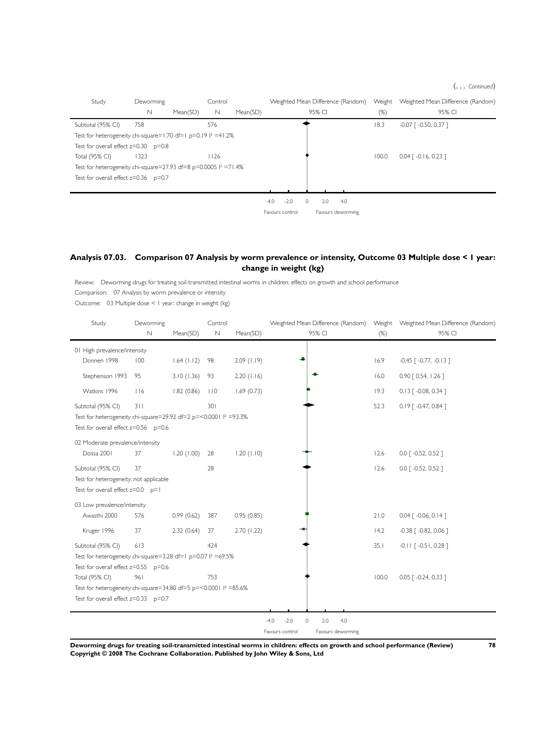(... *Continued*)

| Study                                                              | Deworming |          | Control |          |        |                 |        | Weighted Mean Difference (Random) | Weight | Weighted Mean Difference (Random) |
|--------------------------------------------------------------------|-----------|----------|---------|----------|--------|-----------------|--------|-----------------------------------|--------|-----------------------------------|
|                                                                    | N         | Mean(SD) | N       | Mean(SD) |        |                 | 95% CI |                                   | $(\%)$ | 95% CI                            |
| Subtotal (95% CI)                                                  | 758       |          | 576     |          |        |                 |        |                                   | 18.3   | $-0.07$ [ $-0.50$ , 0.37 ]        |
| Test for heterogeneity chi-square=1.70 df=1 $p=0.1912$ =41.2%      |           |          |         |          |        |                 |        |                                   |        |                                   |
| Test for overall effect $z=0.30$ $p=0.8$                           |           |          |         |          |        |                 |        |                                   |        |                                   |
| Total (95% CI)                                                     | 1323      |          | 1126    |          |        |                 |        |                                   | 100.0  | $0.04$ [ -0.16, 0.23 ]            |
| Test for heterogeneity chi-square=27.93 df=8 p=0.0005 $1^2$ =71.4% |           |          |         |          |        |                 |        |                                   |        |                                   |
| Test for overall effect $z=0.36$ $p=0.7$                           |           |          |         |          |        |                 |        |                                   |        |                                   |
|                                                                    |           |          |         |          |        |                 |        |                                   |        |                                   |
|                                                                    |           |          |         |          | $-4.0$ | $-2.0$          | 2.0    | 4.0                               |        |                                   |
|                                                                    |           |          |         |          |        | Favours control |        | Favours deworming                 |        |                                   |

# **Analysis 07.03. Comparison 07 Analysis by worm prevalence or intensity, Outcome 03 Multiple dose < 1 year: change in weight (kg)**

Review: Deworming drugs for treating soil-transmitted intestinal worms in children: effects on growth and school performance

Comparison: 07 Analysis by worm prevalence or intensity

 $\ddot{\phantom{a}}$ 

Outcome: 03 Multiple dose < 1 year: change in weight (kg)

| Study                                                                        | Deworming   |                   | Control     |            | Weighted Mean Difference (Random)    |        | Weight Weighted Mean Difference (Random) |
|------------------------------------------------------------------------------|-------------|-------------------|-------------|------------|--------------------------------------|--------|------------------------------------------|
|                                                                              | $\mathbb N$ | Mean(SD)          | $\mathbb N$ | Mean(SD)   | 95% CI                               | $(\%)$ | 95% CI                                   |
| 01 High prevalence/intensity                                                 |             |                   |             |            |                                      |        |                                          |
| Donnen 1998                                                                  | 100         | $1.64$ ( $1.12$ ) | 98          | 2.09(1.19) | 县                                    | 16.9   | $-0.45$ [ $-0.77, -0.13$ ]               |
| Stephenson 1993                                                              | 95          | 3.10(1.36)        | 93          | 2.20(1.16) | 44                                   | 16.0   | 0.90 [ 0.54, 1.26 ]                      |
| Watkins 1996                                                                 | 116         | 1.82(0.86)        | 10          | 1.69(0.73) |                                      | 19.3   | $0.13$ $[ -0.08, 0.34]$                  |
| Subtotal (95% CI)                                                            | 311         |                   | 301         |            |                                      | 52.3   | $0.19$ $[-0.47, 0.84]$                   |
| Test for heterogeneity chi-square=29.92 df=2 p=<0.0001 l <sup>2</sup> =93.3% |             |                   |             |            |                                      |        |                                          |
| Test for overall effect $z=0.56$ $p=0.6$                                     |             |                   |             |            |                                      |        |                                          |
| 02 Moderate prevalence/intensity                                             |             |                   |             |            |                                      |        |                                          |
| Dossa 2001                                                                   | 37          | 1.20(1.00)        | 28          | 1.20(1.10) |                                      | 12.6   | $0.0$ $\lceil -0.52, 0.52 \rceil$        |
| Subtotal (95% CI)                                                            | 37          |                   | 28          |            |                                      | 12.6   | $0.0$ $\lceil -0.52, 0.52 \rceil$        |
| Test for heterogeneity: not applicable                                       |             |                   |             |            |                                      |        |                                          |
| Test for overall effect $z=0.0$ p=1                                          |             |                   |             |            |                                      |        |                                          |
| 03 Low prevalence/intensity                                                  |             |                   |             |            |                                      |        |                                          |
| Awasthi 2000                                                                 | 576         | 0.99(0.62)        | 387         | 0.95(0.85) |                                      | 21.0   | $0.04$ $[ -0.06, 0.14]$                  |
| Kruger 1996                                                                  | 37          | 2.32(0.64)        | 37          | 2.70(1.22) |                                      | 14.2   | $-0.38$ $\lceil -0.82, 0.06 \rceil$      |
| Subtotal (95% CI)                                                            | 613         |                   | 424         |            |                                      | 35.1   | $-0.11$ [ $-0.51$ , 0.28]                |
| Test for heterogeneity chi-square=3.28 df=1 $p=0.07$ $1^2 = 69.5\%$          |             |                   |             |            |                                      |        |                                          |
| Test for overall effect $z=0.55$ $p=0.6$                                     |             |                   |             |            |                                      |        |                                          |
| Total (95% CI)                                                               | 961         |                   | 753         |            |                                      | 100.0  | $0.05$ $\lceil -0.24, 0.33 \rceil$       |
| Test for heterogeneity chi-square=34.80 df=5 $p = 0.0001$ $1^2 = 85.6\%$     |             |                   |             |            |                                      |        |                                          |
| Test for overall effect $z=0.33$ $p=0.7$                                     |             |                   |             |            |                                      |        |                                          |
|                                                                              |             |                   |             |            |                                      |        |                                          |
|                                                                              |             |                   |             |            | $-2.0$<br>2.0<br>$-4.0$<br>4.0       |        |                                          |
|                                                                              |             |                   |             |            | Favours deworming<br>Favours control |        |                                          |

**Deworming drugs for treating soil-transmitted intestinal worms in children: effects on growth and school performance (Review) 78 Copyright © 2008 The Cochrane Collaboration. Published by John Wiley & Sons, Ltd**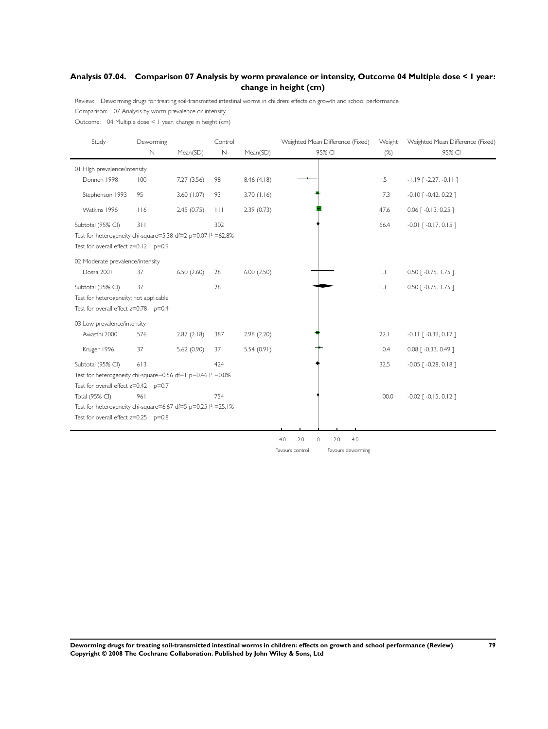### **Analysis 07.04. Comparison 07 Analysis by worm prevalence or intensity, Outcome 04 Multiple dose < 1 year: change in height (cm)**

Review: Deworming drugs for treating soil-transmitted intestinal worms in children: effects on growth and school performance Comparison: 07 Analysis by worm prevalence or intensity

Outcome: 04 Multiple dose < 1 year: change in height (cm)

| Study                                                                                                                            | Deworming   |            | Control     |            | Weighted Mean Difference (Fixed)    | Weight              | Weighted Mean Difference (Fixed)   |
|----------------------------------------------------------------------------------------------------------------------------------|-------------|------------|-------------|------------|-------------------------------------|---------------------|------------------------------------|
|                                                                                                                                  | $\mathbb N$ | Mean(SD)   | $\mathbb N$ | Mean(SD)   | 95% CI                              | $(\%)$              | 95% CI                             |
| 01 High prevalence/intensity                                                                                                     |             |            |             |            |                                     |                     |                                    |
| Donnen 1998                                                                                                                      | 100         | 7.27(3.56) | 98          | 8.46(4.18) |                                     | 1.5                 | $-1.19$ [ $-2.27$ , $-0.11$ ]      |
| Stephenson 1993                                                                                                                  | 95          | 3.60(1.07) | 93          | 3.70(1.16) |                                     | 17.3                | $-0.10$ $[-0.42, 0.22]$            |
| Watkins 1996                                                                                                                     | 116         | 2.45(0.75) | $\perp$     | 2.39(0.73) |                                     | 47.6                | $0.06$ $\lceil -0.13, 0.25 \rceil$ |
| Subtotal (95% CI)<br>Test for heterogeneity chi-square=5.38 df=2 p=0.07 $1^2$ =62.8%<br>Test for overall effect $z=0.12$ $p=0.9$ | 311         |            | 302         |            |                                     | 66.4                | $-0.01$ [ $-0.17, 0.15$ ]          |
| 02 Moderate prevalence/intensity                                                                                                 |             |            |             |            |                                     |                     |                                    |
| Dossa 2001                                                                                                                       | 37          | 6.50(2.60) | 28          | 6.00(2.50) |                                     | $\vert \cdot \vert$ | $0.50$ $\lceil -0.75, 1.75 \rceil$ |
| Subtotal (95% CI)<br>Test for heterogeneity: not applicable<br>Test for overall effect $z=0.78$ p=0.4                            | 37          |            | 28          |            |                                     | $  \cdot  $         | 0.50 [ -0.75, 1.75 ]               |
| 03 Low prevalence/intensity                                                                                                      |             |            |             |            |                                     |                     |                                    |
| Awasthi 2000                                                                                                                     | 576         | 2.87(2.18) | 387         | 2.98(2.20) |                                     | 22.1                | $-0.11$ [ $-0.39$ , $0.17$ ]       |
| Kruger 1996                                                                                                                      | 37          | 5.62(0.90) | 37          | 5.54(0.91) |                                     | 10.4                | $0.08$ $\lceil -0.33, 0.49 \rceil$ |
| Subtotal (95% CI)<br>Test for heterogeneity chi-square=0.56 df=1 $p=0.46$ $1^2$ =0.0%                                            | 613         |            | 424         |            |                                     | 32.5                | $-0.05$ $[-0.28, 0.18]$            |
| Test for overall effect $z=0.42$ $p=0.7$<br>Total (95% CI)                                                                       | 961         |            | 754         |            |                                     | 100.0               | $-0.02$ $[-0.15, 0.12]$            |
| Test for heterogeneity chi-square=6.67 df=5 p=0.25 $1^2$ =25.1%<br>Test for overall effect $z=0.25$ $p=0.8$                      |             |            |             |            |                                     |                     |                                    |
|                                                                                                                                  |             |            |             |            | $-2.0$<br>2.0<br>$-4.0$<br>4.0<br>0 |                     |                                    |

Favours control Favours deworming

**Deworming drugs for treating soil-transmitted intestinal worms in children: effects on growth and school performance (Review) 79 Copyright © 2008 The Cochrane Collaboration. Published by John Wiley & Sons, Ltd**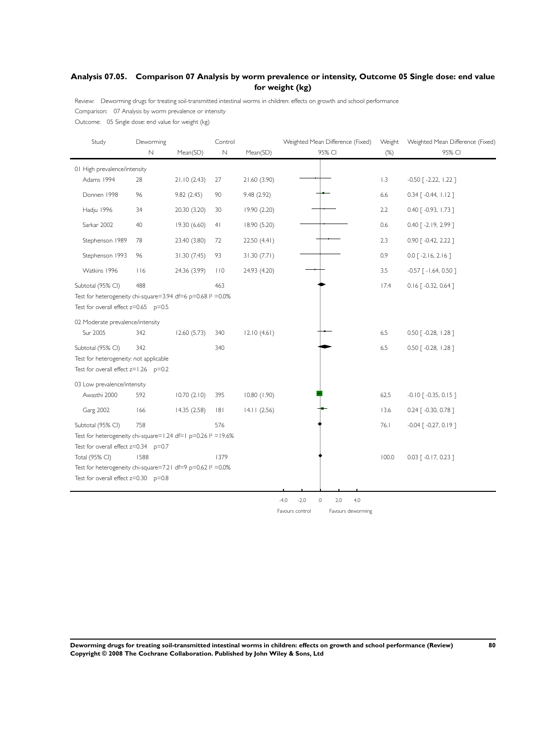# **Analysis 07.05. Comparison 07 Analysis by worm prevalence or intensity, Outcome 05 Single dose: end value for weight (kg)**

Review: Deworming drugs for treating soil-transmitted intestinal worms in children: effects on growth and school performance

Comparison: 07 Analysis by worm prevalence or intensity

Outcome: 05 Single dose: end value for weight (kg)

| Study                                                                                                                                 | Deworming  |              | Control        |              | Weighted Mean Difference (Fixed)                                            | Weight | Weighted Mean Difference (Fixed)   |
|---------------------------------------------------------------------------------------------------------------------------------------|------------|--------------|----------------|--------------|-----------------------------------------------------------------------------|--------|------------------------------------|
|                                                                                                                                       | $\hbox{N}$ | Mean(SD)     | $\mathbb N$    | Mean(SD)     | 95% CI                                                                      | (%)    | 95% CI                             |
| 01 High prevalence/intensity                                                                                                          |            |              |                |              |                                                                             |        |                                    |
| Adams 1994                                                                                                                            | 28         | 21.10(2.43)  | 27             | 21.60 (3.90) |                                                                             | 1.3    | $-0.50$ $[-2.22, 1.22]$            |
| Donnen 1998                                                                                                                           | 96         | 9.82(2.45)   | 90             | 9.48(2.92)   |                                                                             | 6.6    | $0.34$ $\lceil -0.44, 1.12 \rceil$ |
| Hadju 1996                                                                                                                            | 34         | 20.30 (3.20) | 30             | 19.90 (2.20) |                                                                             | 2.2    | $0.40$ $\lceil -0.93, 1.73 \rceil$ |
| Sarkar 2002                                                                                                                           | 40         | 19.30 (6.60) | 4 <sub>1</sub> | 18.90 (5.20) |                                                                             | 0.6    | $0.40$ $\lceil -2.19, 2.99 \rceil$ |
| Stephenson 1989                                                                                                                       | 78         | 23.40 (3.80) | 72             | 22.50 (4.41) |                                                                             | 2.3    | 0.90 [ -0.42, 2.22 ]               |
| Stephenson 1993                                                                                                                       | 96         | 31.30 (7.45) | 93             | 31.30(7.71)  |                                                                             | 0.9    | $0.0$ $\lceil -2.16, 2.16 \rceil$  |
| Watkins 1996                                                                                                                          | 116        | 24.36 (3.99) | 10             | 24.93 (4.20) |                                                                             | 3.5    | $-0.57$ [ $-1.64$ , 0.50]          |
| Subtotal (95% CI)<br>Test for heterogeneity chi-square=3.94 df=6 p=0.68 $1^2$ =0.0%<br>Test for overall effect $z=0.65$ $p=0.5$       | 488        |              | 463            |              |                                                                             | 17.4   | $0.16$ $\lceil -0.32, 0.64 \rceil$ |
| 02 Moderate prevalence/intensity                                                                                                      |            |              |                |              |                                                                             |        |                                    |
| Sur 2005                                                                                                                              | 342        | 12.60(5.73)  | 340            | 12.10(4.61)  |                                                                             | 6.5    | $0.50$ $\lceil -0.28, 1.28 \rceil$ |
| Subtotal (95% CI)<br>Test for heterogeneity: not applicable<br>Test for overall effect $z=1.26$ p=0.2                                 | 342        |              | 340            |              |                                                                             | 6.5    | $0.50$ $\lceil -0.28, 1.28 \rceil$ |
| 03 Low prevalence/intensity                                                                                                           |            |              |                |              |                                                                             |        |                                    |
| Awasthi 2000                                                                                                                          | 592        | 10.70(2.10)  | 395            | 10.80(1.90)  |                                                                             | 62.5   | $-0.10$ [ $-0.35$ , 0.15]          |
| Garg 2002                                                                                                                             | 166        | 14.35(2.58)  | 8              | 14.11(2.56)  |                                                                             | 13.6   | $0.24$ $\lceil -0.30, 0.78 \rceil$ |
| Subtotal (95% CI)<br>Test for heterogeneity chi-square=1.24 df=1 p=0.26 $1^2$ =19.6%<br>Test for overall effect $z=0.34$ $p=0.7$      | 758        |              | 576            |              |                                                                             | 76.1   | $-0.04$ [ $-0.27$ , 0.19 ]         |
| Total (95% CI)<br>Test for heterogeneity chi-square=7.21 df=9 p=0.62 l <sup>2</sup> =0.0%<br>Test for overall effect $z=0.30$ $p=0.8$ | 1588       |              | 1379           |              |                                                                             | 100.0  | $0.03$ $\lceil -0.17, 0.23 \rceil$ |
|                                                                                                                                       |            |              |                |              | $-2.0$<br>2.0<br>4.0<br>$-4.0$<br>Ó<br>Favours deworming<br>Favours control |        |                                    |

**Deworming drugs for treating soil-transmitted intestinal worms in children: effects on growth and school performance (Review) 80 Copyright © 2008 The Cochrane Collaboration. Published by John Wiley & Sons, Ltd**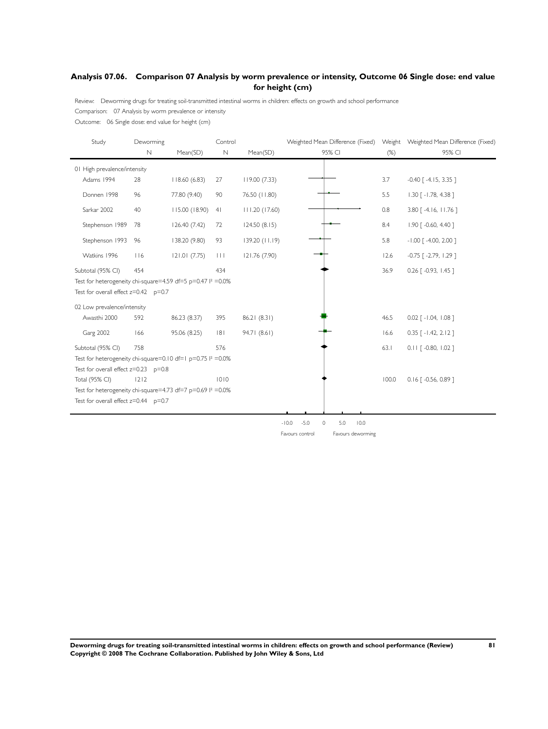### **Analysis 07.06. Comparison 07 Analysis by worm prevalence or intensity, Outcome 06 Single dose: end value for height (cm)**

Review: Deworming drugs for treating soil-transmitted intestinal worms in children: effects on growth and school performance

Comparison: 07 Analysis by worm prevalence or intensity

Outcome: 06 Single dose: end value for height (cm)

| Study                                                              | Deworming   |                | Control        |                | Weighted Mean Difference (Fixed) | Weight | Weighted Mean Difference (Fixed)   |
|--------------------------------------------------------------------|-------------|----------------|----------------|----------------|----------------------------------|--------|------------------------------------|
|                                                                    | $\mathbb N$ | Mean(SD)       | $\mathbb N$    | Mean(SD)       | 95% CI                           | $(\%)$ | 95% CI                             |
| 01 High prevalence/intensity                                       |             |                |                |                |                                  |        |                                    |
| Adams 1994                                                         | 28          | 118.60 (6.83)  | 27             | 119.00(7.33)   |                                  | 3.7    | $-0.40$ [ $-4.15$ , 3.35]          |
| Donnen 1998                                                        | 96          | 77.80 (9.40)   | 90             | 76.50 (11.80)  |                                  | 5.5    | $1.30$ [ $-1.78$ , 4.38]           |
| Sarkar 2002                                                        | 40          | 115.00 (18.90) | 4 <sub>1</sub> | 111.20 (17.60) |                                  | 0.8    | 3.80 [ -4.16, 11.76 ]              |
| Stephenson 1989                                                    | 78          | 126.40 (7.42)  | 72             | 124.50(8.15)   |                                  | 8.4    | 1.90 [ -0.60, 4.40 ]               |
| Stephenson 1993                                                    | 96          | 138.20 (9.80)  | 93             | 139.20 (11.19) |                                  | 5.8    | $-1.00$ $[-4.00, 2.00]$            |
| Watkins 1996                                                       | 116         | 121.01(7.75)   | $\Box$         | 121.76 (7.90)  |                                  | 12.6   | $-0.75$ [ $-2.79$ , 1.29 ]         |
| Subtotal (95% CI)                                                  | 454         |                | 434            |                |                                  | 36.9   | $0.26$ $\lceil -0.93, 1.45 \rceil$ |
| Test for heterogeneity chi-square=4.59 df=5 p=0.47 $1^2$ =0.0%     |             |                |                |                |                                  |        |                                    |
| Test for overall effect $z=0.42$ p=0.7                             |             |                |                |                |                                  |        |                                    |
| 02 Low prevalence/intensity                                        |             |                |                |                |                                  |        |                                    |
| Awasthi 2000                                                       | 592         | 86.23 (8.37)   | 395            | 86.21(8.31)    |                                  | 46.5   | $0.02$ $\lceil -1.04, 1.08 \rceil$ |
| Garg 2002                                                          | 166         | 95.06 (8.25)   | 8              | 94.71(8.61)    |                                  | 16.6   | $0.35$ $\lceil -1.42, 2.12 \rceil$ |
| Subtotal (95% CI)                                                  | 758         |                | 576            |                |                                  | 63.1   | $0.11$ $[-0.80, 1.02]$             |
| Test for heterogeneity chi-square=0.10 df=1 $p=0.75$ $1^2 = 0.0\%$ |             |                |                |                |                                  |        |                                    |
| Test for overall effect $z=0.23$ $p=0.8$                           |             |                |                |                |                                  |        |                                    |
| Total (95% CI)                                                     | $1212$      |                | 1010           |                |                                  | 100.0  | $0.16$ $\lceil -0.56, 0.89 \rceil$ |
| Test for heterogeneity chi-square=4.73 df=7 $p=0.69$ $1^2 = 0.0\%$ |             |                |                |                |                                  |        |                                    |
| Test for overall effect $z=0.44$ p=0.7                             |             |                |                |                |                                  |        |                                    |
|                                                                    |             |                |                |                |                                  |        |                                    |

 $-10.0$   $-5.0$  0 5.0 10.0

Favours control Favours deworming

**Deworming drugs for treating soil-transmitted intestinal worms in children: effects on growth and school performance (Review) 81 Copyright © 2008 The Cochrane Collaboration. Published by John Wiley & Sons, Ltd**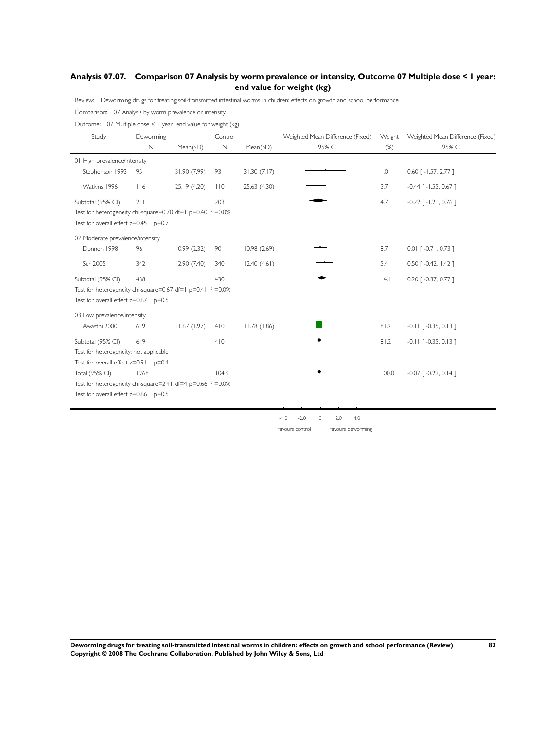## **Analysis 07.07. Comparison 07 Analysis by worm prevalence or intensity, Outcome 07 Multiple dose < 1 year: end value for weight (kg)**

Review: Deworming drugs for treating soil-transmitted intestinal worms in children: effects on growth and school performance

Comparison: 07 Analysis by worm prevalence or intensity

Outcome: 07 Multiple dose < 1 year: end value for weight (kg)

| Study                                                              | Deworming   |              | Control     |              | Weighted Mean Difference (Fixed) | Weight           | Weighted Mean Difference (Fixed)   |
|--------------------------------------------------------------------|-------------|--------------|-------------|--------------|----------------------------------|------------------|------------------------------------|
|                                                                    | $\mathbb N$ | Mean(SD)     | $\mathbb N$ | Mean(SD)     | 95% CI                           | (%)              | 95% CI                             |
| 01 High prevalence/intensity                                       |             |              |             |              |                                  |                  |                                    |
| Stephenson 1993                                                    | 95          | 31.90 (7.99) | 93          | 31.30(7.17)  |                                  | $\overline{1.0}$ | $0.60$ [ -1.57, 2.77 ]             |
| Watkins 1996                                                       | 116         | 25.19 (4.20) | 10          | 25.63 (4.30) |                                  | 3.7              | $-0.44$ [ $-1.55$ , 0.67]          |
| Subtotal (95% CI)                                                  | 211         |              | 203         |              |                                  | 4.7              | $-0.22$ [ $-1.21$ , 0.76]          |
| Test for heterogeneity chi-square=0.70 df=1 $p=0.40$ $1^2$ =0.0%   |             |              |             |              |                                  |                  |                                    |
| Test for overall effect $z=0.45$ $p=0.7$                           |             |              |             |              |                                  |                  |                                    |
| 02 Moderate prevalence/intensity                                   |             |              |             |              |                                  |                  |                                    |
| Donnen 1998                                                        | 96          | 10.99(2.32)  | 90          | 10.98(2.69)  |                                  | 8.7              | $0.01$ $[-0.71, 0.73]$             |
| Sur 2005                                                           | 342         | 12.90 (7.40) | 340         | 12.40(4.61)  |                                  | 5.4              | $0.50$ $\lceil -0.42, 1.42 \rceil$ |
| Subtotal (95% CI)                                                  | 438         |              | 430         |              |                                  | 4.1              | $0.20$ $\lceil -0.37, 0.77 \rceil$ |
| Test for heterogeneity chi-square=0.67 df=1 $p=0.41$ $1^2$ =0.0%   |             |              |             |              |                                  |                  |                                    |
| Test for overall effect $z=0.67$ $p=0.5$                           |             |              |             |              |                                  |                  |                                    |
| 03 Low prevalence/intensity                                        |             |              |             |              |                                  |                  |                                    |
| Awasthi 2000                                                       | 619         | 11.67(1.97)  | 410         | 11.78(1.86)  |                                  | 81.2             | $-0.11$ $[-0.35, 0.13]$            |
| Subtotal (95% CI)                                                  | 619         |              | 410         |              |                                  | 81.2             | $-0.11$ [ $-0.35, 0.13$ ]          |
| Test for heterogeneity: not applicable                             |             |              |             |              |                                  |                  |                                    |
| Test for overall effect $z=0.91$ p=0.4                             |             |              |             |              |                                  |                  |                                    |
| Total (95% CI)                                                     | 1268        |              | 1043        |              |                                  | 100.0            | $-0.07$ $[-0.29, 0.14]$            |
| Test for heterogeneity chi-square=2.41 df=4 $p=0.66$ $1^2 = 0.0\%$ |             |              |             |              |                                  |                  |                                    |
| Test for overall effect $z=0.66$ $p=0.5$                           |             |              |             |              |                                  |                  |                                    |
|                                                                    |             |              |             |              |                                  |                  |                                    |

 $-4.0$   $-2.0$  0 2.0  $4.0$ 

Favours control Favours deworming

**Deworming drugs for treating soil-transmitted intestinal worms in children: effects on growth and school performance (Review) 82 Copyright © 2008 The Cochrane Collaboration. Published by John Wiley & Sons, Ltd**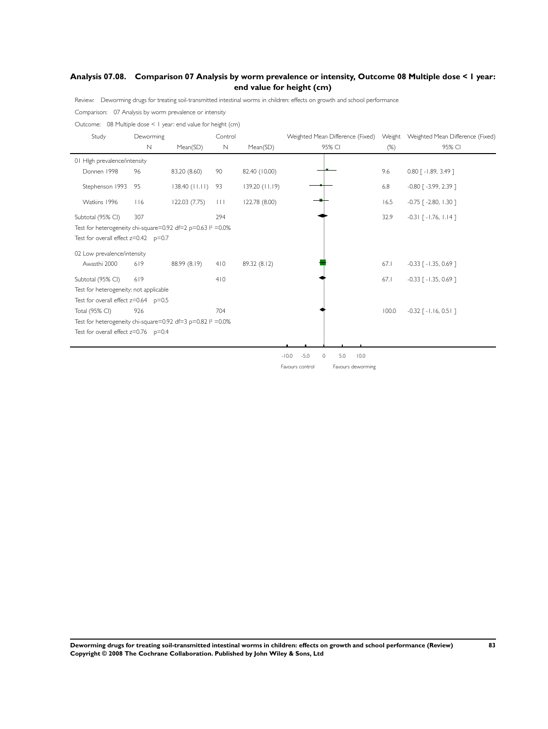### **Analysis 07.08. Comparison 07 Analysis by worm prevalence or intensity, Outcome 08 Multiple dose < 1 year: end value for height (cm)**

Review: Deworming drugs for treating soil-transmitted intestinal worms in children: effects on growth and school performance

Comparison: 07 Analysis by worm prevalence or intensity

Outcome: 08 Multiple dose < 1 year: end value for height (cm)

| Study                                                          | Deworming  |                  | Control                 |                |                   |                           |        | Weighted Mean Difference (Fixed)    Veight    Veighted Mean Difference (Fixed) |
|----------------------------------------------------------------|------------|------------------|-------------------------|----------------|-------------------|---------------------------|--------|--------------------------------------------------------------------------------|
|                                                                | $\hbox{N}$ | Mean(SD)         | $\mathbb N$             | Mean(SD)       |                   | 95% CI                    | $(\%)$ | 95% CI                                                                         |
| 01 High prevalence/intensity                                   |            |                  |                         |                |                   |                           |        |                                                                                |
| Donnen 1998                                                    | 96         | 83.20 (8.60)     | 90                      | 82.40 (10.00)  |                   |                           | 9.6    | 0.80 [-1.89, 3.49]                                                             |
| Stephenson 1993                                                | 95         | $138.40$ (11.11) | 93                      | 139.20 (11.19) |                   |                           | 6.8    | $-0.80$ [ $-3.99$ , 2.39 ]                                                     |
| Watkins 1996                                                   | 116        | 122.03(7.75)     | $\vert \ \vert \ \vert$ | 122.78 (8.00)  |                   |                           | 16.5   | $-0.75$ [ $-2.80$ , 1.30]                                                      |
| Subtotal (95% CI)                                              | 307        |                  | 294                     |                |                   |                           | 32.9   | $-0.3$   [ $-1.76$ , $1.14$ ]                                                  |
| Test for heterogeneity chi-square=0.92 df=2 p=0.63 $1^2$ =0.0% |            |                  |                         |                |                   |                           |        |                                                                                |
| Test for overall effect $z=0.42$ p=0.7                         |            |                  |                         |                |                   |                           |        |                                                                                |
| 02 Low prevalence/intensity                                    |            |                  |                         |                |                   |                           |        |                                                                                |
| Awasthi 2000                                                   | 619        | 88.99 (8.19)     | 410                     | 89.32 (8.12)   |                   |                           | 67.1   | $-0.33$ [ $-1.35$ , 0.69]                                                      |
| Subtotal (95% CI)                                              | 619        |                  | 410                     |                |                   |                           | 67.1   | $-0.33$ [ $-1.35$ , 0.69]                                                      |
| Test for heterogeneity: not applicable                         |            |                  |                         |                |                   |                           |        |                                                                                |
| Test for overall effect $z=0.64$ $p=0.5$                       |            |                  |                         |                |                   |                           |        |                                                                                |
| Total (95% CI)                                                 | 926        |                  | 704                     |                |                   |                           | 100.0  | $-0.32$ [ $-1.16$ , $0.51$ ]                                                   |
| Test for heterogeneity chi-square=0.92 df=3 p=0.82 $1^2$ =0.0% |            |                  |                         |                |                   |                           |        |                                                                                |
| Test for overall effect $z=0.76$ p=0.4                         |            |                  |                         |                |                   |                           |        |                                                                                |
|                                                                |            |                  |                         |                |                   |                           |        |                                                                                |
|                                                                |            |                  |                         |                | $-5.0$<br>$-10.0$ | 10.0<br>5.0<br>$\ddot{0}$ |        |                                                                                |
|                                                                |            |                  |                         |                | Favours control   | Favours deworming         |        |                                                                                |
|                                                                |            |                  |                         |                |                   |                           |        |                                                                                |
|                                                                |            |                  |                         |                |                   |                           |        |                                                                                |
|                                                                |            |                  |                         |                |                   |                           |        |                                                                                |
|                                                                |            |                  |                         |                |                   |                           |        |                                                                                |
|                                                                |            |                  |                         |                |                   |                           |        |                                                                                |
|                                                                |            |                  |                         |                |                   |                           |        |                                                                                |
|                                                                |            |                  |                         |                |                   |                           |        |                                                                                |
|                                                                |            |                  |                         |                |                   |                           |        |                                                                                |

**Deworming drugs for treating soil-transmitted intestinal worms in children: effects on growth and school performance (Review) 83 Copyright © 2008 The Cochrane Collaboration. Published by John Wiley & Sons, Ltd**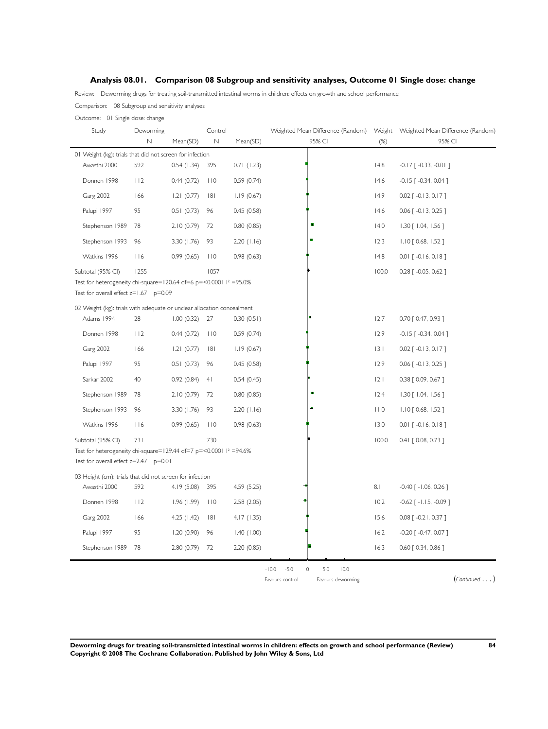#### **Analysis 08.01. Comparison 08 Subgroup and sensitivity analyses, Outcome 01 Single dose: change**

Review: Deworming drugs for treating soil-transmitted intestinal worms in children: effects on growth and school performance

Comparison: 08 Subgroup and sensitivity analyses

| Study                                                                                                                                           | Deworming |                 | Control          |             | Weighted Mean Difference (Random)                                                      | Weight              | Weighted Mean Difference (Random)    |
|-------------------------------------------------------------------------------------------------------------------------------------------------|-----------|-----------------|------------------|-------------|----------------------------------------------------------------------------------------|---------------------|--------------------------------------|
|                                                                                                                                                 | N         | Mean(SD)        | $\mathsf{N}$     | Mean(SD)    | 95% CI                                                                                 | $(\%)$              | 95% CI                               |
| 01 Weight (kg): trials that did not screen for infection<br>Awasthi 2000                                                                        | 592       | 0.54(1.34)      | 395              | 0.71(1.23)  |                                                                                        | 4.8                 | $-0.17$ [ $-0.33$ , $-0.01$ ]        |
| Donnen 1998                                                                                                                                     | 112       | 0.44(0.72)      | $\overline{110}$ | 0.59(0.74)  |                                                                                        | 14.6                | $-0.15$ [ $-0.34$ , 0.04 ]           |
| Garg 2002                                                                                                                                       | 166       | 1.21(0.77)      | 8                | 1.19(0.67)  |                                                                                        | 14.9                | $0.02$ [ $-0.13$ , $0.17$ ]          |
|                                                                                                                                                 |           |                 |                  |             |                                                                                        |                     |                                      |
| Palupi 1997                                                                                                                                     | 95        | 0.51(0.73)      | 96               | 0.45(0.58)  | m,                                                                                     | 14.6                | $0.06$ $\lceil -0.13, 0.25 \rceil$   |
| Stephenson 1989                                                                                                                                 | 78        | 2.10(0.79)      | 72               | 0.80(0.85)  | $\blacksquare$                                                                         | 4.0                 | $1.30$ [ $1.04$ , $1.56$ ]           |
| Stephenson 1993                                                                                                                                 | 96        | 3.30 (1.76)     | 93               | 2.20(1.16)  |                                                                                        | 12.3                | $1.10$ [ 0.68, 1.52 ]                |
| Watkins 1996                                                                                                                                    | 116       | 0.99(0.65)      | 10               | 0.98(0.63)  |                                                                                        | 4.8                 | $0.01$ $\lceil -0.16, 0.18 \rceil$   |
| Subtotal (95% CI)<br>Test for heterogeneity chi-square=120.64 df=6 p=<0.0001 $1^2$ =95.0%<br>Test for overall effect $z=1.67$ p=0.09            | 1255      |                 | 1057             |             |                                                                                        | 100.0               | $0.28$ $\lceil -0.05, 0.62 \rceil$   |
| 02 Weight (kg): trials with adequate or unclear allocation concealment                                                                          |           |                 |                  |             |                                                                                        |                     |                                      |
| Adams 1994                                                                                                                                      | 28        | $1.00(0.32)$ 27 |                  | 0.30(0.51)  |                                                                                        | 12.7                | $0.70$ $[0.47, 0.93]$                |
| Donnen 1998                                                                                                                                     | 112       | 0.44(0.72)      | 110              | 0.59(0.74)  |                                                                                        | 12.9                | $-0.15$ $[-0.34, 0.04]$              |
| Garg 2002                                                                                                                                       | 166       | 1.21(0.77)      | 8                | 1.19(0.67)  |                                                                                        | 3.1                 | $0.02$ [ -0.13, 0.17 ]               |
| Palupi 1997                                                                                                                                     | 95        | 0.51(0.73)      | 96               | 0.45(0.58)  |                                                                                        | 12.9                | $0.06$ $\lceil -0.13, 0.25 \rceil$   |
| Sarkar 2002                                                                                                                                     | 40        | 0.92(0.84)      | 4 <sub>1</sub>   | 0.54(0.45)  |                                                                                        | 12.1                | $0.38$ [ 0.09, 0.67 ]                |
| Stephenson 1989                                                                                                                                 | 78        | 2.10(0.79)      | - 72             | 0.80(0.85)  | g,                                                                                     | 12.4                | $1.30$ [ $1.04$ , $1.56$ ]           |
| Stephenson 1993                                                                                                                                 | 96        | 3.30(1.76)      | 93               | 2.20(1.16)  | $\blacksquare$                                                                         | $  \cdot   \cdot  $ | $1.10$ [ 0.68, 1.52 ]                |
| Watkins 1996                                                                                                                                    | 116       | 0.99(0.65)      | 10               | 0.98(0.63)  |                                                                                        | 13.0                | $0.01$ $\lceil -0.16, 0.18 \rceil$   |
| Subtotal (95% CI)<br>Test for heterogeneity chi-square=129.44 df=7 p=<0.0001 l <sup>2</sup> =94.6%<br>Test for overall effect $z=2.47$ $p=0.01$ | 731       |                 | 730              |             |                                                                                        | 100.0               | $0.41$ $[0.08, 0.73]$                |
| 03 Height (cm): trials that did not screen for infection                                                                                        |           |                 |                  |             |                                                                                        |                     |                                      |
| Awasthi 2000                                                                                                                                    | 592       | 4.19(5.08)      | 395              | 4.59(5.25)  |                                                                                        | 8.1                 | $-0.40$ $\lceil -1.06, 0.26 \rceil$  |
| Donnen 1998                                                                                                                                     | 112       | 1.96(1.99)      | 10               | 2.58(2.05)  |                                                                                        | 10.2                | $-0.62$ $\lceil -1.15, -0.09 \rceil$ |
| Garg 2002                                                                                                                                       | 166       | 4.25(1.42)      | 8                | 4.17(1.35)  |                                                                                        | 15.6                | $0.08$ [ -0.21, 0.37 ]               |
| Palupi 1997                                                                                                                                     | 95        | 1.20(0.90)      | 96               | 1.40(1.00)  |                                                                                        | 16.2                | $-0.20$ $\lceil -0.47, 0.07 \rceil$  |
| Stephenson 1989                                                                                                                                 | 78        | 2.80 (0.79)     | - 72             | 2.20 (0.85) | г                                                                                      | 16.3                | $0.60$ $[0.34, 0.86]$                |
|                                                                                                                                                 |           |                 |                  |             | $-5.0$<br>$-10.0$<br>$\ddot{0}$<br>5.0<br>10.0<br>Favours control<br>Favours deworming |                     | $(Continued \dots)$                  |

**Deworming drugs for treating soil-transmitted intestinal worms in children: effects on growth and school performance (Review) 84 Copyright © 2008 The Cochrane Collaboration. Published by John Wiley & Sons, Ltd**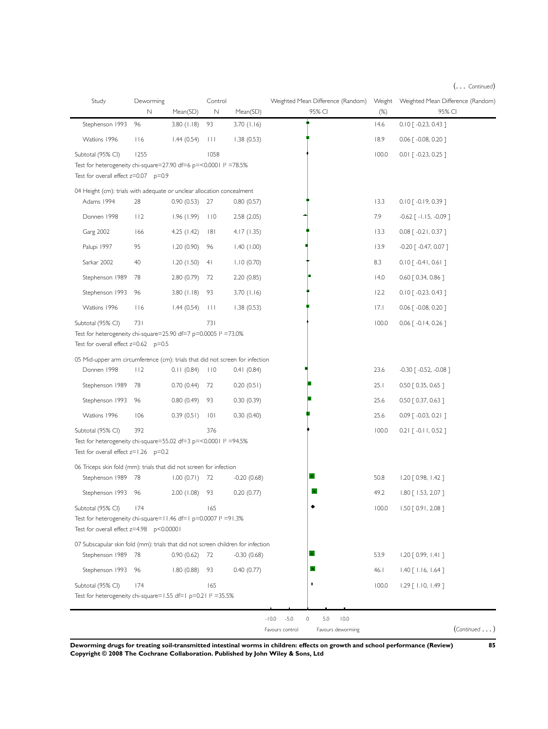(... *Continued*)

| Study                                                                                                          | Deworming |                 | Control       |               |                                       |        | Weighted Mean Difference (Random) Weight Weighted Mean Difference (Random) |
|----------------------------------------------------------------------------------------------------------------|-----------|-----------------|---------------|---------------|---------------------------------------|--------|----------------------------------------------------------------------------|
|                                                                                                                | Ν         | Mean(SD)        | $\mathbb N$   | Mean(SD)      | 95% CI                                | $(\%)$ | 95% CI                                                                     |
| Stephenson 1993                                                                                                | 96        | 3.80(1.18)      | 93            | 3.70(1.16)    |                                       | 14.6   | $0.10$ [ -0.23, 0.43 ]                                                     |
| Watkins 1996                                                                                                   | 116       | 1.44(0.54)      | $\perp$       | 1.38(0.53)    |                                       | 18.9   | $0.06$ $\lceil -0.08, 0.20 \rceil$                                         |
| Subtotal (95% CI)                                                                                              | 1255      |                 | 1058          |               |                                       | 100.0  | $0.01$ $[-0.23, 0.25]$                                                     |
| Test for heterogeneity chi-square=27.90 df=6 p=<0.000   $1^2$ =78.5%                                           |           |                 |               |               |                                       |        |                                                                            |
| Test for overall effect $z=0.07$ p=0.9                                                                         |           |                 |               |               |                                       |        |                                                                            |
| 04 Height (cm): trials with adequate or unclear allocation concealment<br>Adams 1994                           | 28        | $0.90(0.53)$ 27 |               | 0.80(0.57)    |                                       | 13.3   | $0.10$ $\lceil -0.19, 0.39 \rceil$                                         |
| Donnen 1998                                                                                                    | 112       | 1.96(1.99)      | $\frac{1}{2}$ | 2.58(2.05)    |                                       | 7.9    | $-0.62$ [ $-1.15, -0.09$ ]                                                 |
| <b>Garg 2002</b>                                                                                               | 166       | 4.25(1.42)      | 8             | 4.17(1.35)    |                                       | 13.3   | $0.08$ $\lceil -0.21, 0.37 \rceil$                                         |
| Palupi 1997                                                                                                    | 95        | 1.20(0.90)      | 96            | 1.40(1.00)    |                                       | 13.9   | $-0.20$ $\lceil -0.47, 0.07 \rceil$                                        |
| Sarkar 2002                                                                                                    | 40        | 1.20(1.50)      | 41            | 1.10(0.70)    |                                       | 8.3    | $0.10$ [ -0.41, 0.61 ]                                                     |
| Stephenson 1989                                                                                                | 78        | 2.80(0.79)      | 72            | 2.20(0.85)    |                                       | 4.0    | $0.60$ $[0.34, 0.86]$                                                      |
| Stephenson 1993                                                                                                | 96        | 3.80(1.18)      | 93            | 3.70(1.16)    |                                       | 12.2   | $0.10$ $\lceil -0.23, 0.43 \rceil$                                         |
| Watkins 1996                                                                                                   | 116       | 1.44(0.54)      | $\perp$       | 1.38(0.53)    |                                       | 7.1    | $0.06$ $\lceil -0.08, 0.20 \rceil$                                         |
| Subtotal (95% CI)                                                                                              | 731       |                 | 731           |               |                                       | 100.0  | $0.06$ $\lceil -0.14, 0.26 \rceil$                                         |
| Test for heterogeneity chi-square=25.90 df=7 p=0.0005 $1^2$ =73.0%                                             |           |                 |               |               |                                       |        |                                                                            |
| Test for overall effect $z=0.62$ p=0.5                                                                         |           |                 |               |               |                                       |        |                                                                            |
| 05 Mid-upper arm circumference (cm): trials that did not screen for infection<br>Donnen 1998                   | 112       | 0.11(0.84)110   |               | 0.41(0.84)    |                                       | 23.6   | $-0.30$ [ $-0.52$ , $-0.08$ ]                                              |
| Stephenson 1989                                                                                                | 78        | 0.70(0.44)      | 72            | 0.20(0.51)    |                                       | 25.1   | $0.50$ $[0.35, 0.65]$                                                      |
| Stephenson 1993                                                                                                | 96        | 0.80(0.49)      | -93           | 0.30(0.39)    |                                       | 25.6   | $0.50$ $[0.37, 0.63]$                                                      |
| Watkins 1996                                                                                                   | 106       | 0.39(0.51)      | 0             | 0.30(0.40)    |                                       | 25.6   | $0.09$ $\lceil -0.03, 0.21 \rceil$                                         |
| Subtotal (95% CI)                                                                                              | 392       |                 | 376           |               |                                       | 100.0  | $0.21$ [-0.11, 0.52]                                                       |
| Test for heterogeneity chi-square=55.02 df=3 p=<0.0001 $1^2$ =94.5%                                            |           |                 |               |               |                                       |        |                                                                            |
| Test for overall effect $z=1.26$ p=0.2                                                                         |           |                 |               |               |                                       |        |                                                                            |
| 06 Triceps skin fold (mm): trials that did not screen for infection                                            |           |                 |               |               |                                       |        |                                                                            |
| Stephenson 1989 78                                                                                             |           | $1.00(0.71)$ 72 |               | $-0.20(0.68)$ | $\pm$                                 | 50.8   | $1.20$ $[0.98, 1.42]$                                                      |
| Stephenson 1993 96                                                                                             |           | 2.00(1.08)      | 93            | 0.20(0.77)    |                                       | 49.2   | $1.80$ [ $1.53$ , 2.07 ]                                                   |
| Subtotal (95% CI)                                                                                              | 74        |                 | 165           |               | ٠                                     | 100.0  | $1.50$ [ 0.91, 2.08 ]                                                      |
| Test for heterogeneity chi-square=11.46 df=1 p=0.0007 $P = 91.3\%$<br>Test for overall effect z=4.98 p<0.00001 |           |                 |               |               |                                       |        |                                                                            |
| 07 Subscapular skin fold (mm): trials that did not screen children for infection                               |           |                 |               |               |                                       |        |                                                                            |
| Stephenson 1989                                                                                                | 78        | 0.90(0.62)      | 72            | $-0.30(0.68)$ | $\left\langle \cdot \right\rangle$    | 53.9   | $1.20$ [ 0.99, 1.41 ]                                                      |
| Stephenson 1993                                                                                                | 96        | 1.80(0.88)      | 93            | 0.40(0.77)    | $\pm$                                 | 46.1   | $1.40$ $[$ $1.16$ , $1.64$ $]$                                             |
| Subtotal (95% CI)                                                                                              | 174       |                 | 165           |               | ۰                                     | 100.0  | $1.29$ [ $1.10$ , $1.49$ ]                                                 |
| Test for heterogeneity chi-square=1.55 df=1 p=0.21 l <sup>2</sup> =35.5%                                       |           |                 |               |               |                                       |        |                                                                            |
|                                                                                                                |           |                 |               |               | $-5.0$<br>5.0<br>10.0<br>$-10.0$<br>0 |        |                                                                            |
|                                                                                                                |           |                 |               |               | Favours control<br>Favours deworming  |        | $(Continued \dots)$                                                        |

**Deworming drugs for treating soil-transmitted intestinal worms in children: effects on growth and school performance (Review) 85 Copyright © 2008 The Cochrane Collaboration. Published by John Wiley & Sons, Ltd**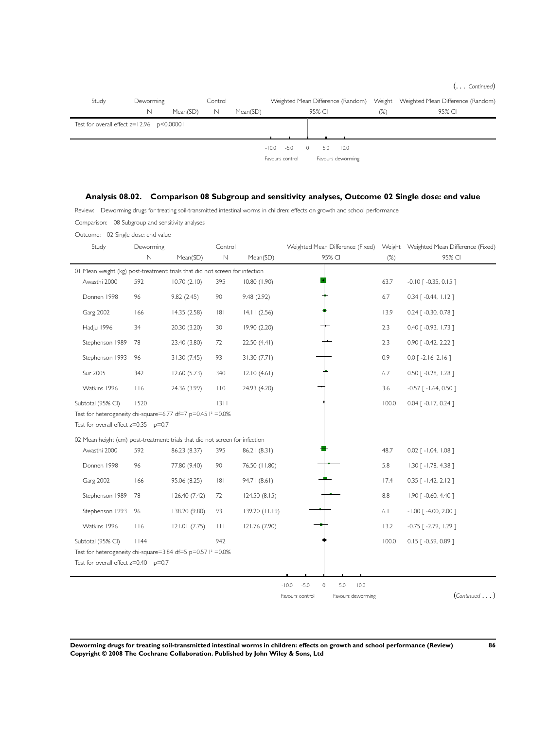(... *Continued*)

| Study                                         | Deworming |          | Control |          |                   |                   |     | Weighted Mean Difference (Random) Weight Weighted Mean Difference (Random) |
|-----------------------------------------------|-----------|----------|---------|----------|-------------------|-------------------|-----|----------------------------------------------------------------------------|
|                                               | N         | Mean(SD) | N       | Mean(SD) |                   | 95% CI            | (%) | 95% CI                                                                     |
| Test for overall effect $z=12.96$ $p<0.00001$ |           |          |         |          |                   |                   |     |                                                                            |
|                                               |           |          |         |          |                   |                   |     |                                                                            |
|                                               |           |          |         |          | $-5.0$<br>$-10.0$ | 5.0<br>10.0       |     |                                                                            |
|                                               |           |          |         |          | Favours control   | Favours deworming |     |                                                                            |
|                                               |           |          |         |          |                   |                   |     |                                                                            |

### **Analysis 08.02. Comparison 08 Subgroup and sensitivity analyses, Outcome 02 Single dose: end value**

Review: Deworming drugs for treating soil-transmitted intestinal worms in children: effects on growth and school performance

Comparison: 08 Subgroup and sensitivity analyses

Outcome: 02 Single dose: end value

| Control<br>Study<br>Deworming<br>Weighted Mean Difference (Fixed)<br>Weight Weighted Mean Difference (Fixed)                                                                                  |                     |
|-----------------------------------------------------------------------------------------------------------------------------------------------------------------------------------------------|---------------------|
| 95% CI<br>$\mathbb N$<br>Mean(SD)<br>$\hbox{N}$<br>Mean(SD)<br>95% CI<br>$(\%)$                                                                                                               |                     |
| 01 Mean weight (kg) post-treatment: trials that did not screen for infection                                                                                                                  |                     |
| $-0.10$ [ $-0.35$ , 0.15]<br>Awasthi 2000<br>592<br>10.70(2.10)<br>395<br>63.7<br>10.80(1.90)                                                                                                 |                     |
| Donnen 1998<br>96<br>9.82(2.45)<br>9.48 (2.92)<br>$0.34$ $\lceil -0.44, 1.12 \rceil$<br>90<br>6.7                                                                                             |                     |
| Garg 2002<br>13.9<br>166<br>14.35(2.58)<br> 8 <br> 4.11(2.56)<br>$0.24$ $\lceil -0.30, 0.78 \rceil$                                                                                           |                     |
| Hadju 1996<br>34<br>20.30 (3.20)<br>30<br>19.90 (2.20)<br>2.3<br>0.40 [ -0.93, 1.73 ]                                                                                                         |                     |
| 2.3<br>0.90 [ -0.42, 2.22 ]<br>Stephenson 1989<br>78<br>23.40 (3.80)<br>72<br>22.50 (4.41)                                                                                                    |                     |
| Stephenson 1993<br>31.30 (7.45)<br>93<br>31.30(7.71)<br>0.9<br>$0.0$ $\lceil -2.16, 2.16 \rceil$<br>96                                                                                        |                     |
| Sur 2005<br>342<br>12.60(5.73)<br>340<br>12.10(4.61)<br>$0.50$ $\lceil -0.28, 1.28 \rceil$<br>6.7                                                                                             |                     |
| 24.36 (3.99)<br>24.93 (4.20)<br>$-0.57$ [ $-1.64$ , 0.50]<br>Watkins 1996<br>116<br> 10<br>3.6                                                                                                |                     |
| 1520<br> 3 <br>100.0<br>$0.04$ $\lceil -0.17, 0.24 \rceil$<br>Subtotal (95% CI)<br>Test for heterogeneity chi-square=6.77 df=7 $p=0.45$ $1^2$ =0.0%<br>Test for overall effect $z=0.35$ p=0.7 |                     |
| 02 Mean height (cm) post-treatment: trials that did not screen for infection                                                                                                                  |                     |
| Awasthi 2000<br>592<br>86.23 (8.37)<br>86.21 (8.31)<br>48.7<br>$0.02$ $\lceil -1.04, 1.08 \rceil$<br>395                                                                                      |                     |
| 5.8<br>Donnen 1998<br>96<br>77.80 (9.40)<br>90<br>76.50 (11.80)<br>$1.30$ [ $-1.78$ , 4.38]                                                                                                   |                     |
| 94.71 (8.61)<br>Garg 2002<br>166<br>95.06 (8.25)<br> 8 <br>17.4<br>$0.35$ $\lceil -1.42, 2.12 \rceil$                                                                                         |                     |
| 8.8<br>Stephenson 1989<br>78<br>126.40 (7.42)<br>72<br>124.50(8.15)<br>1.90 [ -0.60, 4.40 ]                                                                                                   |                     |
| 93<br>139.20 (11.19)<br>6.1<br>Stephenson 1993<br>96<br>138.20 (9.80)<br>$-1.00$ $[-4.00, 2.00]$                                                                                              |                     |
| Watkins 1996<br>116<br>121.01(7.75)<br>$\Box$<br>121.76 (7.90)<br>13.2<br>$-0.75$ [ $-2.79$ , 1.29]                                                                                           |                     |
| 942<br>Subtotal (95% CI)<br>1144<br>100.0<br>$0.15$ $[-0.59, 0.89]$                                                                                                                           |                     |
| Test for heterogeneity chi-square=3.84 df=5 p=0.57 $\text{I}^2$ =0.0%                                                                                                                         |                     |
| Test for overall effect $z=0.40$ $p=0.7$                                                                                                                                                      |                     |
|                                                                                                                                                                                               |                     |
| $-10.0$<br>$-5.0$<br>5.0<br>10.0<br>0<br>Favours control<br>Favours deworming                                                                                                                 | $(Continued \dots)$ |

**Deworming drugs for treating soil-transmitted intestinal worms in children: effects on growth and school performance (Review) 86 Copyright © 2008 The Cochrane Collaboration. Published by John Wiley & Sons, Ltd**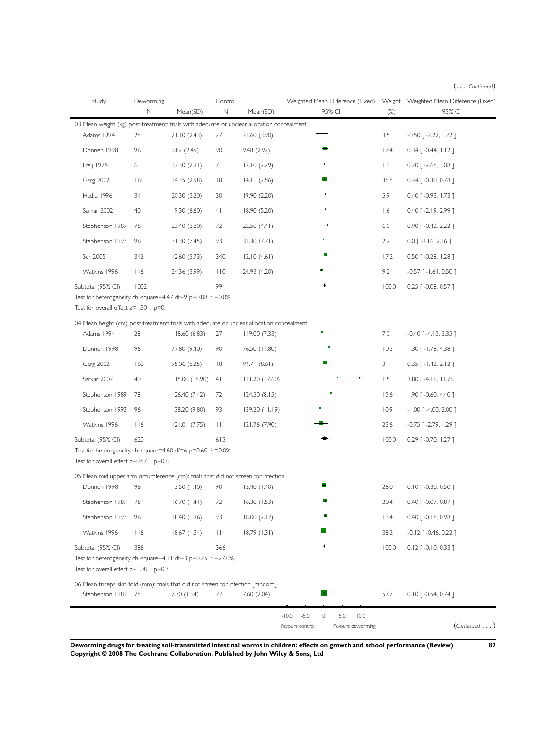| $(\ldots)$ |  |  | Continued) |
|------------|--|--|------------|
|------------|--|--|------------|

| Study                                                                                                                                  | Deworming<br>$\hbox{N}$ | Mean(SD)       | Control<br>$\hbox{N}$ | Mean(SD)       |                                      | Weighted Mean Difference (Fixed)<br>95% CI | $(\%)$ | Weight Weighted Mean Difference (Fixed)<br>95% CI |
|----------------------------------------------------------------------------------------------------------------------------------------|-------------------------|----------------|-----------------------|----------------|--------------------------------------|--------------------------------------------|--------|---------------------------------------------------|
| 03 Mean weight (kg) post-treatment: trials with adequate or unclear allocation concealment                                             |                         |                |                       |                |                                      |                                            |        |                                                   |
| Adams 1994                                                                                                                             | 28                      | 21.10(2.43)    | 27                    | 21.60 (3.90)   |                                      |                                            | 3.5    | $-0.50$ $[-2.22, 1.22]$                           |
| Donnen 1998                                                                                                                            | 96                      | 9.82(2.45)     | 90                    | 9.48 (2.92)    |                                      |                                            | 17.4   | $0.34$ $\lceil -0.44, 1.12 \rceil$                |
| Freij 1979i                                                                                                                            | 6                       | 12.30(2.91)    | 7                     | 12.10(2.29)    |                                      |                                            | 1.3    | $0.20$ $\lceil -2.68, 3.08 \rceil$                |
| <b>Garg 2002</b>                                                                                                                       | 166                     | 14.35(2.58)    | 8                     | 14.11(2.56)    |                                      |                                            | 35.8   | $0.24$ $\lceil -0.30, 0.78 \rceil$                |
| Hadju 1996                                                                                                                             | 34                      | 20.30 (3.20)   | 30                    | 19.90 (2.20)   |                                      |                                            | 5.9    | $0.40$ $\lceil -0.93, 1.73 \rceil$                |
| Sarkar 2002                                                                                                                            | 40                      | 19.30 (6.60)   | 41                    | 18.90 (5.20)   |                                      |                                            | 1.6    | $0.40$ $\lceil -2.19, 2.99 \rceil$                |
| Stephenson 1989                                                                                                                        | 78                      | 23.40 (3.80)   | 72                    | 22.50 (4.41)   |                                      |                                            | 6.0    | $0.90$ $\lceil -0.42, 2.22 \rceil$                |
| Stephenson 1993                                                                                                                        | 96                      | 31.30 (7.45)   | 93                    | 31.30(7.71)    |                                      |                                            | 2.2    | $0.0$ [ -2.16, 2.16 ]                             |
| Sur 2005                                                                                                                               | 342                     | 12.60(5.73)    | 340                   | 12.10(4.61)    |                                      |                                            | 17.2   | $0.50$ $\lceil -0.28, 1.28 \rceil$                |
| Watkins 1996                                                                                                                           | 116                     | 24.36 (3.99)   | 10                    | 24.93 (4.20)   |                                      |                                            | 9.2    | $-0.57$ [ $-1.64$ , 0.50]                         |
| Subtotal (95% CI)<br>Test for heterogeneity chi-square=4.47 df=9 p=0.88 l <sup>2</sup> =0.0%<br>Test for overall effect $z=1.50$ p=0.1 | 1002                    |                | 991                   |                |                                      |                                            | 100.0  | $0.25$ $\lceil -0.08, 0.57 \rceil$                |
| 04 Mean height (cm) post-treatment: trials with adequate or unclear allocation concealment                                             |                         |                |                       |                |                                      |                                            |        |                                                   |
| Adams 1994                                                                                                                             | 28                      | 118.60(6.83)   | 27                    | 119.00(7.33)   |                                      |                                            | 7.0    | $-0.40$ $[-4.15, 3.35]$                           |
| Donnen 1998                                                                                                                            | 96                      | 77.80 (9.40)   | 90                    | 76.50 (11.80)  |                                      |                                            | 10.3   | $1.30$ [ -1.78, 4.38 ]                            |
| <b>Garg 2002</b>                                                                                                                       | 166                     | 95.06 (8.25)   | 8                     | 94.71 (8.61)   |                                      |                                            | 31.1   | $0.35$ $\lceil -1.42, 2.12 \rceil$                |
| Sarkar 2002                                                                                                                            | 40                      | 115.00 (18.90) | 4 <sub>1</sub>        | 111.20 (17.60) |                                      |                                            | 1.5    | 3.80 [-4.16, 11.76]                               |
| Stephenson 1989                                                                                                                        | 78                      | 126.40 (7.42)  | 72                    | 124.50(8.15)   |                                      |                                            | 15.6   | $1.90$ [ -0.60, 4.40 ]                            |
| Stephenson 1993                                                                                                                        | 96                      | 138.20 (9.80)  | 93                    | 139.20 (11.19) |                                      |                                            | 10.9   | $-1.00$ $[-4.00, 2.00]$                           |
| Watkins 1996                                                                                                                           | 116                     | 121.01(7.75)   | Ш                     | 121.76 (7.90)  |                                      |                                            | 23.6   | -0.75 [ -2.79, 1.29 ]                             |
| Subtotal (95% CI)<br>Test for heterogeneity chi-square=4.60 df=6 p=0.60 $1^2$ =0.0%<br>Test for overall effect $z=0.57$ $p=0.6$        | 620                     |                | 615                   |                |                                      |                                            | 100.0  | $0.29$ $\lceil -0.70, 1.27 \rceil$                |
| 05 Mean mid upper arm circumference (cm): trials that did not screen for infection<br>Donnen 1998                                      | 96                      | 13.50 (1.40)   | 90                    | 13.40(1.40)    |                                      |                                            | 28.0   | $0.10$ [ -0.30, 0.50 ]                            |
| Stephenson 1989                                                                                                                        | 78                      | 16.70(1.41)    | 72                    | 16.30(1.53)    |                                      |                                            | 20.4   | $0.40$ [ -0.07, 0.87 ]                            |
| Stephenson 1993                                                                                                                        | 96                      | 18.40 (1.96)   | 93                    | 18.00(2.12)    |                                      |                                            | 13.4   | $0.40$ $\lceil -0.18, 0.98 \rceil$                |
| Watkins 1996                                                                                                                           | 116                     | 18.67(1.34)    | $\perp$               | 18.79(1.31)    |                                      |                                            | 38.2   | $-0.12$ $[-0.46, 0.22]$                           |
| Subtotal (95% CI)                                                                                                                      | 386                     |                | 366                   |                |                                      |                                            | 100.0  | $0.12$ $\lceil -0.10, 0.33 \rceil$                |
| Test for heterogeneity chi-square=4.11 df=3 p=0.25 $1^2$ =27.0%<br>Test for overall effect $z=1.08$ p=0.3                              |                         |                |                       |                |                                      |                                            |        |                                                   |
| 06 Mean triceps skin fold (mm): trials that did not screen for infection [random]<br>Stephenson 1989 78                                |                         | 7.70 (1.94)    | 72                    | 7.60(2.04)     |                                      |                                            | 57.7   | $0.10$ [ -0.54, 0.74 ]                            |
|                                                                                                                                        |                         |                |                       |                | $-5.0$<br>$-10.0$<br>Favours control | 5.0<br>10.0<br>0<br>Favours deworming      |        | (Continued)                                       |

**Deworming drugs for treating soil-transmitted intestinal worms in children: effects on growth and school performance (Review) 87 Copyright © 2008 The Cochrane Collaboration. Published by John Wiley & Sons, Ltd**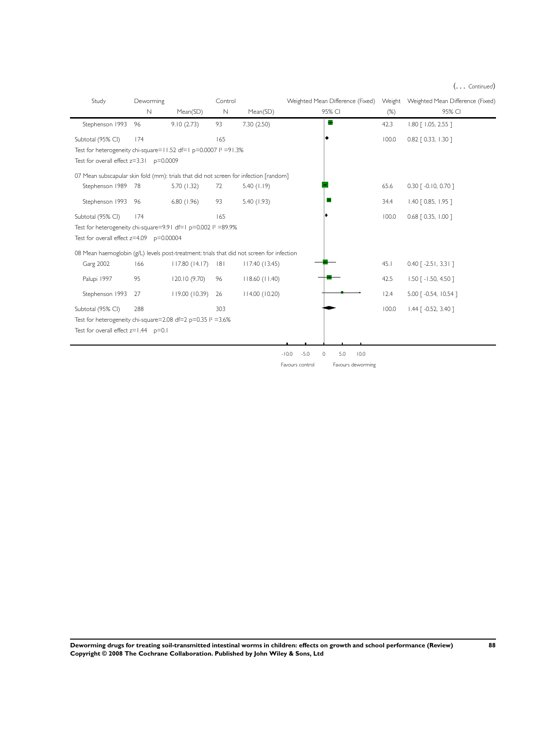| $(\ldots)$<br>Continued) |  |
|--------------------------|--|
|--------------------------|--|

| Study                                                                                     | Deworming   |               | Control     |                | Weighted Mean Difference (Fixed) Weight |        | Weighted Mean Difference (Fixed)   |
|-------------------------------------------------------------------------------------------|-------------|---------------|-------------|----------------|-----------------------------------------|--------|------------------------------------|
|                                                                                           | $\mathbb N$ | Mean(SD)      | $\mathbb N$ | Mean(SD)       | 95% CI                                  | $(\%)$ | 95% CI                             |
| Stephenson 1993                                                                           | 96          | 9.10(2.73)    | 93          | 7.30(2.50)     | ÷                                       | 42.3   | 1.80 [ 1.05, 2.55 ]                |
| Subtotal (95% CI)                                                                         | 174         |               | 165         |                | ٠                                       | 100.0  | 0.82 [ 0.33, 1.30 ]                |
| Test for heterogeneity chi-square= $11.52$ df= $1 p=0.0007$ $1^2 = 91.3\%$                |             |               |             |                |                                         |        |                                    |
| Test for overall effect $z=3.31$ $p=0.0009$                                               |             |               |             |                |                                         |        |                                    |
| 07 Mean subscapular skin fold (mm): trials that did not screen for infection [random]     |             |               |             |                |                                         |        |                                    |
| Stephenson 1989                                                                           | 78          | 5.70(1.32)    | 72          | 5.40(1.19)     |                                         | 65.6   | $0.30$ $\lceil -0.10, 0.70 \rceil$ |
| Stephenson 1993                                                                           | 96          | 6.80(1.96)    | 93          | 5.40 (1.93)    | н.                                      | 34.4   | $1.40$ $[0.85, 1.95]$              |
| Subtotal (95% CI)                                                                         | 174         |               | 165         |                |                                         | 100.0  | 0.68 [ 0.35, 1.00 ]                |
| Test for heterogeneity chi-square=9.91 df=1 p=0.002 l <sup>2</sup> =89.9%                 |             |               |             |                |                                         |        |                                    |
| Test for overall effect $z=4.09$ $p=0.00004$                                              |             |               |             |                |                                         |        |                                    |
| 08 Mean haemoglobin (g/L) levels post-treatment: trials that did not screen for infection |             |               |             |                |                                         |        |                                    |
| Garg 2002                                                                                 | 166         | 117.80(14.17) | 8           | 117.40(13.45)  |                                         | 45.1   | $0.40$ [ -2.51, 3.31 ]             |
| Palupi 1997                                                                               | 95          | 120.10 (9.70) | 96          | 118.60(11.40)  |                                         | 42.5   | $1.50$ [ $-1.50$ , 4.50]           |
| Stephenson 1993                                                                           | 27          | 19.00 (10.39) | 26          | 4.00 (   0.20) |                                         | 12.4   | 5.00 [ -0.54, 10.54 ]              |
| Subtotal (95% CI)                                                                         | 288         |               | 303         |                |                                         | 100.0  | $1.44$ [ $-0.52$ , 3.40 ]          |
| Test for heterogeneity chi-square=2.08 df=2 $p=0.35$ $1^2 = 3.6\%$                        |             |               |             |                |                                         |        |                                    |
| Test for overall effect $z=1.44$ $p=0.1$                                                  |             |               |             |                |                                         |        |                                    |
|                                                                                           |             |               |             |                |                                         |        |                                    |
|                                                                                           |             |               |             |                | $-10.0$<br>$-5.0$<br>5.0<br>10.0        |        |                                    |
|                                                                                           |             |               |             |                | Favours deworming<br>Favours control    |        |                                    |

**Deworming drugs for treating soil-transmitted intestinal worms in children: effects on growth and school performance (Review) 88 Copyright © 2008 The Cochrane Collaboration. Published by John Wiley & Sons, Ltd**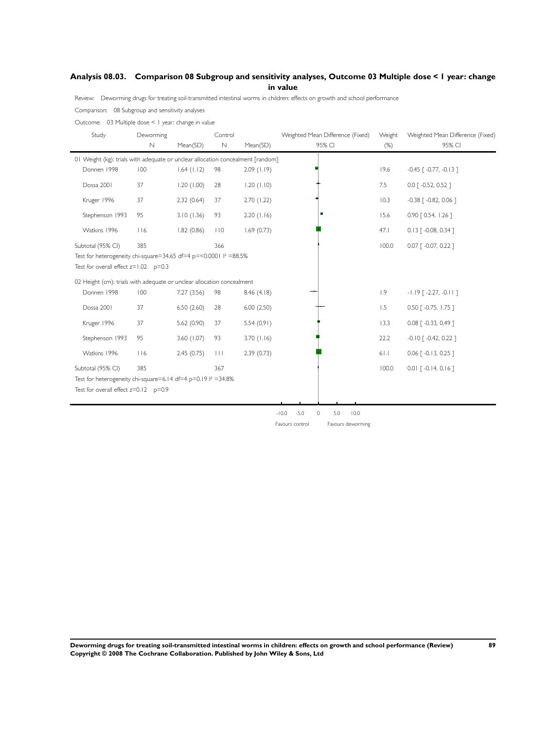### **Analysis 08.03. Comparison 08 Subgroup and sensitivity analyses, Outcome 03 Multiple dose < 1 year: change in value**

Review: Deworming drugs for treating soil-transmitted intestinal worms in children: effects on growth and school performance

Comparison: 08 Subgroup and sensitivity analyses

Outcome: 03 Multiple dose < 1 year: change in value

| Study                                                                                                                                          | Deworming    |                   | Control             |            | Weighted Mean Difference (Fixed)      | Weight | Weighted Mean Difference (Fixed)    |
|------------------------------------------------------------------------------------------------------------------------------------------------|--------------|-------------------|---------------------|------------|---------------------------------------|--------|-------------------------------------|
|                                                                                                                                                | $\mathsf{N}$ | Mean(SD)          | $\mathbb N$         | Mean(SD)   | 95% CI                                | $(\%)$ | 95% CI                              |
| 01 Weight (kg): trials with adequate or unclear allocation concealment [random]                                                                |              |                   |                     |            |                                       |        |                                     |
| Donnen 1998                                                                                                                                    | 100          | $1.64$ ( $1.12$ ) | 98                  | 2.09(1.19) |                                       | 19.6   | $-0.45$ [ $-0.77, -0.13$ ]          |
| Dossa 2001                                                                                                                                     | 37           | 1.20(1.00)        | 28                  | 1.20(1.10) |                                       | 7.5    | $0.0$ $\lceil -0.52, 0.52 \rceil$   |
| Kruger 1996                                                                                                                                    | 37           | 2.32(0.64)        | 37                  | 2.70(1.22) |                                       | 10.3   | $-0.38$ $\lceil -0.82, 0.06 \rceil$ |
| Stephenson 1993                                                                                                                                | 95           | 3.10(1.36)        | 93                  | 2.20(1.16) |                                       | 15.6   | $0.90$ $[0.54, 1.26]$               |
| Watkins 1996                                                                                                                                   | 116          | 1.82(0.86)        | 110                 | 1.69(0.73) |                                       | 47.1   | $0.13$ $\lceil -0.08, 0.34 \rceil$  |
| Subtotal (95% CI)<br>Test for heterogeneity chi-square=34.65 df=4 $p = 0.0001$   <sup>2</sup> =88.5%<br>Test for overall effect $z=1.02$ p=0.3 | 385          |                   | 366                 |            |                                       | 100.0  | $0.07$ $[ -0.07, 0.22 ]$            |
| 02 Height (cm): trials with adequate or unclear allocation concealment                                                                         |              |                   |                     |            |                                       |        |                                     |
| Donnen 1998                                                                                                                                    | 100          | 7.27(3.56)        | 98                  | 8.46(4.18) |                                       | 1.9    | $-1.19$ [ $-2.27$ , $-0.11$ ]       |
| Dossa 2001                                                                                                                                     | 37           | 6.50(2.60)        | 28                  | 6.00(2.50) |                                       | 1.5    | $0.50$ $\lceil -0.75, 1.75 \rceil$  |
| Kruger 1996                                                                                                                                    | 37           | 5.62(0.90)        | 37                  | 5.54(0.91) |                                       | 13.3   | $0.08$ $\lceil -0.33, 0.49 \rceil$  |
| Stephenson 1993                                                                                                                                | 95           | 3.60(1.07)        | 93                  | 3.70(1.16) |                                       | 22.2   | $-0.10$ $[-0.42, 0.22]$             |
| Watkins 1996                                                                                                                                   | 116          | 2.45(0.75)        | $\vert \vert \vert$ | 2.39(0.73) |                                       | 61.1   | $0.06$ $\lceil -0.13, 0.25 \rceil$  |
| Subtotal (95% CI)<br>Test for heterogeneity chi-square=6.14 df=4 p=0.19 $1^2$ =34.8%<br>Test for overall effect $z=0.12$ $p=0.9$               | 385          |                   | 367                 |            |                                       | 100.0  | $0.01$ $[ -0.14, 0.16]$             |
|                                                                                                                                                |              |                   |                     |            | $-10.0$<br>$-5.0$<br>5.0<br>10.0<br>0 |        |                                     |

Favours control Favours deworming

**Deworming drugs for treating soil-transmitted intestinal worms in children: effects on growth and school performance (Review) 89 Copyright © 2008 The Cochrane Collaboration. Published by John Wiley & Sons, Ltd**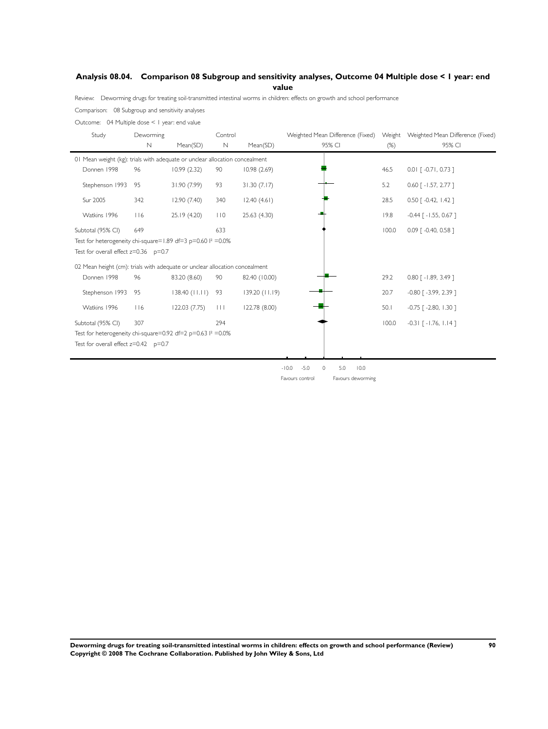### **Analysis 08.04. Comparison 08 Subgroup and sensitivity analyses, Outcome 04 Multiple dose < 1 year: end value**

Review: Deworming drugs for treating soil-transmitted intestinal worms in children: effects on growth and school performance

Comparison: 08 Subgroup and sensitivity analyses

#### Outcome: 04 Multiple dose < 1 year: end value

| Study                                                                                                                           | Deworming  |                   | Control    |                |                   |                   |        | Weighted Mean Difference (Fixed)    Veight    Veighted Mean Difference (Fixed) |
|---------------------------------------------------------------------------------------------------------------------------------|------------|-------------------|------------|----------------|-------------------|-------------------|--------|--------------------------------------------------------------------------------|
|                                                                                                                                 | $\hbox{N}$ | Mean(SD)          | $\hbox{N}$ | Mean(SD)       |                   | 95% CI            | $(\%)$ | 95% CI                                                                         |
| 01 Mean weight (kg): trials with adequate or unclear allocation concealment                                                     |            |                   |            |                |                   |                   |        |                                                                                |
| Donnen 1998                                                                                                                     | 96         | 10.99(2.32)       | 90         | 10.98(2.69)    |                   |                   | 46.5   | $0.01$ [-0.71, 0.73]                                                           |
| Stephenson 1993                                                                                                                 | 95         | 31.90 (7.99)      | 93         | 31.30(7.17)    |                   |                   | 5.2    | $0.60$ [ -1.57, 2.77 ]                                                         |
| Sur 2005                                                                                                                        | 342        | 12.90 (7.40)      | 340        | 12.40(4.61)    |                   |                   | 28.5   | 0.50 [ -0.42, 1.42 ]                                                           |
| Watkins 1996                                                                                                                    | 116        | 25.19 (4.20)      | 110        | 25.63 (4.30)   |                   |                   | 19.8   | $-0.44$ [ $-1.55$ , 0.67]                                                      |
| Subtotal (95% CI)<br>Test for heterogeneity chi-square=1.89 df=3 p=0.60 $1^2$ =0.0%<br>Test for overall effect $z=0.36$ $p=0.7$ | 649        |                   | 633        |                |                   |                   | 100.0  | $0.09$ $[ -0.40, 0.58 ]$                                                       |
| 02 Mean height (cm): trials with adequate or unclear allocation concealment<br>Donnen 1998                                      | 96         | 83.20 (8.60)      | 90         | 82.40 (10.00)  |                   |                   | 29.2   | $0.80$ [ -1.89, 3.49 ]                                                         |
| Stephenson 1993                                                                                                                 | 95         | 138.40 (11.11) 93 |            | 139.20 (11.19) |                   |                   | 20.7   | $-0.80$ [ $-3.99$ , 2.39 ]                                                     |
| Watkins 1996                                                                                                                    | 116        | 122.03(7.75)      | $\Box$     | 122.78 (8.00)  |                   |                   | 50.1   | $-0.75$ [ $-2.80$ , $1.30$ ]                                                   |
| Subtotal (95% CI)                                                                                                               | 307        |                   | 294        |                |                   |                   | 100.0  | $-0.31$ [ $-1.76$ , $1.14$ ]                                                   |
| Test for heterogeneity chi-square=0.92 df=2 $p=0.63$ $1^2$ =0.0%<br>Test for overall effect $z=0.42$ $p=0.7$                    |            |                   |            |                |                   |                   |        |                                                                                |
|                                                                                                                                 |            |                   |            |                | $-10.0$<br>$-5.0$ | 5.0<br>10.0<br>Ó  |        |                                                                                |
|                                                                                                                                 |            |                   |            |                | Favours control   | Favours deworming |        |                                                                                |
|                                                                                                                                 |            |                   |            |                |                   |                   |        |                                                                                |
|                                                                                                                                 |            |                   |            |                |                   |                   |        |                                                                                |
|                                                                                                                                 |            |                   |            |                |                   |                   |        |                                                                                |
|                                                                                                                                 |            |                   |            |                |                   |                   |        |                                                                                |
|                                                                                                                                 |            |                   |            |                |                   |                   |        |                                                                                |
|                                                                                                                                 |            |                   |            |                |                   |                   |        |                                                                                |
|                                                                                                                                 |            |                   |            |                |                   |                   |        |                                                                                |
|                                                                                                                                 |            |                   |            |                |                   |                   |        |                                                                                |
|                                                                                                                                 |            |                   |            |                |                   |                   |        |                                                                                |
|                                                                                                                                 |            |                   |            |                |                   |                   |        |                                                                                |
|                                                                                                                                 |            |                   |            |                |                   |                   |        |                                                                                |
|                                                                                                                                 |            |                   |            |                |                   |                   |        |                                                                                |
|                                                                                                                                 |            |                   |            |                |                   |                   |        |                                                                                |